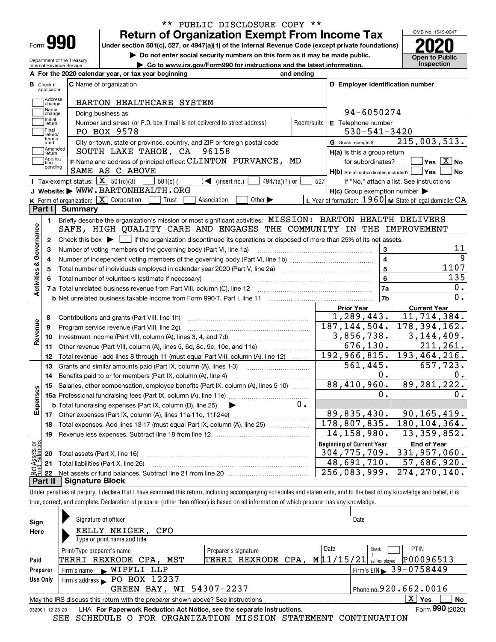| Form |  |
|------|--|

Department of the Treasury Internal Revenue Service

### **Return of Organization Exempt From Income Tax** \*\* PUBLIC DISCLOSURE COPY \*\*

**Under section 501(c), 527, or 4947(a)(1) of the Internal Revenue Code (except private foundations) 2020**

**| Do not enter social security numbers on this form as it may be made public.**

**| Go to www.irs.gov/Form990 for instructions and the latest information. Inspection**

OMB No. 1545-0047 **Open to Public** 

|                         |                                  | A For the 2020 calendar year, or tax year beginning                                                                                         | and ending |                                                         |                                                           |
|-------------------------|----------------------------------|---------------------------------------------------------------------------------------------------------------------------------------------|------------|---------------------------------------------------------|-----------------------------------------------------------|
|                         | <b>B</b> Check if<br>applicable: | <b>C</b> Name of organization                                                                                                               |            | D Employer identification number                        |                                                           |
|                         | Address<br>change                | BARTON HEALTHCARE SYSTEM                                                                                                                    |            |                                                         |                                                           |
|                         | Name<br>change                   | Doing business as                                                                                                                           |            | 94-6050274                                              |                                                           |
|                         | Initial<br>return                | Number and street (or P.O. box if mail is not delivered to street address)                                                                  | Room/suite | E Telephone number                                      |                                                           |
|                         | Final<br>return/                 | PO BOX 9578                                                                                                                                 |            | $530 - 541 - 3420$                                      |                                                           |
|                         | termin-<br>ated                  | City or town, state or province, country, and ZIP or foreign postal code                                                                    |            | G Gross receipts \$                                     | 215,003,513.                                              |
|                         | Amended<br>return                | SOUTH LAKE TAHOE, CA 96158                                                                                                                  |            | H(a) Is this a group return                             |                                                           |
|                         | Applica-<br>tion                 | F Name and address of principal officer: CLINTON PURVANCE, MD                                                                               |            | for subordinates?                                       | $\sqrt{}$ Yes $\sqrt{}$ X $\sqrt{}$ No                    |
|                         | pending                          | SAME AS C ABOVE                                                                                                                             |            | $H(b)$ Are all subordinates included? $\Box$ Yes $\Box$ | No                                                        |
|                         |                                  | Tax-exempt status: $\boxed{\mathbf{X}}$ 501(c)(3)<br>$501(c)$ (<br>4947(a)(1) or<br>$\blacktriangleleft$ (insert no.)                       | 527        |                                                         | If "No," attach a list. See instructions                  |
|                         |                                  | J Website: WWW.BARTONHEALTH.ORG                                                                                                             |            | $H(c)$ Group exemption number $\blacktriangleright$     |                                                           |
|                         |                                  | K Form of organization: X Corporation<br>Other $\blacktriangleright$<br>Trust<br>Association                                                |            |                                                         | L Year of formation: $1960$ M State of legal domicile: CA |
|                         | Part I                           | Summary                                                                                                                                     |            |                                                         |                                                           |
|                         | 1.                               | Briefly describe the organization's mission or most significant activities: MISSION: BARTON HEALTH DELIVERS                                 |            |                                                         |                                                           |
|                         |                                  | SAFE, HIGH QUALITY CARE AND ENGAGES THE COMMUNITY IN THE IMPROVEMENT                                                                        |            |                                                         |                                                           |
|                         | 2                                | Check this box $\blacktriangleright$ $\Box$ if the organization discontinued its operations or disposed of more than 25% of its net assets. |            |                                                         |                                                           |
| Governance              | З                                | Number of voting members of the governing body (Part VI, line 1a)                                                                           |            | 3                                                       | 11                                                        |
|                         | 4                                |                                                                                                                                             |            |                                                         | 9                                                         |
|                         | 5                                |                                                                                                                                             |            | 5                                                       | 1107                                                      |
|                         |                                  |                                                                                                                                             |            | 6                                                       | 135                                                       |
| <b>Activities &amp;</b> |                                  |                                                                                                                                             |            | <b>7a</b>                                               | 0.                                                        |
|                         |                                  |                                                                                                                                             |            | 7b                                                      | 0.                                                        |
|                         |                                  |                                                                                                                                             |            | <b>Prior Year</b>                                       | <b>Current Year</b>                                       |
|                         | 8                                | Contributions and grants (Part VIII, line 1h)                                                                                               |            | 1,289,443.                                              | 11,714,384.                                               |
|                         | 9                                | Program service revenue (Part VIII, line 2g)                                                                                                |            | 187, 144, 504.                                          | $\overline{178,394,162}$ .                                |
| Revenue                 | 10                               |                                                                                                                                             |            | 3,856,738.                                              | 3,144,409.                                                |
|                         | 11                               | Other revenue (Part VIII, column (A), lines 5, 6d, 8c, 9c, 10c, and 11e)                                                                    |            | 676, 130.                                               | 211, 261.                                                 |
|                         | 12                               | Total revenue - add lines 8 through 11 (must equal Part VIII, column (A), line 12)                                                          |            | 192,966,815.                                            | 193, 464, 216.                                            |
|                         | 13                               | Grants and similar amounts paid (Part IX, column (A), lines 1-3)                                                                            |            | $\overline{561}$ , 445.                                 | 657,723.                                                  |
|                         | 14                               | Benefits paid to or for members (Part IX, column (A), line 4)                                                                               |            | 0.                                                      | 0.                                                        |
|                         | 15                               | Salaries, other compensation, employee benefits (Part IX, column (A), lines 5-10)                                                           |            | 88,410,960.                                             | 89, 281, 222.                                             |
|                         |                                  |                                                                                                                                             |            | 0.                                                      | 0.                                                        |
| Expenses                |                                  | <b>b</b> Total fundraising expenses (Part IX, column (D), line 25)                                                                          | $0$ .      |                                                         |                                                           |
|                         |                                  |                                                                                                                                             |            | $\overline{89,835,430.}$                                | 90, 165, 419.                                             |
|                         | 18                               | Total expenses. Add lines 13-17 (must equal Part IX, column (A), line 25)                                                                   |            |                                                         | 178,807,835. 180,104,364.                                 |
|                         |                                  | 19 Revenue less expenses. Subtract line 18 from line 12                                                                                     |            | 14, 158, 980.                                           | 13, 359, 852.                                             |
|                         |                                  |                                                                                                                                             |            | <b>Beginning of Current Year</b>                        | <b>End of Year</b>                                        |
|                         | 20                               | Total assets (Part X, line 16)                                                                                                              |            | 304, 775, 709.                                          | 331,957,060.                                              |
| Assets or<br>dBalances  | 21                               | Total liabilities (Part X, line 26)                                                                                                         |            | 48,691,710.                                             | 57,686,920.                                               |
|                         | 22                               |                                                                                                                                             |            | 256,083,999.                                            | 274, 270, 140.                                            |
|                         | Part II                          | <b>Signature Block</b>                                                                                                                      |            |                                                         |                                                           |

true, correct, and complete. Declaration of preparer (other than officer) is based on all information of which preparer has any knowledge.

| Sign            | Signature of officer                                                            |                                             | Date                                         |
|-----------------|---------------------------------------------------------------------------------|---------------------------------------------|----------------------------------------------|
| Here            | KELLY NEIGER, CFO                                                               |                                             |                                              |
|                 | Type or print name and title                                                    |                                             |                                              |
|                 | Print/Type preparer's name                                                      | Preparer's signature                        | Date<br><b>PTIN</b><br>Check                 |
| Paid            | TERRI REXRODE CPA, MST                                                          | TERRI REXRODE CPA, M 11/15/21 self-employed | P00096513                                    |
| Preparer        | Firm's name WIPFLI LLP                                                          |                                             | $1$ Firm's EIN $\triangleright$ 39 - 0758449 |
| Use Only        | Firm's address PO BOX 12237                                                     |                                             |                                              |
|                 | GREEN BAY, WI 54307-2237                                                        |                                             | Phone no. 920. 662.0016                      |
|                 | May the IRS discuss this return with the preparer shown above? See instructions |                                             | $X \mid Y$ es<br>No                          |
| 032001 12-23-20 | LHA For Paperwork Reduction Act Notice, see the separate instructions.          |                                             | Form 990 (2020)                              |

SEE SCHEDULE O FOR ORGANIZATION MISSION STATEMENT CONTINUATION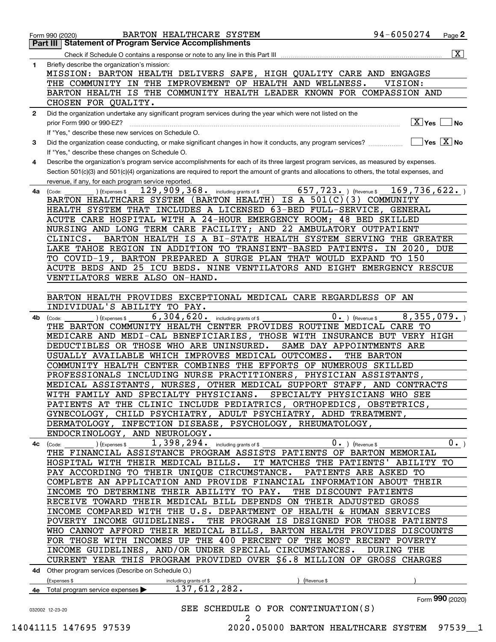|                                                                                                   | 94-6050274<br>BARTON HEALTHCARE SYSTEM<br>Page 2<br>Form 990 (2020)<br>Part III   Statement of Program Service Accomplishments                                   |
|---------------------------------------------------------------------------------------------------|------------------------------------------------------------------------------------------------------------------------------------------------------------------|
|                                                                                                   | $\boxed{\text{X}}$                                                                                                                                               |
|                                                                                                   | Briefly describe the organization's mission:                                                                                                                     |
|                                                                                                   | MISSION: BARTON HEALTH DELIVERS SAFE, HIGH QUALITY CARE AND ENGAGES                                                                                              |
|                                                                                                   | THE COMMUNITY IN THE IMPROVEMENT OF HEALTH AND WELLNESS.<br>VISION:                                                                                              |
|                                                                                                   | BARTON HEALTH IS THE COMMUNITY HEALTH LEADER KNOWN FOR COMPASSION AND                                                                                            |
|                                                                                                   | CHOSEN FOR QUALITY.                                                                                                                                              |
|                                                                                                   | Did the organization undertake any significant program services during the year which were not listed on the<br>$\boxed{\text{X}}$ Yes                           |
|                                                                                                   | ∣No<br>prior Form 990 or 990-EZ?<br>If "Yes," describe these new services on Schedule O.                                                                         |
|                                                                                                   | $\overline{\ }$ Yes $\overline{\phantom{a}X}$ No<br>Did the organization cease conducting, or make significant changes in how it conducts, any program services? |
|                                                                                                   | If "Yes," describe these changes on Schedule O.                                                                                                                  |
|                                                                                                   | Describe the organization's program service accomplishments for each of its three largest program services, as measured by expenses.                             |
|                                                                                                   | Section 501(c)(3) and 501(c)(4) organizations are required to report the amount of grants and allocations to others, the total expenses, and                     |
|                                                                                                   | revenue, if any, for each program service reported.                                                                                                              |
|                                                                                                   | 657,723.<br>129,909,368.<br>169,736,622.<br>including grants of \$<br>(Revenue \$<br>(Expenses \$<br>(Code:                                                      |
|                                                                                                   | BARTON HEALTHCARE SYSTEM (BARTON HEALTH) IS A 501(C)(3) COMMUNITY                                                                                                |
|                                                                                                   | HEALTH SYSTEM THAT INCLUDES A LICENSED 63-BED FULL-SERVICE, GENERAL                                                                                              |
|                                                                                                   | ACUTE CARE HOSPITAL WITH A 24-HOUR EMERGENCY ROOM; 48 BED SKILLED                                                                                                |
|                                                                                                   | NURSING AND LONG TERM CARE FACILITY; AND 22 AMBULATORY OUTPATIENT                                                                                                |
|                                                                                                   | CLINICS.<br>BARTON HEALTH IS A BI-STATE HEALTH SYSTEM SERVING THE GREATER                                                                                        |
|                                                                                                   | LAKE TAHOE REGION IN ADDITION TO TRANSIENT-BASED PATIENTS. IN 2020, DUE                                                                                          |
|                                                                                                   | TO COVID-19, BARTON PREPARED A SURGE PLAN THAT WOULD EXPAND TO 150                                                                                               |
|                                                                                                   | ACUTE BEDS AND 25 ICU BEDS. NINE VENTILATORS AND EIGHT EMERGENCY RESCUE                                                                                          |
|                                                                                                   | VENTILATORS WERE ALSO ON-HAND.                                                                                                                                   |
|                                                                                                   |                                                                                                                                                                  |
|                                                                                                   | BARTON HEALTH PROVIDES EXCEPTIONAL MEDICAL CARE REGARDLESS OF AN                                                                                                 |
|                                                                                                   | INDIVIDUAL'S ABILITY TO PAY.                                                                                                                                     |
|                                                                                                   | 8,355,079.<br>6,304,620.<br>$0 \cdot$ ) (Revenue \$<br>including grants of \$<br>(Expenses \$<br>(Code:                                                          |
|                                                                                                   | THE BARTON COMMUNITY HEALTH CENTER PROVIDES ROUTINE MEDICAL CARE TO<br>MEDICARE AND MEDI-CAL BENEFICIARIES, THOSE WITH INSURANCE BUT VERY HIGH                   |
|                                                                                                   | DEDUCTIBLES OR THOSE WHO ARE UNINSURED.<br>SAME DAY APPOINTMENTS ARE                                                                                             |
|                                                                                                   | USUALLY AVAILABLE WHICH IMPROVES MEDICAL OUTCOMES.<br>THE BARTON                                                                                                 |
|                                                                                                   | COMMUNITY HEALTH CENTER COMBINES THE EFFORTS OF NUMEROUS SKILLED                                                                                                 |
|                                                                                                   | PROFESSIONALS INCLUDING NURSE PRACTITIONERS, PHYSICIAN ASSISTANTS,                                                                                               |
|                                                                                                   | MEDICAL ASSISTANTS, NURSES, OTHER MEDICAL SUPPORT STAFF, AND CONTRACTS                                                                                           |
|                                                                                                   | WITH FAMILY AND SPECIALTY PHYSICIANS. SPECIALTY PHYSICIANS WHO SEE                                                                                               |
|                                                                                                   | PATIENTS AT THE CLINIC INCLUDE PEDIATRICS, ORTHOPEDICS, OBSTETRICS,                                                                                              |
| 1<br>$\mathbf{2}$<br>3<br>4<br>4a<br>4b.<br>4c (Code:<br>032002 12-23-20<br>14041115 147695 97539 | GYNECOLOGY, CHILD PSYCHIATRY, ADULT PSYCHIATRY, ADHD TREATMENT,                                                                                                  |
|                                                                                                   | DERMATOLOGY, INFECTION DISEASE, PSYCHOLOGY, RHEUMATOLOGY,                                                                                                        |
|                                                                                                   | ENDOCRINOLOGY, AND NEUROLOGY.                                                                                                                                    |
|                                                                                                   | 1, 398, 294. including grants of \$<br>$0_{.}$<br>$0.$ ) (Revenue \$<br>) (Expenses \$                                                                           |
|                                                                                                   | THE FINANCIAL ASSISTANCE PROGRAM ASSISTS PATIENTS OF BARTON MEMORIAL                                                                                             |
|                                                                                                   | IT MATCHES THE PATIENTS' ABILITY TO<br>HOSPITAL WITH THEIR MEDICAL BILLS.                                                                                        |
|                                                                                                   | PAY ACCORDING TO THEIR UNIQUE CIRCUMSTANCE.<br>PATIENTS ARE ASKED TO                                                                                             |
|                                                                                                   | COMPLETE AN APPLICATION AND PROVIDE FINANCIAL INFORMATION ABOUT THEIR                                                                                            |
|                                                                                                   | THE DISCOUNT PATIENTS<br>INCOME TO DETERMINE THEIR ABILITY TO PAY.                                                                                               |
|                                                                                                   | RECEIVE TOWARD THEIR MEDICAL BILL DEPENDS ON THEIR ADJUSTED GROSS                                                                                                |
|                                                                                                   | INCOME COMPARED WITH THE U.S. DEPARTMENT OF HEALTH & HUMAN SERVICES                                                                                              |
|                                                                                                   | THE PROGRAM IS DESIGNED FOR THOSE PATIENTS<br>POVERTY INCOME GUIDELINES.                                                                                         |
|                                                                                                   | WHO CANNOT AFFORD THEIR MEDICAL BILLS, BARTON HEALTH PROVIDES DISCOUNTS                                                                                          |
|                                                                                                   | FOR THOSE WITH INCOMES UP THE 400 PERCENT OF THE MOST RECENT POVERTY                                                                                             |
|                                                                                                   | INCOME GUIDELINES, AND/OR UNDER SPECIAL CIRCUMSTANCES.<br><b>DURING THE</b>                                                                                      |
|                                                                                                   | CURRENT YEAR THIS PROGRAM PROVIDED OVER \$6.8 MILLION OF GROSS CHARGES                                                                                           |
|                                                                                                   | 4d Other program services (Describe on Schedule O.)                                                                                                              |
|                                                                                                   | (Expenses \$<br>including grants of \$<br>(Revenue \$<br>137,612,282.                                                                                            |
|                                                                                                   | 4e Total program service expenses                                                                                                                                |
|                                                                                                   |                                                                                                                                                                  |
|                                                                                                   | Form 990 (2020)<br>SEE SCHEDULE O FOR CONTINUATION(S)                                                                                                            |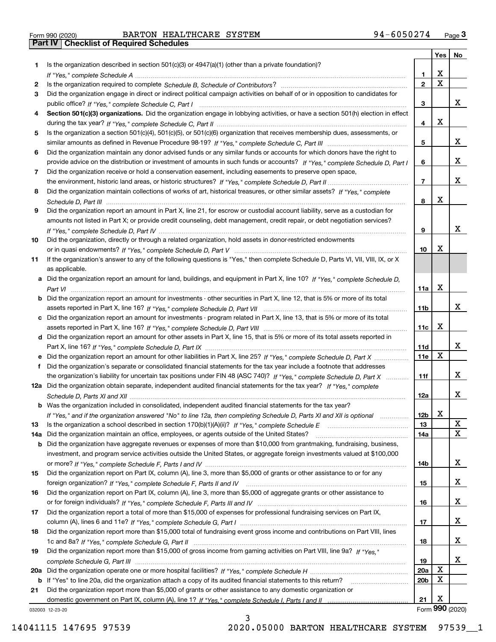|  | Form 990 (2020) |  |
|--|-----------------|--|

|     |                                                                                                                                       |                 | Yes         | No              |
|-----|---------------------------------------------------------------------------------------------------------------------------------------|-----------------|-------------|-----------------|
| 1.  | Is the organization described in section 501(c)(3) or 4947(a)(1) (other than a private foundation)?                                   |                 |             |                 |
|     |                                                                                                                                       | 1               | х           |                 |
| 2   |                                                                                                                                       | $\mathbf{2}$    | $\mathbf X$ |                 |
| 3   | Did the organization engage in direct or indirect political campaign activities on behalf of or in opposition to candidates for       |                 |             |                 |
|     |                                                                                                                                       | 3               |             | X.              |
| 4   | Section 501(c)(3) organizations. Did the organization engage in lobbying activities, or have a section 501(h) election in effect      |                 |             |                 |
|     |                                                                                                                                       | 4               | X           |                 |
| 5   | Is the organization a section 501(c)(4), 501(c)(5), or 501(c)(6) organization that receives membership dues, assessments, or          |                 |             |                 |
|     |                                                                                                                                       | 5               |             | X.              |
| 6   | Did the organization maintain any donor advised funds or any similar funds or accounts for which donors have the right to             |                 |             | X.              |
|     | provide advice on the distribution or investment of amounts in such funds or accounts? If "Yes," complete Schedule D, Part I          | 6               |             |                 |
| 7   | Did the organization receive or hold a conservation easement, including easements to preserve open space,                             | 7               |             | X.              |
| 8   | Did the organization maintain collections of works of art, historical treasures, or other similar assets? If "Yes," complete          |                 |             |                 |
|     |                                                                                                                                       | 8               | X           |                 |
| 9   | Did the organization report an amount in Part X, line 21, for escrow or custodial account liability, serve as a custodian for         |                 |             |                 |
|     | amounts not listed in Part X; or provide credit counseling, debt management, credit repair, or debt negotiation services?             |                 |             |                 |
|     |                                                                                                                                       | 9               |             | x               |
| 10  | Did the organization, directly or through a related organization, hold assets in donor-restricted endowments                          |                 |             |                 |
|     |                                                                                                                                       | 10              | х           |                 |
| 11  | If the organization's answer to any of the following questions is "Yes," then complete Schedule D, Parts VI, VIII, VIII, IX, or X     |                 |             |                 |
|     | as applicable.                                                                                                                        |                 |             |                 |
|     | a Did the organization report an amount for land, buildings, and equipment in Part X, line 10? If "Yes," complete Schedule D,         |                 |             |                 |
|     |                                                                                                                                       | 11a             | x           |                 |
|     | <b>b</b> Did the organization report an amount for investments - other securities in Part X, line 12, that is 5% or more of its total |                 |             |                 |
|     |                                                                                                                                       | 11b             |             | X.              |
|     | c Did the organization report an amount for investments - program related in Part X, line 13, that is 5% or more of its total         |                 |             |                 |
|     |                                                                                                                                       | 11с             | x           |                 |
|     | d Did the organization report an amount for other assets in Part X, line 15, that is 5% or more of its total assets reported in       |                 |             |                 |
|     |                                                                                                                                       | 11d             |             | X.              |
|     | e Did the organization report an amount for other liabilities in Part X, line 25? If "Yes," complete Schedule D, Part X               | 11e             | X           |                 |
| f   | Did the organization's separate or consolidated financial statements for the tax year include a footnote that addresses               |                 |             |                 |
|     | the organization's liability for uncertain tax positions under FIN 48 (ASC 740)? If "Yes," complete Schedule D, Part X                | 11f             |             | X.              |
|     | 12a Did the organization obtain separate, independent audited financial statements for the tax year? If "Yes," complete               |                 |             |                 |
|     |                                                                                                                                       | 12a             |             | X.              |
|     | <b>b</b> Was the organization included in consolidated, independent audited financial statements for the tax year?                    |                 |             |                 |
|     | If "Yes," and if the organization answered "No" to line 12a, then completing Schedule D, Parts XI and XII is optional                 | 12 <sub>b</sub> | х           |                 |
| 13  | Is the organization a school described in section 170(b)(1)(A)(ii)? If "Yes," complete Schedule E                                     | 13              |             | X<br>X          |
| 14a | Did the organization maintain an office, employees, or agents outside of the United States?                                           | 14a             |             |                 |
| b   | Did the organization have aggregate revenues or expenses of more than \$10,000 from grantmaking, fundraising, business,               |                 |             |                 |
|     | investment, and program service activities outside the United States, or aggregate foreign investments valued at \$100,000            | 14b             |             | X.              |
| 15  | Did the organization report on Part IX, column (A), line 3, more than \$5,000 of grants or other assistance to or for any             |                 |             |                 |
|     |                                                                                                                                       | 15              |             | X.              |
| 16  | Did the organization report on Part IX, column (A), line 3, more than \$5,000 of aggregate grants or other assistance to              |                 |             |                 |
|     |                                                                                                                                       | 16              |             | X.              |
| 17  | Did the organization report a total of more than \$15,000 of expenses for professional fundraising services on Part IX,               |                 |             |                 |
|     |                                                                                                                                       | 17              |             | X.              |
| 18  | Did the organization report more than \$15,000 total of fundraising event gross income and contributions on Part VIII, lines          |                 |             |                 |
|     |                                                                                                                                       | 18              |             | X.              |
| 19  | Did the organization report more than \$15,000 of gross income from gaming activities on Part VIII, line 9a? If "Yes."                |                 |             |                 |
|     |                                                                                                                                       | 19              |             | X.              |
| 20a |                                                                                                                                       | 20a             | X           |                 |
|     | b If "Yes" to line 20a, did the organization attach a copy of its audited financial statements to this return?                        | 20b             | х           |                 |
| 21  | Did the organization report more than \$5,000 of grants or other assistance to any domestic organization or                           |                 |             |                 |
|     |                                                                                                                                       | 21              | X           |                 |
|     | 032003 12-23-20                                                                                                                       |                 |             | Form 990 (2020) |

3

032003 12-23-20

14041115 147695 97539 2020.05000 BARTON HEALTHCARE SYSTEM 97539\_\_1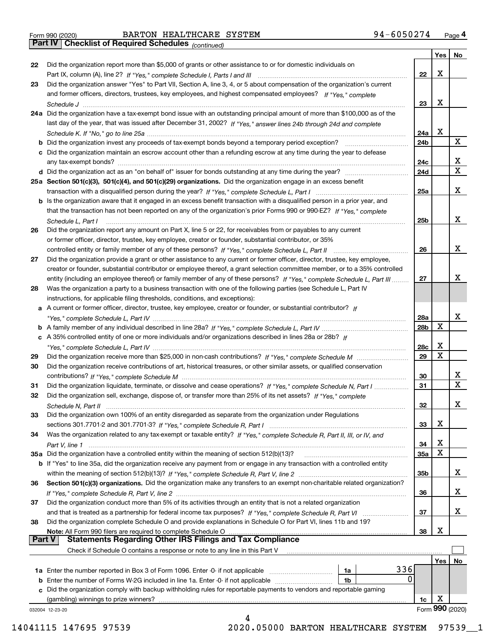|  | Form 990 (2020) |
|--|-----------------|

*(continued)*

|               |                                                                                                                              |                 | Yes | No.             |
|---------------|------------------------------------------------------------------------------------------------------------------------------|-----------------|-----|-----------------|
| 22            | Did the organization report more than \$5,000 of grants or other assistance to or for domestic individuals on                |                 |     |                 |
|               |                                                                                                                              | 22              | Х   |                 |
| 23            | Did the organization answer "Yes" to Part VII, Section A, line 3, 4, or 5 about compensation of the organization's current   |                 |     |                 |
|               | and former officers, directors, trustees, key employees, and highest compensated employees? If "Yes," complete               |                 |     |                 |
|               |                                                                                                                              | 23              | Х   |                 |
|               | 24a Did the organization have a tax-exempt bond issue with an outstanding principal amount of more than \$100,000 as of the  |                 |     |                 |
|               | last day of the year, that was issued after December 31, 2002? If "Yes," answer lines 24b through 24d and complete           |                 |     |                 |
|               |                                                                                                                              | 24a             | х   |                 |
|               | b Did the organization invest any proceeds of tax-exempt bonds beyond a temporary period exception?                          | 24b             |     | х               |
|               | c Did the organization maintain an escrow account other than a refunding escrow at any time during the year to defease       |                 |     |                 |
|               |                                                                                                                              | 24c             |     | х               |
|               |                                                                                                                              | 24d             |     | $\mathbf X$     |
|               | 25a Section 501(c)(3), 501(c)(4), and 501(c)(29) organizations. Did the organization engage in an excess benefit             |                 |     |                 |
|               |                                                                                                                              | 25a             |     | х               |
|               | b Is the organization aware that it engaged in an excess benefit transaction with a disqualified person in a prior year, and |                 |     |                 |
|               | that the transaction has not been reported on any of the organization's prior Forms 990 or 990-EZ? If "Yes," complete        |                 |     |                 |
|               | Schedule L, Part I                                                                                                           | 25 <sub>b</sub> |     | х               |
| 26            | Did the organization report any amount on Part X, line 5 or 22, for receivables from or payables to any current              |                 |     |                 |
|               | or former officer, director, trustee, key employee, creator or founder, substantial contributor, or 35%                      |                 |     |                 |
|               |                                                                                                                              | 26              |     | х               |
| 27            | Did the organization provide a grant or other assistance to any current or former officer, director, trustee, key employee,  |                 |     |                 |
|               | creator or founder, substantial contributor or employee thereof, a grant selection committee member, or to a 35% controlled  |                 |     |                 |
|               | entity (including an employee thereof) or family member of any of these persons? If "Yes," complete Schedule L, Part III     | 27              |     | х               |
| 28            | Was the organization a party to a business transaction with one of the following parties (see Schedule L, Part IV            |                 |     |                 |
|               | instructions, for applicable filing thresholds, conditions, and exceptions):                                                 |                 |     |                 |
|               | a A current or former officer, director, trustee, key employee, creator or founder, or substantial contributor? If           |                 |     |                 |
|               |                                                                                                                              | 28a             |     | х               |
|               |                                                                                                                              | 28b             | х   |                 |
|               | c A 35% controlled entity of one or more individuals and/or organizations described in lines 28a or 28b? If                  |                 |     |                 |
|               |                                                                                                                              | 28c             | х   |                 |
| 29            |                                                                                                                              | 29              | Χ   |                 |
| 30            | Did the organization receive contributions of art, historical treasures, or other similar assets, or qualified conservation  |                 |     |                 |
|               |                                                                                                                              | 30              |     | x               |
| 31            | Did the organization liquidate, terminate, or dissolve and cease operations? If "Yes," complete Schedule N, Part I           | 31              |     | $\mathbf x$     |
| 32            | Did the organization sell, exchange, dispose of, or transfer more than 25% of its net assets? If "Yes," complete             |                 |     |                 |
|               | Schedule N, Part II                                                                                                          | 32              |     | х               |
| 33            | Did the organization own 100% of an entity disregarded as separate from the organization under Regulations                   |                 |     |                 |
|               |                                                                                                                              | 33              | х   |                 |
| 34            | Was the organization related to any tax-exempt or taxable entity? If "Yes," complete Schedule R, Part II, III, or IV, and    |                 |     |                 |
|               |                                                                                                                              | 34              | х   |                 |
|               | 35a Did the organization have a controlled entity within the meaning of section 512(b)(13)?                                  | <b>35a</b>      | х   |                 |
|               | b If "Yes" to line 35a, did the organization receive any payment from or engage in any transaction with a controlled entity  |                 |     |                 |
|               |                                                                                                                              | 35 <sub>b</sub> |     | X               |
| 36            | Section 501(c)(3) organizations. Did the organization make any transfers to an exempt non-charitable related organization?   |                 |     |                 |
|               |                                                                                                                              | 36              |     | X               |
| 37            | Did the organization conduct more than 5% of its activities through an entity that is not a related organization             |                 |     |                 |
|               | and that is treated as a partnership for federal income tax purposes? If "Yes," complete Schedule R, Part VI                 | 37              |     | x               |
| 38            | Did the organization complete Schedule O and provide explanations in Schedule O for Part VI, lines 11b and 19?               |                 |     |                 |
|               | Note: All Form 990 filers are required to complete Schedule O                                                                | 38              | х   |                 |
| <b>Part V</b> | <b>Statements Regarding Other IRS Filings and Tax Compliance</b>                                                             |                 |     |                 |
|               | Check if Schedule O contains a response or note to any line in this Part V                                                   |                 |     |                 |
|               |                                                                                                                              |                 | Yes | No              |
|               | 336<br><b>1a</b> Enter the number reported in Box 3 of Form 1096. Enter -0- if not applicable <i>manumumumum</i><br>1a       |                 |     |                 |
|               | 0<br>1b                                                                                                                      |                 |     |                 |
|               | c Did the organization comply with backup withholding rules for reportable payments to vendors and reportable gaming         |                 |     |                 |
|               | (gambling) winnings to prize winners?                                                                                        | 1c              | х   |                 |
|               | 032004 12-23-20                                                                                                              |                 |     | Form 990 (2020) |
|               |                                                                                                                              |                 |     |                 |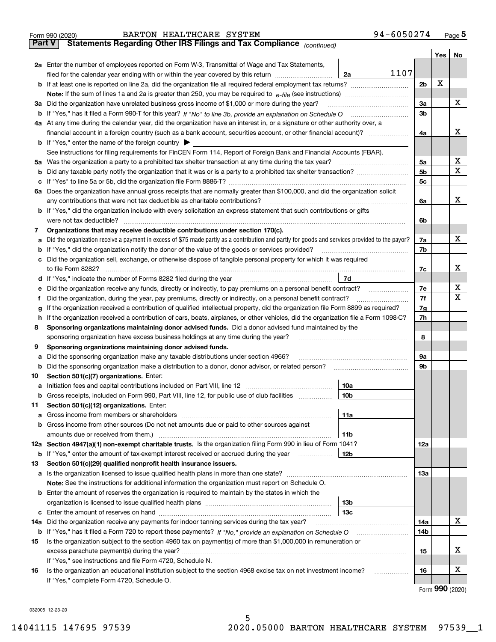|               | 94-6050274<br>BARTON HEALTHCARE SYSTEM<br>Form 990 (2020)                                                                                       |                |     | $Page$ <sup>5</sup> |
|---------------|-------------------------------------------------------------------------------------------------------------------------------------------------|----------------|-----|---------------------|
| <b>Part V</b> | Statements Regarding Other IRS Filings and Tax Compliance (continued)                                                                           |                |     |                     |
|               |                                                                                                                                                 |                | Yes | No                  |
|               | 2a Enter the number of employees reported on Form W-3, Transmittal of Wage and Tax Statements,                                                  |                |     |                     |
|               | 1107<br>filed for the calendar year ending with or within the year covered by this return <i>[[[[[[[[[[[[[[]]]</i> ]]<br>2a                     |                |     |                     |
|               |                                                                                                                                                 | 2 <sub>b</sub> | х   |                     |
|               |                                                                                                                                                 |                |     |                     |
|               | 3a Did the organization have unrelated business gross income of \$1,000 or more during the year?                                                | 3a             |     | х                   |
|               |                                                                                                                                                 | 3b             |     |                     |
|               | 4a At any time during the calendar year, did the organization have an interest in, or a signature or other authority over, a                    |                |     |                     |
|               |                                                                                                                                                 | 4a             |     | х                   |
|               | <b>b</b> If "Yes," enter the name of the foreign country $\blacktriangleright$                                                                  |                |     |                     |
|               | See instructions for filing requirements for FinCEN Form 114, Report of Foreign Bank and Financial Accounts (FBAR).                             |                |     |                     |
|               | 5a Was the organization a party to a prohibited tax shelter transaction at any time during the tax year?                                        | 5a             |     | x                   |
|               |                                                                                                                                                 | 5b             |     | X                   |
| b             |                                                                                                                                                 |                |     |                     |
| c             |                                                                                                                                                 | 5c             |     |                     |
|               | 6a Does the organization have annual gross receipts that are normally greater than \$100,000, and did the organization solicit                  |                |     |                     |
|               | any contributions that were not tax deductible as charitable contributions?                                                                     | 6a             |     | x                   |
|               | <b>b</b> If "Yes," did the organization include with every solicitation an express statement that such contributions or gifts                   |                |     |                     |
|               | were not tax deductible?                                                                                                                        | 6b             |     |                     |
| 7             | Organizations that may receive deductible contributions under section 170(c).                                                                   |                |     |                     |
| a             | Did the organization receive a payment in excess of \$75 made partly as a contribution and partly for goods and services provided to the payor? | 7a             |     | х                   |
|               | <b>b</b> If "Yes," did the organization notify the donor of the value of the goods or services provided?                                        | 7b             |     |                     |
|               | c Did the organization sell, exchange, or otherwise dispose of tangible personal property for which it was required                             |                |     |                     |
|               |                                                                                                                                                 | 7c             |     | х                   |
|               | 7d<br>d If "Yes," indicate the number of Forms 8282 filed during the year manufactured in the set of the set of the water.                      |                |     |                     |
| е             | Did the organization receive any funds, directly or indirectly, to pay premiums on a personal benefit contract?                                 | 7e             |     | х                   |
| f             | Did the organization, during the year, pay premiums, directly or indirectly, on a personal benefit contract?                                    | 7f             |     | х                   |
| g             | If the organization received a contribution of qualified intellectual property, did the organization file Form 8899 as required?                | 7g             |     |                     |
| h.            | If the organization received a contribution of cars, boats, airplanes, or other vehicles, did the organization file a Form 1098-C?              | 7h             |     |                     |
| 8             | Sponsoring organizations maintaining donor advised funds. Did a donor advised fund maintained by the                                            |                |     |                     |
|               | sponsoring organization have excess business holdings at any time during the year?                                                              | 8              |     |                     |
| 9             | Sponsoring organizations maintaining donor advised funds.                                                                                       |                |     |                     |
| а             | Did the sponsoring organization make any taxable distributions under section 4966?                                                              | 9а             |     |                     |
| b             | Did the sponsoring organization make a distribution to a donor, donor advisor, or related person?                                               | 9b             |     |                     |
| 10            | Section 501(c)(7) organizations. Enter:                                                                                                         |                |     |                     |
|               | 10a                                                                                                                                             |                |     |                     |
|               | 10b <br>Gross receipts, included on Form 990, Part VIII, line 12, for public use of club facilities                                             |                |     |                     |
| 11            | Section 501(c)(12) organizations. Enter:                                                                                                        |                |     |                     |
| a             | Gross income from members or shareholders<br>11a                                                                                                |                |     |                     |
|               | b Gross income from other sources (Do not net amounts due or paid to other sources against                                                      |                |     |                     |
|               | 11b                                                                                                                                             |                |     |                     |
|               | 12a Section 4947(a)(1) non-exempt charitable trusts. Is the organization filing Form 990 in lieu of Form 1041?                                  | 12a            |     |                     |
|               | 12b<br><b>b</b> If "Yes," enter the amount of tax-exempt interest received or accrued during the year <i>manument</i>                           |                |     |                     |
| 13            | Section 501(c)(29) qualified nonprofit health insurance issuers.                                                                                |                |     |                     |
| a             | Is the organization licensed to issue qualified health plans in more than one state?                                                            | 13а            |     |                     |
|               | Note: See the instructions for additional information the organization must report on Schedule O.                                               |                |     |                     |
|               | <b>b</b> Enter the amount of reserves the organization is required to maintain by the states in which the                                       |                |     |                     |
|               | 13b                                                                                                                                             |                |     |                     |
|               | 13с                                                                                                                                             |                |     |                     |
|               | 14a Did the organization receive any payments for indoor tanning services during the tax year?                                                  | 14a            |     | х                   |
|               | <b>b</b> If "Yes," has it filed a Form 720 to report these payments? If "No," provide an explanation on Schedule O                              | 14b            |     |                     |
| 15            | Is the organization subject to the section 4960 tax on payment(s) of more than \$1,000,000 in remuneration or                                   |                |     |                     |
|               |                                                                                                                                                 | 15             |     | x                   |
|               | If "Yes," see instructions and file Form 4720, Schedule N.                                                                                      |                |     |                     |
|               |                                                                                                                                                 |                |     | x                   |
| 16            | Is the organization an educational institution subject to the section 4968 excise tax on net investment income?                                 | 16             |     |                     |
|               | If "Yes," complete Form 4720, Schedule O.                                                                                                       |                |     | $\mathbf{QQ}$       |

5

Form (2020) **990**

032005 12-23-20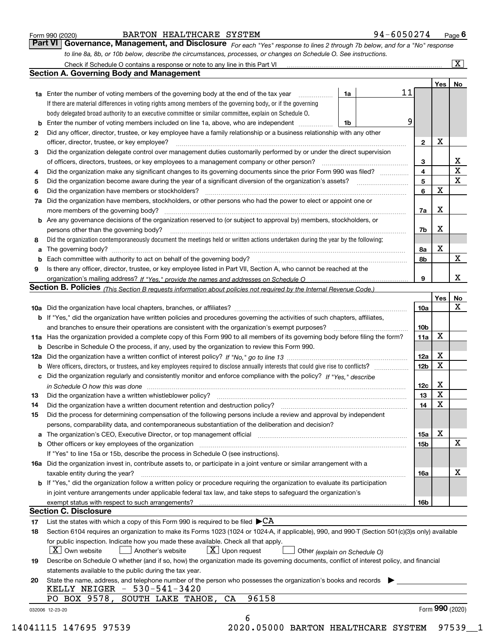|  | Form 990 (2020) |
|--|-----------------|
|  |                 |

| Form 990 (2020) |                                                                                                                               | BARTON HEALTHCARE SYSTEM | 94-6050274 | Page $6$ |
|-----------------|-------------------------------------------------------------------------------------------------------------------------------|--------------------------|------------|----------|
|                 | Part VI   Governance, Management, and Disclosure For each "Yes" response to lines 2 through 7b below, and for a "No" response |                          |            |          |
|                 | to line 8a, 8b, or 10b below, describe the circumstances, processes, or changes on Schedule O. See instructions.              |                          |            |          |

|    |                                                                                                                                                                               |    |                |                 | Yes         | No                      |
|----|-------------------------------------------------------------------------------------------------------------------------------------------------------------------------------|----|----------------|-----------------|-------------|-------------------------|
|    | <b>1a</b> Enter the number of voting members of the governing body at the end of the tax year                                                                                 | 1a | 11             |                 |             |                         |
|    | If there are material differences in voting rights among members of the governing body, or if the governing                                                                   |    |                |                 |             |                         |
|    | body delegated broad authority to an executive committee or similar committee, explain on Schedule O.                                                                         |    |                |                 |             |                         |
|    | Enter the number of voting members included on line 1a, above, who are independent                                                                                            | 1b | 9              |                 |             |                         |
| 2  | Did any officer, director, trustee, or key employee have a family relationship or a business relationship with any other                                                      |    |                |                 |             |                         |
|    | officer, director, trustee, or key employee?                                                                                                                                  |    |                | $\mathbf{2}$    | X           |                         |
| 3  | Did the organization delegate control over management duties customarily performed by or under the direct supervision                                                         |    |                |                 |             |                         |
|    |                                                                                                                                                                               |    |                | 3               |             | X                       |
|    | Did the organization make any significant changes to its governing documents since the prior Form 990 was filed?                                                              |    | $\overline{4}$ |                 |             | $\overline{\mathbf{x}}$ |
| 4  |                                                                                                                                                                               |    |                | 5               |             | $\mathbf{X}$            |
| 5  | Did the organization have members or stockholders?                                                                                                                            |    | 6              |                 | $\mathbf X$ |                         |
| 6  |                                                                                                                                                                               |    |                |                 |             |                         |
| 7a | Did the organization have members, stockholders, or other persons who had the power to elect or appoint one or                                                                |    |                |                 |             |                         |
|    |                                                                                                                                                                               |    |                | 7a              | х           |                         |
|    | <b>b</b> Are any governance decisions of the organization reserved to (or subject to approval by) members, stockholders, or                                                   |    |                |                 |             |                         |
|    | persons other than the governing body?                                                                                                                                        |    | 7b             |                 | x           |                         |
| 8  | Did the organization contemporaneously document the meetings held or written actions undertaken during the year by the following:                                             |    |                |                 |             |                         |
| a  |                                                                                                                                                                               |    | 8а             |                 | X           |                         |
| b  |                                                                                                                                                                               |    | 8b             |                 |             | $\mathbf{X}$            |
| 9  | Is there any officer, director, trustee, or key employee listed in Part VII, Section A, who cannot be reached at the                                                          |    |                |                 |             |                         |
|    |                                                                                                                                                                               |    | 9              |                 |             | x                       |
|    | Section B. Policies <sub>(This</sub> Section B requests information about policies not required by the Internal Revenue Code.)                                                |    |                |                 |             |                         |
|    |                                                                                                                                                                               |    |                |                 | Yes         | No                      |
|    |                                                                                                                                                                               |    |                | 10a             |             | X                       |
|    | <b>b</b> If "Yes," did the organization have written policies and procedures governing the activities of such chapters, affiliates,                                           |    |                |                 |             |                         |
|    |                                                                                                                                                                               |    |                | 10 <sub>b</sub> |             |                         |
|    | 11a Has the organization provided a complete copy of this Form 990 to all members of its governing body before filing the form?                                               |    |                | 11a             | X           |                         |
|    | <b>b</b> Describe in Schedule O the process, if any, used by the organization to review this Form 990.                                                                        |    |                |                 |             |                         |
|    |                                                                                                                                                                               |    |                | 12a             | X           |                         |
| b  |                                                                                                                                                                               |    |                | 12 <sub>b</sub> | X           |                         |
| с  | Did the organization regularly and consistently monitor and enforce compliance with the policy? If "Yes," describe                                                            |    |                |                 |             |                         |
|    | in Schedule O how this was done encourance and the control of the control of the control of the control of the                                                                |    |                | 12c             | Х           |                         |
| 13 |                                                                                                                                                                               |    |                | 13              | X           |                         |
| 14 | Did the organization have a written document retention and destruction policy? manufactured and the organization have a written document retention and destruction policy?    |    |                | 14              | X           |                         |
| 15 | Did the process for determining compensation of the following persons include a review and approval by independent                                                            |    |                |                 |             |                         |
|    | persons, comparability data, and contemporaneous substantiation of the deliberation and decision?                                                                             |    |                |                 |             |                         |
| а  | The organization's CEO, Executive Director, or top management official manufactured content content of the organization's CEO, Executive Director, or top management official |    |                | <b>15a</b>      | X           |                         |
|    |                                                                                                                                                                               |    |                | 15b             |             | X                       |
|    | If "Yes" to line 15a or 15b, describe the process in Schedule O (see instructions).                                                                                           |    |                |                 |             |                         |
|    | 16a Did the organization invest in, contribute assets to, or participate in a joint venture or similar arrangement with a                                                     |    |                |                 |             |                         |
|    | taxable entity during the year?                                                                                                                                               |    |                | 16a             |             | х                       |
|    | b If "Yes," did the organization follow a written policy or procedure requiring the organization to evaluate its participation                                                |    |                |                 |             |                         |
|    | in joint venture arrangements under applicable federal tax law, and take steps to safeguard the organization's                                                                |    |                |                 |             |                         |
|    | exempt status with respect to such arrangements?                                                                                                                              |    |                | 16b             |             |                         |
|    | <b>Section C. Disclosure</b>                                                                                                                                                  |    |                |                 |             |                         |
| 17 | List the states with which a copy of this Form 990 is required to be filed $\blacktriangleright$ CA                                                                           |    |                |                 |             |                         |
| 18 | Section 6104 requires an organization to make its Forms 1023 (1024 or 1024-A, if applicable), 990, and 990-T (Section 501(c)(3)s only) available                              |    |                |                 |             |                         |
|    | for public inspection. Indicate how you made these available. Check all that apply.                                                                                           |    |                |                 |             |                         |
|    | $ X $ Own website<br>$X$ Upon request<br>Another's website<br>Other (explain on Schedule O)                                                                                   |    |                |                 |             |                         |
| 19 | Describe on Schedule O whether (and if so, how) the organization made its governing documents, conflict of interest policy, and financial                                     |    |                |                 |             |                         |
|    | statements available to the public during the tax year.                                                                                                                       |    |                |                 |             |                         |
| 20 | State the name, address, and telephone number of the person who possesses the organization's books and records                                                                |    |                |                 |             |                         |
|    | KELLY NEIGER $-530-541-3420$                                                                                                                                                  |    |                |                 |             |                         |
|    | 96158<br>PO BOX 9578, SOUTH LAKE TAHOE,<br>CA                                                                                                                                 |    |                |                 |             |                         |
|    |                                                                                                                                                                               |    |                |                 |             |                         |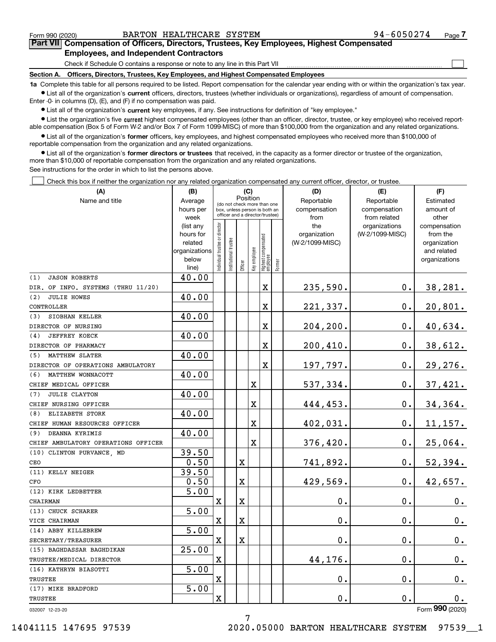$\mathcal{L}^{\text{max}}$ 

**7Part VII Compensation of Officers, Directors, Trustees, Key Employees, Highest Compensated Employees, and Independent Contractors**

Check if Schedule O contains a response or note to any line in this Part VII

**Section A. Officers, Directors, Trustees, Key Employees, and Highest Compensated Employees**

**1a**  Complete this table for all persons required to be listed. Report compensation for the calendar year ending with or within the organization's tax year. **•** List all of the organization's current officers, directors, trustees (whether individuals or organizations), regardless of amount of compensation.

Enter -0- in columns (D), (E), and (F) if no compensation was paid.

 $\bullet$  List all of the organization's  $\,$ current key employees, if any. See instructions for definition of "key employee."

**•** List the organization's five current highest compensated employees (other than an officer, director, trustee, or key employee) who received reportable compensation (Box 5 of Form W-2 and/or Box 7 of Form 1099-MISC) of more than \$100,000 from the organization and any related organizations.

**•** List all of the organization's former officers, key employees, and highest compensated employees who received more than \$100,000 of reportable compensation from the organization and any related organizations.

**former directors or trustees**  ¥ List all of the organization's that received, in the capacity as a former director or trustee of the organization, more than \$10,000 of reportable compensation from the organization and any related organizations.

See instructions for the order in which to list the persons above.

Check this box if neither the organization nor any related organization compensated any current officer, director, or trustee.  $\mathcal{L}^{\text{max}}$ 

| (A)                                 | (B)                    |                                |                       |          | (C)          |                                                                  |        | (D)                 | (E)                              | (F)                             |
|-------------------------------------|------------------------|--------------------------------|-----------------------|----------|--------------|------------------------------------------------------------------|--------|---------------------|----------------------------------|---------------------------------|
| Name and title                      | Average                |                                |                       | Position |              | (do not check more than one                                      |        | Reportable          | Reportable                       | Estimated                       |
|                                     | hours per              |                                |                       |          |              | box, unless person is both an<br>officer and a director/trustee) |        | compensation        | compensation                     | amount of                       |
|                                     | week                   |                                |                       |          |              |                                                                  |        | from                | from related                     | other                           |
|                                     | (list any<br>hours for |                                |                       |          |              |                                                                  |        | the<br>organization | organizations<br>(W-2/1099-MISC) | compensation<br>from the        |
|                                     | related                |                                |                       |          |              |                                                                  |        | (W-2/1099-MISC)     |                                  | organization                    |
|                                     | organizations          |                                |                       |          |              |                                                                  |        |                     |                                  | and related                     |
|                                     | below                  | Individual trustee or director | Institutional trustee |          | Key employee |                                                                  |        |                     |                                  | organizations                   |
|                                     | line)                  |                                |                       | Officer  |              | Highest compensated<br> employee                                 | Former |                     |                                  |                                 |
| (1)<br><b>JASON ROBERTS</b>         | 40.00                  |                                |                       |          |              |                                                                  |        |                     |                                  |                                 |
| DIR. OF INFO. SYSTEMS (THRU 11/20)  |                        |                                |                       |          |              | X                                                                |        | 235,590.            | 0.                               | 38,281.                         |
| (2)<br><b>JULIE HOWES</b>           | 40.00                  |                                |                       |          |              |                                                                  |        |                     |                                  |                                 |
| CONTROLLER                          |                        |                                |                       |          |              | X                                                                |        | 221,337.            | 0.                               | 20,801.                         |
| SIOBHAN KELLER<br>(3)               | 40.00                  |                                |                       |          |              |                                                                  |        |                     |                                  |                                 |
| DIRECTOR OF NURSING                 |                        |                                |                       |          |              | $\mathbf X$                                                      |        | 204,200.            | 0.                               | 40,634.                         |
| <b>JEFFREY KOECK</b><br>(4)         | 40.00                  |                                |                       |          |              |                                                                  |        |                     |                                  |                                 |
| DIRECTOR OF PHARMACY                |                        |                                |                       |          |              | X                                                                |        | 200, 410.           | 0.                               | 38,612.                         |
| <b>MATTHEW SLATER</b><br>(5)        | 40.00                  |                                |                       |          |              |                                                                  |        |                     |                                  |                                 |
| DIRECTOR OF OPERATIONS AMBULATORY   |                        |                                |                       |          |              | $\mathbf X$                                                      |        | 197,797.            | 0.                               | 29,276.                         |
| MATTHEW WONNACOTT<br>(6)            | 40.00                  |                                |                       |          |              |                                                                  |        |                     |                                  |                                 |
| CHIEF MEDICAL OFFICER               |                        |                                |                       |          | X            |                                                                  |        | 537,334.            | 0.                               | $37,421$ .                      |
| <b>JULIE CLAYTON</b><br>(7)         | 40.00                  |                                |                       |          |              |                                                                  |        |                     |                                  |                                 |
| CHIEF NURSING OFFICER               |                        |                                |                       |          | X            |                                                                  |        | 444,453.            | 0.                               | 34,364.                         |
| ELIZABETH STORK<br>(8)              | 40.00                  |                                |                       |          |              |                                                                  |        |                     |                                  |                                 |
| CHIEF HUMAN RESOURCES OFFICER       |                        |                                |                       |          | X            |                                                                  |        | 402,031.            | $\mathbf 0$ .                    | 11, 157.                        |
| DEANNA KYRIMIS<br>(9)               | 40.00                  |                                |                       |          |              |                                                                  |        |                     |                                  |                                 |
| CHIEF AMBULATORY OPERATIONS OFFICER |                        |                                |                       |          | $\mathbf X$  |                                                                  |        | 376,420.            | 0.                               | 25,064.                         |
| (10) CLINTON PURVANCE, MD           | 39.50                  |                                |                       |          |              |                                                                  |        |                     |                                  |                                 |
| CEO                                 | 0.50                   |                                |                       | X        |              |                                                                  |        | 741,892.            | 0.                               | 52,394.                         |
| (11) KELLY NEIGER                   | 39.50                  |                                |                       |          |              |                                                                  |        |                     |                                  |                                 |
| CFO                                 | 0.50                   |                                |                       | X        |              |                                                                  |        | 429,569.            | о.                               | 42,657.                         |
| (12) KIRK LEDBETTER                 | 5.00                   |                                |                       |          |              |                                                                  |        |                     |                                  |                                 |
| CHAIRMAN                            |                        | $\mathbf X$                    |                       | X        |              |                                                                  |        | 0.                  | 0.                               | 0.                              |
| (13) CHUCK SCHARER                  | 5.00                   |                                |                       |          |              |                                                                  |        |                     |                                  |                                 |
| VICE CHAIRMAN                       |                        | $\mathbf X$                    |                       | X        |              |                                                                  |        | 0.                  | 0.                               | $\mathbf 0$ .                   |
| (14) ABBY KILLEBREW                 | 5.00                   |                                |                       |          |              |                                                                  |        |                     |                                  |                                 |
| SECRETARY/TREASURER                 |                        | $\mathbf X$                    |                       | X        |              |                                                                  |        | 0.                  | 0.                               | $0_{.}$                         |
| (15) BAGHDASSAR BAGHDIKAN           | 25.00                  |                                |                       |          |              |                                                                  |        |                     |                                  |                                 |
| TRUSTEE/MEDICAL DIRECTOR            |                        | X                              |                       |          |              |                                                                  |        | 44,176.             | 0.                               | 0.                              |
| (16) KATHRYN BIASOTTI               | 5.00                   |                                |                       |          |              |                                                                  |        |                     |                                  |                                 |
| <b>TRUSTEE</b>                      |                        | X                              |                       |          |              |                                                                  |        | $0$ .               | 0.                               | 0.                              |
| (17) MIKE BRADFORD                  | 5.00                   |                                |                       |          |              |                                                                  |        |                     |                                  |                                 |
| TRUSTEE                             |                        | $\mathbf X$                    |                       |          |              |                                                                  |        | 0.                  | 0.                               | $\mathbf 0$ .<br>$\overline{2}$ |

032007 12-23-20

14041115 147695 97539 2020.05000 BARTON HEALTHCARE SYSTEM 97539\_\_1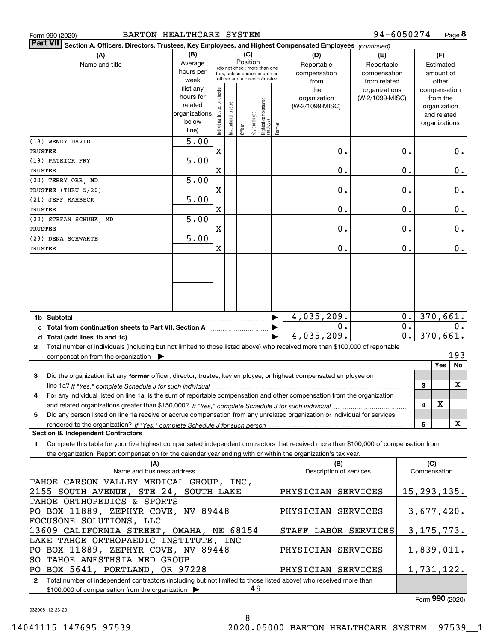| BARTON HEALTHCARE SYSTEM<br>Form 990 (2020)                                                                                                         |                        |                                |                       |          |              |                                                                  |        |                                 | 94-6050274      |                  |                     |                          | Page 8        |
|-----------------------------------------------------------------------------------------------------------------------------------------------------|------------------------|--------------------------------|-----------------------|----------|--------------|------------------------------------------------------------------|--------|---------------------------------|-----------------|------------------|---------------------|--------------------------|---------------|
| <b>Part VII</b><br>Section A. Officers, Directors, Trustees, Key Employees, and Highest Compensated Employees (continued)                           |                        |                                |                       |          |              |                                                                  |        |                                 |                 |                  |                     |                          |               |
| (A)                                                                                                                                                 | (B)                    |                                |                       | (C)      |              |                                                                  |        | (D)                             | (E)             |                  |                     | (F)                      |               |
| Name and title                                                                                                                                      | Average                |                                |                       | Position |              | (do not check more than one                                      |        | Reportable                      | Reportable      |                  |                     | Estimated                |               |
|                                                                                                                                                     | hours per              |                                |                       |          |              | box, unless person is both an<br>officer and a director/trustee) |        | compensation                    | compensation    |                  |                     | amount of                |               |
|                                                                                                                                                     | week                   |                                |                       |          |              |                                                                  |        | from                            | from related    |                  |                     | other                    |               |
|                                                                                                                                                     | (list any<br>hours for |                                |                       |          |              |                                                                  |        | the                             | organizations   |                  |                     | compensation             |               |
|                                                                                                                                                     | related                |                                |                       |          |              |                                                                  |        | organization<br>(W-2/1099-MISC) | (W-2/1099-MISC) |                  |                     | from the<br>organization |               |
|                                                                                                                                                     | organizations          |                                |                       |          |              |                                                                  |        |                                 |                 |                  |                     | and related              |               |
|                                                                                                                                                     | below                  |                                |                       |          |              |                                                                  |        |                                 |                 |                  |                     | organizations            |               |
|                                                                                                                                                     | line)                  | Individual trustee or director | Institutional trustee | Officer  | Key employee | Highest compensated<br>  employee                                | Former |                                 |                 |                  |                     |                          |               |
| (18) WENDY DAVID                                                                                                                                    | $\overline{5.00}$      |                                |                       |          |              |                                                                  |        |                                 |                 |                  |                     |                          |               |
| TRUSTEE                                                                                                                                             |                        | X                              |                       |          |              |                                                                  |        | 0.                              |                 | 0.               |                     |                          | 0.            |
| (19) PATRICK FRY                                                                                                                                    | 5.00                   |                                |                       |          |              |                                                                  |        |                                 |                 |                  |                     |                          |               |
| TRUSTEE                                                                                                                                             |                        | X                              |                       |          |              |                                                                  |        | 0.                              |                 | $\mathbf 0$ .    |                     |                          | $\mathbf 0$ . |
| (20) TERRY ORR , MD                                                                                                                                 | 5.00                   |                                |                       |          |              |                                                                  |        |                                 |                 |                  |                     |                          |               |
| TRUSTEE (THRU 5/20)                                                                                                                                 |                        | $\mathbf X$                    |                       |          |              |                                                                  |        | 0.                              |                 | $\mathbf 0$ .    |                     |                          | $\mathbf 0$ . |
| (21) JEFF RAHBECK                                                                                                                                   | 5.00                   |                                |                       |          |              |                                                                  |        |                                 |                 |                  |                     |                          |               |
| TRUSTEE                                                                                                                                             |                        | $\mathbf X$                    |                       |          |              |                                                                  |        | 0.                              |                 | $\mathbf 0$ .    |                     |                          | $0$ .         |
| (22) STEFAN SCHUNK, MD                                                                                                                              | 5.00                   |                                |                       |          |              |                                                                  |        |                                 |                 |                  |                     |                          |               |
| TRUSTEE                                                                                                                                             |                        | X                              |                       |          |              |                                                                  |        | 0.                              |                 | 0.               |                     |                          | $\mathbf 0$ . |
| (23) DENA SCHWARTE                                                                                                                                  | 5.00                   |                                |                       |          |              |                                                                  |        |                                 |                 |                  |                     |                          |               |
| TRUSTEE                                                                                                                                             |                        | $\mathbf X$                    |                       |          |              |                                                                  |        | 0.                              |                 | 0.               |                     |                          | 0.            |
|                                                                                                                                                     |                        |                                |                       |          |              |                                                                  |        |                                 |                 |                  |                     |                          |               |
|                                                                                                                                                     |                        |                                |                       |          |              |                                                                  |        |                                 |                 |                  |                     |                          |               |
|                                                                                                                                                     |                        |                                |                       |          |              |                                                                  |        |                                 |                 |                  |                     |                          |               |
|                                                                                                                                                     |                        |                                |                       |          |              |                                                                  |        |                                 |                 |                  |                     |                          |               |
|                                                                                                                                                     |                        |                                |                       |          |              |                                                                  |        |                                 |                 |                  |                     |                          |               |
|                                                                                                                                                     |                        |                                |                       |          |              |                                                                  |        |                                 |                 |                  |                     |                          |               |
|                                                                                                                                                     |                        |                                |                       |          |              |                                                                  |        | 4,035,209.                      |                 | $0$ .            |                     | 370,661.                 |               |
| 1b Subtotal                                                                                                                                         |                        |                                |                       |          |              |                                                                  |        | 0.                              |                 | $\overline{0}$ . |                     |                          | 0.            |
|                                                                                                                                                     |                        |                                |                       |          |              |                                                                  |        | 4,035,209.                      |                 | $\overline{0}$ . |                     | 370,661.                 |               |
| d $Total (add lines 1b and 1c)$                                                                                                                     |                        |                                |                       |          |              |                                                                  |        |                                 |                 |                  |                     |                          |               |
| Total number of individuals (including but not limited to those listed above) who received more than \$100,000 of reportable<br>$\mathbf{2}$        |                        |                                |                       |          |              |                                                                  |        |                                 |                 |                  |                     |                          | 193           |
| compensation from the organization                                                                                                                  |                        |                                |                       |          |              |                                                                  |        |                                 |                 |                  |                     | <b>Yes</b>               | <b>No</b>     |
|                                                                                                                                                     |                        |                                |                       |          |              |                                                                  |        |                                 |                 |                  |                     |                          |               |
| Did the organization list any former officer, director, trustee, key employee, or highest compensated employee on<br>3                              |                        |                                |                       |          |              |                                                                  |        |                                 |                 |                  |                     |                          | X             |
|                                                                                                                                                     |                        |                                |                       |          |              |                                                                  |        |                                 |                 |                  | 3                   |                          |               |
| For any individual listed on line 1a, is the sum of reportable compensation and other compensation from the organization<br>4                       |                        |                                |                       |          |              |                                                                  |        |                                 |                 |                  |                     | х                        |               |
|                                                                                                                                                     |                        |                                |                       |          |              |                                                                  |        |                                 |                 |                  | 4                   |                          |               |
| Did any person listed on line 1a receive or accrue compensation from any unrelated organization or individual for services<br>5                     |                        |                                |                       |          |              |                                                                  |        |                                 |                 |                  |                     |                          |               |
| <b>Section B. Independent Contractors</b>                                                                                                           |                        |                                |                       |          |              |                                                                  |        |                                 |                 |                  | 5                   |                          | х             |
|                                                                                                                                                     |                        |                                |                       |          |              |                                                                  |        |                                 |                 |                  |                     |                          |               |
| Complete this table for your five highest compensated independent contractors that received more than \$100,000 of compensation from<br>$\mathbf 1$ |                        |                                |                       |          |              |                                                                  |        |                                 |                 |                  |                     |                          |               |
| the organization. Report compensation for the calendar year ending with or within the organization's tax year.                                      |                        |                                |                       |          |              |                                                                  |        |                                 |                 |                  |                     |                          |               |
| (A)<br>Name and business address                                                                                                                    |                        |                                |                       |          |              |                                                                  |        | (B)<br>Description of services  |                 |                  | (C)<br>Compensation |                          |               |
|                                                                                                                                                     |                        |                                |                       |          |              |                                                                  |        |                                 |                 |                  |                     |                          |               |
| TAHOE CARSON VALLEY MEDICAL GROUP, INC,                                                                                                             |                        |                                |                       |          |              |                                                                  |        |                                 |                 |                  |                     |                          |               |
| 2155 SOUTH AVENUE, STE 24, SOUTH LAKE                                                                                                               |                        |                                |                       |          |              |                                                                  |        | PHYSICIAN SERVICES              |                 |                  | 15, 293, 135.       |                          |               |
| TAHOE ORTHOPEDICS & SPORTS                                                                                                                          |                        |                                |                       |          |              |                                                                  |        |                                 |                 |                  |                     |                          |               |
| PO BOX 11889, ZEPHYR COVE, NV 89448                                                                                                                 |                        |                                |                       |          |              |                                                                  |        | PHYSICIAN SERVICES              |                 |                  | 3,677,420.          |                          |               |
| FOCUSONE SOLUTIONS, LLC                                                                                                                             |                        |                                |                       |          |              |                                                                  |        |                                 |                 |                  |                     |                          |               |
| 13609 CALIFORNIA STREET, OMAHA, NE 68154                                                                                                            |                        |                                |                       |          |              |                                                                  |        | STAFF LABOR SERVICES            |                 |                  | 3, 175, 773.        |                          |               |
| LAKE TAHOE ORTHOPAEDIC INSTITUTE, INC                                                                                                               |                        |                                |                       |          |              |                                                                  |        |                                 |                 |                  |                     |                          |               |
| PO BOX 11889, ZEPHYR COVE, NV 89448                                                                                                                 |                        |                                |                       |          |              |                                                                  |        | PHYSICIAN SERVICES              |                 |                  | 1,839,011.          |                          |               |
| SO TAHOE ANESTHSIA MED GROUP                                                                                                                        |                        |                                |                       |          |              |                                                                  |        |                                 |                 |                  |                     |                          |               |

**2**Total number of independent contractors (including but not limited to those listed above) who received more than \$100,000 of compensation from the organization PO BOX 5641, PORTLAND, OR 97228 49 PHYSICIAN SERVICES

Form (2020) **990**

1,731,122.

032008 12-23-20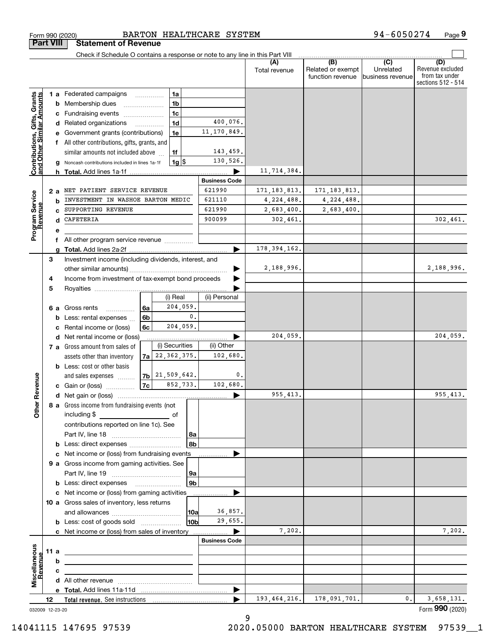|                                                           |    |      | Check if Schedule O contains a response or note to any line in this Part VIII                                        |                    |                     |                |                      |                |                                       |                                      |                                                                 |
|-----------------------------------------------------------|----|------|----------------------------------------------------------------------------------------------------------------------|--------------------|---------------------|----------------|----------------------|----------------|---------------------------------------|--------------------------------------|-----------------------------------------------------------------|
|                                                           |    |      |                                                                                                                      |                    |                     |                |                      | Total revenue  | Related or exempt<br>function revenue | (C)<br>Unrelated<br>business revenue | (D)<br>Revenue excluded<br>from tax under<br>sections 512 - 514 |
|                                                           |    |      | 1 a Federated campaigns                                                                                              |                    |                     | 1a             |                      |                |                                       |                                      |                                                                 |
| Contributions, Gifts, Grants<br>and Other Similar Amounts |    |      | <b>b</b> Membership dues                                                                                             |                    |                     | 1 <sub>b</sub> |                      |                |                                       |                                      |                                                                 |
|                                                           |    |      | c Fundraising events                                                                                                 |                    |                     | 1c             |                      |                |                                       |                                      |                                                                 |
|                                                           |    |      | d Related organizations                                                                                              |                    | .                   | 1 <sub>d</sub> | 400,076.             |                |                                       |                                      |                                                                 |
|                                                           |    |      | e Government grants (contributions)                                                                                  |                    |                     | 1e             | 11, 170, 849.        |                |                                       |                                      |                                                                 |
|                                                           |    |      | f All other contributions, gifts, grants, and                                                                        |                    |                     |                |                      |                |                                       |                                      |                                                                 |
|                                                           |    |      | similar amounts not included above                                                                                   |                    |                     | 1f             | 143,459.             |                |                                       |                                      |                                                                 |
|                                                           |    |      | <b>g</b> Noncash contributions included in lines 1a-1f                                                               |                    |                     | $1g$   \$      | 130,526.             |                |                                       |                                      |                                                                 |
|                                                           |    |      |                                                                                                                      |                    |                     |                |                      | 11,714,384.    |                                       |                                      |                                                                 |
|                                                           |    |      |                                                                                                                      |                    |                     |                | <b>Business Code</b> |                |                                       |                                      |                                                                 |
|                                                           |    | 2 a  | NET PATIENT SERVICE REVENUE                                                                                          |                    |                     |                | 621990               | 171, 183, 813. | 171, 183, 813.                        |                                      |                                                                 |
|                                                           |    | b    | INVESTMENT IN WASHOE BARTON MEDIC                                                                                    |                    |                     |                | 621110               | 4,224,488.     | 4,224,488.                            |                                      |                                                                 |
|                                                           |    |      | SUPPORTING REVENUE                                                                                                   |                    |                     |                | 621990               | 2,683,400.     | 2,683,400.                            |                                      |                                                                 |
|                                                           |    | d    | CAFETERIA                                                                                                            |                    |                     |                | 900099               | 302,461.       |                                       |                                      | 302,461.                                                        |
| Program Service<br>Revenue                                |    | е    |                                                                                                                      |                    |                     |                |                      |                |                                       |                                      |                                                                 |
|                                                           |    |      | All other program service revenue                                                                                    |                    |                     |                |                      |                |                                       |                                      |                                                                 |
|                                                           |    | a    |                                                                                                                      |                    |                     |                |                      | 178, 394, 162. |                                       |                                      |                                                                 |
|                                                           | 3  |      | Investment income (including dividends, interest, and                                                                |                    |                     |                |                      |                |                                       |                                      |                                                                 |
|                                                           |    |      |                                                                                                                      |                    |                     |                |                      | 2,188,996.     |                                       |                                      | 2,188,996.                                                      |
|                                                           | 4  |      | Income from investment of tax-exempt bond proceeds                                                                   |                    |                     |                |                      |                |                                       |                                      |                                                                 |
|                                                           | 5  |      |                                                                                                                      |                    |                     |                |                      |                |                                       |                                      |                                                                 |
|                                                           |    |      |                                                                                                                      |                    |                     | (i) Real       | (ii) Personal        |                |                                       |                                      |                                                                 |
|                                                           |    |      | 6 a Gross rents<br>.                                                                                                 | 6a                 |                     | 204,059.       |                      |                |                                       |                                      |                                                                 |
|                                                           |    |      | <b>b</b> Less: rental expenses                                                                                       | 6b                 |                     | 0.             |                      |                |                                       |                                      |                                                                 |
|                                                           |    |      | c Rental income or (loss)                                                                                            | 6с                 |                     | 204,059.       |                      |                |                                       |                                      |                                                                 |
|                                                           |    |      | d Net rental income or (loss)                                                                                        |                    |                     |                |                      | 204,059        |                                       |                                      | 204,059.                                                        |
|                                                           |    |      | 7 a Gross amount from sales of                                                                                       |                    |                     | (i) Securities | (ii) Other           |                |                                       |                                      |                                                                 |
|                                                           |    |      | assets other than inventory                                                                                          |                    | $7a$ 22, 362, 375.  |                | 102,680.             |                |                                       |                                      |                                                                 |
|                                                           |    |      | <b>b</b> Less: cost or other basis                                                                                   |                    |                     |                |                      |                |                                       |                                      |                                                                 |
|                                                           |    |      | and sales expenses                                                                                                   |                    | $7b$ $21,509,642$ . |                | 0.                   |                |                                       |                                      |                                                                 |
| ther Revenue                                              |    |      | c Gain or (loss)                                                                                                     | $\vert$ 7c $\vert$ |                     | 852,733.       | 102,680.             |                |                                       |                                      |                                                                 |
|                                                           |    |      |                                                                                                                      |                    |                     |                |                      | 955,413.       |                                       |                                      | 955, 413.                                                       |
|                                                           |    |      | 8 a Gross income from fundraising events (not                                                                        |                    |                     |                |                      |                |                                       |                                      |                                                                 |
| o                                                         |    |      | including \$                                                                                                         |                    |                     | of             |                      |                |                                       |                                      |                                                                 |
|                                                           |    |      | contributions reported on line 1c). See                                                                              |                    |                     |                |                      |                |                                       |                                      |                                                                 |
|                                                           |    |      |                                                                                                                      |                    |                     | 8a<br>8b       |                      |                |                                       |                                      |                                                                 |
|                                                           |    |      | <b>b</b> Less: direct expenses <i></i><br>c Net income or (loss) from fundraising events                             |                    |                     |                |                      |                |                                       |                                      |                                                                 |
|                                                           |    |      | 9 a Gross income from gaming activities. See                                                                         |                    |                     |                |                      |                |                                       |                                      |                                                                 |
|                                                           |    |      |                                                                                                                      |                    |                     | 9a             |                      |                |                                       |                                      |                                                                 |
|                                                           |    |      | <b>b</b> Less: direct expenses <b>manually</b>                                                                       |                    |                     | 9 <sub>b</sub> |                      |                |                                       |                                      |                                                                 |
|                                                           |    |      | c Net income or (loss) from gaming activities                                                                        |                    |                     |                | .                    |                |                                       |                                      |                                                                 |
|                                                           |    |      | 10 a Gross sales of inventory, less returns                                                                          |                    |                     |                |                      |                |                                       |                                      |                                                                 |
|                                                           |    |      |                                                                                                                      |                    |                     | 10a            | 36,857.              |                |                                       |                                      |                                                                 |
|                                                           |    |      | <b>b</b> Less: cost of goods sold                                                                                    |                    |                     | 10b            | 29,655.              |                |                                       |                                      |                                                                 |
|                                                           |    |      | c Net income or (loss) from sales of inventory                                                                       |                    |                     |                | ▶                    | 7,202.         |                                       |                                      | 7,202.                                                          |
|                                                           |    |      |                                                                                                                      |                    |                     |                | <b>Business Code</b> |                |                                       |                                      |                                                                 |
|                                                           |    | 11 a | <u> 1989 - Johann Barbara, martin amerikan basar dan berasal dalam basa dalam basar dalam basar dalam basar dala</u> |                    |                     |                |                      |                |                                       |                                      |                                                                 |
| Miscellaneous                                             |    | b    |                                                                                                                      |                    |                     |                |                      |                |                                       |                                      |                                                                 |
| Revenue                                                   |    | c    |                                                                                                                      |                    |                     |                |                      |                |                                       |                                      |                                                                 |
|                                                           |    |      |                                                                                                                      |                    |                     |                |                      |                |                                       |                                      |                                                                 |
|                                                           |    |      |                                                                                                                      |                    |                     |                | ▶                    |                |                                       |                                      |                                                                 |
|                                                           | 12 |      |                                                                                                                      |                    |                     |                |                      | 193, 464, 216. | 178,091,701.                          | 0.                                   | 3,658,131.                                                      |
| 032009 12-23-20                                           |    |      |                                                                                                                      |                    |                     |                |                      |                |                                       |                                      | Form 990 (2020)                                                 |

**Part VIII Statement of Revenue**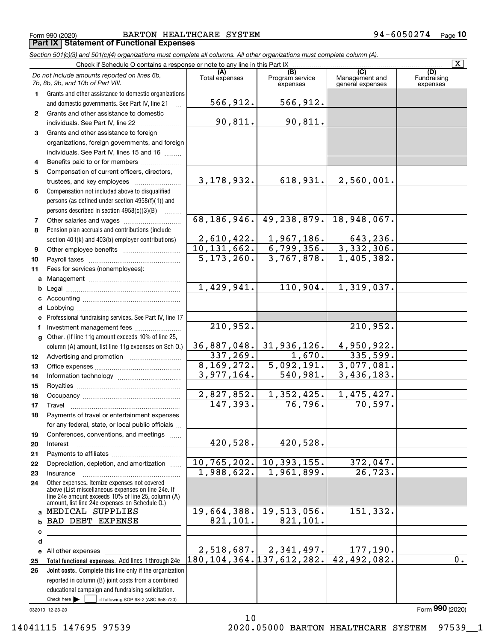Form 990 (2020) Page **Part IX Statement of Functional Expenses** BARTON HEALTHCARE SYSTEM 94-6050274

|              | Section 501(c)(3) and 501(c)(4) organizations must complete all columns. All other organizations must complete column (A).                                                                                 |                               |                                                                                                                           |                                           |                                |  |  |  |  |  |  |
|--------------|------------------------------------------------------------------------------------------------------------------------------------------------------------------------------------------------------------|-------------------------------|---------------------------------------------------------------------------------------------------------------------------|-------------------------------------------|--------------------------------|--|--|--|--|--|--|
|              | Check if Schedule O contains a response or note to any line in this Part IX                                                                                                                                |                               |                                                                                                                           |                                           | $\overline{\mathbf{X}}$        |  |  |  |  |  |  |
|              | Do not include amounts reported on lines 6b,<br>7b, 8b, 9b, and 10b of Part VIII.                                                                                                                          | (A)<br>Total expenses         | (B)<br>Program service<br>expenses                                                                                        | (C)<br>Management and<br>general expenses | (D)<br>Fundraising<br>expenses |  |  |  |  |  |  |
| 1.           | Grants and other assistance to domestic organizations                                                                                                                                                      |                               |                                                                                                                           |                                           |                                |  |  |  |  |  |  |
|              | and domestic governments. See Part IV, line 21                                                                                                                                                             | 566,912.                      | 566,912.                                                                                                                  |                                           |                                |  |  |  |  |  |  |
| $\mathbf{2}$ | Grants and other assistance to domestic                                                                                                                                                                    |                               |                                                                                                                           |                                           |                                |  |  |  |  |  |  |
|              | individuals. See Part IV, line 22                                                                                                                                                                          | 90,811.                       | 90,811.                                                                                                                   |                                           |                                |  |  |  |  |  |  |
| 3            | Grants and other assistance to foreign                                                                                                                                                                     |                               |                                                                                                                           |                                           |                                |  |  |  |  |  |  |
|              | organizations, foreign governments, and foreign                                                                                                                                                            |                               |                                                                                                                           |                                           |                                |  |  |  |  |  |  |
|              | individuals. See Part IV, lines 15 and 16                                                                                                                                                                  |                               |                                                                                                                           |                                           |                                |  |  |  |  |  |  |
| 4            | Benefits paid to or for members                                                                                                                                                                            |                               |                                                                                                                           |                                           |                                |  |  |  |  |  |  |
| 5            | Compensation of current officers, directors,                                                                                                                                                               |                               |                                                                                                                           |                                           |                                |  |  |  |  |  |  |
|              |                                                                                                                                                                                                            | 3, 178, 932.                  | 618,931.                                                                                                                  | 2,560,001.                                |                                |  |  |  |  |  |  |
| 6            | Compensation not included above to disqualified                                                                                                                                                            |                               |                                                                                                                           |                                           |                                |  |  |  |  |  |  |
|              | persons (as defined under section 4958(f)(1)) and                                                                                                                                                          |                               |                                                                                                                           |                                           |                                |  |  |  |  |  |  |
|              | persons described in section 4958(c)(3)(B)<br>1.1.1.1.1.1.1                                                                                                                                                |                               |                                                                                                                           |                                           |                                |  |  |  |  |  |  |
| 7            |                                                                                                                                                                                                            | 68, 186, 946.                 | $149, 238, 879.$ 18, 948, 067.                                                                                            |                                           |                                |  |  |  |  |  |  |
| 8            | Pension plan accruals and contributions (include                                                                                                                                                           |                               |                                                                                                                           |                                           |                                |  |  |  |  |  |  |
|              | section 401(k) and 403(b) employer contributions)                                                                                                                                                          |                               | $\begin{array}{ c c c c c c }\n\hline\n2,610,422. & 1,967,186. \\ \hline\n0,131,662. & 6,799,356. \\ \hline\n\end{array}$ | 643,236.                                  |                                |  |  |  |  |  |  |
| 9            |                                                                                                                                                                                                            | 10, 131, 662.                 |                                                                                                                           | 3,332,306.                                |                                |  |  |  |  |  |  |
| 10           |                                                                                                                                                                                                            | 5, 173, 260.                  | 3,767,878.                                                                                                                | 1,405,382.                                |                                |  |  |  |  |  |  |
| 11           | Fees for services (nonemployees):                                                                                                                                                                          |                               |                                                                                                                           |                                           |                                |  |  |  |  |  |  |
| a            |                                                                                                                                                                                                            |                               |                                                                                                                           |                                           |                                |  |  |  |  |  |  |
| b            |                                                                                                                                                                                                            | 1,429,941.                    | 110,904.                                                                                                                  | 1,319,037.                                |                                |  |  |  |  |  |  |
|              |                                                                                                                                                                                                            |                               |                                                                                                                           |                                           |                                |  |  |  |  |  |  |
|              |                                                                                                                                                                                                            |                               |                                                                                                                           |                                           |                                |  |  |  |  |  |  |
|              | Professional fundraising services. See Part IV, line 17                                                                                                                                                    |                               |                                                                                                                           |                                           |                                |  |  |  |  |  |  |
|              | Investment management fees                                                                                                                                                                                 | 210,952.                      |                                                                                                                           | 210,952.                                  |                                |  |  |  |  |  |  |
|              | g Other. (If line 11g amount exceeds 10% of line 25,                                                                                                                                                       |                               |                                                                                                                           |                                           |                                |  |  |  |  |  |  |
|              | column (A) amount, list line 11g expenses on Sch O.)                                                                                                                                                       |                               | 36,887,048. 31,936,126.                                                                                                   | 4,950,922.                                |                                |  |  |  |  |  |  |
| 12           |                                                                                                                                                                                                            | 337,269.                      | 1,670.                                                                                                                    | 335,599.                                  |                                |  |  |  |  |  |  |
| 13           |                                                                                                                                                                                                            | 8, 169, 272.                  | 5,092,191.                                                                                                                | 3,077,081.                                |                                |  |  |  |  |  |  |
| 14           |                                                                                                                                                                                                            | 3,977,164.                    | 540,981.                                                                                                                  | 3,436,183.                                |                                |  |  |  |  |  |  |
| 15           |                                                                                                                                                                                                            |                               |                                                                                                                           |                                           |                                |  |  |  |  |  |  |
| 16           |                                                                                                                                                                                                            | 2,827,852.                    | 1,352,425.                                                                                                                | 1,475,427.                                |                                |  |  |  |  |  |  |
| 17           |                                                                                                                                                                                                            | 147,393.                      | 76,796.                                                                                                                   | 70, 597.                                  |                                |  |  |  |  |  |  |
| 18           | Payments of travel or entertainment expenses                                                                                                                                                               |                               |                                                                                                                           |                                           |                                |  |  |  |  |  |  |
|              | for any federal, state, or local public officials                                                                                                                                                          |                               |                                                                                                                           |                                           |                                |  |  |  |  |  |  |
| 19           | Conferences, conventions, and meetings                                                                                                                                                                     |                               |                                                                                                                           |                                           |                                |  |  |  |  |  |  |
| 20           | Interest                                                                                                                                                                                                   | 420,528.                      | 420,528.                                                                                                                  |                                           |                                |  |  |  |  |  |  |
| 21           |                                                                                                                                                                                                            |                               |                                                                                                                           |                                           |                                |  |  |  |  |  |  |
| 22           | Depreciation, depletion, and amortization                                                                                                                                                                  | 1,988,622.                    | 10, 765, 202. 10, 393, 155.<br>1,961,899.                                                                                 | 372,047.<br>$\overline{26,723.}$          |                                |  |  |  |  |  |  |
| 23           | Insurance                                                                                                                                                                                                  |                               |                                                                                                                           |                                           |                                |  |  |  |  |  |  |
| 24           | Other expenses. Itemize expenses not covered<br>above (List miscellaneous expenses on line 24e. If<br>line 24e amount exceeds 10% of line 25, column (A)<br>amount, list line 24e expenses on Schedule O.) |                               |                                                                                                                           |                                           |                                |  |  |  |  |  |  |
| a            | MEDICAL SUPPLIES                                                                                                                                                                                           |                               | 19,664,388. 19,513,056.                                                                                                   | 151, 332.                                 |                                |  |  |  |  |  |  |
| b            | BAD DEBT EXPENSE                                                                                                                                                                                           | 821, 101.                     | 821,101.                                                                                                                  |                                           |                                |  |  |  |  |  |  |
| с            |                                                                                                                                                                                                            |                               |                                                                                                                           |                                           |                                |  |  |  |  |  |  |
| d            |                                                                                                                                                                                                            |                               |                                                                                                                           |                                           |                                |  |  |  |  |  |  |
|              | e All other expenses                                                                                                                                                                                       |                               | $2,518,687.$ 2, 341, 497.                                                                                                 | 177,190.                                  |                                |  |  |  |  |  |  |
| 25           | Total functional expenses. Add lines 1 through 24e                                                                                                                                                         | 180, 104, 364. 137, 612, 282. |                                                                                                                           | 42,492,082.                               | 0.                             |  |  |  |  |  |  |
| 26           | Joint costs. Complete this line only if the organization                                                                                                                                                   |                               |                                                                                                                           |                                           |                                |  |  |  |  |  |  |
|              | reported in column (B) joint costs from a combined                                                                                                                                                         |                               |                                                                                                                           |                                           |                                |  |  |  |  |  |  |
|              | educational campaign and fundraising solicitation.                                                                                                                                                         |                               |                                                                                                                           |                                           |                                |  |  |  |  |  |  |
|              | Check here $\blacktriangleright$<br>if following SOP 98-2 (ASC 958-720)                                                                                                                                    |                               |                                                                                                                           |                                           |                                |  |  |  |  |  |  |

10

032010 12-23-20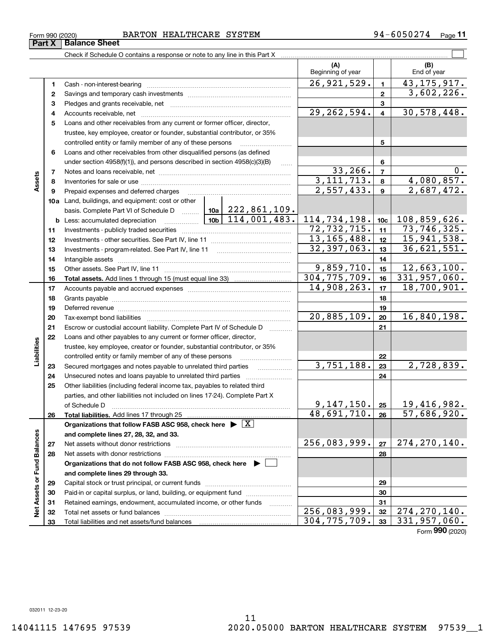### Form 990 (2020) BARTON HEALTHCARE SYSTEM 9 4-6050274 <sub>Page</sub>

Check if Schedule O contains a response or note to any line in this Part X

|                             |    |                                                                                                                                                                                                                                |                                | (A)<br>Beginning of year |                 | (B)<br>End of year          |
|-----------------------------|----|--------------------------------------------------------------------------------------------------------------------------------------------------------------------------------------------------------------------------------|--------------------------------|--------------------------|-----------------|-----------------------------|
|                             | 1  | Cash - non-interest-bearing                                                                                                                                                                                                    |                                | 26,921,529.              | 1               | 43, 175, 917.               |
|                             | 2  |                                                                                                                                                                                                                                |                                |                          | $\mathbf{2}$    | 3,602,226.                  |
|                             | з  |                                                                                                                                                                                                                                |                                |                          | 3               |                             |
|                             | 4  |                                                                                                                                                                                                                                |                                | 29, 262, 594.            | 4               | 30, 578, 448.               |
|                             | 5  | Loans and other receivables from any current or former officer, director,                                                                                                                                                      |                                |                          |                 |                             |
|                             |    | trustee, key employee, creator or founder, substantial contributor, or 35%                                                                                                                                                     |                                |                          |                 |                             |
|                             |    | controlled entity or family member of any of these persons                                                                                                                                                                     |                                |                          | 5               |                             |
|                             | 6  | Loans and other receivables from other disqualified persons (as defined                                                                                                                                                        |                                |                          |                 |                             |
|                             |    | under section $4958(f)(1)$ , and persons described in section $4958(c)(3)(B)$                                                                                                                                                  | $\ldots$                       |                          | 6               |                             |
|                             | 7  |                                                                                                                                                                                                                                |                                | 33,266.                  | 7               | 0.                          |
| Assets                      | 8  |                                                                                                                                                                                                                                | $\overline{3}$ , 111, 713.     | 8                        | 4,080,857.      |                             |
|                             | 9  | Prepaid expenses and deferred charges                                                                                                                                                                                          |                                | 2,557,433.               | 9               | 2,687,472.                  |
|                             |    | <b>10a</b> Land, buildings, and equipment: cost or other                                                                                                                                                                       |                                |                          |                 |                             |
|                             |    | basis. Complete Part VI of Schedule D    10a   222, 861, 109.                                                                                                                                                                  |                                |                          |                 |                             |
|                             |    | <b>b</b> Less: accumulated depreciation                                                                                                                                                                                        | $\frac{10b}{10b}$ 114,001,483. | 114,734,198.             | 10c             | 108,859,626.                |
|                             | 11 |                                                                                                                                                                                                                                |                                | 72,732,715.              | 11              | $\overline{73}$ , 746, 325. |
|                             | 12 |                                                                                                                                                                                                                                |                                | 13, 165, 488.            | 12 <sup>2</sup> | $\overline{15, 941, 538}$ . |
|                             | 13 |                                                                                                                                                                                                                                |                                | 32,397,063.              | 13              | 36,621,551.                 |
|                             | 14 |                                                                                                                                                                                                                                |                                | 14                       |                 |                             |
|                             | 15 |                                                                                                                                                                                                                                |                                | 9,859,710.               | 15              | 12,663,100.                 |
|                             | 16 |                                                                                                                                                                                                                                |                                | 304,775,709.             | 16              | 331,957,060.                |
|                             | 17 |                                                                                                                                                                                                                                |                                | 14,908,263.              | 17              | 18,700,901.                 |
|                             | 18 |                                                                                                                                                                                                                                |                                |                          | 18              |                             |
|                             | 19 | Deferred revenue manual contracts and contracts are all the contracts and contracts are contracted and contracts are contracted and contract are contracted and contract are contracted and contract are contracted and contra |                                | 19                       |                 |                             |
|                             | 20 |                                                                                                                                                                                                                                |                                | 20,885,109.              | 20              | 16,840,198.                 |
|                             | 21 | Escrow or custodial account liability. Complete Part IV of Schedule D                                                                                                                                                          |                                |                          | 21              |                             |
|                             | 22 | Loans and other payables to any current or former officer, director,                                                                                                                                                           |                                |                          |                 |                             |
| Liabilities                 |    | trustee, key employee, creator or founder, substantial contributor, or 35%                                                                                                                                                     |                                |                          |                 |                             |
|                             |    | controlled entity or family member of any of these persons                                                                                                                                                                     |                                |                          | 22              |                             |
|                             | 23 | Secured mortgages and notes payable to unrelated third parties                                                                                                                                                                 |                                | 3,751,188.               | 23              | 2,728,839.                  |
|                             | 24 |                                                                                                                                                                                                                                |                                |                          | 24              |                             |
|                             | 25 | Other liabilities (including federal income tax, payables to related third                                                                                                                                                     |                                |                          |                 |                             |
|                             |    | parties, and other liabilities not included on lines 17-24). Complete Part X                                                                                                                                                   |                                |                          |                 |                             |
|                             |    | of Schedule D                                                                                                                                                                                                                  |                                | 9, 147, 150.             | 25              | 19,416,982.                 |
|                             | 26 |                                                                                                                                                                                                                                |                                | 48,691,710.              | 26              | 57,686,920.                 |
|                             |    | Organizations that follow FASB ASC 958, check here $\triangleright \lfloor X \rfloor$                                                                                                                                          |                                |                          |                 |                             |
|                             |    | and complete lines 27, 28, 32, and 33.                                                                                                                                                                                         |                                |                          |                 |                             |
|                             | 27 | Net assets without donor restrictions                                                                                                                                                                                          |                                | 256,083,999.             | 27              | 274, 270, 140.              |
|                             | 28 |                                                                                                                                                                                                                                |                                |                          | 28              |                             |
|                             |    | Organizations that do not follow FASB ASC 958, check here $\blacktriangleright$                                                                                                                                                |                                |                          |                 |                             |
|                             |    | and complete lines 29 through 33.                                                                                                                                                                                              |                                |                          |                 |                             |
|                             | 29 |                                                                                                                                                                                                                                |                                |                          | 29              |                             |
|                             | 30 | Paid-in or capital surplus, or land, building, or equipment fund                                                                                                                                                               |                                |                          | 30              |                             |
| Net Assets or Fund Balances | 31 | Retained earnings, endowment, accumulated income, or other funds                                                                                                                                                               | 1.1.1.1.1.1.1.1.1.1            | 256,083,999.             | 31              | 274, 270, 140.              |
|                             | 32 |                                                                                                                                                                                                                                |                                | 304, 775, 709.           | 32<br>33        | 331,957,060.                |
|                             | 33 |                                                                                                                                                                                                                                |                                |                          |                 |                             |

**11**

 $\mathcal{L}^{\text{max}}$ 

Form (2020) **990**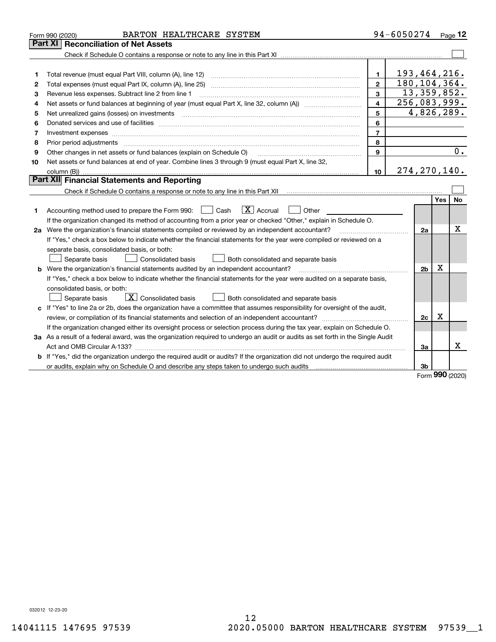|    | BARTON HEALTHCARE SYSTEM<br>Form 990 (2020)                                                                                     |                  | 94-6050274    |                              |      | Page $12$ |
|----|---------------------------------------------------------------------------------------------------------------------------------|------------------|---------------|------------------------------|------|-----------|
|    | Part XI<br><b>Reconciliation of Net Assets</b>                                                                                  |                  |               |                              |      |           |
|    |                                                                                                                                 |                  |               |                              |      |           |
|    |                                                                                                                                 |                  |               |                              |      |           |
| 1  |                                                                                                                                 | 1.               |               | 193,464,216.                 |      |           |
| 2  |                                                                                                                                 | $\mathbf{2}$     |               | 180, 104, 364.               |      |           |
| з  | Revenue less expenses. Subtract line 2 from line 1                                                                              |                  | 13, 359, 852. |                              |      |           |
| 4  |                                                                                                                                 | 4                |               | $\overline{256}$ , 083, 999. |      |           |
| 5  | Net unrealized gains (losses) on investments                                                                                    | 5                |               | 4,826,289.                   |      |           |
| 6  |                                                                                                                                 | 6                |               |                              |      |           |
| 7  | Investment expenses www.communication.com/www.communication.com/www.communication.com/www.communication.com                     | $\overline{7}$   |               |                              |      |           |
| 8  | Prior period adjustments www.communication.communication.com/news/communication.com/news/communication.com/new                  | 8                |               |                              |      |           |
| 9  | Other changes in net assets or fund balances (explain on Schedule O)                                                            | 9                |               |                              |      | 0.        |
| 10 | Net assets or fund balances at end of year. Combine lines 3 through 9 (must equal Part X, line 32,                              |                  |               |                              |      |           |
|    |                                                                                                                                 | 10 <sup>10</sup> |               | 274, 270, 140.               |      |           |
|    | <b>Part XII</b> Financial Statements and Reporting                                                                              |                  |               |                              |      |           |
|    |                                                                                                                                 |                  |               |                              |      |           |
|    |                                                                                                                                 |                  |               |                              | Yes  | <b>No</b> |
| 1. | $\boxed{\mathbf{X}}$ Accrual<br>Accounting method used to prepare the Form 990: <u>[</u> Cash<br>$\vert$ $\vert$ Other          |                  |               |                              |      |           |
|    | If the organization changed its method of accounting from a prior year or checked "Other," explain in Schedule O.               |                  |               |                              |      |           |
|    | 2a Were the organization's financial statements compiled or reviewed by an independent accountant?                              |                  |               | 2a                           |      | Х         |
|    | If "Yes," check a box below to indicate whether the financial statements for the year were compiled or reviewed on a            |                  |               |                              |      |           |
|    | separate basis, consolidated basis, or both:                                                                                    |                  |               |                              |      |           |
|    | Separate basis<br><b>Consolidated basis</b><br>Both consolidated and separate basis                                             |                  |               |                              |      |           |
|    | b Were the organization's financial statements audited by an independent accountant?                                            |                  |               | 2 <sub>b</sub>               | Χ    |           |
|    | If "Yes," check a box below to indicate whether the financial statements for the year were audited on a separate basis,         |                  |               |                              |      |           |
|    | consolidated basis, or both:                                                                                                    |                  |               |                              |      |           |
|    | $\boxed{\mathbf{X}}$ Consolidated basis<br>Both consolidated and separate basis<br>Separate basis                               |                  |               |                              |      |           |
|    | c If "Yes" to line 2a or 2b, does the organization have a committee that assumes responsibility for oversight of the audit,     |                  |               |                              |      |           |
|    |                                                                                                                                 |                  |               | 2c                           | Χ    |           |
|    | If the organization changed either its oversight process or selection process during the tax year, explain on Schedule O.       |                  |               |                              |      |           |
|    | 3a As a result of a federal award, was the organization required to undergo an audit or audits as set forth in the Single Audit |                  |               |                              |      |           |
|    |                                                                                                                                 |                  |               | За                           |      | x         |
|    | b If "Yes," did the organization undergo the required audit or audits? If the organization did not undergo the required audit   |                  |               |                              |      |           |
|    |                                                                                                                                 |                  |               | 3b                           | nnn. |           |

Form (2020) **990**

032012 12-23-20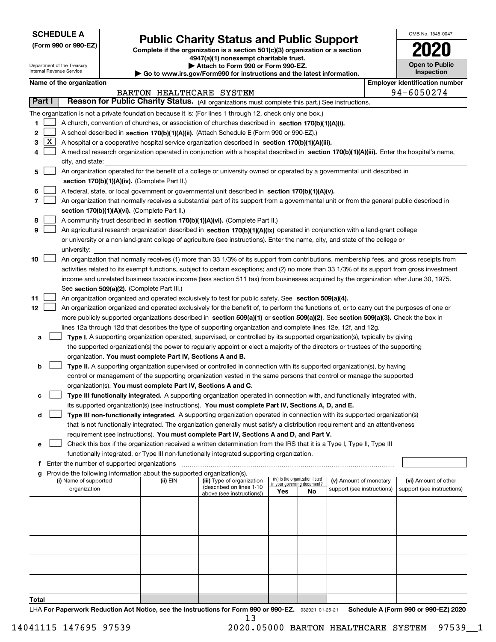| <b>SCHEDULE A</b> |
|-------------------|
|-------------------|

Department of the Treasury Internal Revenue Service

**(Form 990 or 990-EZ)**

# **Public Charity Status and Public Support**

**Complete if the organization is a section 501(c)(3) organization or a section 4947(a)(1) nonexempt charitable trust.**

| Attach to Form 990 or Form 990-EZ.                                |  |
|-------------------------------------------------------------------|--|
| Go to www.irs.gov/Form990 for instructions and the latest informa |  |

| ation. |  |  | Inspection | Open to Public |
|--------|--|--|------------|----------------|
|        |  |  |            |                |

OMB No. 1545-0047

**2020**

|               |   | Name of the organization                                                                                                                     |                          |                                                        |                             |                                 |                            |  | <b>Employer identification number</b>              |  |  |  |
|---------------|---|----------------------------------------------------------------------------------------------------------------------------------------------|--------------------------|--------------------------------------------------------|-----------------------------|---------------------------------|----------------------------|--|----------------------------------------------------|--|--|--|
|               |   |                                                                                                                                              | BARTON HEALTHCARE SYSTEM |                                                        |                             |                                 |                            |  | 94-6050274                                         |  |  |  |
| Part I        |   | Reason for Public Charity Status. (All organizations must complete this part.) See instructions.                                             |                          |                                                        |                             |                                 |                            |  |                                                    |  |  |  |
|               |   | The organization is not a private foundation because it is: (For lines 1 through 12, check only one box.)                                    |                          |                                                        |                             |                                 |                            |  |                                                    |  |  |  |
| 1.            |   | A church, convention of churches, or association of churches described in section 170(b)(1)(A)(i).                                           |                          |                                                        |                             |                                 |                            |  |                                                    |  |  |  |
| 2             |   | A school described in section 170(b)(1)(A)(ii). (Attach Schedule E (Form 990 or 990-EZ).)                                                    |                          |                                                        |                             |                                 |                            |  |                                                    |  |  |  |
| 3             | X | A hospital or a cooperative hospital service organization described in section 170(b)(1)(A)(iii).                                            |                          |                                                        |                             |                                 |                            |  |                                                    |  |  |  |
|               |   | A medical research organization operated in conjunction with a hospital described in section 170(b)(1)(A)(iii). Enter the hospital's name,   |                          |                                                        |                             |                                 |                            |  |                                                    |  |  |  |
|               |   | city, and state:                                                                                                                             |                          |                                                        |                             |                                 |                            |  |                                                    |  |  |  |
| 5             |   | An organization operated for the benefit of a college or university owned or operated by a governmental unit described in                    |                          |                                                        |                             |                                 |                            |  |                                                    |  |  |  |
|               |   | section 170(b)(1)(A)(iv). (Complete Part II.)                                                                                                |                          |                                                        |                             |                                 |                            |  |                                                    |  |  |  |
| 6             |   | A federal, state, or local government or governmental unit described in section 170(b)(1)(A)(v).                                             |                          |                                                        |                             |                                 |                            |  |                                                    |  |  |  |
| 7             |   | An organization that normally receives a substantial part of its support from a governmental unit or from the general public described in    |                          |                                                        |                             |                                 |                            |  |                                                    |  |  |  |
|               |   | section 170(b)(1)(A)(vi). (Complete Part II.)                                                                                                |                          |                                                        |                             |                                 |                            |  |                                                    |  |  |  |
| 8             |   | A community trust described in section 170(b)(1)(A)(vi). (Complete Part II.)                                                                 |                          |                                                        |                             |                                 |                            |  |                                                    |  |  |  |
| 9             |   | An agricultural research organization described in section 170(b)(1)(A)(ix) operated in conjunction with a land-grant college                |                          |                                                        |                             |                                 |                            |  |                                                    |  |  |  |
|               |   | or university or a non-land-grant college of agriculture (see instructions). Enter the name, city, and state of the college or               |                          |                                                        |                             |                                 |                            |  |                                                    |  |  |  |
|               |   | university:                                                                                                                                  |                          |                                                        |                             |                                 |                            |  |                                                    |  |  |  |
| 10            |   | An organization that normally receives (1) more than 33 1/3% of its support from contributions, membership fees, and gross receipts from     |                          |                                                        |                             |                                 |                            |  |                                                    |  |  |  |
|               |   | activities related to its exempt functions, subject to certain exceptions; and (2) no more than 33 1/3% of its support from gross investment |                          |                                                        |                             |                                 |                            |  |                                                    |  |  |  |
|               |   | income and unrelated business taxable income (less section 511 tax) from businesses acquired by the organization after June 30, 1975.        |                          |                                                        |                             |                                 |                            |  |                                                    |  |  |  |
|               |   | See section 509(a)(2). (Complete Part III.)                                                                                                  |                          |                                                        |                             |                                 |                            |  |                                                    |  |  |  |
| 11            |   | An organization organized and operated exclusively to test for public safety. See section 509(a)(4).                                         |                          |                                                        |                             |                                 |                            |  |                                                    |  |  |  |
| 12            |   | An organization organized and operated exclusively for the benefit of, to perform the functions of, or to carry out the purposes of one or   |                          |                                                        |                             |                                 |                            |  |                                                    |  |  |  |
|               |   | more publicly supported organizations described in section 509(a)(1) or section 509(a)(2). See section 509(a)(3). Check the box in           |                          |                                                        |                             |                                 |                            |  |                                                    |  |  |  |
|               |   | lines 12a through 12d that describes the type of supporting organization and complete lines 12e, 12f, and 12g.                               |                          |                                                        |                             |                                 |                            |  |                                                    |  |  |  |
| а             |   | Type I. A supporting organization operated, supervised, or controlled by its supported organization(s), typically by giving                  |                          |                                                        |                             |                                 |                            |  |                                                    |  |  |  |
|               |   | the supported organization(s) the power to regularly appoint or elect a majority of the directors or trustees of the supporting              |                          |                                                        |                             |                                 |                            |  |                                                    |  |  |  |
|               |   | organization. You must complete Part IV, Sections A and B.                                                                                   |                          |                                                        |                             |                                 |                            |  |                                                    |  |  |  |
| b             |   | Type II. A supporting organization supervised or controlled in connection with its supported organization(s), by having                      |                          |                                                        |                             |                                 |                            |  |                                                    |  |  |  |
|               |   | control or management of the supporting organization vested in the same persons that control or manage the supported                         |                          |                                                        |                             |                                 |                            |  |                                                    |  |  |  |
|               |   | organization(s). You must complete Part IV, Sections A and C.                                                                                |                          |                                                        |                             |                                 |                            |  |                                                    |  |  |  |
| с             |   | Type III functionally integrated. A supporting organization operated in connection with, and functionally integrated with,                   |                          |                                                        |                             |                                 |                            |  |                                                    |  |  |  |
|               |   | its supported organization(s) (see instructions). You must complete Part IV, Sections A, D, and E.                                           |                          |                                                        |                             |                                 |                            |  |                                                    |  |  |  |
| d             |   | Type III non-functionally integrated. A supporting organization operated in connection with its supported organization(s)                    |                          |                                                        |                             |                                 |                            |  |                                                    |  |  |  |
|               |   | that is not functionally integrated. The organization generally must satisfy a distribution requirement and an attentiveness                 |                          |                                                        |                             |                                 |                            |  |                                                    |  |  |  |
|               |   | requirement (see instructions). You must complete Part IV, Sections A and D, and Part V.                                                     |                          |                                                        |                             |                                 |                            |  |                                                    |  |  |  |
|               |   | Check this box if the organization received a written determination from the IRS that it is a Type I, Type II, Type III                      |                          |                                                        |                             |                                 |                            |  |                                                    |  |  |  |
|               |   | functionally integrated, or Type III non-functionally integrated supporting organization.                                                    |                          |                                                        |                             |                                 |                            |  |                                                    |  |  |  |
|               |   | f Enter the number of supported organizations                                                                                                |                          |                                                        |                             |                                 |                            |  |                                                    |  |  |  |
|               |   | Provide the following information about the supported organization(s).                                                                       |                          |                                                        |                             |                                 |                            |  |                                                    |  |  |  |
|               |   | (i) Name of supported                                                                                                                        | (ii) EIN                 | (iii) Type of organization<br>(described on lines 1-10 | in your governing document? | (iv) Is the organization listed | (v) Amount of monetary     |  | (vi) Amount of other<br>support (see instructions) |  |  |  |
|               |   | organization                                                                                                                                 |                          | above (see instructions))                              | Yes                         | No                              | support (see instructions) |  |                                                    |  |  |  |
|               |   |                                                                                                                                              |                          |                                                        |                             |                                 |                            |  |                                                    |  |  |  |
|               |   |                                                                                                                                              |                          |                                                        |                             |                                 |                            |  |                                                    |  |  |  |
|               |   |                                                                                                                                              |                          |                                                        |                             |                                 |                            |  |                                                    |  |  |  |
|               |   |                                                                                                                                              |                          |                                                        |                             |                                 |                            |  |                                                    |  |  |  |
|               |   |                                                                                                                                              |                          |                                                        |                             |                                 |                            |  |                                                    |  |  |  |
|               |   |                                                                                                                                              |                          |                                                        |                             |                                 |                            |  |                                                    |  |  |  |
|               |   |                                                                                                                                              |                          |                                                        |                             |                                 |                            |  |                                                    |  |  |  |
|               |   |                                                                                                                                              |                          |                                                        |                             |                                 |                            |  |                                                    |  |  |  |
|               |   |                                                                                                                                              |                          |                                                        |                             |                                 |                            |  |                                                    |  |  |  |
| To <u>tal</u> |   |                                                                                                                                              |                          |                                                        |                             |                                 |                            |  |                                                    |  |  |  |

LHA For Paperwork Reduction Act Notice, see the Instructions for Form 990 or 990-EZ. <sub>032021</sub> o1-25-21 Schedule A (Form 990 or 990-EZ) 2020 13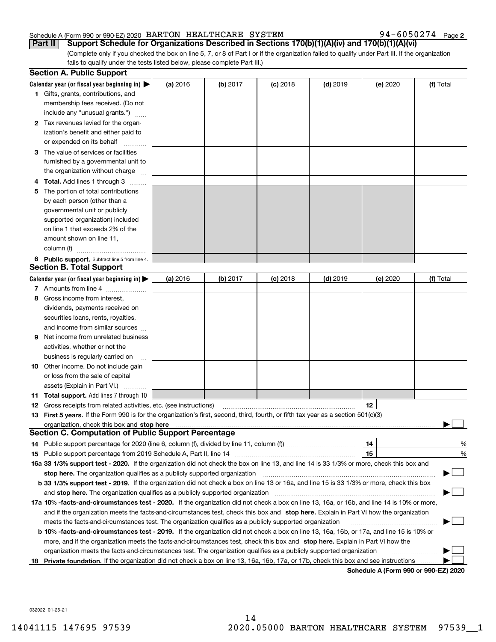### Schedule A (Form 990 or 990-EZ) 2020 Page BARTON HEALTHCARE SYSTEM 94-6050274

**2**

(Complete only if you checked the box on line 5, 7, or 8 of Part I or if the organization failed to qualify under Part III. If the organization fails to qualify under the tests listed below, please complete Part III.) **Part II** Support Schedule for Organizations Described in Sections 170(b)(1)(A)(iv) and 170(b)(1)(A)(vi)

|    | <b>Section A. Public Support</b>                                                                                                               |          |            |            |            |          |                                      |
|----|------------------------------------------------------------------------------------------------------------------------------------------------|----------|------------|------------|------------|----------|--------------------------------------|
|    | Calendar year (or fiscal year beginning in) $\blacktriangleright$                                                                              | (a) 2016 | (b) 2017   | $(c)$ 2018 | $(d)$ 2019 | (e) 2020 | (f) Total                            |
|    | <b>1</b> Gifts, grants, contributions, and                                                                                                     |          |            |            |            |          |                                      |
|    | membership fees received. (Do not                                                                                                              |          |            |            |            |          |                                      |
|    | include any "unusual grants.")                                                                                                                 |          |            |            |            |          |                                      |
|    | 2 Tax revenues levied for the organ-                                                                                                           |          |            |            |            |          |                                      |
|    | ization's benefit and either paid to                                                                                                           |          |            |            |            |          |                                      |
|    | or expended on its behalf                                                                                                                      |          |            |            |            |          |                                      |
|    | 3 The value of services or facilities                                                                                                          |          |            |            |            |          |                                      |
|    | furnished by a governmental unit to                                                                                                            |          |            |            |            |          |                                      |
|    | the organization without charge                                                                                                                |          |            |            |            |          |                                      |
|    | 4 Total. Add lines 1 through 3                                                                                                                 |          |            |            |            |          |                                      |
| 5. | The portion of total contributions                                                                                                             |          |            |            |            |          |                                      |
|    | by each person (other than a                                                                                                                   |          |            |            |            |          |                                      |
|    | governmental unit or publicly                                                                                                                  |          |            |            |            |          |                                      |
|    | supported organization) included                                                                                                               |          |            |            |            |          |                                      |
|    | on line 1 that exceeds 2% of the                                                                                                               |          |            |            |            |          |                                      |
|    | amount shown on line 11,                                                                                                                       |          |            |            |            |          |                                      |
|    | column (f)                                                                                                                                     |          |            |            |            |          |                                      |
|    | 6 Public support. Subtract line 5 from line 4.                                                                                                 |          |            |            |            |          |                                      |
|    | <b>Section B. Total Support</b>                                                                                                                |          |            |            |            |          |                                      |
|    | Calendar year (or fiscal year beginning in) $\blacktriangleright$                                                                              | (a) 2016 | $(b)$ 2017 | $(c)$ 2018 | $(d)$ 2019 | (e) 2020 | (f) Total                            |
|    | 7 Amounts from line 4                                                                                                                          |          |            |            |            |          |                                      |
|    | 8 Gross income from interest,                                                                                                                  |          |            |            |            |          |                                      |
|    | dividends, payments received on                                                                                                                |          |            |            |            |          |                                      |
|    | securities loans, rents, royalties,                                                                                                            |          |            |            |            |          |                                      |
|    | and income from similar sources                                                                                                                |          |            |            |            |          |                                      |
|    | <b>9</b> Net income from unrelated business                                                                                                    |          |            |            |            |          |                                      |
|    | activities, whether or not the                                                                                                                 |          |            |            |            |          |                                      |
|    | business is regularly carried on                                                                                                               |          |            |            |            |          |                                      |
|    | <b>10</b> Other income. Do not include gain                                                                                                    |          |            |            |            |          |                                      |
|    | or loss from the sale of capital                                                                                                               |          |            |            |            |          |                                      |
|    | assets (Explain in Part VI.)                                                                                                                   |          |            |            |            |          |                                      |
|    | <b>11 Total support.</b> Add lines 7 through 10                                                                                                |          |            |            |            |          |                                      |
|    | <b>12</b> Gross receipts from related activities, etc. (see instructions)                                                                      |          |            |            |            | 12       |                                      |
|    | 13 First 5 years. If the Form 990 is for the organization's first, second, third, fourth, or fifth tax year as a section 501(c)(3)             |          |            |            |            |          |                                      |
|    | <b>Section C. Computation of Public Support Percentage</b>                                                                                     |          |            |            |            |          |                                      |
|    |                                                                                                                                                |          |            |            |            |          |                                      |
|    | 14 Public support percentage for 2020 (line 6, column (f), divided by line 11, column (f) <i>mummumumum</i>                                    |          |            |            |            | 14       | %                                    |
|    |                                                                                                                                                |          |            |            |            | 15       | %                                    |
|    | 16a 33 1/3% support test - 2020. If the organization did not check the box on line 13, and line 14 is 33 1/3% or more, check this box and      |          |            |            |            |          |                                      |
|    | stop here. The organization qualifies as a publicly supported organization                                                                     |          |            |            |            |          |                                      |
|    | b 33 1/3% support test - 2019. If the organization did not check a box on line 13 or 16a, and line 15 is 33 1/3% or more, check this box       |          |            |            |            |          |                                      |
|    | and stop here. The organization qualifies as a publicly supported organization                                                                 |          |            |            |            |          |                                      |
|    | 17a 10% -facts-and-circumstances test - 2020. If the organization did not check a box on line 13, 16a, or 16b, and line 14 is 10% or more,     |          |            |            |            |          |                                      |
|    | and if the organization meets the facts-and-circumstances test, check this box and stop here. Explain in Part VI how the organization          |          |            |            |            |          |                                      |
|    | meets the facts-and-circumstances test. The organization qualifies as a publicly supported organization                                        |          |            |            |            |          |                                      |
|    | <b>b 10% -facts-and-circumstances test - 2019.</b> If the organization did not check a box on line 13, 16a, 16b, or 17a, and line 15 is 10% or |          |            |            |            |          |                                      |
|    | more, and if the organization meets the facts-and-circumstances test, check this box and stop here. Explain in Part VI how the                 |          |            |            |            |          |                                      |
|    | organization meets the facts-and-circumstances test. The organization qualifies as a publicly supported organization                           |          |            |            |            |          |                                      |
| 18 | Private foundation. If the organization did not check a box on line 13, 16a, 16b, 17a, or 17b, check this box and see instructions             |          |            |            |            |          | Schedule A (Form 990 or 990-F7) 2020 |

**Schedule A (Form 990 or 990-EZ) 2020**

032022 01-25-21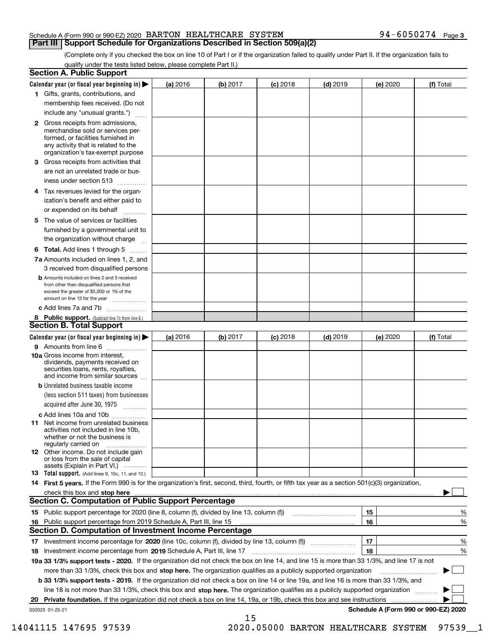### Schedule A (Form 990 or 990-EZ) 2020 Page BARTON HEALTHCARE SYSTEM 94-6050274 **Part III | Support Schedule for Organizations Described in Section 509(a)(2)**

(Complete only if you checked the box on line 10 of Part I or if the organization failed to qualify under Part II. If the organization fails to qualify under the tests listed below, please complete Part II.)

|    | <b>Section A. Public Support</b>                                                                                                                                                                |          |          |            |            |                                      |           |
|----|-------------------------------------------------------------------------------------------------------------------------------------------------------------------------------------------------|----------|----------|------------|------------|--------------------------------------|-----------|
|    | Calendar year (or fiscal year beginning in) $\blacktriangleright$                                                                                                                               | (a) 2016 | (b) 2017 | $(c)$ 2018 | $(d)$ 2019 | (e) 2020                             | (f) Total |
|    | 1 Gifts, grants, contributions, and<br>membership fees received. (Do not                                                                                                                        |          |          |            |            |                                      |           |
|    | include any "unusual grants.")                                                                                                                                                                  |          |          |            |            |                                      |           |
|    |                                                                                                                                                                                                 |          |          |            |            |                                      |           |
|    | <b>2</b> Gross receipts from admissions,<br>merchandise sold or services per-<br>formed, or facilities furnished in<br>any activity that is related to the<br>organization's tax-exempt purpose |          |          |            |            |                                      |           |
|    | 3 Gross receipts from activities that<br>are not an unrelated trade or bus-                                                                                                                     |          |          |            |            |                                      |           |
|    | iness under section 513                                                                                                                                                                         |          |          |            |            |                                      |           |
| 4  | Tax revenues levied for the organ-<br>ization's benefit and either paid to<br>or expended on its behalf                                                                                         |          |          |            |            |                                      |           |
|    | 5 The value of services or facilities<br>furnished by a governmental unit to                                                                                                                    |          |          |            |            |                                      |           |
|    | the organization without charge                                                                                                                                                                 |          |          |            |            |                                      |           |
|    | <b>6 Total.</b> Add lines 1 through 5                                                                                                                                                           |          |          |            |            |                                      |           |
|    | <b>7a</b> Amounts included on lines 1, 2, and<br>3 received from disqualified persons                                                                                                           |          |          |            |            |                                      |           |
|    | <b>b</b> Amounts included on lines 2 and 3 received<br>from other than disqualified persons that<br>exceed the greater of \$5,000 or 1% of the<br>amount on line 13 for the year                |          |          |            |            |                                      |           |
|    | c Add lines 7a and 7b                                                                                                                                                                           |          |          |            |            |                                      |           |
|    | 8 Public support. (Subtract line 7c from line 6.)                                                                                                                                               |          |          |            |            |                                      |           |
|    | <b>Section B. Total Support</b>                                                                                                                                                                 |          |          |            |            |                                      |           |
|    | Calendar year (or fiscal year beginning in) $\blacktriangleright$                                                                                                                               | (a) 2016 | (b) 2017 | $(c)$ 2018 | $(d)$ 2019 | (e) 2020                             | (f) Total |
|    | <b>9</b> Amounts from line 6                                                                                                                                                                    |          |          |            |            |                                      |           |
|    | <b>10a</b> Gross income from interest,<br>dividends, payments received on<br>securities loans, rents, royalties,<br>and income from similar sources                                             |          |          |            |            |                                      |           |
|    | <b>b</b> Unrelated business taxable income<br>(less section 511 taxes) from businesses<br>acquired after June 30, 1975                                                                          |          |          |            |            |                                      |           |
|    | c Add lines 10a and 10b                                                                                                                                                                         |          |          |            |            |                                      |           |
|    | <b>11</b> Net income from unrelated business<br>activities not included in line 10b.<br>whether or not the business is<br>regularly carried on                                                  |          |          |            |            |                                      |           |
|    | <b>12</b> Other income. Do not include gain<br>or loss from the sale of capital<br>assets (Explain in Part VI.)                                                                                 |          |          |            |            |                                      |           |
|    | <b>13</b> Total support. (Add lines 9, 10c, 11, and 12.)                                                                                                                                        |          |          |            |            |                                      |           |
|    | 14 First 5 years. If the Form 990 is for the organization's first, second, third, fourth, or fifth tax year as a section 501(c)(3) organization,                                                |          |          |            |            |                                      |           |
|    | check this box and stop here                                                                                                                                                                    |          |          |            |            |                                      |           |
|    | Section C. Computation of Public Support Percentage                                                                                                                                             |          |          |            |            |                                      |           |
|    |                                                                                                                                                                                                 |          |          |            |            | 15                                   | %         |
| 16 | Public support percentage from 2019 Schedule A, Part III, line 15                                                                                                                               |          |          |            |            | 16                                   | %         |
|    | <b>Section D. Computation of Investment Income Percentage</b>                                                                                                                                   |          |          |            |            |                                      |           |
|    |                                                                                                                                                                                                 |          |          |            |            | 17                                   | %         |
|    | 18 Investment income percentage from 2019 Schedule A, Part III, line 17                                                                                                                         |          |          |            |            | 18                                   | %         |
|    | 19a 33 1/3% support tests - 2020. If the organization did not check the box on line 14, and line 15 is more than 33 1/3%, and line 17 is not                                                    |          |          |            |            |                                      |           |
|    | more than 33 1/3%, check this box and stop here. The organization qualifies as a publicly supported organization                                                                                |          |          |            |            |                                      |           |
|    | b 33 1/3% support tests - 2019. If the organization did not check a box on line 14 or line 19a, and line 16 is more than 33 1/3%, and                                                           |          |          |            |            |                                      |           |
|    | line 18 is not more than 33 1/3%, check this box and stop here. The organization qualifies as a publicly supported organization                                                                 |          |          |            |            |                                      |           |
| 20 | <b>Private foundation.</b> If the organization did not check a box on line 14, 19a, or 19b, check this box and see instructions                                                                 |          |          |            |            | Schedule A (Form 990 or 990-EZ) 2020 |           |
|    | 032023 01-25-21                                                                                                                                                                                 |          | 15       |            |            |                                      |           |

14041115 147695 97539 2020.05000 BARTON HEALTHCARE SYSTEM 97539\_\_1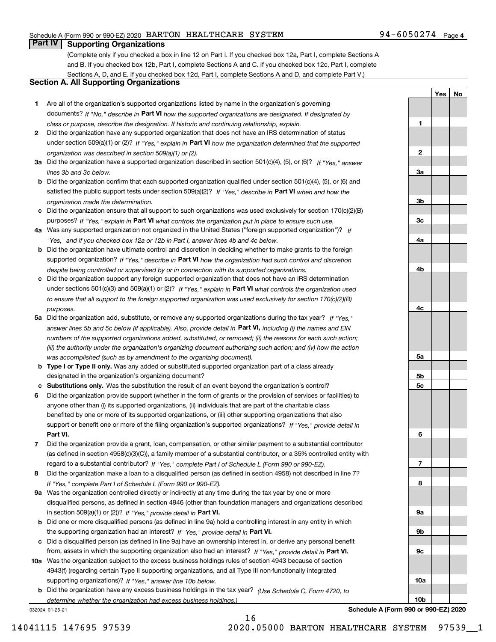### Schedule A (Form 990 or 990-EZ) 2020 Page BARTON HEALTHCARE SYSTEM 94-6050274

### 94-6050274 Page 4

**1**

**2**

**3a**

**YesNo**

## **Part IV Supporting Organizations**

(Complete only if you checked a box in line 12 on Part I. If you checked box 12a, Part I, complete Sections A and B. If you checked box 12b, Part I, complete Sections A and C. If you checked box 12c, Part I, complete Sections A, D, and E. If you checked box 12d, Part I, complete Sections A and D, and complete Part V.)

### **Section A. All Supporting Organizations**

- **1** Are all of the organization's supported organizations listed by name in the organization's governing documents? If "No," describe in **Part VI** how the supported organizations are designated. If designated by *class or purpose, describe the designation. If historic and continuing relationship, explain.*
- **2** Did the organization have any supported organization that does not have an IRS determination of status under section 509(a)(1) or (2)? If "Yes," explain in Part VI how the organization determined that the supported *organization was described in section 509(a)(1) or (2).*
- **3a** Did the organization have a supported organization described in section 501(c)(4), (5), or (6)? If "Yes," answer *lines 3b and 3c below.*
- **b** Did the organization confirm that each supported organization qualified under section 501(c)(4), (5), or (6) and satisfied the public support tests under section 509(a)(2)? If "Yes," describe in **Part VI** when and how the *organization made the determination.*
- **c**Did the organization ensure that all support to such organizations was used exclusively for section 170(c)(2)(B) purposes? If "Yes," explain in **Part VI** what controls the organization put in place to ensure such use.
- **4a***If* Was any supported organization not organized in the United States ("foreign supported organization")? *"Yes," and if you checked box 12a or 12b in Part I, answer lines 4b and 4c below.*
- **b** Did the organization have ultimate control and discretion in deciding whether to make grants to the foreign supported organization? If "Yes," describe in **Part VI** how the organization had such control and discretion *despite being controlled or supervised by or in connection with its supported organizations.*
- **c** Did the organization support any foreign supported organization that does not have an IRS determination under sections 501(c)(3) and 509(a)(1) or (2)? If "Yes," explain in **Part VI** what controls the organization used *to ensure that all support to the foreign supported organization was used exclusively for section 170(c)(2)(B) purposes.*
- **5a** Did the organization add, substitute, or remove any supported organizations during the tax year? If "Yes," answer lines 5b and 5c below (if applicable). Also, provide detail in **Part VI,** including (i) the names and EIN *numbers of the supported organizations added, substituted, or removed; (ii) the reasons for each such action; (iii) the authority under the organization's organizing document authorizing such action; and (iv) how the action was accomplished (such as by amendment to the organizing document).*
- **b** Type I or Type II only. Was any added or substituted supported organization part of a class already designated in the organization's organizing document?
- **cSubstitutions only.**  Was the substitution the result of an event beyond the organization's control?
- **6** Did the organization provide support (whether in the form of grants or the provision of services or facilities) to **Part VI.** *If "Yes," provide detail in* support or benefit one or more of the filing organization's supported organizations? anyone other than (i) its supported organizations, (ii) individuals that are part of the charitable class benefited by one or more of its supported organizations, or (iii) other supporting organizations that also
- **7**Did the organization provide a grant, loan, compensation, or other similar payment to a substantial contributor *If "Yes," complete Part I of Schedule L (Form 990 or 990-EZ).* regard to a substantial contributor? (as defined in section 4958(c)(3)(C)), a family member of a substantial contributor, or a 35% controlled entity with
- **8** Did the organization make a loan to a disqualified person (as defined in section 4958) not described in line 7? *If "Yes," complete Part I of Schedule L (Form 990 or 990-EZ).*
- **9a** Was the organization controlled directly or indirectly at any time during the tax year by one or more in section 509(a)(1) or (2))? If "Yes," *provide detail in* <code>Part VI.</code> disqualified persons, as defined in section 4946 (other than foundation managers and organizations described
- **b** Did one or more disqualified persons (as defined in line 9a) hold a controlling interest in any entity in which the supporting organization had an interest? If "Yes," provide detail in P**art VI**.
- **c**Did a disqualified person (as defined in line 9a) have an ownership interest in, or derive any personal benefit from, assets in which the supporting organization also had an interest? If "Yes," provide detail in P**art VI.**
- **10a** Was the organization subject to the excess business holdings rules of section 4943 because of section supporting organizations)? If "Yes," answer line 10b below. 4943(f) (regarding certain Type II supporting organizations, and all Type III non-functionally integrated
- **b** Did the organization have any excess business holdings in the tax year? (Use Schedule C, Form 4720, to *determine whether the organization had excess business holdings.)*

16

032024 01-25-21



**Schedule A (Form 990 or 990-EZ) 2020**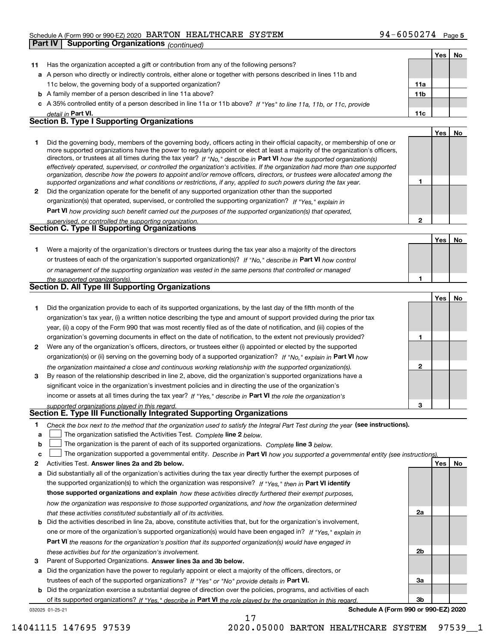### Schedule A (Form 990 or 990-EZ) 2020 Page BARTON HEALTHCARE SYSTEM 94-6050274

|    | Part IV<br><b>Supporting Organizations (continued)</b>                                                                                                                                                                                                     |              |     |    |
|----|------------------------------------------------------------------------------------------------------------------------------------------------------------------------------------------------------------------------------------------------------------|--------------|-----|----|
|    |                                                                                                                                                                                                                                                            |              | Yes | No |
| 11 | Has the organization accepted a gift or contribution from any of the following persons?                                                                                                                                                                    |              |     |    |
|    | a A person who directly or indirectly controls, either alone or together with persons described in lines 11b and                                                                                                                                           |              |     |    |
|    | 11c below, the governing body of a supported organization?                                                                                                                                                                                                 | 11a          |     |    |
|    | <b>b</b> A family member of a person described in line 11a above?                                                                                                                                                                                          | 11b          |     |    |
|    | c A 35% controlled entity of a person described in line 11a or 11b above? If "Yes" to line 11a, 11b, or 11c, provide                                                                                                                                       |              |     |    |
|    | detail in Part VI.                                                                                                                                                                                                                                         | 11c          |     |    |
|    | <b>Section B. Type I Supporting Organizations</b>                                                                                                                                                                                                          |              |     |    |
|    |                                                                                                                                                                                                                                                            |              | Yes | No |
| 1  | Did the governing body, members of the governing body, officers acting in their official capacity, or membership of one or                                                                                                                                 |              |     |    |
|    | more supported organizations have the power to regularly appoint or elect at least a majority of the organization's officers,                                                                                                                              |              |     |    |
|    | directors, or trustees at all times during the tax year? If "No," describe in Part VI how the supported organization(s)                                                                                                                                    |              |     |    |
|    | effectively operated, supervised, or controlled the organization's activities. If the organization had more than one supported<br>organization, describe how the powers to appoint and/or remove officers, directors, or trustees were allocated among the |              |     |    |
|    | supported organizations and what conditions or restrictions, if any, applied to such powers during the tax year.                                                                                                                                           | 1            |     |    |
| 2  | Did the organization operate for the benefit of any supported organization other than the supported                                                                                                                                                        |              |     |    |
|    | organization(s) that operated, supervised, or controlled the supporting organization? If "Yes," explain in                                                                                                                                                 |              |     |    |
|    | Part VI how providing such benefit carried out the purposes of the supported organization(s) that operated.                                                                                                                                                |              |     |    |
|    | supervised, or controlled the supporting organization.                                                                                                                                                                                                     | $\mathbf{2}$ |     |    |
|    | <b>Section C. Type II Supporting Organizations</b>                                                                                                                                                                                                         |              |     |    |
|    |                                                                                                                                                                                                                                                            |              | Yes | No |
| 1. | Were a majority of the organization's directors or trustees during the tax year also a majority of the directors                                                                                                                                           |              |     |    |
|    | or trustees of each of the organization's supported organization(s)? If "No." describe in Part VI how control                                                                                                                                              |              |     |    |
|    | or management of the supporting organization was vested in the same persons that controlled or managed                                                                                                                                                     |              |     |    |
|    | the supported organization(s).                                                                                                                                                                                                                             | 1            |     |    |
|    | Section D. All Type III Supporting Organizations                                                                                                                                                                                                           |              |     |    |
|    |                                                                                                                                                                                                                                                            |              | Yes | No |
| 1  | Did the organization provide to each of its supported organizations, by the last day of the fifth month of the                                                                                                                                             |              |     |    |
|    | organization's tax year, (i) a written notice describing the type and amount of support provided during the prior tax                                                                                                                                      |              |     |    |
|    | year, (ii) a copy of the Form 990 that was most recently filed as of the date of notification, and (iii) copies of the                                                                                                                                     |              |     |    |
|    | organization's governing documents in effect on the date of notification, to the extent not previously provided?                                                                                                                                           | 1            |     |    |
| 2  | Were any of the organization's officers, directors, or trustees either (i) appointed or elected by the supported                                                                                                                                           |              |     |    |
|    | organization(s) or (ii) serving on the governing body of a supported organization? If "No," explain in Part VI how                                                                                                                                         |              |     |    |
|    | the organization maintained a close and continuous working relationship with the supported organization(s).                                                                                                                                                | 2            |     |    |
| 3  | By reason of the relationship described in line 2, above, did the organization's supported organizations have a                                                                                                                                            |              |     |    |
|    | significant voice in the organization's investment policies and in directing the use of the organization's                                                                                                                                                 |              |     |    |
|    | income or assets at all times during the tax year? If "Yes," describe in Part VI the role the organization's                                                                                                                                               |              |     |    |
|    | supported organizations played in this regard.<br>Section E. Type III Functionally Integrated Supporting Organizations                                                                                                                                     | 3            |     |    |
|    |                                                                                                                                                                                                                                                            |              |     |    |
| 1  | Check the box next to the method that the organization used to satisfy the Integral Part Test during the year (see instructions).                                                                                                                          |              |     |    |
| а  | The organization satisfied the Activities Test. Complete line 2 below.                                                                                                                                                                                     |              |     |    |
| b  | The organization is the parent of each of its supported organizations. Complete line 3 below.                                                                                                                                                              |              |     |    |
| c  | The organization supported a governmental entity. Describe in Part VI how you supported a governmental entity (see instructions)                                                                                                                           |              |     |    |
| 2  | Activities Test. Answer lines 2a and 2b below.                                                                                                                                                                                                             |              | Yes | No |
| а  | Did substantially all of the organization's activities during the tax year directly further the exempt purposes of                                                                                                                                         |              |     |    |
|    | the supported organization(s) to which the organization was responsive? If "Yes," then in Part VI identify                                                                                                                                                 |              |     |    |
|    | those supported organizations and explain how these activities directly furthered their exempt purposes,                                                                                                                                                   |              |     |    |
|    | how the organization was responsive to those supported organizations, and how the organization determined                                                                                                                                                  |              |     |    |
|    | that these activities constituted substantially all of its activities.                                                                                                                                                                                     | 2a           |     |    |

- **b** Did the activities described in line 2a, above, constitute activities that, but for the organization's involvement, **Part VI**  *the reasons for the organization's position that its supported organization(s) would have engaged in* one or more of the organization's supported organization(s) would have been engaged in? If "Yes," e*xplain in these activities but for the organization's involvement.*
- **3** Parent of Supported Organizations. Answer lines 3a and 3b below.

**a** Did the organization have the power to regularly appoint or elect a majority of the officers, directors, or trustees of each of the supported organizations? If "Yes" or "No" provide details in P**art VI.** 

032025 01-25-21 **b** Did the organization exercise a substantial degree of direction over the policies, programs, and activities of each of its supported organizations? If "Yes," describe in Part VI the role played by the organization in this regard.

17

**Schedule A (Form 990 or 990-EZ) 2020**

**2b**

**3a**

**3b**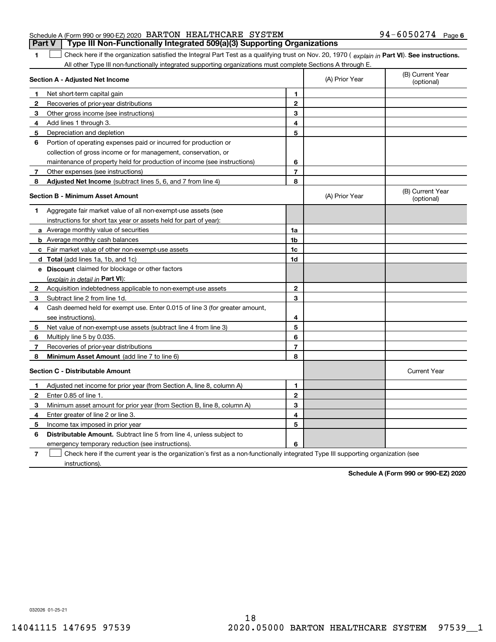|   | Schedule A (Form 990 or 990-EZ) 2020 BARTON HEALTHCARE SYSTEM                                                                                  |   |                | $94 - 6050274$<br>Page         |
|---|------------------------------------------------------------------------------------------------------------------------------------------------|---|----------------|--------------------------------|
|   | Type III Non-Functionally Integrated 509(a)(3) Supporting Organizations<br>Part V                                                              |   |                |                                |
|   | Check here if the organization satisfied the Integral Part Test as a qualifying trust on Nov. 20, 1970 (explain in Part VI). See instructions. |   |                |                                |
|   | All other Type III non-functionally integrated supporting organizations must complete Sections A through E.                                    |   |                |                                |
|   | Section A - Adjusted Net Income                                                                                                                |   | (A) Prior Year | (B) Current Year<br>(optional) |
|   | Net short-term capital gain                                                                                                                    |   |                |                                |
| 2 | Recoveries of prior-year distributions                                                                                                         | 2 |                |                                |
|   | Other gross income (see instructions)                                                                                                          | з |                |                                |
|   | Add lines 1 through 3.                                                                                                                         | 4 |                |                                |
| 5 | Depreciation and depletion                                                                                                                     | 5 |                |                                |
| 6 | Portion of operating expenses paid or incurred for production or                                                                               |   |                |                                |
|   | collection of gross income or for management, conservation, or                                                                                 |   |                |                                |
|   | maintenance of property held for production of income (see instructions)                                                                       | 6 |                |                                |
|   | Other expenses (see instructions)                                                                                                              | 7 |                |                                |
|   | Adjusted Net Income (subtract lines 5, 6, and 7 from line 4)                                                                                   | 8 |                |                                |
|   |                                                                                                                                                |   |                | $(5)$ $(2)$ $(3)$              |

### **Section B - Minimum Asset Amount 1**Aggregate fair market value of all non-exempt-use assets (see **2**Acquisition indebtedness applicable to non-exempt-use assets **3** Subtract line 2 from line 1d. **4**Cash deemed held for exempt use. Enter 0.015 of line 3 (for greater amount, **5** Net value of non-exempt-use assets (subtract line 4 from line 3) **678a** Average monthly value of securities **b** Average monthly cash balances **c**Fair market value of other non-exempt-use assets **dTotal**  (add lines 1a, 1b, and 1c) **eDiscount** claimed for blockage or other factors **1a1b1c 1d2345678**(explain in detail in Part VI): **Minimum Asset Amount**  (add line 7 to line 6) **Section C - Distributable Amount 123456123456Distributable Amount.** Subtract line 5 from line 4, unless subject to (B) Current Yea (optional)(A) Prior Year instructions for short tax year or assets held for part of year): see instructions). Multiply line 5 by 0.035. Recoveries of prior-year distributions Current Year Adjusted net income for prior year (from Section A, line 8, column A) Enter 0.85 of line 1. Minimum asset amount for prior year (from Section B, line 8, column A) Enter greater of line 2 or line 3. Income tax imposed in prior year emergency temporary reduction (see instructions).

**7**Check here if the current year is the organization's first as a non-functionally integrated Type III supporting organization (see instructions). $\mathcal{L}^{\text{max}}$ 

**Schedule A (Form 990 or 990-EZ) 2020**

**6**

032026 01-25-21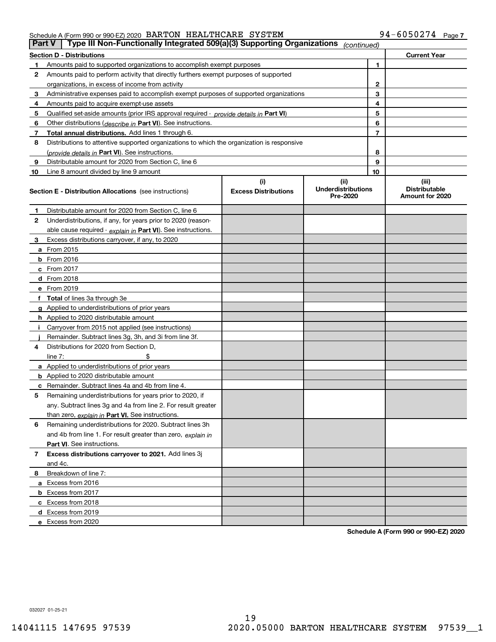### Schedule A (Form 990 or 990-EZ) 2020 Page BARTON HEALTHCARE SYSTEM 94-6050274

|    | Type III Non-Functionally Integrated 509(a)(3) Supporting Organizations<br><b>Part V</b><br>(continued) |                             |                                       |    |                                         |  |  |
|----|---------------------------------------------------------------------------------------------------------|-----------------------------|---------------------------------------|----|-----------------------------------------|--|--|
|    | <b>Section D - Distributions</b>                                                                        |                             |                                       |    | <b>Current Year</b>                     |  |  |
| 1  | Amounts paid to supported organizations to accomplish exempt purposes                                   |                             | 1                                     |    |                                         |  |  |
| 2  | Amounts paid to perform activity that directly furthers exempt purposes of supported                    |                             |                                       |    |                                         |  |  |
|    | organizations, in excess of income from activity                                                        |                             |                                       | 2  |                                         |  |  |
| 3  | Administrative expenses paid to accomplish exempt purposes of supported organizations                   |                             |                                       | 3  |                                         |  |  |
| 4  | Amounts paid to acquire exempt-use assets                                                               |                             |                                       | 4  |                                         |  |  |
| 5  | Qualified set-aside amounts (prior IRS approval required - provide details in Part VI)                  |                             |                                       | 5  |                                         |  |  |
| 6  | Other distributions (describe in Part VI). See instructions.                                            |                             |                                       | 6  |                                         |  |  |
| 7  | Total annual distributions. Add lines 1 through 6.                                                      |                             |                                       | 7  |                                         |  |  |
| 8  | Distributions to attentive supported organizations to which the organization is responsive              |                             |                                       |    |                                         |  |  |
|    | (provide details in Part VI). See instructions.                                                         |                             |                                       | 8  |                                         |  |  |
| 9  | Distributable amount for 2020 from Section C, line 6                                                    |                             |                                       | 9  |                                         |  |  |
| 10 | Line 8 amount divided by line 9 amount                                                                  |                             |                                       | 10 |                                         |  |  |
|    |                                                                                                         | (i)                         | (ii)                                  |    | (iii)                                   |  |  |
|    | <b>Section E - Distribution Allocations</b> (see instructions)                                          | <b>Excess Distributions</b> | <b>Underdistributions</b><br>Pre-2020 |    | <b>Distributable</b><br>Amount for 2020 |  |  |
| 1  | Distributable amount for 2020 from Section C, line 6                                                    |                             |                                       |    |                                         |  |  |
| 2  | Underdistributions, if any, for years prior to 2020 (reason-                                            |                             |                                       |    |                                         |  |  |
|    | able cause required - explain in Part VI). See instructions.                                            |                             |                                       |    |                                         |  |  |
| 3  | Excess distributions carryover, if any, to 2020                                                         |                             |                                       |    |                                         |  |  |
|    | <b>a</b> From 2015                                                                                      |                             |                                       |    |                                         |  |  |
|    | <b>b</b> From 2016                                                                                      |                             |                                       |    |                                         |  |  |
|    | c From 2017                                                                                             |                             |                                       |    |                                         |  |  |
|    | <b>d</b> From 2018                                                                                      |                             |                                       |    |                                         |  |  |
|    | e From 2019                                                                                             |                             |                                       |    |                                         |  |  |
|    | f Total of lines 3a through 3e                                                                          |                             |                                       |    |                                         |  |  |
|    | g Applied to underdistributions of prior years                                                          |                             |                                       |    |                                         |  |  |
|    | <b>h</b> Applied to 2020 distributable amount                                                           |                             |                                       |    |                                         |  |  |
|    | Carryover from 2015 not applied (see instructions)                                                      |                             |                                       |    |                                         |  |  |
|    | Remainder. Subtract lines 3g, 3h, and 3i from line 3f.                                                  |                             |                                       |    |                                         |  |  |
| 4  | Distributions for 2020 from Section D,                                                                  |                             |                                       |    |                                         |  |  |
|    | line $7:$                                                                                               |                             |                                       |    |                                         |  |  |
|    | a Applied to underdistributions of prior years                                                          |                             |                                       |    |                                         |  |  |
|    | <b>b</b> Applied to 2020 distributable amount                                                           |                             |                                       |    |                                         |  |  |
|    | c Remainder. Subtract lines 4a and 4b from line 4.                                                      |                             |                                       |    |                                         |  |  |
| 5  | Remaining underdistributions for years prior to 2020, if                                                |                             |                                       |    |                                         |  |  |
|    | any. Subtract lines 3g and 4a from line 2. For result greater                                           |                             |                                       |    |                                         |  |  |
|    | than zero, explain in Part VI. See instructions.                                                        |                             |                                       |    |                                         |  |  |
| 6  | Remaining underdistributions for 2020. Subtract lines 3h                                                |                             |                                       |    |                                         |  |  |
|    | and 4b from line 1. For result greater than zero, explain in                                            |                             |                                       |    |                                         |  |  |
|    | Part VI. See instructions.                                                                              |                             |                                       |    |                                         |  |  |
| 7  | Excess distributions carryover to 2021. Add lines 3j                                                    |                             |                                       |    |                                         |  |  |
|    | and 4c.                                                                                                 |                             |                                       |    |                                         |  |  |
| 8  | Breakdown of line 7:                                                                                    |                             |                                       |    |                                         |  |  |
|    | a Excess from 2016                                                                                      |                             |                                       |    |                                         |  |  |
|    | <b>b</b> Excess from 2017                                                                               |                             |                                       |    |                                         |  |  |
|    | c Excess from 2018                                                                                      |                             |                                       |    |                                         |  |  |
|    | d Excess from 2019                                                                                      |                             |                                       |    |                                         |  |  |
|    | e Excess from 2020                                                                                      |                             |                                       |    |                                         |  |  |

**Schedule A (Form 990 or 990-EZ) 2020**

032027 01-25-21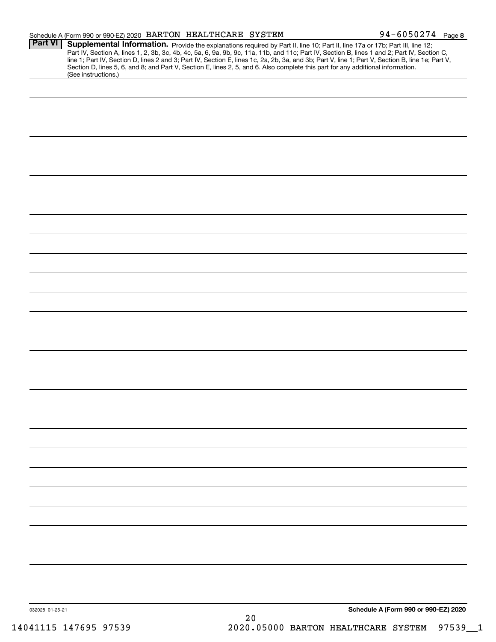|                 | Schedule A (Form 990 or 990-EZ) 2020 BARTON HEALTHCARE SYSTEM |               |                                                                                                                                 | 94-6050274 Page 8                                                                                                                                                                                                                                                                                                                                                                                                                 |
|-----------------|---------------------------------------------------------------|---------------|---------------------------------------------------------------------------------------------------------------------------------|-----------------------------------------------------------------------------------------------------------------------------------------------------------------------------------------------------------------------------------------------------------------------------------------------------------------------------------------------------------------------------------------------------------------------------------|
| <b>Part VI</b>  | (See instructions.)                                           |               | Section D, lines 5, 6, and 8; and Part V, Section E, lines 2, 5, and 6. Also complete this part for any additional information. | Supplemental Information. Provide the explanations required by Part II, line 10; Part II, line 17a or 17b; Part III, line 12;<br>Part IV, Section A, lines 1, 2, 3b, 3c, 4b, 4c, 5a, 6, 9a, 9b, 9c, 11a, 11b, and 11c; Part IV, Section B, lines 1 and 2; Part IV, Section C,<br>line 1; Part IV, Section D, lines 2 and 3; Part IV, Section E, lines 1c, 2a, 2b, 3a, and 3b; Part V, line 1; Part V, Section B, line 1e; Part V, |
|                 |                                                               |               |                                                                                                                                 |                                                                                                                                                                                                                                                                                                                                                                                                                                   |
|                 |                                                               |               |                                                                                                                                 |                                                                                                                                                                                                                                                                                                                                                                                                                                   |
|                 |                                                               |               |                                                                                                                                 |                                                                                                                                                                                                                                                                                                                                                                                                                                   |
|                 |                                                               |               |                                                                                                                                 |                                                                                                                                                                                                                                                                                                                                                                                                                                   |
|                 |                                                               |               |                                                                                                                                 |                                                                                                                                                                                                                                                                                                                                                                                                                                   |
|                 |                                                               |               |                                                                                                                                 |                                                                                                                                                                                                                                                                                                                                                                                                                                   |
|                 |                                                               |               |                                                                                                                                 |                                                                                                                                                                                                                                                                                                                                                                                                                                   |
|                 |                                                               |               |                                                                                                                                 |                                                                                                                                                                                                                                                                                                                                                                                                                                   |
|                 |                                                               |               |                                                                                                                                 |                                                                                                                                                                                                                                                                                                                                                                                                                                   |
|                 |                                                               |               |                                                                                                                                 |                                                                                                                                                                                                                                                                                                                                                                                                                                   |
|                 |                                                               |               |                                                                                                                                 |                                                                                                                                                                                                                                                                                                                                                                                                                                   |
|                 |                                                               |               |                                                                                                                                 |                                                                                                                                                                                                                                                                                                                                                                                                                                   |
|                 |                                                               |               |                                                                                                                                 |                                                                                                                                                                                                                                                                                                                                                                                                                                   |
|                 |                                                               |               |                                                                                                                                 |                                                                                                                                                                                                                                                                                                                                                                                                                                   |
|                 |                                                               |               |                                                                                                                                 |                                                                                                                                                                                                                                                                                                                                                                                                                                   |
|                 |                                                               |               |                                                                                                                                 |                                                                                                                                                                                                                                                                                                                                                                                                                                   |
|                 |                                                               |               |                                                                                                                                 |                                                                                                                                                                                                                                                                                                                                                                                                                                   |
|                 |                                                               |               |                                                                                                                                 |                                                                                                                                                                                                                                                                                                                                                                                                                                   |
|                 |                                                               |               |                                                                                                                                 |                                                                                                                                                                                                                                                                                                                                                                                                                                   |
|                 |                                                               |               |                                                                                                                                 |                                                                                                                                                                                                                                                                                                                                                                                                                                   |
|                 |                                                               |               |                                                                                                                                 |                                                                                                                                                                                                                                                                                                                                                                                                                                   |
|                 |                                                               |               |                                                                                                                                 |                                                                                                                                                                                                                                                                                                                                                                                                                                   |
|                 |                                                               |               |                                                                                                                                 |                                                                                                                                                                                                                                                                                                                                                                                                                                   |
|                 |                                                               |               |                                                                                                                                 |                                                                                                                                                                                                                                                                                                                                                                                                                                   |
|                 |                                                               |               |                                                                                                                                 |                                                                                                                                                                                                                                                                                                                                                                                                                                   |
|                 |                                                               |               |                                                                                                                                 |                                                                                                                                                                                                                                                                                                                                                                                                                                   |
|                 |                                                               |               |                                                                                                                                 |                                                                                                                                                                                                                                                                                                                                                                                                                                   |
|                 |                                                               |               |                                                                                                                                 |                                                                                                                                                                                                                                                                                                                                                                                                                                   |
| 032028 01-25-21 |                                                               | $\sim$ $\sim$ |                                                                                                                                 | Schedule A (Form 990 or 990-EZ) 2020                                                                                                                                                                                                                                                                                                                                                                                              |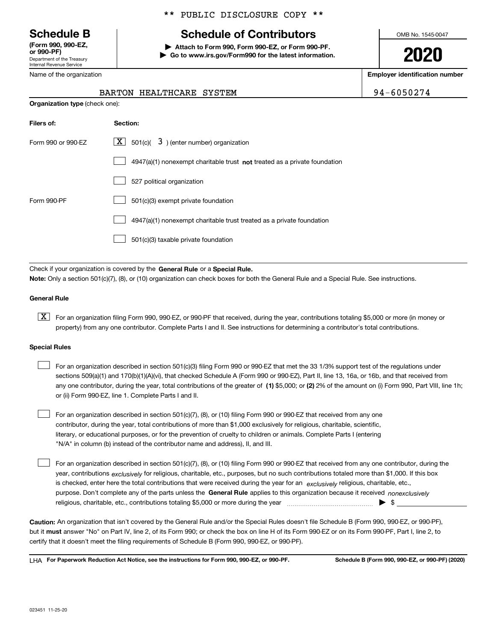Department of the Treasury Internal Revenue Service **(Form 990, 990-EZ, or 990-PF)**

Name of the organization

### \*\* PUBLIC DISCLOSURE COPY \*\*

# **Schedule B Schedule of Contributors**

**| Attach to Form 990, Form 990-EZ, or Form 990-PF. | Go to www.irs.gov/Form990 for the latest information.** OMB No. 1545-0047

**2020**

**Employer identification number**

BARTON HEALTHCARE SYSTEM **194-6050274** 

| <b>Organization type (check one):</b> |                                                                             |  |  |  |  |
|---------------------------------------|-----------------------------------------------------------------------------|--|--|--|--|
| Filers of:                            | Section:                                                                    |  |  |  |  |
| Form 990 or 990-EZ                    | $\lfloor x \rfloor$ 501(c)( 3) (enter number) organization                  |  |  |  |  |
|                                       | $4947(a)(1)$ nonexempt charitable trust not treated as a private foundation |  |  |  |  |
|                                       | 527 political organization                                                  |  |  |  |  |

|             | $\cup$ 327 political organization                                     |
|-------------|-----------------------------------------------------------------------|
| Form 990-PF | 501(c)(3) exempt private foundation                                   |
|             | 4947(a)(1) nonexempt charitable trust treated as a private foundation |
|             | 501(c)(3) taxable private foundation                                  |
|             |                                                                       |

Check if your organization is covered by the **General Rule** or a **Special Rule. Note:**  Only a section 501(c)(7), (8), or (10) organization can check boxes for both the General Rule and a Special Rule. See instructions.

### **General Rule**

 $\boxed{\textbf{X}}$  For an organization filing Form 990, 990-EZ, or 990-PF that received, during the year, contributions totaling \$5,000 or more (in money or property) from any one contributor. Complete Parts I and II. See instructions for determining a contributor's total contributions.

### **Special Rules**

| For an organization described in section 501(c)(3) filing Form 990 or 990-EZ that met the 33 1/3% support test of the regulations under               |
|-------------------------------------------------------------------------------------------------------------------------------------------------------|
| sections 509(a)(1) and 170(b)(1)(A)(vi), that checked Schedule A (Form 990 or 990-EZ), Part II, line 13, 16a, or 16b, and that received from          |
| any one contributor, during the year, total contributions of the greater of (1) \$5,000; or (2) 2% of the amount on (i) Form 990, Part VIII, line 1h; |
| or (ii) Form 990-EZ, line 1. Complete Parts I and II.                                                                                                 |

For an organization described in section 501(c)(7), (8), or (10) filing Form 990 or 990-EZ that received from any one contributor, during the year, total contributions of more than \$1,000 exclusively for religious, charitable, scientific, literary, or educational purposes, or for the prevention of cruelty to children or animals. Complete Parts I (entering "N/A" in column (b) instead of the contributor name and address), II, and III.  $\mathcal{L}^{\text{max}}$ 

purpose. Don't complete any of the parts unless the **General Rule** applies to this organization because it received *nonexclusively* year, contributions <sub>exclusively</sub> for religious, charitable, etc., purposes, but no such contributions totaled more than \$1,000. If this box is checked, enter here the total contributions that were received during the year for an  $\;$ exclusively religious, charitable, etc., For an organization described in section 501(c)(7), (8), or (10) filing Form 990 or 990-EZ that received from any one contributor, during the religious, charitable, etc., contributions totaling \$5,000 or more during the year  $\Box$ — $\Box$   $\Box$  $\mathcal{L}^{\text{max}}$ 

**Caution:**  An organization that isn't covered by the General Rule and/or the Special Rules doesn't file Schedule B (Form 990, 990-EZ, or 990-PF),  **must** but it answer "No" on Part IV, line 2, of its Form 990; or check the box on line H of its Form 990-EZ or on its Form 990-PF, Part I, line 2, to certify that it doesn't meet the filing requirements of Schedule B (Form 990, 990-EZ, or 990-PF).

**For Paperwork Reduction Act Notice, see the instructions for Form 990, 990-EZ, or 990-PF. Schedule B (Form 990, 990-EZ, or 990-PF) (2020)** LHA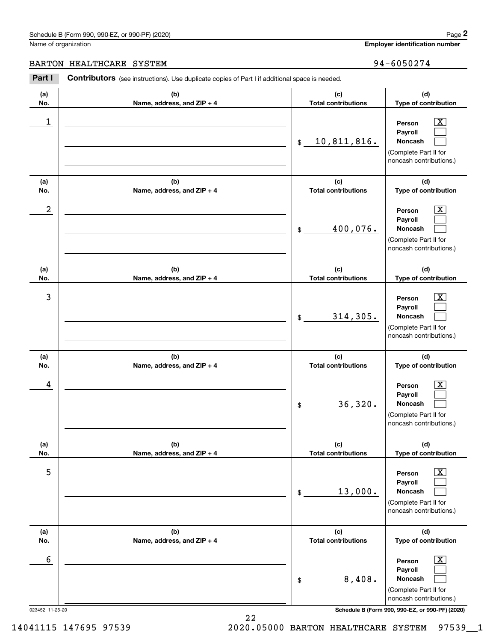|                      | Schedule B (Form 990, 990-EZ, or 990-PF) (2020)                                                |                                   | Page 2                                                                                                        |
|----------------------|------------------------------------------------------------------------------------------------|-----------------------------------|---------------------------------------------------------------------------------------------------------------|
| Name of organization |                                                                                                |                                   | <b>Employer identification number</b>                                                                         |
| <b>BARTON</b>        | HEALTHCARE SYSTEM                                                                              |                                   | 94-6050274                                                                                                    |
| Part I               | Contributors (see instructions). Use duplicate copies of Part I if additional space is needed. |                                   |                                                                                                               |
| (a)<br>No.           | (b)<br>Name, address, and ZIP + 4                                                              | (c)<br><b>Total contributions</b> | (d)<br>Type of contribution                                                                                   |
| 1                    |                                                                                                | 10,811,816.<br>\$                 | $\overline{\mathbf{X}}$<br>Person<br>Payroll<br>Noncash<br>(Complete Part II for<br>noncash contributions.)   |
| (a)<br>No.           | (b)<br>Name, address, and ZIP + 4                                                              | (c)<br><b>Total contributions</b> | (d)<br>Type of contribution                                                                                   |
| $\boldsymbol{2}$     |                                                                                                | 400,076.<br>\$                    | $\overline{\mathbf{X}}$<br>Person<br>Payroll<br>Noncash<br>(Complete Part II for<br>noncash contributions.)   |
| (a)<br>No.           | (b)<br>Name, address, and ZIP + 4                                                              | (c)<br><b>Total contributions</b> | (d)<br>Type of contribution                                                                                   |
| 3                    |                                                                                                | 314,305.<br>\$                    | $\overline{\mathbf{X}}$<br>Person<br>Payroll<br>Noncash<br>(Complete Part II for<br>noncash contributions.)   |
| (a)<br>No.           | (b)<br>Name, address, and ZIP + 4                                                              | (c)<br><b>Total contributions</b> | (d)<br>Type of contribution                                                                                   |
| 4                    |                                                                                                | 36,320.<br>\$                     | $\mathbf{X}$<br>Person<br>Payroll<br>Noncash<br>(Complete Part II for<br>noncash contributions.)              |
| (a)<br>No.           | (b)<br>Name, address, and ZIP + 4                                                              | (c)<br><b>Total contributions</b> | (d)<br>Type of contribution                                                                                   |
| 5                    |                                                                                                | 13,000.<br>\$                     | $\boxed{\text{X}}$<br>Person<br>Payroll<br><b>Noncash</b><br>(Complete Part II for<br>noncash contributions.) |
| (a)<br>No.           | (b)<br>Name, address, and ZIP + 4                                                              | (c)<br><b>Total contributions</b> | (d)<br>Type of contribution                                                                                   |
| 6                    |                                                                                                | 8,408.<br>\$                      | $\boxed{\text{X}}$<br>Person<br>Payroll<br>Noncash<br>(Complete Part II for<br>noncash contributions.)        |

023452 11-25-20 **Schedule B (Form 990, 990-EZ, or 990-PF) (2020)**

14041115 147695 97539 2020.05000 BARTON HEALTHCARE SYSTEM 97539\_\_1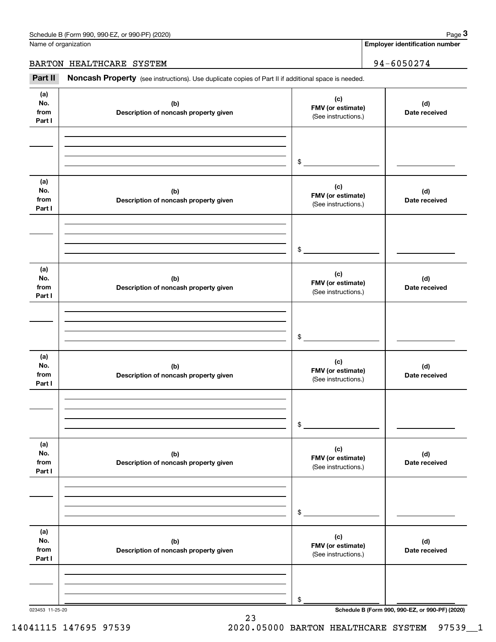Name of organization

**Employer identification number**

BARTON HEALTHCARE SYSTEM 34-6050274

Chedule B (Form 990, 990-EZ, or 990-PF) (2020)<br> **3Part II is additional space is needed.**<br> **3Part II is ADDITED Noncash Property** (see instructions). Use duplicate copies of Part II if additional space is needed.

| (a)<br>No.<br>from<br>Part I | (b)<br>Description of noncash property given | (c)<br>FMV (or estimate)<br>(See instructions.) | (d)<br>Date received |
|------------------------------|----------------------------------------------|-------------------------------------------------|----------------------|
|                              |                                              | $\sim$                                          |                      |
| (a)<br>No.<br>from<br>Part I | (b)<br>Description of noncash property given | (c)<br>FMV (or estimate)<br>(See instructions.) | (d)<br>Date received |
|                              |                                              | $\sim$                                          |                      |
| (a)<br>No.<br>from<br>Part I | (b)<br>Description of noncash property given | (c)<br>FMV (or estimate)<br>(See instructions.) | (d)<br>Date received |
|                              |                                              | $\sim$                                          |                      |
| (a)<br>No.<br>from<br>Part I | (b)<br>Description of noncash property given | (c)<br>FMV (or estimate)<br>(See instructions.) | (d)<br>Date received |
|                              |                                              | $\frac{1}{2}$                                   |                      |
| (a)<br>No.<br>from<br>Part I | (b)<br>Description of noncash property given | (c)<br>FMV (or estimate)<br>(See instructions.) | (d)<br>Date received |
|                              |                                              | \$                                              |                      |
| (a)<br>No.<br>from<br>Part I | (b)<br>Description of noncash property given | (c)<br>FMV (or estimate)<br>(See instructions.) | (d)<br>Date received |
|                              |                                              | \$                                              |                      |

23

023453 11-25-20 **Schedule B (Form 990, 990-EZ, or 990-PF) (2020)**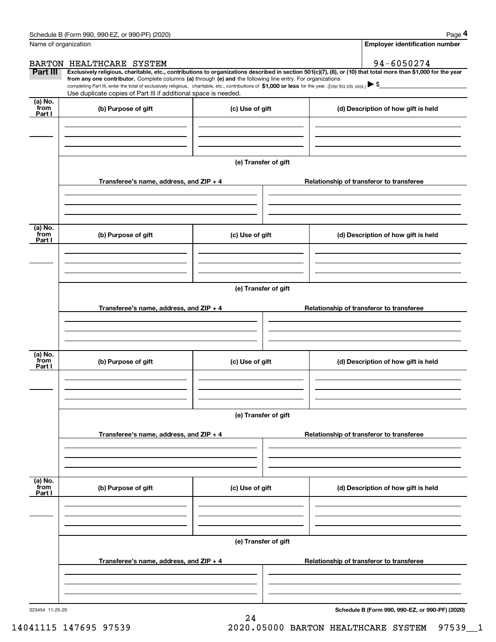|                           | Schedule B (Form 990, 990-EZ, or 990-PF) (2020)                                                                                                                                                                                                                                                                                                                                                                                                                                                                                      |                      |                                          | Page 4                                |  |
|---------------------------|--------------------------------------------------------------------------------------------------------------------------------------------------------------------------------------------------------------------------------------------------------------------------------------------------------------------------------------------------------------------------------------------------------------------------------------------------------------------------------------------------------------------------------------|----------------------|------------------------------------------|---------------------------------------|--|
| Name of organization      |                                                                                                                                                                                                                                                                                                                                                                                                                                                                                                                                      |                      |                                          | <b>Employer identification number</b> |  |
|                           | BARTON HEALTHCARE SYSTEM                                                                                                                                                                                                                                                                                                                                                                                                                                                                                                             |                      |                                          | 94-6050274                            |  |
| Part III                  | Exclusively religious, charitable, etc., contributions to organizations described in section 501(c)(7), (8), or (10) that total more than \$1,000 for the year<br>from any one contributor. Complete columns (a) through (e) and the following line entry. For organizations<br>completing Part III, enter the total of exclusively religious, charitable, etc., contributions of \$1,000 or less for the year. (Enter this info. once.) $\blacktriangleright$ \$<br>Use duplicate copies of Part III if additional space is needed. |                      |                                          |                                       |  |
| (a) No.<br>from<br>Part I | (b) Purpose of gift                                                                                                                                                                                                                                                                                                                                                                                                                                                                                                                  | (c) Use of gift      |                                          | (d) Description of how gift is held   |  |
|                           |                                                                                                                                                                                                                                                                                                                                                                                                                                                                                                                                      |                      |                                          |                                       |  |
|                           |                                                                                                                                                                                                                                                                                                                                                                                                                                                                                                                                      | (e) Transfer of gift |                                          |                                       |  |
|                           | Transferee's name, address, and $ZIP + 4$                                                                                                                                                                                                                                                                                                                                                                                                                                                                                            |                      | Relationship of transferor to transferee |                                       |  |
| (a) No.<br>from<br>Part I | (b) Purpose of gift                                                                                                                                                                                                                                                                                                                                                                                                                                                                                                                  | (c) Use of gift      |                                          | (d) Description of how gift is held   |  |
|                           |                                                                                                                                                                                                                                                                                                                                                                                                                                                                                                                                      |                      |                                          |                                       |  |
|                           |                                                                                                                                                                                                                                                                                                                                                                                                                                                                                                                                      |                      |                                          |                                       |  |
|                           | Transferee's name, address, and ZIP + 4                                                                                                                                                                                                                                                                                                                                                                                                                                                                                              |                      | Relationship of transferor to transferee |                                       |  |
| (a) No.<br>from<br>Part I | (b) Purpose of gift                                                                                                                                                                                                                                                                                                                                                                                                                                                                                                                  | (c) Use of gift      |                                          | (d) Description of how gift is held   |  |
|                           |                                                                                                                                                                                                                                                                                                                                                                                                                                                                                                                                      | (e) Transfer of gift |                                          |                                       |  |
|                           | Transferee's name, address, and ZIP + 4                                                                                                                                                                                                                                                                                                                                                                                                                                                                                              |                      | Relationship of transferor to transferee |                                       |  |
| (a) No.<br>from           | (b) Purpose of gift                                                                                                                                                                                                                                                                                                                                                                                                                                                                                                                  | (c) Use of gift      |                                          | (d) Description of how gift is held   |  |
| Part I                    |                                                                                                                                                                                                                                                                                                                                                                                                                                                                                                                                      |                      |                                          |                                       |  |
|                           |                                                                                                                                                                                                                                                                                                                                                                                                                                                                                                                                      | (e) Transfer of gift |                                          |                                       |  |
|                           | Transferee's name, address, and ZIP + 4                                                                                                                                                                                                                                                                                                                                                                                                                                                                                              |                      | Relationship of transferor to transferee |                                       |  |
|                           |                                                                                                                                                                                                                                                                                                                                                                                                                                                                                                                                      |                      |                                          |                                       |  |

24

**Schedule B (Form 990, 990-EZ, or 990-PF) (2020)**

14041115 147695 97539 2020.05000 BARTON HEALTHCARE SYSTEM 97539\_\_1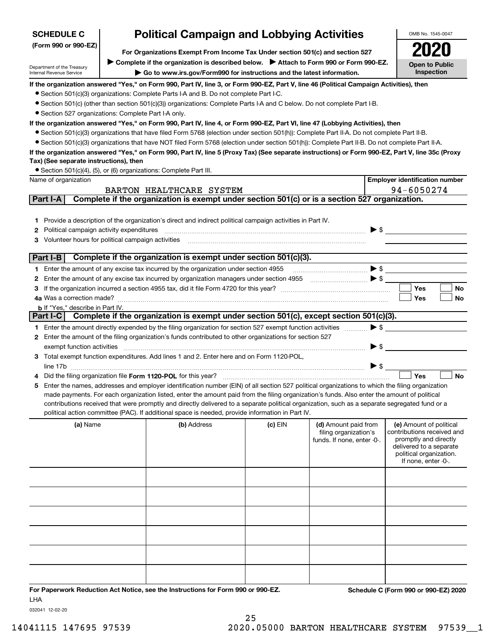| <b>SCHEDULE C</b>                                      | <b>Political Campaign and Lobbying Activities</b>                                                                              |                                                                                                                                                                                                                                                    |         | OMB No. 1545-0047                                                           |                                                                                                                                                             |  |  |  |  |
|--------------------------------------------------------|--------------------------------------------------------------------------------------------------------------------------------|----------------------------------------------------------------------------------------------------------------------------------------------------------------------------------------------------------------------------------------------------|---------|-----------------------------------------------------------------------------|-------------------------------------------------------------------------------------------------------------------------------------------------------------|--|--|--|--|
| (Form 990 or 990-EZ)                                   |                                                                                                                                |                                                                                                                                                                                                                                                    |         |                                                                             |                                                                                                                                                             |  |  |  |  |
|                                                        |                                                                                                                                | For Organizations Exempt From Income Tax Under section 501(c) and section 527<br>Complete if the organization is described below.<br>> Attach to Form 990 or Form 990-EZ.                                                                          |         |                                                                             |                                                                                                                                                             |  |  |  |  |
| Department of the Treasury<br>Internal Revenue Service |                                                                                                                                | Go to www.irs.gov/Form990 for instructions and the latest information.                                                                                                                                                                             |         |                                                                             | <b>Open to Public</b><br>Inspection                                                                                                                         |  |  |  |  |
|                                                        |                                                                                                                                | If the organization answered "Yes," on Form 990, Part IV, line 3, or Form 990-EZ, Part V, line 46 (Political Campaign Activities), then                                                                                                            |         |                                                                             |                                                                                                                                                             |  |  |  |  |
|                                                        |                                                                                                                                | • Section 501(c)(3) organizations: Complete Parts I-A and B. Do not complete Part I-C.                                                                                                                                                             |         |                                                                             |                                                                                                                                                             |  |  |  |  |
|                                                        |                                                                                                                                | • Section 501(c) (other than section 501(c)(3)) organizations: Complete Parts I-A and C below. Do not complete Part I-B.                                                                                                                           |         |                                                                             |                                                                                                                                                             |  |  |  |  |
|                                                        | • Section 527 organizations: Complete Part I-A only.                                                                           |                                                                                                                                                                                                                                                    |         |                                                                             |                                                                                                                                                             |  |  |  |  |
|                                                        | If the organization answered "Yes," on Form 990, Part IV, line 4, or Form 990-EZ, Part VI, line 47 (Lobbying Activities), then |                                                                                                                                                                                                                                                    |         |                                                                             |                                                                                                                                                             |  |  |  |  |
|                                                        |                                                                                                                                | • Section 501(c)(3) organizations that have filed Form 5768 (election under section 501(h)): Complete Part II-A. Do not complete Part II-B.                                                                                                        |         |                                                                             |                                                                                                                                                             |  |  |  |  |
|                                                        |                                                                                                                                | • Section 501(c)(3) organizations that have NOT filed Form 5768 (election under section 501(h)): Complete Part II-B. Do not complete Part II-A.                                                                                                    |         |                                                                             |                                                                                                                                                             |  |  |  |  |
| Tax) (See separate instructions), then                 |                                                                                                                                | If the organization answered "Yes," on Form 990, Part IV, line 5 (Proxy Tax) (See separate instructions) or Form 990-EZ, Part V, line 35c (Proxy                                                                                                   |         |                                                                             |                                                                                                                                                             |  |  |  |  |
|                                                        |                                                                                                                                | • Section 501(c)(4), (5), or (6) organizations: Complete Part III.                                                                                                                                                                                 |         |                                                                             |                                                                                                                                                             |  |  |  |  |
| Name of organization                                   |                                                                                                                                |                                                                                                                                                                                                                                                    |         |                                                                             | <b>Employer identification number</b>                                                                                                                       |  |  |  |  |
|                                                        |                                                                                                                                | BARTON HEALTHCARE SYSTEM                                                                                                                                                                                                                           |         |                                                                             | 94-6050274                                                                                                                                                  |  |  |  |  |
| Part I-A                                               |                                                                                                                                | Complete if the organization is exempt under section 501(c) or is a section 527 organization.                                                                                                                                                      |         |                                                                             |                                                                                                                                                             |  |  |  |  |
|                                                        |                                                                                                                                |                                                                                                                                                                                                                                                    |         |                                                                             |                                                                                                                                                             |  |  |  |  |
|                                                        |                                                                                                                                | 1 Provide a description of the organization's direct and indirect political campaign activities in Part IV.                                                                                                                                        |         |                                                                             |                                                                                                                                                             |  |  |  |  |
| <b>2</b> Political campaign activity expenditures      |                                                                                                                                |                                                                                                                                                                                                                                                    |         | $\blacktriangleright$ \$                                                    |                                                                                                                                                             |  |  |  |  |
| Volunteer hours for political campaign activities<br>3 |                                                                                                                                |                                                                                                                                                                                                                                                    |         |                                                                             |                                                                                                                                                             |  |  |  |  |
| Part I-B                                               |                                                                                                                                | Complete if the organization is exempt under section 501(c)(3).                                                                                                                                                                                    |         |                                                                             |                                                                                                                                                             |  |  |  |  |
|                                                        |                                                                                                                                | 1 Enter the amount of any excise tax incurred by the organization under section 4955                                                                                                                                                               |         | $\blacktriangleright$ \$                                                    |                                                                                                                                                             |  |  |  |  |
|                                                        |                                                                                                                                | 2 Enter the amount of any excise tax incurred by organization managers under section 4955                                                                                                                                                          |         | $\overline{\phantom{a}}$                                                    |                                                                                                                                                             |  |  |  |  |
| з                                                      |                                                                                                                                |                                                                                                                                                                                                                                                    |         |                                                                             | <b>Yes</b><br>No                                                                                                                                            |  |  |  |  |
| 4a Was a correction made?                              |                                                                                                                                |                                                                                                                                                                                                                                                    |         |                                                                             | Yes<br>No                                                                                                                                                   |  |  |  |  |
| <b>b</b> If "Yes," describe in Part IV.                |                                                                                                                                |                                                                                                                                                                                                                                                    |         |                                                                             |                                                                                                                                                             |  |  |  |  |
| Part I-C                                               |                                                                                                                                | Complete if the organization is exempt under section 501(c), except section 501(c)(3).                                                                                                                                                             |         |                                                                             |                                                                                                                                                             |  |  |  |  |
|                                                        |                                                                                                                                | 1 Enter the amount directly expended by the filing organization for section 527 exempt function activities                                                                                                                                         |         | $\blacktriangleright$ \$                                                    |                                                                                                                                                             |  |  |  |  |
| exempt function activities                             |                                                                                                                                | 2 Enter the amount of the filing organization's funds contributed to other organizations for section 527                                                                                                                                           |         | $\blacktriangleright$ \$                                                    |                                                                                                                                                             |  |  |  |  |
|                                                        |                                                                                                                                | 3 Total exempt function expenditures. Add lines 1 and 2. Enter here and on Form 1120-POL,                                                                                                                                                          |         |                                                                             |                                                                                                                                                             |  |  |  |  |
|                                                        |                                                                                                                                |                                                                                                                                                                                                                                                    |         | $\blacktriangleright$ \$                                                    |                                                                                                                                                             |  |  |  |  |
|                                                        |                                                                                                                                | Did the filing organization file Form 1120-POL for this year?                                                                                                                                                                                      |         |                                                                             | Yes<br><b>No</b>                                                                                                                                            |  |  |  |  |
|                                                        |                                                                                                                                | 5 Enter the names, addresses and employer identification number (EIN) of all section 527 political organizations to which the filing organization                                                                                                  |         |                                                                             |                                                                                                                                                             |  |  |  |  |
|                                                        |                                                                                                                                | made payments. For each organization listed, enter the amount paid from the filing organization's funds. Also enter the amount of political                                                                                                        |         |                                                                             |                                                                                                                                                             |  |  |  |  |
|                                                        |                                                                                                                                | contributions received that were promptly and directly delivered to a separate political organization, such as a separate segregated fund or a<br>political action committee (PAC). If additional space is needed, provide information in Part IV. |         |                                                                             |                                                                                                                                                             |  |  |  |  |
|                                                        |                                                                                                                                |                                                                                                                                                                                                                                                    |         |                                                                             |                                                                                                                                                             |  |  |  |  |
| (a) Name                                               |                                                                                                                                | (b) Address                                                                                                                                                                                                                                        | (c) EIN | (d) Amount paid from<br>filing organization's<br>funds. If none, enter -0-. | (e) Amount of political<br>contributions received and<br>promptly and directly<br>delivered to a separate<br>political organization.<br>If none, enter -0-. |  |  |  |  |
|                                                        |                                                                                                                                |                                                                                                                                                                                                                                                    |         |                                                                             |                                                                                                                                                             |  |  |  |  |
|                                                        |                                                                                                                                |                                                                                                                                                                                                                                                    |         |                                                                             |                                                                                                                                                             |  |  |  |  |
|                                                        |                                                                                                                                |                                                                                                                                                                                                                                                    |         |                                                                             |                                                                                                                                                             |  |  |  |  |
|                                                        |                                                                                                                                |                                                                                                                                                                                                                                                    |         |                                                                             |                                                                                                                                                             |  |  |  |  |
|                                                        |                                                                                                                                |                                                                                                                                                                                                                                                    |         |                                                                             |                                                                                                                                                             |  |  |  |  |
|                                                        |                                                                                                                                |                                                                                                                                                                                                                                                    |         |                                                                             |                                                                                                                                                             |  |  |  |  |
|                                                        |                                                                                                                                | For Paperwork Reduction Act Notice, see the Instructions for Form 990 or 990-EZ.                                                                                                                                                                   |         |                                                                             | Schedule C (Form 990 or 990-EZ) 2020                                                                                                                        |  |  |  |  |

LHA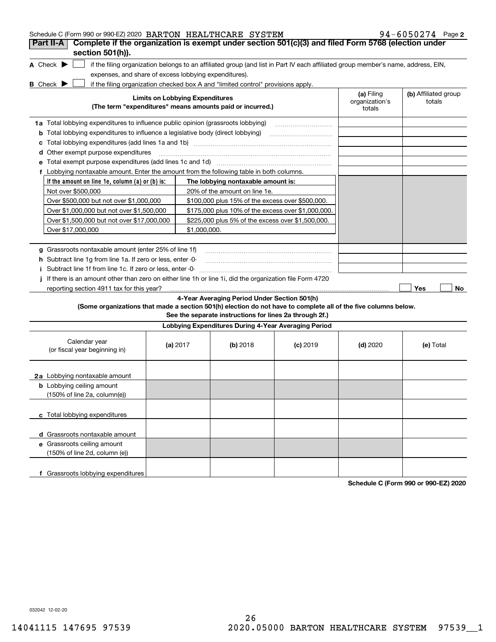| Schedule C (Form 990 or 990-EZ) 2020 BARTON HEALTHCARE SYSTEM                                                                       |                                        |              |                                                                                                                                               |                                                                                                                                   |                                        | $94 - 6050274$ Page 2          |
|-------------------------------------------------------------------------------------------------------------------------------------|----------------------------------------|--------------|-----------------------------------------------------------------------------------------------------------------------------------------------|-----------------------------------------------------------------------------------------------------------------------------------|----------------------------------------|--------------------------------|
| Complete if the organization is exempt under section 501(c)(3) and filed Form 5768 (election under<br>Part II-A<br>section 501(h)). |                                        |              |                                                                                                                                               |                                                                                                                                   |                                        |                                |
| A Check $\blacktriangleright$<br>expenses, and share of excess lobbying expenditures).                                              |                                        |              |                                                                                                                                               | if the filing organization belongs to an affiliated group (and list in Part IV each affiliated group member's name, address, EIN, |                                        |                                |
| <b>B</b> Check $\blacktriangleright$                                                                                                | <b>Limits on Lobbying Expenditures</b> |              | if the filing organization checked box A and "limited control" provisions apply.<br>(The term "expenditures" means amounts paid or incurred.) |                                                                                                                                   | (a) Filing<br>organization's<br>totals | (b) Affiliated group<br>totals |
| 1a Total lobbying expenditures to influence public opinion (grassroots lobbying)                                                    |                                        |              |                                                                                                                                               |                                                                                                                                   |                                        |                                |
| <b>b</b> Total lobbying expenditures to influence a legislative body (direct lobbying)                                              |                                        |              |                                                                                                                                               |                                                                                                                                   |                                        |                                |
| с                                                                                                                                   |                                        |              |                                                                                                                                               |                                                                                                                                   |                                        |                                |
| <b>d</b> Other exempt purpose expenditures                                                                                          |                                        |              |                                                                                                                                               |                                                                                                                                   |                                        |                                |
| е                                                                                                                                   |                                        |              |                                                                                                                                               |                                                                                                                                   |                                        |                                |
| f Lobbying nontaxable amount. Enter the amount from the following table in both columns.                                            |                                        |              |                                                                                                                                               |                                                                                                                                   |                                        |                                |
| If the amount on line 1e, column $(a)$ or $(b)$ is:                                                                                 |                                        |              | The lobbying nontaxable amount is:                                                                                                            |                                                                                                                                   |                                        |                                |
| Not over \$500,000                                                                                                                  |                                        |              | 20% of the amount on line 1e.                                                                                                                 |                                                                                                                                   |                                        |                                |
| Over \$500,000 but not over \$1,000,000                                                                                             |                                        |              | \$100,000 plus 15% of the excess over \$500,000.                                                                                              |                                                                                                                                   |                                        |                                |
| Over \$1,000,000 but not over \$1,500,000                                                                                           |                                        |              | \$175,000 plus 10% of the excess over \$1,000,000.                                                                                            |                                                                                                                                   |                                        |                                |
| Over \$1,500,000 but not over \$17,000,000                                                                                          |                                        |              | \$225,000 plus 5% of the excess over \$1,500,000.                                                                                             |                                                                                                                                   |                                        |                                |
| Over \$17,000,000                                                                                                                   |                                        | \$1,000,000. |                                                                                                                                               |                                                                                                                                   |                                        |                                |
|                                                                                                                                     |                                        |              |                                                                                                                                               |                                                                                                                                   |                                        |                                |
| g Grassroots nontaxable amount (enter 25% of line 1f)                                                                               |                                        |              |                                                                                                                                               |                                                                                                                                   |                                        |                                |
| h Subtract line 1g from line 1a. If zero or less, enter -0-                                                                         |                                        |              |                                                                                                                                               |                                                                                                                                   |                                        |                                |
| Subtract line 1f from line 1c. If zero or less, enter -0-<br>Ť.                                                                     |                                        |              |                                                                                                                                               |                                                                                                                                   |                                        |                                |
| If there is an amount other than zero on either line 1h or line 1i, did the organization file Form 4720                             |                                        |              |                                                                                                                                               |                                                                                                                                   |                                        |                                |
| reporting section 4911 tax for this year?                                                                                           |                                        |              |                                                                                                                                               |                                                                                                                                   |                                        | Yes<br>No                      |
| (Some organizations that made a section 501(h) election do not have to complete all of the five columns below.                      |                                        |              | 4-Year Averaging Period Under Section 501(h)<br>See the separate instructions for lines 2a through 2f.)                                       |                                                                                                                                   |                                        |                                |
|                                                                                                                                     |                                        |              | Lobbying Expenditures During 4-Year Averaging Period                                                                                          |                                                                                                                                   |                                        |                                |
|                                                                                                                                     |                                        |              |                                                                                                                                               |                                                                                                                                   |                                        |                                |
| Calendar year<br>(or fiscal year beginning in)                                                                                      | (a) $2017$                             |              | $(b)$ 2018                                                                                                                                    | $(c)$ 2019                                                                                                                        | $(d)$ 2020                             | (e) Total                      |
| 2a Lobbying nontaxable amount                                                                                                       |                                        |              |                                                                                                                                               |                                                                                                                                   |                                        |                                |
| <b>b</b> Lobbying ceiling amount<br>(150% of line 2a, column(e))                                                                    |                                        |              |                                                                                                                                               |                                                                                                                                   |                                        |                                |
| c Total lobbying expenditures                                                                                                       |                                        |              |                                                                                                                                               |                                                                                                                                   |                                        |                                |
| d Grassroots nontaxable amount                                                                                                      |                                        |              |                                                                                                                                               |                                                                                                                                   |                                        |                                |
| e Grassroots ceiling amount                                                                                                         |                                        |              |                                                                                                                                               |                                                                                                                                   |                                        |                                |
| (150% of line 2d, column (e))                                                                                                       |                                        |              |                                                                                                                                               |                                                                                                                                   |                                        |                                |
| f Grassroots lobbying expenditures                                                                                                  |                                        |              |                                                                                                                                               |                                                                                                                                   |                                        |                                |

**Schedule C (Form 990 or 990-EZ) 2020**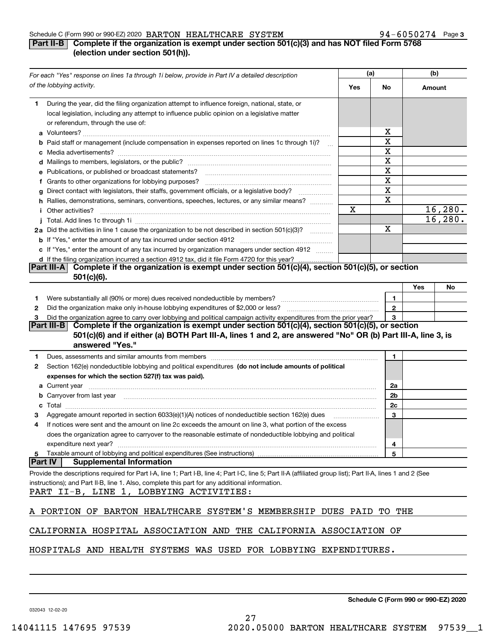### Schedule C (Form 990 or 990-EZ) 2020  $\,$  BARTON  $\,$  HEALTHCARE  $\,$  SYSTEM  $\,$   $\,$   $\,$   $\,$   $\,$  94  $-$  6050274  $\,$  Page

### **3**

### **Part II-B** Complete if the organization is exempt under section 501(c)(3) and has NOT filed Form 5768 **(election under section 501(h)).**

|         | For each "Yes" response on lines 1a through 1i below, provide in Part IV a detailed description                                                                                                                                      |     | (a) |              | (b)    |          |
|---------|--------------------------------------------------------------------------------------------------------------------------------------------------------------------------------------------------------------------------------------|-----|-----|--------------|--------|----------|
|         | of the lobbying activity.                                                                                                                                                                                                            | Yes |     | No           | Amount |          |
| 1.      | During the year, did the filing organization attempt to influence foreign, national, state, or<br>local legislation, including any attempt to influence public opinion on a legislative matter<br>or referendum, through the use of: |     |     |              |        |          |
|         |                                                                                                                                                                                                                                      |     |     | х            |        |          |
|         | b Paid staff or management (include compensation in expenses reported on lines 1c through 1i)?                                                                                                                                       |     |     | X            |        |          |
|         |                                                                                                                                                                                                                                      |     |     | Χ            |        |          |
|         |                                                                                                                                                                                                                                      |     |     | X            |        |          |
|         | e Publications, or published or broadcast statements?                                                                                                                                                                                |     |     | X            |        |          |
|         | f Grants to other organizations for lobbying purposes?                                                                                                                                                                               |     |     | X            |        |          |
|         | g Direct contact with legislators, their staffs, government officials, or a legislative body?                                                                                                                                        |     |     | X            |        |          |
|         | .<br>h Rallies, demonstrations, seminars, conventions, speeches, lectures, or any similar means?                                                                                                                                     |     |     | X            |        |          |
|         | <i>i</i> Other activities?                                                                                                                                                                                                           | Χ   |     |              |        | 16, 280. |
|         |                                                                                                                                                                                                                                      |     |     |              |        | 16, 280. |
|         | 2a Did the activities in line 1 cause the organization to be not described in section 501(c)(3)?                                                                                                                                     |     |     | X            |        |          |
|         |                                                                                                                                                                                                                                      |     |     |              |        |          |
|         | c If "Yes," enter the amount of any tax incurred by organization managers under section 4912                                                                                                                                         |     |     |              |        |          |
|         | d If the filing organization incurred a section 4912 tax, did it file Form 4720 for this year?                                                                                                                                       |     |     |              |        |          |
|         | Complete if the organization is exempt under section 501(c)(4), section 501(c)(5), or section<br> Part III-A                                                                                                                         |     |     |              |        |          |
|         | $501(c)(6)$ .                                                                                                                                                                                                                        |     |     |              |        |          |
|         |                                                                                                                                                                                                                                      |     |     |              | Yes    | No       |
| 1.      |                                                                                                                                                                                                                                      |     |     | 1            |        |          |
| 2       |                                                                                                                                                                                                                                      |     |     | $\mathbf{2}$ |        |          |
| з       | Did the organization agree to carry over lobbying and political campaign activity expenditures from the prior year?                                                                                                                  |     |     | 3            |        |          |
|         | Part III-B Complete if the organization is exempt under section 501(c)(4), section 501(c)(5), or section                                                                                                                             |     |     |              |        |          |
|         | 501(c)(6) and if either (a) BOTH Part III-A, lines 1 and 2, are answered "No" OR (b) Part III-A, line 3, is                                                                                                                          |     |     |              |        |          |
|         | answered "Yes."                                                                                                                                                                                                                      |     |     |              |        |          |
| 1.      | Dues, assessments and similar amounts from members [11] matter content to the state of the state of the state of the state of the state of the state of the state of the state of the state of the state of the state of the s       |     |     | 1            |        |          |
| 2       | Section 162(e) nondeductible lobbying and political expenditures (do not include amounts of political                                                                                                                                |     |     |              |        |          |
|         | expenses for which the section 527(f) tax was paid).                                                                                                                                                                                 |     |     |              |        |          |
|         | <b>a</b> Current year                                                                                                                                                                                                                |     |     | 2a           |        |          |
|         | <b>b</b> Carryover from last year manufactured and content to content the content of the content of the content of the content of the content of the content of the content of the content of the content of the content of the con  |     |     | 2b           |        |          |
| c       |                                                                                                                                                                                                                                      |     |     | 2c           |        |          |
| з       | Aggregate amount reported in section 6033(e)(1)(A) notices of nondeductible section 162(e) dues                                                                                                                                      |     |     | 3            |        |          |
| 4       | If notices were sent and the amount on line 2c exceeds the amount on line 3, what portion of the excess                                                                                                                              |     |     |              |        |          |
|         | does the organization agree to carryover to the reasonable estimate of nondeductible lobbying and political                                                                                                                          |     |     |              |        |          |
|         |                                                                                                                                                                                                                                      |     |     |              |        |          |
| 5       | expenditure next year?<br>Taxable amount of lobbying and political expenditures (See instructions)                                                                                                                                   |     |     | 4<br>5       |        |          |
| Part IV | <b>Supplemental Information</b>                                                                                                                                                                                                      |     |     |              |        |          |
|         | Provide the descriptions required for Part I-A, line 1; Part I-B, line 4; Part I-C, line 5; Part II-A (affiliated group list); Part II-A, lines 1 and 2 (See                                                                         |     |     |              |        |          |
|         | instructions); and Part II-B, line 1. Also, complete this part for any additional information.                                                                                                                                       |     |     |              |        |          |
|         | PART II-B, LINE 1, LOBBYING ACTIVITIES:                                                                                                                                                                                              |     |     |              |        |          |
|         | A PORTION OF BARTON HEALTHCARE SYSTEM'S MEMBERSHIP DUES PAID                                                                                                                                                                         |     | TO. |              | THE    |          |
|         | CALIFORNIA HOSPITAL ASSOCIATION AND THE CALIFORNIA ASSOCIATION OF                                                                                                                                                                    |     |     |              |        |          |
|         | HOSPITALS AND HEALTH SYSTEMS WAS USED FOR LOBBYING EXPENDITURES.                                                                                                                                                                     |     |     |              |        |          |

**Schedule C (Form 990 or 990-EZ) 2020**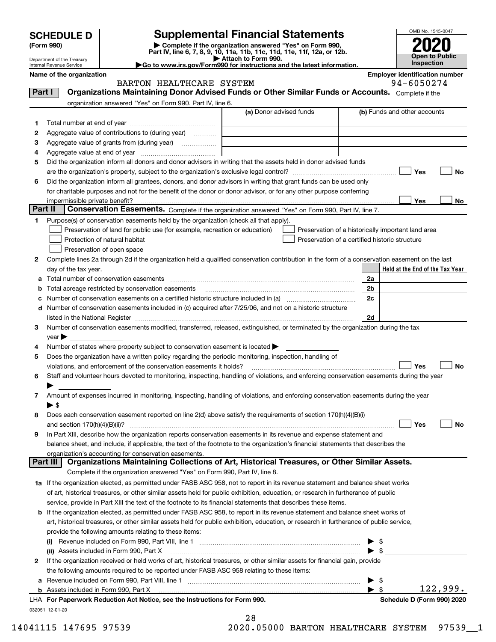| <b>SCHEDULE D</b> |  |
|-------------------|--|
|-------------------|--|

| (Form 990) |  |
|------------|--|
|------------|--|

## **Supplemental Financial Statements**

(Form 990)<br>
Pepartment of the Treasury<br>
Department of the Treasury<br>
Department of the Treasury<br>
Department of the Treasury<br> **Co to www.irs.gov/Form990 for instructions and the latest information.**<br> **Co to www.irs.gov/Form9** 



Department of the Treasury Internal Revenue Service

|  |  | o to www.irs.gov/Form990 for instructions and the latest inform |  |  |
|--|--|-----------------------------------------------------------------|--|--|

|          | Name of the organization<br>BARTON HEALTHCARE SYSTEM                                                                                                  |                         |                          | <b>Employer identification number</b><br>94-6050274 |
|----------|-------------------------------------------------------------------------------------------------------------------------------------------------------|-------------------------|--------------------------|-----------------------------------------------------|
| Part I   | Organizations Maintaining Donor Advised Funds or Other Similar Funds or Accounts. Complete if the                                                     |                         |                          |                                                     |
|          | organization answered "Yes" on Form 990, Part IV, line 6.                                                                                             |                         |                          |                                                     |
|          |                                                                                                                                                       | (a) Donor advised funds |                          | (b) Funds and other accounts                        |
| 1        |                                                                                                                                                       |                         |                          |                                                     |
| 2        | Aggregate value of contributions to (during year)                                                                                                     |                         |                          |                                                     |
| з        | Aggregate value of grants from (during year)                                                                                                          |                         |                          |                                                     |
| 4        |                                                                                                                                                       |                         |                          |                                                     |
| 5        | Did the organization inform all donors and donor advisors in writing that the assets held in donor advised funds                                      |                         |                          |                                                     |
|          |                                                                                                                                                       |                         |                          | Yes<br>No                                           |
| 6        | Did the organization inform all grantees, donors, and donor advisors in writing that grant funds can be used only                                     |                         |                          |                                                     |
|          | for charitable purposes and not for the benefit of the donor or donor advisor, or for any other purpose conferring                                    |                         |                          |                                                     |
|          | impermissible private benefit?                                                                                                                        |                         |                          | Yes<br>No                                           |
| Part II  | Conservation Easements. Complete if the organization answered "Yes" on Form 990, Part IV, line 7.                                                     |                         |                          |                                                     |
| 1.       | Purpose(s) of conservation easements held by the organization (check all that apply).                                                                 |                         |                          |                                                     |
|          | Preservation of land for public use (for example, recreation or education)                                                                            |                         |                          | Preservation of a historically important land area  |
|          | Protection of natural habitat                                                                                                                         |                         |                          | Preservation of a certified historic structure      |
|          | Preservation of open space                                                                                                                            |                         |                          |                                                     |
| 2        | Complete lines 2a through 2d if the organization held a qualified conservation contribution in the form of a conservation easement on the last        |                         |                          |                                                     |
|          | day of the tax year.                                                                                                                                  |                         |                          | Held at the End of the Tax Year                     |
| а        |                                                                                                                                                       |                         | 2a                       |                                                     |
| b        | Total acreage restricted by conservation easements                                                                                                    |                         | 2 <sub>b</sub>           |                                                     |
| с        |                                                                                                                                                       |                         | 2c                       |                                                     |
|          | d Number of conservation easements included in (c) acquired after 7/25/06, and not on a historic structure                                            |                         |                          |                                                     |
|          |                                                                                                                                                       |                         | 2d                       |                                                     |
| З        | Number of conservation easements modified, transferred, released, extinguished, or terminated by the organization during the tax                      |                         |                          |                                                     |
|          | $year \blacktriangleright$                                                                                                                            |                         |                          |                                                     |
| 4        | Number of states where property subject to conservation easement is located >                                                                         |                         |                          |                                                     |
| 5        | Does the organization have a written policy regarding the periodic monitoring, inspection, handling of                                                |                         |                          |                                                     |
|          | violations, and enforcement of the conservation easements it holds?                                                                                   |                         |                          | Yes<br><b>No</b>                                    |
| 6        | Staff and volunteer hours devoted to monitoring, inspecting, handling of violations, and enforcing conservation easements during the year             |                         |                          |                                                     |
|          |                                                                                                                                                       |                         |                          |                                                     |
| 7        | Amount of expenses incurred in monitoring, inspecting, handling of violations, and enforcing conservation easements during the year                   |                         |                          |                                                     |
|          | ▶ \$                                                                                                                                                  |                         |                          |                                                     |
| 8        | Does each conservation easement reported on line 2(d) above satisfy the requirements of section 170(h)(4)(B)(i)                                       |                         |                          |                                                     |
|          |                                                                                                                                                       |                         |                          | Yes<br>No                                           |
|          | In Part XIII, describe how the organization reports conservation easements in its revenue and expense statement and                                   |                         |                          |                                                     |
|          | balance sheet, and include, if applicable, the text of the footnote to the organization's financial statements that describes the                     |                         |                          |                                                     |
| Part III | organization's accounting for conservation easements.<br>Organizations Maintaining Collections of Art, Historical Treasures, or Other Similar Assets. |                         |                          |                                                     |
|          |                                                                                                                                                       |                         |                          |                                                     |
|          | Complete if the organization answered "Yes" on Form 990, Part IV, line 8.                                                                             |                         |                          |                                                     |
|          | 1a If the organization elected, as permitted under FASB ASC 958, not to report in its revenue statement and balance sheet works                       |                         |                          |                                                     |
|          | of art, historical treasures, or other similar assets held for public exhibition, education, or research in furtherance of public                     |                         |                          |                                                     |
|          | service, provide in Part XIII the text of the footnote to its financial statements that describes these items.                                        |                         |                          |                                                     |
|          | <b>b</b> If the organization elected, as permitted under FASB ASC 958, to report in its revenue statement and balance sheet works of                  |                         |                          |                                                     |
|          | art, historical treasures, or other similar assets held for public exhibition, education, or research in furtherance of public service,               |                         |                          |                                                     |
|          | provide the following amounts relating to these items:                                                                                                |                         |                          |                                                     |
|          | (I)                                                                                                                                                   |                         |                          | \$                                                  |
|          | (ii) Assets included in Form 990, Part X                                                                                                              |                         | $\blacktriangleright$ \$ |                                                     |
| 2        | If the organization received or held works of art, historical treasures, or other similar assets for financial gain, provide                          |                         |                          |                                                     |
|          | the following amounts required to be reported under FASB ASC 958 relating to these items:                                                             |                         |                          |                                                     |
| a        |                                                                                                                                                       |                         |                          | \$<br>122,999.                                      |
|          |                                                                                                                                                       |                         | $\blacktriangleright$ \$ |                                                     |

032051 12-01-20 **For Paperwork Reduction Act Notice, see the Instructions for Form 990. Schedule D (Form 990) 2020** LHA

| 28 |  |  |  |
|----|--|--|--|
|    |  |  |  |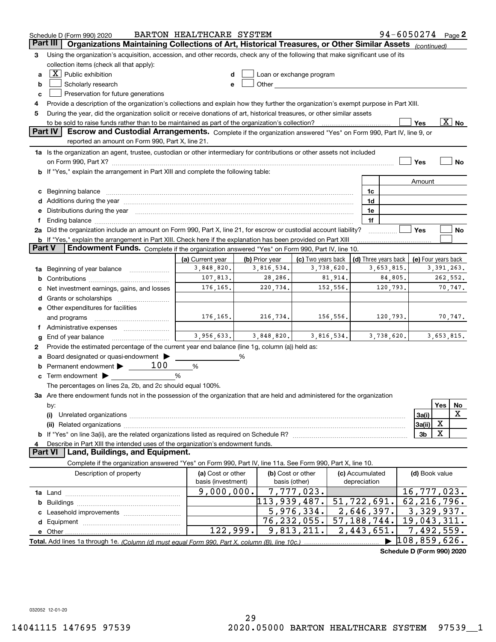|          | Schedule D (Form 990) 2020                                                                                                                                                                                                     | BARTON HEALTHCARE SYSTEM       |                              |                           |          |                          |            | 94-6050274 Page 2            |     |                          |
|----------|--------------------------------------------------------------------------------------------------------------------------------------------------------------------------------------------------------------------------------|--------------------------------|------------------------------|---------------------------|----------|--------------------------|------------|------------------------------|-----|--------------------------|
| Part III | Organizations Maintaining Collections of Art, Historical Treasures, or Other Similar Assets (continued)                                                                                                                        |                                |                              |                           |          |                          |            |                              |     |                          |
| З        | Using the organization's acquisition, accession, and other records, check any of the following that make significant use of its                                                                                                |                                |                              |                           |          |                          |            |                              |     |                          |
|          | collection items (check all that apply):                                                                                                                                                                                       |                                |                              |                           |          |                          |            |                              |     |                          |
| a        | $X$ Public exhibition                                                                                                                                                                                                          | d                              |                              | Loan or exchange program  |          |                          |            |                              |     |                          |
| b        | Scholarly research                                                                                                                                                                                                             | e                              |                              |                           |          |                          |            |                              |     |                          |
| c        | Preservation for future generations                                                                                                                                                                                            |                                |                              |                           |          |                          |            |                              |     |                          |
| 4        | Provide a description of the organization's collections and explain how they further the organization's exempt purpose in Part XIII.                                                                                           |                                |                              |                           |          |                          |            |                              |     |                          |
| 5        | During the year, did the organization solicit or receive donations of art, historical treasures, or other similar assets                                                                                                       |                                |                              |                           |          |                          |            |                              |     |                          |
|          | to be sold to raise funds rather than to be maintained as part of the organization's collection?                                                                                                                               |                                |                              |                           |          |                          |            | Yes                          |     | $\overline{\text{X}}$ No |
|          | Part IV<br>Escrow and Custodial Arrangements. Complete if the organization answered "Yes" on Form 990, Part IV, line 9, or                                                                                                     |                                |                              |                           |          |                          |            |                              |     |                          |
|          | reported an amount on Form 990, Part X, line 21.                                                                                                                                                                               |                                |                              |                           |          |                          |            |                              |     |                          |
|          | 1a Is the organization an agent, trustee, custodian or other intermediary for contributions or other assets not included                                                                                                       |                                |                              |                           |          |                          |            |                              |     |                          |
|          |                                                                                                                                                                                                                                |                                |                              |                           |          |                          |            | Yes                          |     | No                       |
|          | If "Yes," explain the arrangement in Part XIII and complete the following table:                                                                                                                                               |                                |                              |                           |          |                          |            |                              |     |                          |
|          |                                                                                                                                                                                                                                |                                |                              |                           |          |                          |            | Amount                       |     |                          |
| c        | Beginning balance                                                                                                                                                                                                              |                                |                              |                           |          | 1c                       |            |                              |     |                          |
| d        | Additions during the year manufactured and an according to the year manufactured and according the year manufactured and according the year manufactured and according the year manufactured and according the year manufactur |                                |                              |                           |          | 1d                       |            |                              |     |                          |
| е        | Distributions during the year manufactured and an account of the state of the state of the state of the state of the state of the state of the state of the state of the state of the state of the state of the state of the s |                                |                              |                           |          | 1e                       |            |                              |     |                          |
|          |                                                                                                                                                                                                                                |                                |                              |                           |          | 1f                       |            |                              |     |                          |
|          | 2a Did the organization include an amount on Form 990, Part X, line 21, for escrow or custodial account liability?                                                                                                             |                                |                              |                           |          |                          |            | Yes                          |     | No                       |
| Part V   | <b>b</b> If "Yes," explain the arrangement in Part XIII. Check here if the explanation has been provided on Part XIII<br>Endowment Funds. Complete if the organization answered "Yes" on Form 990, Part IV, line 10.           |                                |                              |                           |          |                          |            |                              |     |                          |
|          |                                                                                                                                                                                                                                |                                |                              | (c) Two years back        |          |                          |            |                              |     |                          |
| 1a       | Beginning of year balance                                                                                                                                                                                                      | (a) Current year<br>3,848,820. | (b) Prior year<br>3,816,534. | 3,738,620.                |          | (d) Three years back     | 3,653,815. | (e) Four years back          |     | 3, 391, 263.             |
| b        |                                                                                                                                                                                                                                | 107,813.                       | 28,286.                      |                           | 81,914.  |                          | 84,805.    |                              |     | 262,552.                 |
|          | Net investment earnings, gains, and losses                                                                                                                                                                                     | 176,165.                       | 220,734.                     |                           | 152,556. |                          | 120,793.   |                              |     | 70,747.                  |
| d        |                                                                                                                                                                                                                                |                                |                              |                           |          |                          |            |                              |     |                          |
|          | e Other expenditures for facilities                                                                                                                                                                                            |                                |                              |                           |          |                          |            |                              |     |                          |
|          | and programs                                                                                                                                                                                                                   | 176,165.                       | 216,734.                     |                           | 156,556. |                          | 120,793.   |                              |     | 70,747.                  |
|          |                                                                                                                                                                                                                                |                                |                              |                           |          |                          |            |                              |     |                          |
| g        | End of year balance                                                                                                                                                                                                            | 3,956,633.                     | 3,848,820.                   | 3,816,534.                |          |                          | 3,738,620. |                              |     | 3,653,815.               |
| 2        | Provide the estimated percentage of the current year end balance (line 1g, column (a)) held as:                                                                                                                                |                                |                              |                           |          |                          |            |                              |     |                          |
| а        | Board designated or quasi-endowment                                                                                                                                                                                            |                                | %                            |                           |          |                          |            |                              |     |                          |
| b        | 100<br>Permanent endowment >                                                                                                                                                                                                   | %                              |                              |                           |          |                          |            |                              |     |                          |
| c        | Term endowment $\blacktriangleright$                                                                                                                                                                                           | %                              |                              |                           |          |                          |            |                              |     |                          |
|          | The percentages on lines 2a, 2b, and 2c should equal 100%.                                                                                                                                                                     |                                |                              |                           |          |                          |            |                              |     |                          |
|          | 3a Are there endowment funds not in the possession of the organization that are held and administered for the organization                                                                                                     |                                |                              |                           |          |                          |            |                              |     |                          |
|          | by:                                                                                                                                                                                                                            |                                |                              |                           |          |                          |            |                              | Yes | No                       |
|          | (i)                                                                                                                                                                                                                            |                                |                              |                           |          |                          |            | 3a(i)                        |     | x                        |
|          |                                                                                                                                                                                                                                |                                |                              |                           |          |                          |            | 3a(ii)                       | х   |                          |
| b        |                                                                                                                                                                                                                                |                                |                              |                           |          |                          |            | 3 <sub>b</sub>               | х   |                          |
|          | Describe in Part XIII the intended uses of the organization's endowment funds.                                                                                                                                                 |                                |                              |                           |          |                          |            |                              |     |                          |
|          | Land, Buildings, and Equipment.<br>Part VI                                                                                                                                                                                     |                                |                              |                           |          |                          |            |                              |     |                          |
|          | Complete if the organization answered "Yes" on Form 990, Part IV, line 11a. See Form 990, Part X, line 10.                                                                                                                     |                                |                              |                           |          |                          |            |                              |     |                          |
|          | Description of property                                                                                                                                                                                                        | (a) Cost or other              |                              | (b) Cost or other         |          | (c) Accumulated          |            | (d) Book value               |     |                          |
|          |                                                                                                                                                                                                                                | basis (investment)             |                              | basis (other)             |          | depreciation             |            |                              |     |                          |
|          |                                                                                                                                                                                                                                | 9,000,000.                     |                              | 7,777,023.                |          |                          |            | 16,777,023.                  |     |                          |
| b        |                                                                                                                                                                                                                                |                                | $\overline{113,939}$ , 487.  |                           |          | $\overline{51,722,691.}$ |            | 62, 216, 796.                |     |                          |
|          |                                                                                                                                                                                                                                |                                |                              | 5,976,334.                |          | 2,646,397.               |            | 3,329,937.<br>19,043,311.    |     |                          |
| d        |                                                                                                                                                                                                                                | 122,999.                       |                              | 76,232,055.<br>9,813,211. |          | 57, 188, 744.            |            | $\overline{7}$ , 492, 559.   |     |                          |
|          | e Other                                                                                                                                                                                                                        |                                |                              |                           |          | 2,443,651.               |            | $\overline{108}$ , 859, 626. |     |                          |
|          |                                                                                                                                                                                                                                |                                |                              |                           |          |                          |            | Schodule D (Form 000) 2020   |     |                          |

**Schedule D (Form 990) 2020**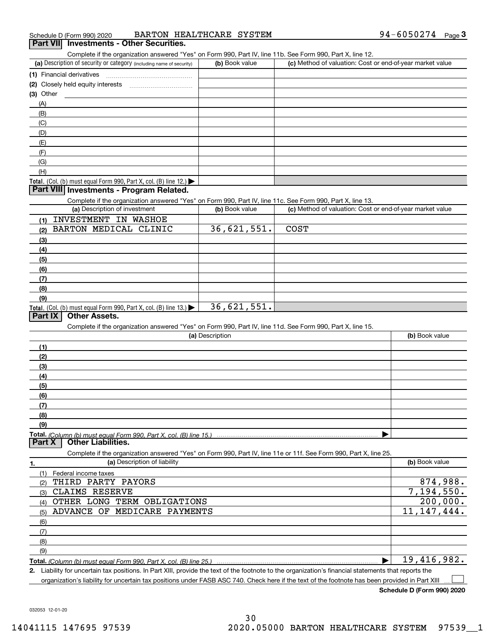| Schedule D (Form 990) 2020                      | BARTON HEALTHCARE SYSTEM | $94 - 6050274$ Page |  |
|-------------------------------------------------|--------------------------|---------------------|--|
| <b>Part VII</b> Investments - Other Securities. |                          |                     |  |

Complete if the organization answered "Yes" on Form 990, Part IV, line 11b. See Form 990, Part X, line 12.

| (a) Description of security or category (including name of security)                                                                                           | (b) Book value  | (c) Method of valuation: Cost or end-of-year market value |                           |
|----------------------------------------------------------------------------------------------------------------------------------------------------------------|-----------------|-----------------------------------------------------------|---------------------------|
| (1) Financial derivatives                                                                                                                                      |                 |                                                           |                           |
|                                                                                                                                                                |                 |                                                           |                           |
| $(3)$ Other                                                                                                                                                    |                 |                                                           |                           |
| (A)                                                                                                                                                            |                 |                                                           |                           |
| (B)                                                                                                                                                            |                 |                                                           |                           |
| (C)                                                                                                                                                            |                 |                                                           |                           |
| (D)                                                                                                                                                            |                 |                                                           |                           |
| (E)                                                                                                                                                            |                 |                                                           |                           |
|                                                                                                                                                                |                 |                                                           |                           |
| (F)                                                                                                                                                            |                 |                                                           |                           |
| (G)                                                                                                                                                            |                 |                                                           |                           |
| (H)                                                                                                                                                            |                 |                                                           |                           |
| Total. (Col. (b) must equal Form 990, Part X, col. (B) line 12.)                                                                                               |                 |                                                           |                           |
| Part VIII Investments - Program Related.                                                                                                                       |                 |                                                           |                           |
| Complete if the organization answered "Yes" on Form 990, Part IV, line 11c. See Form 990, Part X, line 13.                                                     |                 |                                                           |                           |
| (a) Description of investment                                                                                                                                  | (b) Book value  | (c) Method of valuation: Cost or end-of-year market value |                           |
| <b>INVESTMENT IN WASHOE</b><br>(1)                                                                                                                             |                 |                                                           |                           |
| BARTON MEDICAL CLINIC                                                                                                                                          | 36,621,551.     | <b>COST</b>                                               |                           |
| (3)                                                                                                                                                            |                 |                                                           |                           |
| (4)                                                                                                                                                            |                 |                                                           |                           |
| (5)                                                                                                                                                            |                 |                                                           |                           |
| (6)                                                                                                                                                            |                 |                                                           |                           |
| (7)                                                                                                                                                            |                 |                                                           |                           |
| (8)                                                                                                                                                            |                 |                                                           |                           |
| (9)                                                                                                                                                            |                 |                                                           |                           |
| Total. (Col. (b) must equal Form 990, Part X, col. (B) line 13.)                                                                                               | 36,621,551.     |                                                           |                           |
| <b>Other Assets.</b><br>Part IX                                                                                                                                |                 |                                                           |                           |
| Complete if the organization answered "Yes" on Form 990, Part IV, line 11d. See Form 990, Part X, line 15.                                                     |                 |                                                           |                           |
|                                                                                                                                                                | (a) Description |                                                           | (b) Book value            |
|                                                                                                                                                                |                 |                                                           |                           |
| (1)                                                                                                                                                            |                 |                                                           |                           |
| (2)                                                                                                                                                            |                 |                                                           |                           |
| (3)                                                                                                                                                            |                 |                                                           |                           |
| (4)                                                                                                                                                            |                 |                                                           |                           |
| (5)                                                                                                                                                            |                 |                                                           |                           |
| (6)                                                                                                                                                            |                 |                                                           |                           |
| (7)                                                                                                                                                            |                 |                                                           |                           |
| (8)                                                                                                                                                            |                 |                                                           |                           |
| (9)                                                                                                                                                            |                 |                                                           |                           |
|                                                                                                                                                                |                 |                                                           |                           |
| <b>Other Liabilities.</b><br>Part X                                                                                                                            |                 |                                                           |                           |
| Complete if the organization answered "Yes" on Form 990, Part IV, line 11e or 11f. See Form 990, Part X, line 25.                                              |                 |                                                           |                           |
| (a) Description of liability<br>1.                                                                                                                             |                 |                                                           | (b) Book value            |
| (1) Federal income taxes                                                                                                                                       |                 |                                                           |                           |
| THIRD PARTY PAYORS<br>(2)                                                                                                                                      |                 |                                                           | 874,988.                  |
| <b>CLAIMS RESERVE</b><br>(3)                                                                                                                                   |                 |                                                           | $\overline{7,194}$ , 550. |
| OTHER LONG TERM OBLIGATIONS<br>(4)                                                                                                                             |                 |                                                           | 200,000.                  |
| ADVANCE OF MEDICARE PAYMENTS<br>(5)                                                                                                                            |                 |                                                           | 11, 147, 444.             |
|                                                                                                                                                                |                 |                                                           |                           |
|                                                                                                                                                                |                 |                                                           |                           |
| (6)                                                                                                                                                            |                 |                                                           |                           |
| (7)                                                                                                                                                            |                 |                                                           |                           |
| (8)                                                                                                                                                            |                 |                                                           |                           |
| (9)<br>Total. (Column (b) must equal Form 990, Part X, col. (B) line 25.) manufactured contains and column (b) must equal Form 990, Part X, col. (B) line 25.) |                 |                                                           | 19,416,982.               |

**2.** Liability for uncertain tax positions. In Part XIII, provide the text of the footnote to the organization's financial statements that reports the organization's liability for uncertain tax positions under FASB ASC 740. Check here if the text of the footnote has been provided in Part XIII

**Schedule D (Form 990) 2020**

 $\mathcal{L}^{\text{max}}$ 

032053 12-01-20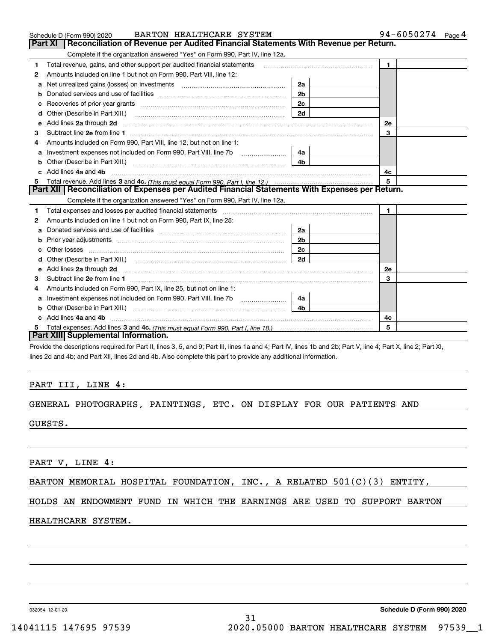|   | BARTON HEALTHCARE SYSTEM<br>Schedule D (Form 990) 2020                                                                                                                                                                             |                | $94 - 6050274$ Page 4 |
|---|------------------------------------------------------------------------------------------------------------------------------------------------------------------------------------------------------------------------------------|----------------|-----------------------|
|   | Reconciliation of Revenue per Audited Financial Statements With Revenue per Return.<br><b>Part XI</b>                                                                                                                              |                |                       |
|   | Complete if the organization answered "Yes" on Form 990, Part IV, line 12a.                                                                                                                                                        |                |                       |
| 1 | Total revenue, gains, and other support per audited financial statements                                                                                                                                                           |                | $\mathbf{1}$          |
| 2 | Amounts included on line 1 but not on Form 990, Part VIII, line 12:                                                                                                                                                                |                |                       |
| a |                                                                                                                                                                                                                                    | 2a             |                       |
| b |                                                                                                                                                                                                                                    | 2 <sub>b</sub> |                       |
|   |                                                                                                                                                                                                                                    | 2с             |                       |
| d | Other (Describe in Part XIII.)                                                                                                                                                                                                     | 2d             |                       |
| е | Add lines 2a through 2d <b>must be a constructed as the constant of the constant of the constant of the construction</b>                                                                                                           |                | <b>2e</b>             |
| з |                                                                                                                                                                                                                                    |                | 3                     |
|   | Amounts included on Form 990, Part VIII, line 12, but not on line 1:                                                                                                                                                               |                |                       |
| a |                                                                                                                                                                                                                                    | 4a             |                       |
| b | Other (Describe in Part XIII.)                                                                                                                                                                                                     | 4b             |                       |
|   | Add lines 4a and 4b                                                                                                                                                                                                                |                | 4c                    |
| 5 |                                                                                                                                                                                                                                    |                | 5                     |
|   | Part XII   Reconciliation of Expenses per Audited Financial Statements With Expenses per Return.                                                                                                                                   |                |                       |
|   | Complete if the organization answered "Yes" on Form 990, Part IV, line 12a.                                                                                                                                                        |                |                       |
| 1 |                                                                                                                                                                                                                                    |                | $\mathbf{1}$          |
| 2 | Amounts included on line 1 but not on Form 990, Part IX, line 25:                                                                                                                                                                  |                |                       |
| a |                                                                                                                                                                                                                                    | 2a             |                       |
| b |                                                                                                                                                                                                                                    | 2 <sub>b</sub> |                       |
| C |                                                                                                                                                                                                                                    | 2 <sub>c</sub> |                       |
|   |                                                                                                                                                                                                                                    | 2d             |                       |
| е | Add lines 2a through 2d <b>must be a constructed as the constant of the construction</b> and the state of the state of the state of the state of the state of the state of the state of the state of the state of the state of the |                | 2e                    |
| З | Subtract line 2e from line 1                                                                                                                                                                                                       |                | 3                     |
| 4 | Amounts included on Form 990, Part IX, line 25, but not on line 1:                                                                                                                                                                 |                |                       |
| a | Investment expenses not included on Form 990, Part VIII, line 7b [                                                                                                                                                                 | 4a             |                       |
|   |                                                                                                                                                                                                                                    | 4b.            |                       |
|   | Add lines 4a and 4b                                                                                                                                                                                                                |                | 4c                    |
|   |                                                                                                                                                                                                                                    |                | 5                     |
|   | Part XIII Supplemental Information.                                                                                                                                                                                                |                |                       |

Provide the descriptions required for Part II, lines 3, 5, and 9; Part III, lines 1a and 4; Part IV, lines 1b and 2b; Part V, line 4; Part X, line 2; Part XI, lines 2d and 4b; and Part XII, lines 2d and 4b. Also complete this part to provide any additional information.

### PART III, LINE 4:

## GENERAL PHOTOGRAPHS, PAINTINGS, ETC. ON DISPLAY FOR OUR PATIENTS AND

GUESTS.

PART V, LINE 4:

| BARTON MEMORIAL HOSPITAL FOUNDATION, INC., A RELATED 501(C)(3) ENTITY, |  |  |  |  |
|------------------------------------------------------------------------|--|--|--|--|
|------------------------------------------------------------------------|--|--|--|--|

HOLDS AN ENDOWMENT FUND IN WHICH THE EARNINGS ARE USED TO SUPPORT BARTON

### HEALTHCARE SYSTEM.

032054 12-01-20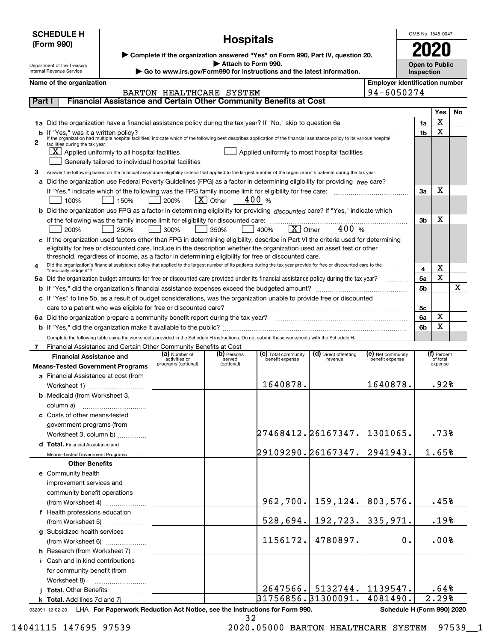|        | <b>SCHEDULE H</b>                                                                                                                                       |                                                      |                                      | <b>Hospitals</b>           |                                                                                                                                                                      |                         |                                       | OMB No. 1545-0047                   |                     |           |  |
|--------|---------------------------------------------------------------------------------------------------------------------------------------------------------|------------------------------------------------------|--------------------------------------|----------------------------|----------------------------------------------------------------------------------------------------------------------------------------------------------------------|-------------------------|---------------------------------------|-------------------------------------|---------------------|-----------|--|
|        | (Form 990)                                                                                                                                              |                                                      |                                      |                            |                                                                                                                                                                      |                         |                                       |                                     |                     |           |  |
|        | ▶ Complete if the organization answered "Yes" on Form 990, Part IV, question 20.                                                                        |                                                      |                                      |                            |                                                                                                                                                                      |                         |                                       |                                     |                     |           |  |
|        | Attach to Form 990.<br>Department of the Treasury<br>Go to www.irs.gov/Form990 for instructions and the latest information.<br>Internal Revenue Service |                                                      |                                      |                            |                                                                                                                                                                      |                         |                                       | <b>Open to Public</b><br>Inspection |                     |           |  |
|        | Name of the organization                                                                                                                                |                                                      |                                      |                            |                                                                                                                                                                      |                         | <b>Employer identification number</b> |                                     |                     |           |  |
|        |                                                                                                                                                         |                                                      | BARTON HEALTHCARE SYSTEM             |                            |                                                                                                                                                                      |                         | 94-6050274                            |                                     |                     |           |  |
| Part I |                                                                                                                                                         |                                                      |                                      |                            | Financial Assistance and Certain Other Community Benefits at Cost                                                                                                    |                         |                                       |                                     |                     |           |  |
|        |                                                                                                                                                         |                                                      |                                      |                            |                                                                                                                                                                      |                         |                                       |                                     | Yes                 | <b>No</b> |  |
|        |                                                                                                                                                         |                                                      |                                      |                            |                                                                                                                                                                      |                         |                                       | 1a                                  | X                   |           |  |
|        |                                                                                                                                                         |                                                      |                                      |                            |                                                                                                                                                                      |                         |                                       | 1b                                  | х                   |           |  |
| 2      | facilities during the tax year.                                                                                                                         |                                                      |                                      |                            |                                                                                                                                                                      |                         |                                       |                                     |                     |           |  |
|        |                                                                                                                                                         | $X$ Applied uniformly to all hospital facilities     |                                      |                            | Applied uniformly to most hospital facilities                                                                                                                        |                         |                                       |                                     |                     |           |  |
|        |                                                                                                                                                         | Generally tailored to individual hospital facilities |                                      |                            |                                                                                                                                                                      |                         |                                       |                                     |                     |           |  |
| З      |                                                                                                                                                         |                                                      |                                      |                            | Answer the following based on the financial assistance eligibility criteria that applied to the largest number of the organization's patients during the tax year.   |                         |                                       |                                     |                     |           |  |
|        |                                                                                                                                                         |                                                      |                                      |                            | a Did the organization use Federal Poverty Guidelines (FPG) as a factor in determining eligibility for providing free care?                                          |                         |                                       |                                     | х                   |           |  |
|        |                                                                                                                                                         |                                                      | 200%                                 | $\boxed{\mathbf{X}}$ Other | 400 %                                                                                                                                                                |                         |                                       | За                                  |                     |           |  |
|        | 100%                                                                                                                                                    | 150%                                                 |                                      |                            |                                                                                                                                                                      |                         |                                       |                                     |                     |           |  |
|        |                                                                                                                                                         |                                                      |                                      |                            | b Did the organization use FPG as a factor in determining eligibility for providing discounted care? If "Yes," indicate which                                        |                         |                                       | 3b                                  | х                   |           |  |
|        | 200%                                                                                                                                                    | 250%                                                 | 300%                                 | 350%                       | 400%                                                                                                                                                                 | 400 %<br>$X \mid$ Other |                                       |                                     |                     |           |  |
|        |                                                                                                                                                         |                                                      |                                      |                            | c If the organization used factors other than FPG in determining eligibility, describe in Part VI the criteria used for determining                                  |                         |                                       |                                     |                     |           |  |
|        |                                                                                                                                                         |                                                      |                                      |                            | eligibility for free or discounted care. Include in the description whether the organization used an asset test or other                                             |                         |                                       |                                     |                     |           |  |
|        |                                                                                                                                                         |                                                      |                                      |                            | threshold, regardless of income, as a factor in determining eligibility for free or discounted care.                                                                 |                         |                                       |                                     |                     |           |  |
|        | "medically indigent"?                                                                                                                                   |                                                      |                                      |                            | Did the organization's financial assistance policy that applied to the largest number of its patients during the tax year provide for free or discounted care to the |                         |                                       | 4                                   | х                   |           |  |
|        |                                                                                                                                                         |                                                      |                                      |                            | 5a Did the organization budget amounts for free or discounted care provided under its financial assistance policy during the tax year?                               |                         |                                       | 5a                                  | X                   |           |  |
|        |                                                                                                                                                         |                                                      |                                      |                            |                                                                                                                                                                      |                         |                                       | 5b                                  |                     | х         |  |
|        |                                                                                                                                                         |                                                      |                                      |                            | c If "Yes" to line 5b, as a result of budget considerations, was the organization unable to provide free or discounted                                               |                         |                                       |                                     |                     |           |  |
|        | care to a patient who was eligible for free or discounted care?                                                                                         |                                                      |                                      |                            |                                                                                                                                                                      |                         |                                       | 5с                                  |                     |           |  |
|        |                                                                                                                                                         |                                                      |                                      |                            |                                                                                                                                                                      |                         |                                       | 6a                                  | X                   |           |  |
|        |                                                                                                                                                         |                                                      |                                      |                            |                                                                                                                                                                      |                         |                                       | 6b                                  | X                   |           |  |
|        |                                                                                                                                                         |                                                      |                                      |                            | Complete the following table using the worksheets provided in the Schedule H instructions. Do not submit these worksheets with the Schedule H.                       |                         |                                       |                                     |                     |           |  |
|        | Financial Assistance and Certain Other Community Benefits at Cost                                                                                       |                                                      | (a) Number of                        | (b) Persons                | (c) Total community                                                                                                                                                  | (d) Direct offsetting   | (e) Net community                     |                                     | (f) Percent         |           |  |
|        | <b>Financial Assistance and</b>                                                                                                                         |                                                      | activities or<br>programs (optional) | served<br>(optional)       | benefit expense                                                                                                                                                      | revenue                 | benefit expense                       |                                     | of total<br>expense |           |  |
|        | <b>Means-Tested Government Programs</b>                                                                                                                 |                                                      |                                      |                            |                                                                                                                                                                      |                         |                                       |                                     |                     |           |  |
|        | a Financial Assistance at cost (from<br>Worksheet 1)                                                                                                    |                                                      |                                      |                            | 1640878.                                                                                                                                                             |                         | 1640878.                              |                                     | .92%                |           |  |
|        | <b>b</b> Medicaid (from Worksheet 3,                                                                                                                    |                                                      |                                      |                            |                                                                                                                                                                      |                         |                                       |                                     |                     |           |  |
|        | column a)                                                                                                                                               |                                                      |                                      |                            |                                                                                                                                                                      |                         |                                       |                                     |                     |           |  |
|        | c Costs of other means-tested                                                                                                                           |                                                      |                                      |                            |                                                                                                                                                                      |                         |                                       |                                     |                     |           |  |
|        | government programs (from                                                                                                                               |                                                      |                                      |                            |                                                                                                                                                                      |                         |                                       |                                     |                     |           |  |
|        | Worksheet 3, column b)                                                                                                                                  |                                                      |                                      |                            |                                                                                                                                                                      | 27468412.26167347.      | 1301065.                              |                                     | .73%                |           |  |
|        | d Total. Financial Assistance and                                                                                                                       |                                                      |                                      |                            |                                                                                                                                                                      |                         |                                       |                                     |                     |           |  |
|        | Means-Tested Government Programs                                                                                                                        |                                                      |                                      |                            |                                                                                                                                                                      | 29109290.26167347.      | 2941943.                              |                                     | 1.65%               |           |  |
|        | <b>Other Benefits</b>                                                                                                                                   |                                                      |                                      |                            |                                                                                                                                                                      |                         |                                       |                                     |                     |           |  |
|        | e Community health                                                                                                                                      |                                                      |                                      |                            |                                                                                                                                                                      |                         |                                       |                                     |                     |           |  |
|        | improvement services and                                                                                                                                |                                                      |                                      |                            |                                                                                                                                                                      |                         |                                       |                                     |                     |           |  |
|        | community benefit operations                                                                                                                            |                                                      |                                      |                            |                                                                                                                                                                      |                         |                                       |                                     |                     |           |  |
|        | (from Worksheet 4)                                                                                                                                      |                                                      |                                      |                            | 962,700.                                                                                                                                                             | 159, 124.               | 803,576.                              |                                     | .45%                |           |  |
|        | f Health professions education                                                                                                                          |                                                      |                                      |                            |                                                                                                                                                                      |                         |                                       |                                     | .19%                |           |  |
|        | (from Worksheet 5)                                                                                                                                      |                                                      |                                      |                            | 528,694.                                                                                                                                                             | $192, 723.$ 335, 971.   |                                       |                                     |                     |           |  |
|        | g Subsidized health services                                                                                                                            |                                                      |                                      |                            | 1156172.                                                                                                                                                             | 4780897.                |                                       | 0.                                  | .00%                |           |  |
|        | (from Worksheet 6)<br>h Research (from Worksheet 7)                                                                                                     |                                                      |                                      |                            |                                                                                                                                                                      |                         |                                       |                                     |                     |           |  |
|        | i Cash and in-kind contributions                                                                                                                        | alara d                                              |                                      |                            |                                                                                                                                                                      |                         |                                       |                                     |                     |           |  |
|        | for community benefit (from                                                                                                                             |                                                      |                                      |                            |                                                                                                                                                                      |                         |                                       |                                     |                     |           |  |
|        | Worksheet 8)                                                                                                                                            |                                                      |                                      |                            |                                                                                                                                                                      |                         |                                       |                                     |                     |           |  |
|        | Total. Other Benefits                                                                                                                                   |                                                      |                                      |                            | 2647566.                                                                                                                                                             | 5132744.                | 1139547.                              |                                     | .64%                |           |  |
|        | k Total. Add lines 7d and 7j                                                                                                                            |                                                      |                                      |                            | 31756856.31300091.                                                                                                                                                   |                         | 4081490.                              |                                     | 2.29%               |           |  |

032091 12-02-20 LHA For Paperwork Reduction Act Notice, see the Instructions for Form 990. Schedule H (Form 990) 2020

32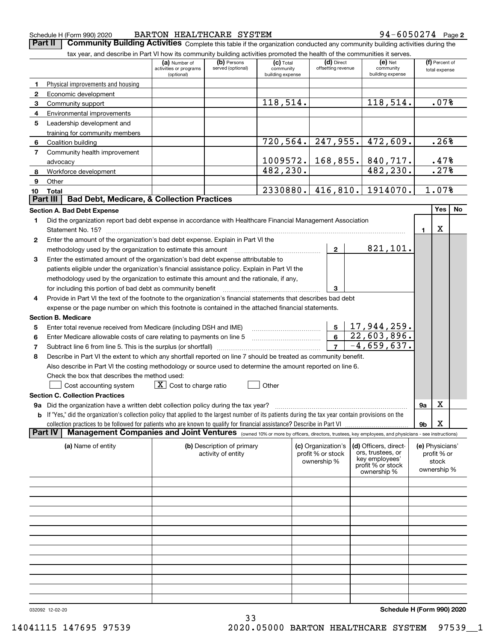| Schedule H (Form 990) 2 |  |  |
|-------------------------|--|--|
|                         |  |  |

### Schedule H (Form 990) 2020 **BARTON HEALTHCARE SYSTEM** 94-6050274 Page **2** BARTON HEALTHCARE SYSTEM 94-6050274

**Part II** | Community Building Activities Complete this table if the organization conducted any community building activities during the

|                | tax year, and describe in Part VI how its community building activities promoted the health of the communities it serves.                                        |                                                       |                                  |                                              |                                  |                                            |           |                                 |    |
|----------------|------------------------------------------------------------------------------------------------------------------------------------------------------------------|-------------------------------------------------------|----------------------------------|----------------------------------------------|----------------------------------|--------------------------------------------|-----------|---------------------------------|----|
|                |                                                                                                                                                                  | (a) Number of<br>activities or programs<br>(optional) | (b) Persons<br>served (optional) | $(c)$ Total<br>community<br>building expense | (d) Direct<br>offsetting revenue | $(e)$ Net<br>community<br>building expense |           | (f) Percent of<br>total expense |    |
| 1              | Physical improvements and housing                                                                                                                                |                                                       |                                  |                                              |                                  |                                            |           |                                 |    |
| $\mathbf{2}$   | Economic development                                                                                                                                             |                                                       |                                  |                                              |                                  |                                            |           |                                 |    |
| 3              | Community support                                                                                                                                                |                                                       |                                  | 118,514.                                     |                                  | 118,514.                                   |           | .07%                            |    |
| 4              | Environmental improvements                                                                                                                                       |                                                       |                                  |                                              |                                  |                                            |           |                                 |    |
| 5              | Leadership development and<br>training for community members                                                                                                     |                                                       |                                  |                                              |                                  |                                            |           |                                 |    |
| 6              | Coalition building                                                                                                                                               |                                                       |                                  | 720, 564.                                    |                                  | $247,955.$ 472,609.                        |           | .26%                            |    |
| $\overline{7}$ | Community health improvement                                                                                                                                     |                                                       |                                  |                                              |                                  |                                            |           |                                 |    |
|                | advocacy                                                                                                                                                         |                                                       |                                  | 1009572.                                     |                                  | 168, 855.   840, 717.                      |           | .47%                            |    |
| 8              | Workforce development                                                                                                                                            |                                                       |                                  | 482,230.                                     |                                  | 482, 230.                                  |           | .27%                            |    |
| 9              | Other                                                                                                                                                            |                                                       |                                  |                                              |                                  |                                            |           |                                 |    |
| 10             | Total                                                                                                                                                            |                                                       |                                  | 2330880.                                     | 416,810.                         | 1914070.                                   |           | 1.07%                           |    |
|                | <b>Bad Debt, Medicare, &amp; Collection Practices</b><br>Part III                                                                                                |                                                       |                                  |                                              |                                  |                                            |           |                                 |    |
|                | <b>Section A. Bad Debt Expense</b>                                                                                                                               |                                                       |                                  |                                              |                                  |                                            |           | Yes                             | No |
| 1              | Did the organization report bad debt expense in accordance with Healthcare Financial Management Association                                                      |                                                       |                                  |                                              |                                  |                                            |           |                                 |    |
|                |                                                                                                                                                                  |                                                       |                                  |                                              |                                  |                                            | 1.        | х                               |    |
| 2              | Enter the amount of the organization's bad debt expense. Explain in Part VI the                                                                                  |                                                       |                                  |                                              |                                  |                                            |           |                                 |    |
|                | methodology used by the organization to estimate this amount                                                                                                     |                                                       |                                  |                                              | $\mathbf{2}$                     | 821,101.                                   |           |                                 |    |
| 3              | Enter the estimated amount of the organization's bad debt expense attributable to                                                                                |                                                       |                                  |                                              |                                  |                                            |           |                                 |    |
|                | patients eligible under the organization's financial assistance policy. Explain in Part VI the                                                                   |                                                       |                                  |                                              |                                  |                                            |           |                                 |    |
|                | methodology used by the organization to estimate this amount and the rationale, if any,                                                                          |                                                       |                                  |                                              |                                  |                                            |           |                                 |    |
|                | for including this portion of bad debt as community benefit                                                                                                      |                                                       |                                  |                                              | 3                                |                                            |           |                                 |    |
| 4              | Provide in Part VI the text of the footnote to the organization's financial statements that describes bad debt                                                   |                                                       |                                  |                                              |                                  |                                            |           |                                 |    |
|                | expense or the page number on which this footnote is contained in the attached financial statements.                                                             |                                                       |                                  |                                              |                                  |                                            |           |                                 |    |
|                | <b>Section B. Medicare</b>                                                                                                                                       |                                                       |                                  |                                              |                                  |                                            |           |                                 |    |
| 5              | Enter total revenue received from Medicare (including DSH and IME)                                                                                               |                                                       |                                  |                                              | 5                                | 17,944,259.                                |           |                                 |    |
| 6              | Enter Medicare allowable costs of care relating to payments on line 5                                                                                            |                                                       |                                  |                                              | $6-1$                            | 22,603,896.                                |           |                                 |    |
| 7              |                                                                                                                                                                  |                                                       |                                  |                                              | $\overline{7}$                   | $-4,659,637.$                              |           |                                 |    |
| 8              | Describe in Part VI the extent to which any shortfall reported on line 7 should be treated as community benefit.                                                 |                                                       |                                  |                                              |                                  |                                            |           |                                 |    |
|                | Also describe in Part VI the costing methodology or source used to determine the amount reported on line 6.                                                      |                                                       |                                  |                                              |                                  |                                            |           |                                 |    |
|                | Check the box that describes the method used:                                                                                                                    |                                                       |                                  |                                              |                                  |                                            |           |                                 |    |
|                | Cost accounting system                                                                                                                                           | $X$ Cost to charge ratio                              |                                  | Other                                        |                                  |                                            |           |                                 |    |
|                | <b>Section C. Collection Practices</b>                                                                                                                           |                                                       |                                  |                                              |                                  |                                            |           |                                 |    |
|                | 9a Did the organization have a written debt collection policy during the tax year?                                                                               |                                                       |                                  |                                              |                                  |                                            | <b>9a</b> | х                               |    |
|                | <b>b</b> If "Yes," did the organization's collection policy that applied to the largest number of its patients during the tax year contain provisions on the     |                                                       |                                  |                                              |                                  |                                            |           |                                 |    |
|                |                                                                                                                                                                  |                                                       |                                  |                                              |                                  |                                            | 9b        | х                               |    |
|                | Management Companies and Joint Ventures (owned 10% or more by officers, directors, trustees, key employees, and physicians - see instructions)<br><b>Part IV</b> |                                                       |                                  |                                              |                                  |                                            |           |                                 |    |
|                | (a) Name of entity                                                                                                                                               |                                                       | (b) Description of primary       |                                              | (c) Organization's               | (d) Officers, direct-                      |           | (e) Physicians'                 |    |
|                |                                                                                                                                                                  |                                                       | activity of entity               |                                              | profit % or stock                | ors, trustees, or<br>key employees'        |           | profit % or                     |    |
|                |                                                                                                                                                                  |                                                       |                                  |                                              | ownership %                      | profit % or stock                          |           | stock                           |    |
|                |                                                                                                                                                                  |                                                       |                                  |                                              |                                  | ownership %                                |           | ownership %                     |    |
|                |                                                                                                                                                                  |                                                       |                                  |                                              |                                  |                                            |           |                                 |    |
|                |                                                                                                                                                                  |                                                       |                                  |                                              |                                  |                                            |           |                                 |    |
|                |                                                                                                                                                                  |                                                       |                                  |                                              |                                  |                                            |           |                                 |    |
|                |                                                                                                                                                                  |                                                       |                                  |                                              |                                  |                                            |           |                                 |    |
|                |                                                                                                                                                                  |                                                       |                                  |                                              |                                  |                                            |           |                                 |    |
|                |                                                                                                                                                                  |                                                       |                                  |                                              |                                  |                                            |           |                                 |    |
|                |                                                                                                                                                                  |                                                       |                                  |                                              |                                  |                                            |           |                                 |    |
|                |                                                                                                                                                                  |                                                       |                                  |                                              |                                  |                                            |           |                                 |    |
|                |                                                                                                                                                                  |                                                       |                                  |                                              |                                  |                                            |           |                                 |    |
|                |                                                                                                                                                                  |                                                       |                                  |                                              |                                  |                                            |           |                                 |    |
|                |                                                                                                                                                                  |                                                       |                                  |                                              |                                  |                                            |           |                                 |    |
|                |                                                                                                                                                                  |                                                       |                                  |                                              |                                  |                                            |           |                                 |    |
|                |                                                                                                                                                                  |                                                       |                                  |                                              |                                  |                                            |           |                                 |    |

33

032092 12-02-20

**Schedule H (Form 990) 2020**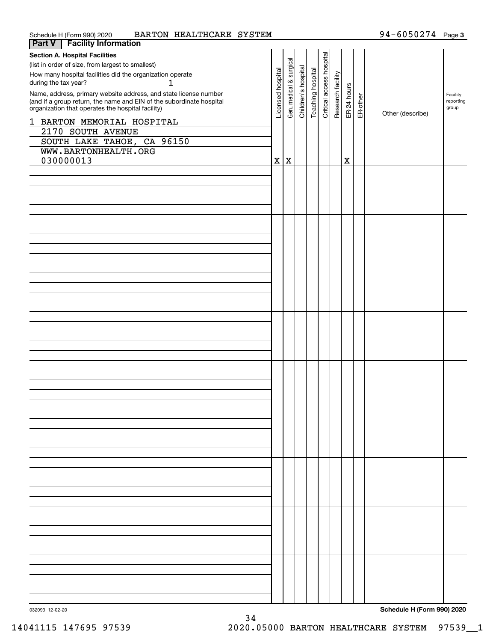| BARTON HEALTHCARE SYSTEM<br>Schedule H (Form 990) 2020                                                                                   |          |          |                     |                  |                          |                   |             |          | $94 - 6050274$ Page 3 |                       |
|------------------------------------------------------------------------------------------------------------------------------------------|----------|----------|---------------------|------------------|--------------------------|-------------------|-------------|----------|-----------------------|-----------------------|
| <b>Facility Information</b><br>Part V                                                                                                    |          |          |                     |                  |                          |                   |             |          |                       |                       |
| <b>Section A. Hospital Facilities</b>                                                                                                    |          |          |                     |                  |                          |                   |             |          |                       |                       |
| (list in order of size, from largest to smallest)                                                                                        |          | surgical |                     |                  | Critical access hospital |                   |             |          |                       |                       |
| How many hospital facilities did the organization operate                                                                                | hospital |          |                     |                  |                          |                   |             |          |                       |                       |
| during the tax year?<br>1                                                                                                                |          | చ        |                     |                  |                          |                   |             |          |                       |                       |
|                                                                                                                                          |          | medical  | Children's hospital | eaching hospital |                          | Research facility | ER-24 hours |          |                       |                       |
| Name, address, primary website address, and state license number<br>(and if a group return, the name and EIN of the subordinate hospital | icensed  |          |                     |                  |                          |                   |             | ER-other |                       | Facility<br>reporting |
| organization that operates the hospital facility)                                                                                        |          | er.      |                     |                  |                          |                   |             |          |                       | group                 |
|                                                                                                                                          |          |          |                     |                  |                          |                   |             |          | Other (describe)      |                       |
| 1 BARTON MEMORIAL HOSPITAL                                                                                                               |          |          |                     |                  |                          |                   |             |          |                       |                       |
| 2170 SOUTH AVENUE                                                                                                                        |          |          |                     |                  |                          |                   |             |          |                       |                       |
| SOUTH LAKE TAHOE, CA 96150                                                                                                               |          |          |                     |                  |                          |                   |             |          |                       |                       |
| WWW.BARTONHEALTH.ORG                                                                                                                     |          |          |                     |                  |                          |                   |             |          |                       |                       |
|                                                                                                                                          |          |          |                     |                  |                          |                   |             |          |                       |                       |
| 030000013                                                                                                                                | X        | ΙX       |                     |                  |                          |                   | X           |          |                       |                       |
|                                                                                                                                          |          |          |                     |                  |                          |                   |             |          |                       |                       |
|                                                                                                                                          |          |          |                     |                  |                          |                   |             |          |                       |                       |
|                                                                                                                                          |          |          |                     |                  |                          |                   |             |          |                       |                       |
|                                                                                                                                          |          |          |                     |                  |                          |                   |             |          |                       |                       |
|                                                                                                                                          |          |          |                     |                  |                          |                   |             |          |                       |                       |
|                                                                                                                                          |          |          |                     |                  |                          |                   |             |          |                       |                       |
|                                                                                                                                          |          |          |                     |                  |                          |                   |             |          |                       |                       |
|                                                                                                                                          |          |          |                     |                  |                          |                   |             |          |                       |                       |
|                                                                                                                                          |          |          |                     |                  |                          |                   |             |          |                       |                       |
|                                                                                                                                          |          |          |                     |                  |                          |                   |             |          |                       |                       |
|                                                                                                                                          |          |          |                     |                  |                          |                   |             |          |                       |                       |
|                                                                                                                                          |          |          |                     |                  |                          |                   |             |          |                       |                       |
|                                                                                                                                          |          |          |                     |                  |                          |                   |             |          |                       |                       |
|                                                                                                                                          |          |          |                     |                  |                          |                   |             |          |                       |                       |
|                                                                                                                                          |          |          |                     |                  |                          |                   |             |          |                       |                       |
|                                                                                                                                          |          |          |                     |                  |                          |                   |             |          |                       |                       |
|                                                                                                                                          |          |          |                     |                  |                          |                   |             |          |                       |                       |
|                                                                                                                                          |          |          |                     |                  |                          |                   |             |          |                       |                       |
|                                                                                                                                          |          |          |                     |                  |                          |                   |             |          |                       |                       |
|                                                                                                                                          |          |          |                     |                  |                          |                   |             |          |                       |                       |
|                                                                                                                                          |          |          |                     |                  |                          |                   |             |          |                       |                       |
|                                                                                                                                          |          |          |                     |                  |                          |                   |             |          |                       |                       |
|                                                                                                                                          |          |          |                     |                  |                          |                   |             |          |                       |                       |
|                                                                                                                                          |          |          |                     |                  |                          |                   |             |          |                       |                       |
|                                                                                                                                          |          |          |                     |                  |                          |                   |             |          |                       |                       |
|                                                                                                                                          |          |          |                     |                  |                          |                   |             |          |                       |                       |
|                                                                                                                                          |          |          |                     |                  |                          |                   |             |          |                       |                       |
|                                                                                                                                          |          |          |                     |                  |                          |                   |             |          |                       |                       |
|                                                                                                                                          |          |          |                     |                  |                          |                   |             |          |                       |                       |
|                                                                                                                                          |          |          |                     |                  |                          |                   |             |          |                       |                       |
|                                                                                                                                          |          |          |                     |                  |                          |                   |             |          |                       |                       |
|                                                                                                                                          |          |          |                     |                  |                          |                   |             |          |                       |                       |
|                                                                                                                                          |          |          |                     |                  |                          |                   |             |          |                       |                       |
|                                                                                                                                          |          |          |                     |                  |                          |                   |             |          |                       |                       |
|                                                                                                                                          |          |          |                     |                  |                          |                   |             |          |                       |                       |
|                                                                                                                                          |          |          |                     |                  |                          |                   |             |          |                       |                       |
|                                                                                                                                          |          |          |                     |                  |                          |                   |             |          |                       |                       |
|                                                                                                                                          |          |          |                     |                  |                          |                   |             |          |                       |                       |
|                                                                                                                                          |          |          |                     |                  |                          |                   |             |          |                       |                       |
|                                                                                                                                          |          |          |                     |                  |                          |                   |             |          |                       |                       |
|                                                                                                                                          |          |          |                     |                  |                          |                   |             |          |                       |                       |
|                                                                                                                                          |          |          |                     |                  |                          |                   |             |          |                       |                       |
|                                                                                                                                          |          |          |                     |                  |                          |                   |             |          |                       |                       |
|                                                                                                                                          |          |          |                     |                  |                          |                   |             |          |                       |                       |
|                                                                                                                                          |          |          |                     |                  |                          |                   |             |          |                       |                       |
|                                                                                                                                          |          |          |                     |                  |                          |                   |             |          |                       |                       |
|                                                                                                                                          |          |          |                     |                  |                          |                   |             |          |                       |                       |
|                                                                                                                                          |          |          |                     |                  |                          |                   |             |          |                       |                       |
|                                                                                                                                          |          |          |                     |                  |                          |                   |             |          |                       |                       |
|                                                                                                                                          |          |          |                     |                  |                          |                   |             |          |                       |                       |
|                                                                                                                                          |          |          |                     |                  |                          |                   |             |          |                       |                       |
|                                                                                                                                          |          |          |                     |                  |                          |                   |             |          |                       |                       |
|                                                                                                                                          |          |          |                     |                  |                          |                   |             |          |                       |                       |
|                                                                                                                                          |          |          |                     |                  |                          |                   |             |          |                       |                       |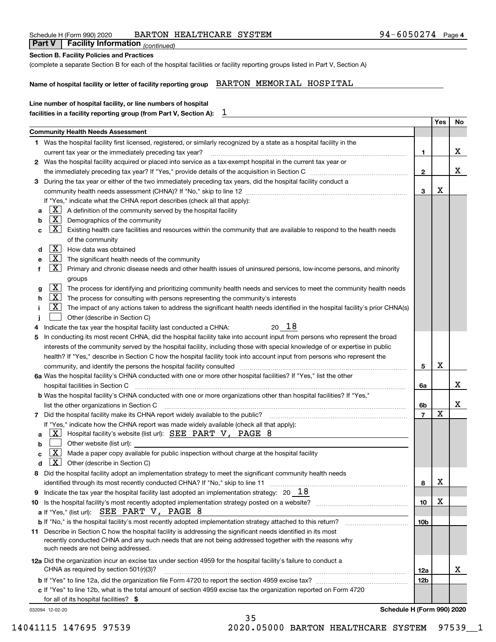| Line number of hospital facility, or line numbers of hospital<br>T<br>facilities in a facility reporting group (from Part V, Section A):<br><b>Community Health Needs Assessment</b><br>1 Was the hospital facility first licensed, registered, or similarly recognized by a state as a hospital facility in the<br>current tax year or the immediately preceding tax year?<br>2 Was the hospital facility acquired or placed into service as a tax-exempt hospital in the current tax year or<br>During the tax year or either of the two immediately preceding tax years, did the hospital facility conduct a<br>З<br>If "Yes," indicate what the CHNA report describes (check all that apply):<br>$X$ A definition of the community served by the hospital facility<br>a<br>$X$ Demographics of the community<br>b<br>$X$ Existing health care facilities and resources within the community that are available to respond to the health needs<br>c | 1.<br>$\mathbf{2}$<br>3 | Yes     | No<br>x |
|--------------------------------------------------------------------------------------------------------------------------------------------------------------------------------------------------------------------------------------------------------------------------------------------------------------------------------------------------------------------------------------------------------------------------------------------------------------------------------------------------------------------------------------------------------------------------------------------------------------------------------------------------------------------------------------------------------------------------------------------------------------------------------------------------------------------------------------------------------------------------------------------------------------------------------------------------------|-------------------------|---------|---------|
|                                                                                                                                                                                                                                                                                                                                                                                                                                                                                                                                                                                                                                                                                                                                                                                                                                                                                                                                                        |                         |         |         |
|                                                                                                                                                                                                                                                                                                                                                                                                                                                                                                                                                                                                                                                                                                                                                                                                                                                                                                                                                        |                         |         |         |
|                                                                                                                                                                                                                                                                                                                                                                                                                                                                                                                                                                                                                                                                                                                                                                                                                                                                                                                                                        |                         |         |         |
|                                                                                                                                                                                                                                                                                                                                                                                                                                                                                                                                                                                                                                                                                                                                                                                                                                                                                                                                                        |                         |         |         |
|                                                                                                                                                                                                                                                                                                                                                                                                                                                                                                                                                                                                                                                                                                                                                                                                                                                                                                                                                        |                         |         |         |
|                                                                                                                                                                                                                                                                                                                                                                                                                                                                                                                                                                                                                                                                                                                                                                                                                                                                                                                                                        |                         |         | x       |
|                                                                                                                                                                                                                                                                                                                                                                                                                                                                                                                                                                                                                                                                                                                                                                                                                                                                                                                                                        |                         |         |         |
|                                                                                                                                                                                                                                                                                                                                                                                                                                                                                                                                                                                                                                                                                                                                                                                                                                                                                                                                                        |                         | X       |         |
|                                                                                                                                                                                                                                                                                                                                                                                                                                                                                                                                                                                                                                                                                                                                                                                                                                                                                                                                                        |                         |         |         |
|                                                                                                                                                                                                                                                                                                                                                                                                                                                                                                                                                                                                                                                                                                                                                                                                                                                                                                                                                        |                         |         |         |
|                                                                                                                                                                                                                                                                                                                                                                                                                                                                                                                                                                                                                                                                                                                                                                                                                                                                                                                                                        |                         |         |         |
|                                                                                                                                                                                                                                                                                                                                                                                                                                                                                                                                                                                                                                                                                                                                                                                                                                                                                                                                                        |                         |         |         |
| of the community                                                                                                                                                                                                                                                                                                                                                                                                                                                                                                                                                                                                                                                                                                                                                                                                                                                                                                                                       |                         |         |         |
| $\boxed{\textbf{X}}$ How data was obtained<br>d                                                                                                                                                                                                                                                                                                                                                                                                                                                                                                                                                                                                                                                                                                                                                                                                                                                                                                        |                         |         |         |
| $\lfloor x \rfloor$ The significant health needs of the community<br>е                                                                                                                                                                                                                                                                                                                                                                                                                                                                                                                                                                                                                                                                                                                                                                                                                                                                                 |                         |         |         |
| $X$ Primary and chronic disease needs and other health issues of uninsured persons, low-income persons, and minority<br>f                                                                                                                                                                                                                                                                                                                                                                                                                                                                                                                                                                                                                                                                                                                                                                                                                              |                         |         |         |
| groups                                                                                                                                                                                                                                                                                                                                                                                                                                                                                                                                                                                                                                                                                                                                                                                                                                                                                                                                                 |                         |         |         |
| $\boxed{X}$ The process for identifying and prioritizing community health needs and services to meet the community health needs<br>g                                                                                                                                                                                                                                                                                                                                                                                                                                                                                                                                                                                                                                                                                                                                                                                                                   |                         |         |         |
| $ \mathbf{X} $ The process for consulting with persons representing the community's interests<br>h                                                                                                                                                                                                                                                                                                                                                                                                                                                                                                                                                                                                                                                                                                                                                                                                                                                     |                         |         |         |
| $X$ The impact of any actions taken to address the significant health needs identified in the hospital facility's prior CHNA(s)                                                                                                                                                                                                                                                                                                                                                                                                                                                                                                                                                                                                                                                                                                                                                                                                                        |                         |         |         |
| Other (describe in Section C)                                                                                                                                                                                                                                                                                                                                                                                                                                                                                                                                                                                                                                                                                                                                                                                                                                                                                                                          |                         |         |         |
| 20 18<br>Indicate the tax year the hospital facility last conducted a CHNA:<br>4                                                                                                                                                                                                                                                                                                                                                                                                                                                                                                                                                                                                                                                                                                                                                                                                                                                                       |                         |         |         |
| In conducting its most recent CHNA, did the hospital facility take into account input from persons who represent the broad<br>5                                                                                                                                                                                                                                                                                                                                                                                                                                                                                                                                                                                                                                                                                                                                                                                                                        |                         |         |         |
| interests of the community served by the hospital facility, including those with special knowledge of or expertise in public                                                                                                                                                                                                                                                                                                                                                                                                                                                                                                                                                                                                                                                                                                                                                                                                                           |                         |         |         |
| health? If "Yes," describe in Section C how the hospital facility took into account input from persons who represent the                                                                                                                                                                                                                                                                                                                                                                                                                                                                                                                                                                                                                                                                                                                                                                                                                               |                         |         |         |
| community, and identify the persons the hospital facility consulted [11] community and identify the persons the hospital facility consulted [11] community and identify the persons the hospital facility consulted [11] commu                                                                                                                                                                                                                                                                                                                                                                                                                                                                                                                                                                                                                                                                                                                         | 5                       | х       |         |
| 6a Was the hospital facility's CHNA conducted with one or more other hospital facilities? If "Yes," list the other                                                                                                                                                                                                                                                                                                                                                                                                                                                                                                                                                                                                                                                                                                                                                                                                                                     |                         |         |         |
| hospital facilities in Section C                                                                                                                                                                                                                                                                                                                                                                                                                                                                                                                                                                                                                                                                                                                                                                                                                                                                                                                       | 6a                      |         | x       |
| <b>b</b> Was the hospital facility's CHNA conducted with one or more organizations other than hospital facilities? If "Yes,"                                                                                                                                                                                                                                                                                                                                                                                                                                                                                                                                                                                                                                                                                                                                                                                                                           |                         |         |         |
|                                                                                                                                                                                                                                                                                                                                                                                                                                                                                                                                                                                                                                                                                                                                                                                                                                                                                                                                                        | 6b                      |         | х       |
| 7 Did the hospital facility make its CHNA report widely available to the public? [[[[[[[[[[[[[[[[[[[ [[[ [[ [                                                                                                                                                                                                                                                                                                                                                                                                                                                                                                                                                                                                                                                                                                                                                                                                                                          | $\overline{\mathbf{r}}$ | Y<br>∡⊾ |         |
| If "Yes," indicate how the CHNA report was made widely available (check all that apply):                                                                                                                                                                                                                                                                                                                                                                                                                                                                                                                                                                                                                                                                                                                                                                                                                                                               |                         |         |         |
| $\underline{X}$ Hospital facility's website (list url): $\underline{SEE}$ PART V, PAGE $8$<br>a                                                                                                                                                                                                                                                                                                                                                                                                                                                                                                                                                                                                                                                                                                                                                                                                                                                        |                         |         |         |
| Other website (list url):<br>b                                                                                                                                                                                                                                                                                                                                                                                                                                                                                                                                                                                                                                                                                                                                                                                                                                                                                                                         |                         |         |         |
| $\mathbf{X}$<br>Made a paper copy available for public inspection without charge at the hospital facility<br>C                                                                                                                                                                                                                                                                                                                                                                                                                                                                                                                                                                                                                                                                                                                                                                                                                                         |                         |         |         |
| $X$ Other (describe in Section C)<br>d                                                                                                                                                                                                                                                                                                                                                                                                                                                                                                                                                                                                                                                                                                                                                                                                                                                                                                                 |                         |         |         |
| 8 Did the hospital facility adopt an implementation strategy to meet the significant community health needs                                                                                                                                                                                                                                                                                                                                                                                                                                                                                                                                                                                                                                                                                                                                                                                                                                            |                         |         |         |
| identified through its most recently conducted CHNA? If "No," skip to line 11                                                                                                                                                                                                                                                                                                                                                                                                                                                                                                                                                                                                                                                                                                                                                                                                                                                                          | 8                       | х       |         |
| Indicate the tax year the hospital facility last adopted an implementation strategy: $20\quad18$<br>9                                                                                                                                                                                                                                                                                                                                                                                                                                                                                                                                                                                                                                                                                                                                                                                                                                                  |                         |         |         |
| 10                                                                                                                                                                                                                                                                                                                                                                                                                                                                                                                                                                                                                                                                                                                                                                                                                                                                                                                                                     | 10                      | x       |         |
| a If "Yes," (list url): <b>SEE PART V</b> , PAGE 8                                                                                                                                                                                                                                                                                                                                                                                                                                                                                                                                                                                                                                                                                                                                                                                                                                                                                                     |                         |         |         |
| <b>b</b> If "No," is the hospital facility's most recently adopted implementation strategy attached to this return? <i>managerene</i> in the set of the lospital facility's most recently adopted implementation strategy attached to th                                                                                                                                                                                                                                                                                                                                                                                                                                                                                                                                                                                                                                                                                                               | 10b                     |         |         |
| 11 Describe in Section C how the hospital facility is addressing the significant needs identified in its most                                                                                                                                                                                                                                                                                                                                                                                                                                                                                                                                                                                                                                                                                                                                                                                                                                          |                         |         |         |
| recently conducted CHNA and any such needs that are not being addressed together with the reasons why                                                                                                                                                                                                                                                                                                                                                                                                                                                                                                                                                                                                                                                                                                                                                                                                                                                  |                         |         |         |
| such needs are not being addressed.                                                                                                                                                                                                                                                                                                                                                                                                                                                                                                                                                                                                                                                                                                                                                                                                                                                                                                                    |                         |         |         |
| 12a Did the organization incur an excise tax under section 4959 for the hospital facility's failure to conduct a                                                                                                                                                                                                                                                                                                                                                                                                                                                                                                                                                                                                                                                                                                                                                                                                                                       |                         |         |         |
| CHNA as required by section 501(r)(3)?                                                                                                                                                                                                                                                                                                                                                                                                                                                                                                                                                                                                                                                                                                                                                                                                                                                                                                                 | 12a                     |         | х       |
|                                                                                                                                                                                                                                                                                                                                                                                                                                                                                                                                                                                                                                                                                                                                                                                                                                                                                                                                                        | <b>12b</b>              |         |         |
| c If "Yes" to line 12b, what is the total amount of section 4959 excise tax the organization reported on Form 4720                                                                                                                                                                                                                                                                                                                                                                                                                                                                                                                                                                                                                                                                                                                                                                                                                                     |                         |         |         |

### Schedule H (Form 990) 2020 BARTON HEALTHCARE SYSTEM 94-6050274 Page

 *(continued)* **Part V Facility Information**

35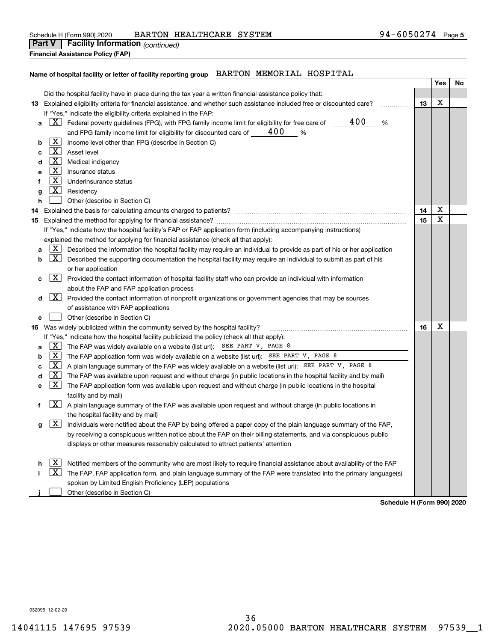|        | Schedule H (Form 990) 2020              | BARTON HEALTHCARE SYSTEM | 94-6050274 | Page 5 |
|--------|-----------------------------------------|--------------------------|------------|--------|
| Part V | <b>Facility Information</b> (continued) |                          |            |        |

|  | <b>Financial Assistance Policy (FAP)</b> |  |
|--|------------------------------------------|--|
|  |                                          |  |

### **Name of hospital facility or letter of facility reporting group** BARTON MEMORIAL HOSPITAL

|    |                         |                                                                                                                           |    | Yes | No |
|----|-------------------------|---------------------------------------------------------------------------------------------------------------------------|----|-----|----|
|    |                         | Did the hospital facility have in place during the tax year a written financial assistance policy that:                   |    |     |    |
|    |                         | 13 Explained eligibility criteria for financial assistance, and whether such assistance included free or discounted care? | 13 | х   |    |
|    |                         | If "Yes," indicate the eligibility criteria explained in the FAP:                                                         |    |     |    |
| а  |                         | 400<br>$X$ Federal poverty guidelines (FPG), with FPG family income limit for eligibility for free care of<br>%           |    |     |    |
|    |                         | 400<br>and FPG family income limit for eligibility for discounted care of ____<br>$\frac{0}{0}$                           |    |     |    |
| b  | X                       | Income level other than FPG (describe in Section C)                                                                       |    |     |    |
| c  | $\lfloor x \rfloor$     | Asset level                                                                                                               |    |     |    |
| d  | $\boxed{\text{X}}$      | Medical indigency                                                                                                         |    |     |    |
| е  | $\mathbf{X}$            | Insurance status                                                                                                          |    |     |    |
| f  | $\overline{\mathbf{X}}$ | Underinsurance status                                                                                                     |    |     |    |
| g  | X                       | Residency                                                                                                                 |    |     |    |
| h  |                         | Other (describe in Section C)                                                                                             |    |     |    |
| 14 |                         |                                                                                                                           | 14 | Χ   |    |
|    |                         |                                                                                                                           | 15 | X   |    |
|    |                         | If "Yes," indicate how the hospital facility's FAP or FAP application form (including accompanying instructions)          |    |     |    |
|    |                         | explained the method for applying for financial assistance (check all that apply):                                        |    |     |    |
| а  | $\mathbf{X}$            | Described the information the hospital facility may require an individual to provide as part of his or her application    |    |     |    |
| b  | $\mathbf{X}$            | Described the supporting documentation the hospital facility may require an individual to submit as part of his           |    |     |    |
|    |                         | or her application                                                                                                        |    |     |    |
| с  | X                       | Provided the contact information of hospital facility staff who can provide an individual with information                |    |     |    |
|    |                         | about the FAP and FAP application process                                                                                 |    |     |    |
| d  | $\mathbf{X}$            | Provided the contact information of nonprofit organizations or government agencies that may be sources                    |    |     |    |
|    |                         | of assistance with FAP applications                                                                                       |    |     |    |
| е  |                         | Other (describe in Section C)                                                                                             |    |     |    |
|    |                         | 16 Was widely publicized within the community served by the hospital facility?                                            | 16 | X   |    |
|    |                         | If "Yes," indicate how the hospital facility publicized the policy (check all that apply):                                |    |     |    |
| a  | X                       | The FAP was widely available on a website (list url): SEE PART V, PAGE 8                                                  |    |     |    |
| b  | $\mathbf{X}$            | The FAP application form was widely available on a website (list url): SEE PART V, PAGE 8                                 |    |     |    |
| с  | $\mathbf{X}$            | A plain language summary of the FAP was widely available on a website (list url): SEE PART V, PAGE 8                      |    |     |    |
| d  | $\overline{\mathbf{x}}$ | The FAP was available upon request and without charge (in public locations in the hospital facility and by mail)          |    |     |    |
| е  | X                       | The FAP application form was available upon request and without charge (in public locations in the hospital               |    |     |    |
|    | $\mathbf{X}$            | facility and by mail)                                                                                                     |    |     |    |
| f  |                         | A plain language summary of the FAP was available upon request and without charge (in public locations in                 |    |     |    |
|    | <u>X  </u>              | the hospital facility and by mail)                                                                                        |    |     |    |
| g  |                         | Individuals were notified about the FAP by being offered a paper copy of the plain language summary of the FAP,           |    |     |    |
|    |                         | by receiving a conspicuous written notice about the FAP on their billing statements, and via conspicuous public           |    |     |    |
|    |                         | displays or other measures reasonably calculated to attract patients' attention                                           |    |     |    |
|    | X                       | Notified members of the community who are most likely to require financial assistance about availability of the FAP       |    |     |    |
|    | <u>x</u>                | The FAP, FAP application form, and plain language summary of the FAP were translated into the primary language(s)         |    |     |    |
|    |                         | spoken by Limited English Proficiency (LEP) populations                                                                   |    |     |    |
|    |                         | Other (describe in Section C)                                                                                             |    |     |    |

**Schedule H (Form 990) 2020**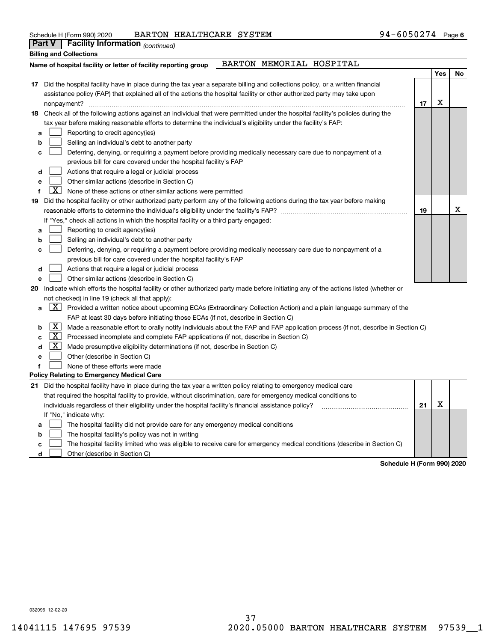| Schedule H (Form 990) 2020 |
|----------------------------|
| $D = 1$                    |

Schedule H (Form 990) 2020 BARTON HEALTHCARE SYSTEM 94-6050274 Page

|    |                     | Part $\mathbf{v}$   Facility information $_{(continued)}$                                                                           |    |     |    |
|----|---------------------|-------------------------------------------------------------------------------------------------------------------------------------|----|-----|----|
|    |                     | <b>Billing and Collections</b>                                                                                                      |    |     |    |
|    |                     | BARTON MEMORIAL HOSPITAL<br>Name of hospital facility or letter of facility reporting group                                         |    |     |    |
|    |                     |                                                                                                                                     |    | Yes | No |
|    |                     | 17 Did the hospital facility have in place during the tax year a separate billing and collections policy, or a written financial    |    |     |    |
|    |                     | assistance policy (FAP) that explained all of the actions the hospital facility or other authorized party may take upon             |    |     |    |
|    |                     |                                                                                                                                     | 17 | х   |    |
|    |                     | 18 Check all of the following actions against an individual that were permitted under the hospital facility's policies during the   |    |     |    |
|    |                     | tax year before making reasonable efforts to determine the individual's eligibility under the facility's FAP:                       |    |     |    |
| а  |                     | Reporting to credit agency(ies)                                                                                                     |    |     |    |
| b  |                     | Selling an individual's debt to another party                                                                                       |    |     |    |
| c  |                     | Deferring, denying, or requiring a payment before providing medically necessary care due to nonpayment of a                         |    |     |    |
|    |                     | previous bill for care covered under the hospital facility's FAP                                                                    |    |     |    |
| d  |                     | Actions that require a legal or judicial process                                                                                    |    |     |    |
|    |                     | Other similar actions (describe in Section C)                                                                                       |    |     |    |
|    | X.                  | None of these actions or other similar actions were permitted                                                                       |    |     |    |
| 19 |                     | Did the hospital facility or other authorized party perform any of the following actions during the tax year before making          |    |     |    |
|    |                     |                                                                                                                                     | 19 |     | X  |
|    |                     | If "Yes," check all actions in which the hospital facility or a third party engaged:                                                |    |     |    |
| а  |                     | Reporting to credit agency(ies)                                                                                                     |    |     |    |
| b  |                     | Selling an individual's debt to another party                                                                                       |    |     |    |
| c  |                     | Deferring, denying, or requiring a payment before providing medically necessary care due to nonpayment of a                         |    |     |    |
|    |                     | previous bill for care covered under the hospital facility's FAP                                                                    |    |     |    |
| d  |                     | Actions that require a legal or judicial process                                                                                    |    |     |    |
| e  |                     | Other similar actions (describe in Section C)                                                                                       |    |     |    |
| 20 |                     | Indicate which efforts the hospital facility or other authorized party made before initiating any of the actions listed (whether or |    |     |    |
|    |                     | not checked) in line 19 (check all that apply):                                                                                     |    |     |    |
| a  |                     | $X$ Provided a written notice about upcoming ECAs (Extraordinary Collection Action) and a plain language summary of the             |    |     |    |
|    |                     | FAP at least 30 days before initiating those ECAs (if not, describe in Section C)                                                   |    |     |    |
| b  | X                   | Made a reasonable effort to orally notify individuals about the FAP and FAP application process (if not, describe in Section C)     |    |     |    |
| C  | $\lfloor x \rfloor$ | Processed incomplete and complete FAP applications (if not, describe in Section C)                                                  |    |     |    |
| d  | $\lfloor x \rfloor$ | Made presumptive eligibility determinations (if not, describe in Section C)                                                         |    |     |    |
| e  |                     | Other (describe in Section C)                                                                                                       |    |     |    |
| f  |                     | None of these efforts were made                                                                                                     |    |     |    |
|    |                     | <b>Policy Relating to Emergency Medical Care</b>                                                                                    |    |     |    |
|    |                     | 21 Did the hospital facility have in place during the tax year a written policy relating to emergency medical care                  |    |     |    |
|    |                     | that required the hospital facility to provide, without discrimination, care for emergency medical conditions to                    |    |     |    |
|    |                     | individuals regardless of their eligibility under the hospital facility's financial assistance policy?                              | 21 | X   |    |
|    |                     | If "No," indicate why:                                                                                                              |    |     |    |
| a  |                     | The hospital facility did not provide care for any emergency medical conditions                                                     |    |     |    |
| b  |                     | The hospital facility's policy was not in writing                                                                                   |    |     |    |
| с  |                     | The hospital facility limited who was eligible to receive care for emergency medical conditions (describe in Section C)             |    |     |    |

**d**Other (describe in Section C)  $\mathcal{L}^{\text{max}}$ 

**Schedule H (Form 990) 2020**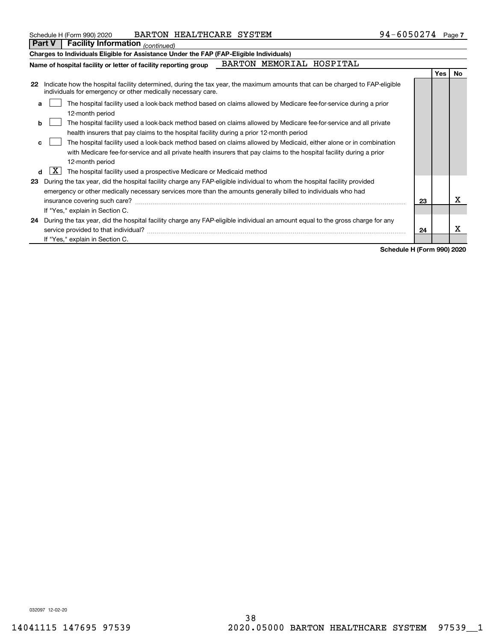| Schedule H (Form 990) 2020 | BARTON HEALTHCARE SYSTEM |  | $94 - 6050274$ Page 7 |  |
|----------------------------|--------------------------|--|-----------------------|--|
|----------------------------|--------------------------|--|-----------------------|--|

**Part V Facility Information**

|    | Part VI<br><b>Facility Information</b> (continued)                                                                                                                                                                            |    |            |     |
|----|-------------------------------------------------------------------------------------------------------------------------------------------------------------------------------------------------------------------------------|----|------------|-----|
|    | Charges to Individuals Eligible for Assistance Under the FAP (FAP-Eligible Individuals)                                                                                                                                       |    |            |     |
|    | BARTON MEMORIAL HOSPITAL<br>Name of hospital facility or letter of facility reporting group                                                                                                                                   |    |            |     |
|    |                                                                                                                                                                                                                               |    | <b>Yes</b> | No. |
| 22 | Indicate how the hospital facility determined, during the tax year, the maximum amounts that can be charged to FAP-eligible<br>individuals for emergency or other medically necessary care.                                   |    |            |     |
| a  | The hospital facility used a look-back method based on claims allowed by Medicare fee-for-service during a prior<br>12-month period                                                                                           |    |            |     |
| b  | The hospital facility used a look-back method based on claims allowed by Medicare fee-for-service and all private                                                                                                             |    |            |     |
|    | health insurers that pay claims to the hospital facility during a prior 12-month period                                                                                                                                       |    |            |     |
| C  | The hospital facility used a look-back method based on claims allowed by Medicaid, either alone or in combination                                                                                                             |    |            |     |
|    | with Medicare fee-for-service and all private health insurers that pay claims to the hospital facility during a prior                                                                                                         |    |            |     |
|    | 12-month period                                                                                                                                                                                                               |    |            |     |
| d  | X  <br>The hospital facility used a prospective Medicare or Medicaid method                                                                                                                                                   |    |            |     |
| 23 | During the tax year, did the hospital facility charge any FAP-eligible individual to whom the hospital facility provided                                                                                                      |    |            |     |
|    | emergency or other medically necessary services more than the amounts generally billed to individuals who had                                                                                                                 |    |            |     |
|    | insurance covering such care? The contract of the contract of the contract of the contract of the contract of the contract of the contract of the contract of the contract of the contract of the contract of the contract of | 23 |            | х   |
|    | If "Yes," explain in Section C.                                                                                                                                                                                               |    |            |     |
| 24 | During the tax year, did the hospital facility charge any FAP-eligible individual an amount equal to the gross charge for any                                                                                                 |    |            |     |
|    | service provided to that individual?                                                                                                                                                                                          | 24 |            | x   |
|    | If "Yes," explain in Section C.                                                                                                                                                                                               |    |            |     |

**Schedule H (Form 990) 2020**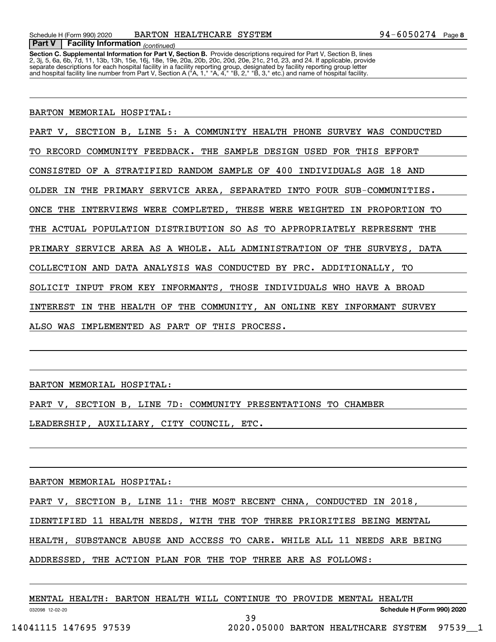**Section C. Supplemental Information for Part V, Section B.** Provide descriptions required for Part V, Section B, lines<br>2, 3j, 5, 6a, 6b, 7d, 11, 13b, 13h, 15e, 16j, 18e, 19e, 20a, 20b, 20c, 20d, 20e, 21c, 21d, 23, and 24. separate descriptions for each hospital facility in a facility reporting group, designated by facility reporting group letter<br>and hospital facility line number from Part V, Section A ("A, 1," "A, 4," "B, 2," "B, 3," etc.)

BARTON MEMORIAL HOSPITAL:

 *(continued)* **Part V Facility Information**

PART V, SECTION B, LINE 5: A COMMUNITY HEALTH PHONE SURVEY WAS CONDUCTED

TO RECORD COMMUNITY FEEDBACK. THE SAMPLE DESIGN USED FOR THIS EFFORT

CONSISTED OF A STRATIFIED RANDOM SAMPLE OF 400 INDIVIDUALS AGE 18 AND

OLDER IN THE PRIMARY SERVICE AREA, SEPARATED INTO FOUR SUB-COMMUNITIES.

ONCE THE INTERVIEWS WERE COMPLETED, THESE WERE WEIGHTED IN PROPORTION TO

THE ACTUAL POPULATION DISTRIBUTION SO AS TO APPROPRIATELY REPRESENT THE

PRIMARY SERVICE AREA AS A WHOLE. ALL ADMINISTRATION OF THE SURVEYS, DATA

COLLECTION AND DATA ANALYSIS WAS CONDUCTED BY PRC. ADDITIONALLY, TO

SOLICIT INPUT FROM KEY INFORMANTS, THOSE INDIVIDUALS WHO HAVE A BROAD

INTEREST IN THE HEALTH OF THE COMMUNITY, AN ONLINE KEY INFORMANT SURVEY

ALSO WAS IMPLEMENTED AS PART OF THIS PROCESS.

BARTON MEMORIAL HOSPITAL:

PART V, SECTION B, LINE 7D: COMMUNITY PRESENTATIONS TO CHAMBER LEADERSHIP, AUXILIARY, CITY COUNCIL, ETC.

BARTON MEMORIAL HOSPITAL:

PART V, SECTION B, LINE 11: THE MOST RECENT CHNA, CONDUCTED IN 2018,

IDENTIFIED 11 HEALTH NEEDS, WITH THE TOP THREE PRIORITIES BEING MENTAL

HEALTH, SUBSTANCE ABUSE AND ACCESS TO CARE. WHILE ALL 11 NEEDS ARE BEING

39

ADDRESSED, THE ACTION PLAN FOR THE TOP THREE ARE AS FOLLOWS:

|  |  | MENTAL HEALTH: BARTON HEALTH WILL CONTINUE TO PROVIDE MENTAL HEALTH |  |  |  |
|--|--|---------------------------------------------------------------------|--|--|--|
|  |  |                                                                     |  |  |  |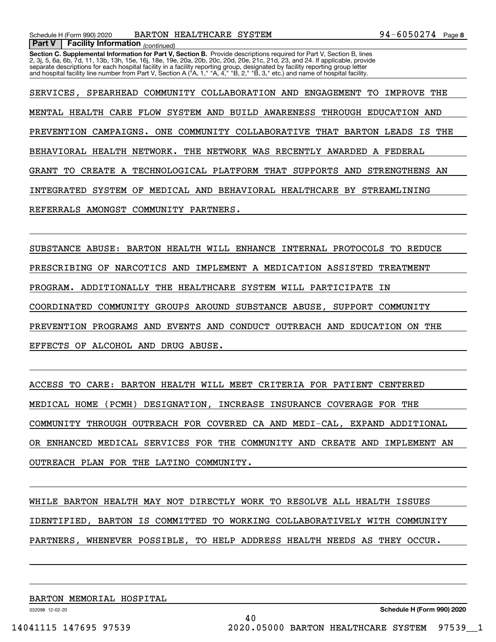*(continued)* **Part V Facility Information**

**Section C. Supplemental Information for Part V, Section B.** Provide descriptions required for Part V, Section B, lines<br>2, 3j, 5, 6a, 6b, 7d, 11, 13b, 13h, 15e, 16j, 18e, 19e, 20a, 20b, 20c, 20d, 20e, 21c, 21d, 23, and 24. separate descriptions for each hospital facility in a facility reporting group, designated by facility reporting group letter<br>and hospital facility line number from Part V, Section A ("A, 1," "A, 4," "B, 2," "B, 3," etc.)

SERVICES, SPEARHEAD COMMUNITY COLLABORATION AND ENGAGEMENT TO IMPROVE THE MENTAL HEALTH CARE FLOW SYSTEM AND BUILD AWARENESS THROUGH EDUCATION AND PREVENTION CAMPAIGNS. ONE COMMUNITY COLLABORATIVE THAT BARTON LEADS IS THE BEHAVIORAL HEALTH NETWORK. THE NETWORK WAS RECENTLY AWARDED A FEDERAL GRANT TO CREATE A TECHNOLOGICAL PLATFORM THAT SUPPORTS AND STRENGTHENS AN INTEGRATED SYSTEM OF MEDICAL AND BEHAVIORAL HEALTHCARE BY STREAMLINING REFERRALS AMONGST COMMUNITY PARTNERS.

SUBSTANCE ABUSE: BARTON HEALTH WILL ENHANCE INTERNAL PROTOCOLS TO REDUCE PRESCRIBING OF NARCOTICS AND IMPLEMENT A MEDICATION ASSISTED TREATMENT PROGRAM. ADDITIONALLY THE HEALTHCARE SYSTEM WILL PARTICIPATE IN COORDINATED COMMUNITY GROUPS AROUND SUBSTANCE ABUSE, SUPPORT COMMUNITY PREVENTION PROGRAMS AND EVENTS AND CONDUCT OUTREACH AND EDUCATION ON THE EFFECTS OF ALCOHOL AND DRUG ABUSE.

ACCESS TO CARE: BARTON HEALTH WILL MEET CRITERIA FOR PATIENT CENTERED MEDICAL HOME (PCMH) DESIGNATION, INCREASE INSURANCE COVERAGE FOR THE COMMUNITY THROUGH OUTREACH FOR COVERED CA AND MEDI-CAL, EXPAND ADDITIONAL OR ENHANCED MEDICAL SERVICES FOR THE COMMUNITY AND CREATE AND IMPLEMENT AN OUTREACH PLAN FOR THE LATINO COMMUNITY.

WHILE BARTON HEALTH MAY NOT DIRECTLY WORK TO RESOLVE ALL HEALTH ISSUES IDENTIFIED, BARTON IS COMMITTED TO WORKING COLLABORATIVELY WITH COMMUNITY PARTNERS, WHENEVER POSSIBLE, TO HELP ADDRESS HEALTH NEEDS AS THEY OCCUR.

40

BARTON MEMORIAL HOSPITAL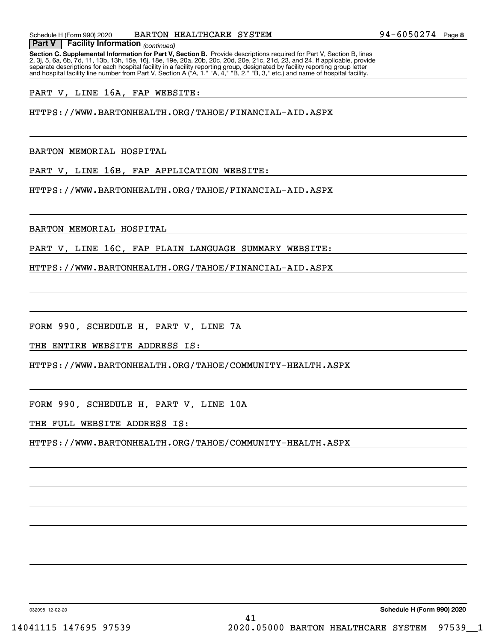*(continued)* **Part V Facility Information**

**Section C. Supplemental Information for Part V, Section B.** Provide descriptions required for Part V, Section B, lines<br>2, 3j, 5, 6a, 6b, 7d, 11, 13b, 13h, 15e, 16j, 18e, 19e, 20a, 20b, 20c, 20d, 20e, 21c, 21d, 23, and 24. separate descriptions for each hospital facility in a facility reporting group, designated by facility reporting group letter<br>and hospital facility line number from Part V, Section A ("A, 1," "A, 4," "B, 2," "B, 3," etc.)

PART V, LINE 16A, FAP WEBSITE:

HTTPS://WWW.BARTONHEALTH.ORG/TAHOE/FINANCIAL-AID.ASPX

BARTON MEMORIAL HOSPITAL

PART V, LINE 16B, FAP APPLICATION WEBSITE:

HTTPS://WWW.BARTONHEALTH.ORG/TAHOE/FINANCIAL-AID.ASPX

BARTON MEMORIAL HOSPITAL

PART V, LINE 16C, FAP PLAIN LANGUAGE SUMMARY WEBSITE:

HTTPS://WWW.BARTONHEALTH.ORG/TAHOE/FINANCIAL-AID.ASPX

FORM 990, SCHEDULE H, PART V, LINE 7A

THE ENTIRE WEBSITE ADDRESS IS:

HTTPS://WWW.BARTONHEALTH.ORG/TAHOE/COMMUNITY-HEALTH.ASPX

FORM 990, SCHEDULE H, PART V, LINE 10A

THE FULL WEBSITE ADDRESS IS:

HTTPS://WWW.BARTONHEALTH.ORG/TAHOE/COMMUNITY-HEALTH.ASPX

41

032098 12-02-20

**Schedule H (Form 990) 2020**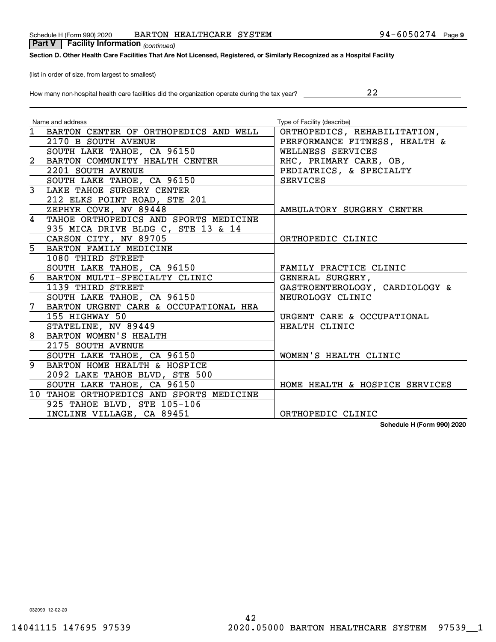### Schedule H (Form 990) 2020 BARTON HEALTHCARE SYSTEM 94-6050274 Page

 *(continued)* **Part V Facility Information**

### **Section D. Other Health Care Facilities That Are Not Licensed, Registered, or Similarly Recognized as a Hospital Facility**

(list in order of size, from largest to smallest)

How many non-hospital health care facilities did the organization operate during the tax year?

| Name and address                          | Type of Facility (describe)    |
|-------------------------------------------|--------------------------------|
| 1 BARTON CENTER OF ORTHOPEDICS AND WELL   | ORTHOPEDICS, REHABILITATION,   |
| 2170 B SOUTH AVENUE                       | PERFORMANCE FITNESS, HEALTH &  |
| SOUTH LAKE TAHOE, CA 96150                | WELLNESS SERVICES              |
| 2 BARTON COMMUNITY HEALTH CENTER          | RHC, PRIMARY CARE, OB,         |
| 2201 SOUTH AVENUE                         | PEDIATRICS, & SPECIALTY        |
| SOUTH LAKE TAHOE, CA 96150                | <b>SERVICES</b>                |
| $\mathbf{3}$<br>LAKE TAHOE SURGERY CENTER |                                |
| 212 ELKS POINT ROAD, STE 201              |                                |
| ZEPHYR COVE, NV 89448                     | AMBULATORY SURGERY CENTER      |
| TAHOE ORTHOPEDICS AND SPORTS MEDICINE     |                                |
| 935 MICA DRIVE BLDG C, STE 13 & 14        |                                |
| CARSON CITY, NV 89705                     | ORTHOPEDIC CLINIC              |
| BARTON FAMILY MEDICINE                    |                                |
| 1080 THIRD STREET                         |                                |
| SOUTH LAKE TAHOE, CA 96150                | FAMILY PRACTICE CLINIC         |
| BARTON MULTI-SPECIALTY CLINIC             | GENERAL SURGERY,               |
| 1139 THIRD STREET                         | GASTROENTEROLOGY, CARDIOLOGY & |
| SOUTH LAKE TAHOE, CA 96150                | NEUROLOGY CLINIC               |
| BARTON URGENT CARE & OCCUPATIONAL HEA     |                                |
| 155 HIGHWAY 50                            | URGENT CARE & OCCUPATIONAL     |
| STATELINE, NV 89449                       | HEALTH CLINIC                  |
| 8<br>BARTON WOMEN'S HEALTH                |                                |
| 2175 SOUTH AVENUE                         |                                |
| SOUTH LAKE TAHOE, CA 96150                | WOMEN'S HEALTH CLINIC          |
| 9<br>BARTON HOME HEALTH & HOSPICE         |                                |
| 2092 LAKE TAHOE BLVD, STE 500             |                                |
| SOUTH LAKE TAHOE, CA 96150                | HOME HEALTH & HOSPICE SERVICES |
| 10 TAHOE ORTHOPEDICS AND SPORTS MEDICINE  |                                |
| 925 TAHOE BLVD, STE 105-106               |                                |
| INCLINE VILLAGE, CA 89451                 | ORTHOPEDIC CLINIC              |

**Schedule H (Form 990) 2020**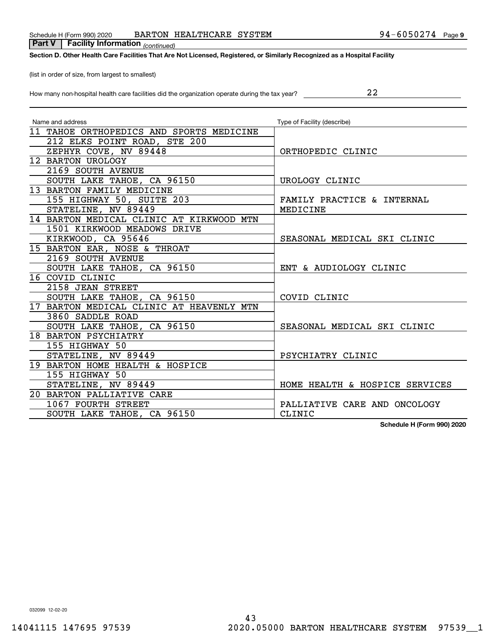### Schedule H (Form 990) 2020 Page BARTON HEALTHCARE SYSTEM 94-6050274

 *(continued)* **Part V Facility Information**

### **Section D. Other Health Care Facilities That Are Not Licensed, Registered, or Similarly Recognized as a Hospital Facility**

(list in order of size, from largest to smallest)

How many non-hospital health care facilities did the organization operate during the tax year?

| Name and address                         | Type of Facility (describe)    |
|------------------------------------------|--------------------------------|
| 11 TAHOE ORTHOPEDICS AND SPORTS MEDICINE |                                |
| 212 ELKS POINT ROAD, STE 200             |                                |
| ZEPHYR COVE, NV 89448                    | ORTHOPEDIC CLINIC              |
| 12 BARTON UROLOGY                        |                                |
| 2169 SOUTH AVENUE                        |                                |
| SOUTH LAKE TAHOE, CA 96150               | UROLOGY CLINIC                 |
| 13 BARTON FAMILY MEDICINE                |                                |
| 155 HIGHWAY 50, SUITE 203                | FAMILY PRACTICE & INTERNAL     |
| STATELINE, NV 89449                      | MEDICINE                       |
| 14 BARTON MEDICAL CLINIC AT KIRKWOOD MTN |                                |
| 1501 KIRKWOOD MEADOWS DRIVE              |                                |
| KIRKWOOD, CA 95646                       | SEASONAL MEDICAL SKI CLINIC    |
| 15 BARTON EAR, NOSE & THROAT             |                                |
| 2169 SOUTH AVENUE                        |                                |
| SOUTH LAKE TAHOE, CA 96150               | ENT & AUDIOLOGY CLINIC         |
| 16 COVID CLINIC                          |                                |
| 2158 JEAN STREET                         |                                |
| SOUTH LAKE TAHOE, CA 96150               | COVID CLINIC                   |
| 17 BARTON MEDICAL CLINIC AT HEAVENLY MTN |                                |
| 3860 SADDLE ROAD                         |                                |
| SOUTH LAKE TAHOE, CA 96150               | SEASONAL MEDICAL SKI CLINIC    |
| 18 BARTON PSYCHIATRY                     |                                |
| 155 HIGHWAY 50                           |                                |
| STATELINE, NV 89449                      | PSYCHIATRY CLINIC              |
| 19 BARTON HOME HEALTH & HOSPICE          |                                |
| 155 HIGHWAY 50                           |                                |
| STATELINE, NV 89449                      | HOME HEALTH & HOSPICE SERVICES |
| 20 BARTON PALLIATIVE CARE                |                                |
| 1067 FOURTH STREET                       | PALLIATIVE CARE AND ONCOLOGY   |
| SOUTH LAKE TAHOE, CA 96150               | CLINIC                         |

**Schedule H (Form 990) 2020**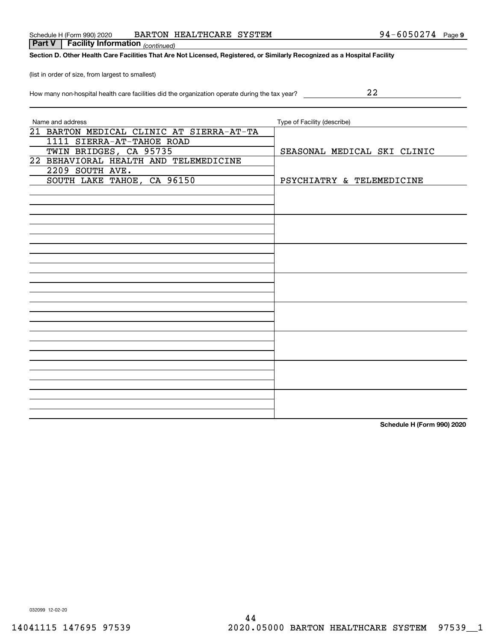032099 12-02-20

| Schedule H (Form 990) 2020 | HEALTHCARE SYSTEM<br><b>BARTON</b> |  | $94 - 6050274$ | Page 9 |
|----------------------------|------------------------------------|--|----------------|--------|
|----------------------------|------------------------------------|--|----------------|--------|

**Section D. Other Health Care Facilities That Are Not Licensed, Registered, or Similarly Recognized as a Hospital Facility**

(list in order of size, from largest to smallest)

 *(continued)* **Part V Facility Information**

| How many non-hospital health care facilities did the organization operate during the tax year? |  |
|------------------------------------------------------------------------------------------------|--|
|------------------------------------------------------------------------------------------------|--|

| Name and address                         | Type of Facility (describe) |
|------------------------------------------|-----------------------------|
| 21 BARTON MEDICAL CLINIC AT SIERRA-AT-TA |                             |
| 1111 SIERRA-AT-TAHOE ROAD                |                             |
| TWIN BRIDGES, CA 95735                   | SEASONAL MEDICAL SKI CLINIC |
| 22 BEHAVIORAL HEALTH AND TELEMEDICINE    |                             |
| 2209 SOUTH AVE.                          |                             |
| SOUTH LAKE TAHOE, CA 96150               | PSYCHIATRY & TELEMEDICINE   |
|                                          |                             |
|                                          |                             |
|                                          |                             |
|                                          |                             |
|                                          |                             |
|                                          |                             |
|                                          |                             |
|                                          |                             |
|                                          |                             |
|                                          |                             |
|                                          |                             |
|                                          |                             |
|                                          |                             |
|                                          |                             |
|                                          |                             |
|                                          |                             |
|                                          |                             |
|                                          |                             |
|                                          |                             |
|                                          |                             |
|                                          |                             |
|                                          |                             |
|                                          |                             |

**Schedule H (Form 990) 2020**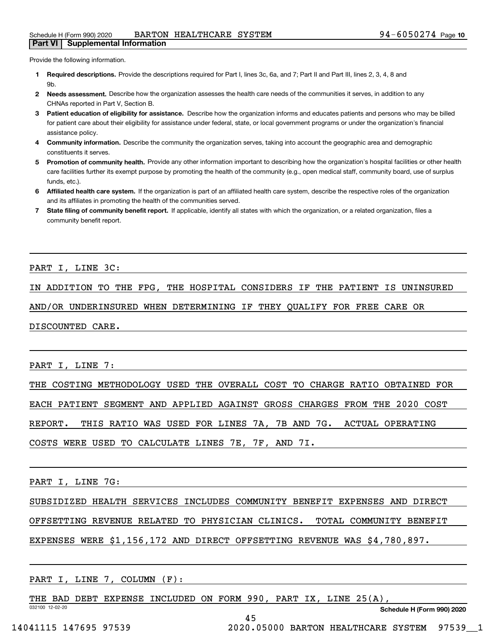Provide the following information.

- **1 Required descriptions.** Provide the descriptions required for Part I, lines 3c, 6a, and 7; Part II and Part III, lines 2, 3, 4, 8 and **Qh**
- **2Needs assessment.** Describe how the organization assesses the health care needs of the communities it serves, in addition to any CHNAs reported in Part V, Section B.
- **3** Patient education of eligibility for assistance. Describe how the organization informs and educates patients and persons who may be billed for patient care about their eligibility for assistance under federal, state, or local government programs or under the organization's financial assistance policy.
- **4 Community information.** Describe the community the organization serves, taking into account the geographic area and demographic constituents it serves.
- 5 Promotion of community health. Provide any other information important to describing how the organization's hospital facilities or other health care facilities further its exempt purpose by promoting the health of the community (e.g., open medical staff, community board, use of surplus funds, etc.).
- **6Affiliated health care system.** If the organization is part of an affiliated health care system, describe the respective roles of the organization and its affiliates in promoting the health of the communities served.
- **7** State filing of community benefit report. If applicable, identify all states with which the organization, or a related organization, files a community benefit report.

PART I, LINE 3C:

IN ADDITION TO THE FPG, THE HOSPITAL CONSIDERS IF THE PATIENT IS UNINSURED

AND/OR UNDERINSURED WHEN DETERMINING IF THEY QUALIFY FOR FREE CARE OR

DISCOUNTED CARE.

PART I, LINE 7:

THE COSTING METHODOLOGY USED THE OVERALL COST TO CHARGE RATIO OBTAINED FOR

EACH PATIENT SEGMENT AND APPLIED AGAINST GROSS CHARGES FROM THE 2020 COST

REPORT. THIS RATIO WAS USED FOR LINES 7A, 7B AND 7G. ACTUAL OPERATING

COSTS WERE USED TO CALCULATE LINES 7E, 7F, AND 7I.

PART I, LINE 7G:

SUBSIDIZED HEALTH SERVICES INCLUDES COMMUNITY BENEFIT EXPENSES AND DIRECT

OFFSETTING REVENUE RELATED TO PHYSICIAN CLINICS. TOTAL COMMUNITY BENEFIT

45

EXPENSES WERE \$1,156,172 AND DIRECT OFFSETTING REVENUE WAS \$4,780,897.

PART I, LINE 7, COLUMN (F):

032100 12-02-20 THE BAD DEBT EXPENSE INCLUDED ON FORM 990, PART IX, LINE 25(A),

**Schedule H (Form 990) 2020**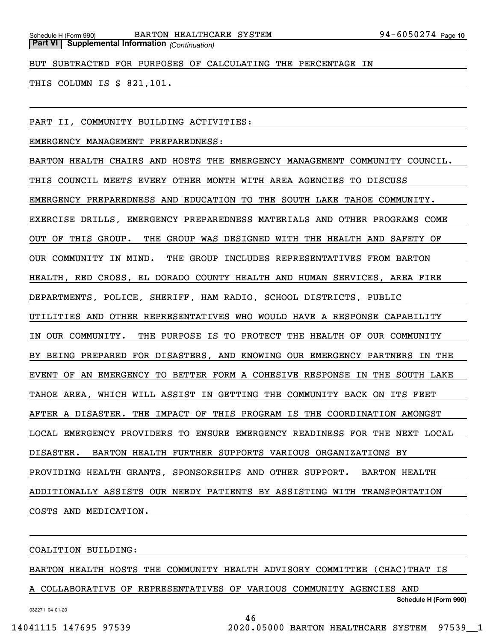BUT SUBTRACTED FOR PURPOSES OF CALCULATING THE PERCENTAGE IN

THIS COLUMN IS \$ 821,101.

PART II, COMMUNITY BUILDING ACTIVITIES:

EMERGENCY MANAGEMENT PREPAREDNESS:

BARTON HEALTH CHAIRS AND HOSTS THE EMERGENCY MANAGEMENT COMMUNITY COUNCIL. THIS COUNCIL MEETS EVERY OTHER MONTH WITH AREA AGENCIES TO DISCUSS EMERGENCY PREPAREDNESS AND EDUCATION TO THE SOUTH LAKE TAHOE COMMUNITY. EXERCISE DRILLS, EMERGENCY PREPAREDNESS MATERIALS AND OTHER PROGRAMS COME OUT OF THIS GROUP. THE GROUP WAS DESIGNED WITH THE HEALTH AND SAFETY OF OUR COMMUNITY IN MIND. THE GROUP INCLUDES REPRESENTATIVES FROM BARTON HEALTH, RED CROSS, EL DORADO COUNTY HEALTH AND HUMAN SERVICES, AREA FIRE DEPARTMENTS, POLICE, SHERIFF, HAM RADIO, SCHOOL DISTRICTS, PUBLIC UTILITIES AND OTHER REPRESENTATIVES WHO WOULD HAVE A RESPONSE CAPABILITY IN OUR COMMUNITY. THE PURPOSE IS TO PROTECT THE HEALTH OF OUR COMMUNITY BY BEING PREPARED FOR DISASTERS, AND KNOWING OUR EMERGENCY PARTNERS IN THE EVENT OF AN EMERGENCY TO BETTER FORM A COHESIVE RESPONSE IN THE SOUTH LAKE TAHOE AREA, WHICH WILL ASSIST IN GETTING THE COMMUNITY BACK ON ITS FEET AFTER A DISASTER. THE IMPACT OF THIS PROGRAM IS THE COORDINATION AMONGST LOCAL EMERGENCY PROVIDERS TO ENSURE EMERGENCY READINESS FOR THE NEXT LOCAL DISASTER. BARTON HEALTH FURTHER SUPPORTS VARIOUS ORGANIZATIONS BY PROVIDING HEALTH GRANTS, SPONSORSHIPS AND OTHER SUPPORT. BARTON HEALTH ADDITIONALLY ASSISTS OUR NEEDY PATIENTS BY ASSISTING WITH TRANSPORTATION COSTS AND MEDICATION.

COALITION BUILDING:

BARTON HEALTH HOSTS THE COMMUNITY HEALTH ADVISORY COMMITTEE (CHAC)THAT IS

46

A COLLABORATIVE OF REPRESENTATIVES OF VARIOUS COMMUNITY AGENCIES AND

**Schedule H (Form 990)**

032271 04-01-20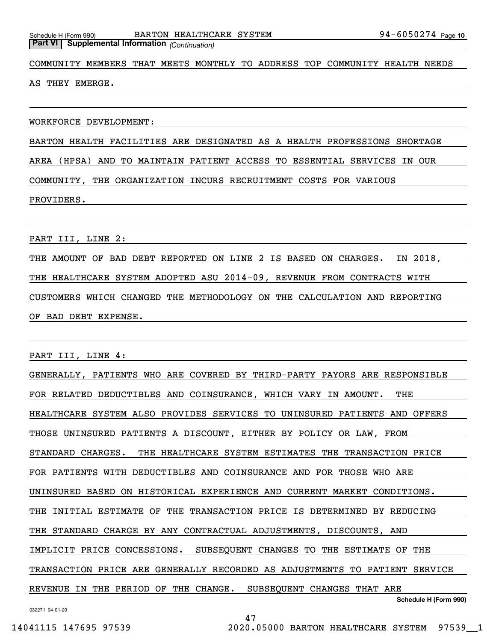COMMUNITY MEMBERS THAT MEETS MONTHLY TO ADDRESS TOP COMMUNITY HEALTH NEEDS

AS THEY EMERGE.

WORKFORCE DEVELOPMENT:

BARTON HEALTH FACILITIES ARE DESIGNATED AS A HEALTH PROFESSIONS SHORTAGE

AREA (HPSA) AND TO MAINTAIN PATIENT ACCESS TO ESSENTIAL SERVICES IN OUR

COMMUNITY, THE ORGANIZATION INCURS RECRUITMENT COSTS FOR VARIOUS

PROVIDERS.

PART III, LINE 2:

THE AMOUNT OF BAD DEBT REPORTED ON LINE 2 IS BASED ON CHARGES. IN 2018, THE HEALTHCARE SYSTEM ADOPTED ASU 2014-09, REVENUE FROM CONTRACTS WITH CUSTOMERS WHICH CHANGED THE METHODOLOGY ON THE CALCULATION AND REPORTING OF BAD DEBT EXPENSE.

PART III, LINE 4:

**Schedule H (Form 990)** GENERALLY, PATIENTS WHO ARE COVERED BY THIRD-PARTY PAYORS ARE RESPONSIBLE FOR RELATED DEDUCTIBLES AND COINSURANCE, WHICH VARY IN AMOUNT. THE HEALTHCARE SYSTEM ALSO PROVIDES SERVICES TO UNINSURED PATIENTS AND OFFERS THOSE UNINSURED PATIENTS A DISCOUNT, EITHER BY POLICY OR LAW, FROM STANDARD CHARGES. THE HEALTHCARE SYSTEM ESTIMATES THE TRANSACTION PRICE FOR PATIENTS WITH DEDUCTIBLES AND COINSURANCE AND FOR THOSE WHO ARE UNINSURED BASED ON HISTORICAL EXPERIENCE AND CURRENT MARKET CONDITIONS. THE INITIAL ESTIMATE OF THE TRANSACTION PRICE IS DETERMINED BY REDUCING THE STANDARD CHARGE BY ANY CONTRACTUAL ADJUSTMENTS, DISCOUNTS, AND IMPLICIT PRICE CONCESSIONS. SUBSEQUENT CHANGES TO THE ESTIMATE OF THE TRANSACTION PRICE ARE GENERALLY RECORDED AS ADJUSTMENTS TO PATIENT SERVICE REVENUE IN THE PERIOD OF THE CHANGE. SUBSEQUENT CHANGES THAT ARE

47

032271 04-01-20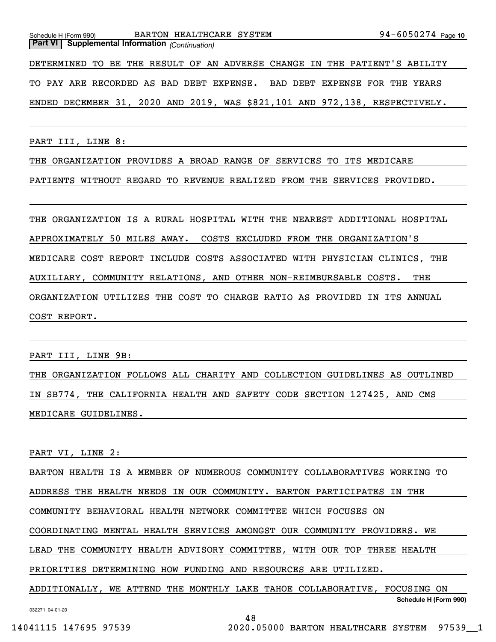**Part VI Supplemental Information** *(Continuation)* DETERMINED TO BE THE RESULT OF AN ADVERSE CHANGE IN THE PATIENT'S ABILITY TO PAY ARE RECORDED AS BAD DEBT EXPENSE. BAD DEBT EXPENSE FOR THE YEARS ENDED DECEMBER 31, 2020 AND 2019, WAS \$821,101 AND 972,138, RESPECTIVELY.

Schedule H (Form 990) Page BARTON HEALTHCARE SYSTEM 94-6050274

PART III, LINE 8:

THE ORGANIZATION PROVIDES A BROAD RANGE OF SERVICES TO ITS MEDICARE

PATIENTS WITHOUT REGARD TO REVENUE REALIZED FROM THE SERVICES PROVIDED.

THE ORGANIZATION IS A RURAL HOSPITAL WITH THE NEAREST ADDITIONAL HOSPITAL APPROXIMATELY 50 MILES AWAY. COSTS EXCLUDED FROM THE ORGANIZATION'S MEDICARE COST REPORT INCLUDE COSTS ASSOCIATED WITH PHYSICIAN CLINICS, THE AUXILIARY, COMMUNITY RELATIONS, AND OTHER NON-REIMBURSABLE COSTS. THE ORGANIZATION UTILIZES THE COST TO CHARGE RATIO AS PROVIDED IN ITS ANNUAL COST REPORT.

PART III, LINE 9B:

THE ORGANIZATION FOLLOWS ALL CHARITY AND COLLECTION GUIDELINES AS OUTLINED IN SB774, THE CALIFORNIA HEALTH AND SAFETY CODE SECTION 127425, AND CMS MEDICARE GUIDELINES.

PART VI, LINE 2:

BARTON HEALTH IS A MEMBER OF NUMEROUS COMMUNITY COLLABORATIVES WORKING TO ADDRESS THE HEALTH NEEDS IN OUR COMMUNITY. BARTON PARTICIPATES IN THE COMMUNITY BEHAVIORAL HEALTH NETWORK COMMITTEE WHICH FOCUSES ON COORDINATING MENTAL HEALTH SERVICES AMONGST OUR COMMUNITY PROVIDERS. WE LEAD THE COMMUNITY HEALTH ADVISORY COMMITTEE, WITH OUR TOP THREE HEALTH PRIORITIES DETERMINING HOW FUNDING AND RESOURCES ARE UTILIZED. ADDITIONALLY, WE ATTEND THE MONTHLY LAKE TAHOE COLLABORATIVE, FOCUSING ON

**Schedule H (Form 990)**

94-6050274 Page 10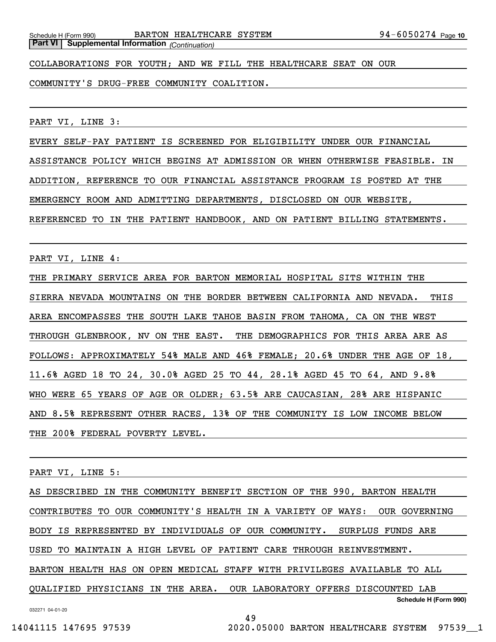COLLABORATIONS FOR YOUTH; AND WE FILL THE HEALTHCARE SEAT ON OUR

COMMUNITY'S DRUG-FREE COMMUNITY COALITION.

PART VI, LINE 3:

EVERY SELF-PAY PATIENT IS SCREENED FOR ELIGIBILITY UNDER OUR FINANCIAL ASSISTANCE POLICY WHICH BEGINS AT ADMISSION OR WHEN OTHERWISE FEASIBLE. IN ADDITION, REFERENCE TO OUR FINANCIAL ASSISTANCE PROGRAM IS POSTED AT THE EMERGENCY ROOM AND ADMITTING DEPARTMENTS, DISCLOSED ON OUR WEBSITE, REFERENCED TO IN THE PATIENT HANDBOOK, AND ON PATIENT BILLING STATEMENTS.

PART VI, LINE 4:

THE PRIMARY SERVICE AREA FOR BARTON MEMORIAL HOSPITAL SITS WITHIN THE SIERRA NEVADA MOUNTAINS ON THE BORDER BETWEEN CALIFORNIA AND NEVADA. THIS AREA ENCOMPASSES THE SOUTH LAKE TAHOE BASIN FROM TAHOMA, CA ON THE WEST THROUGH GLENBROOK, NV ON THE EAST. THE DEMOGRAPHICS FOR THIS AREA ARE AS FOLLOWS: APPROXIMATELY 54% MALE AND 46% FEMALE; 20.6% UNDER THE AGE OF 18, 11.6% AGED 18 TO 24, 30.0% AGED 25 TO 44, 28.1% AGED 45 TO 64, AND 9.8% WHO WERE 65 YEARS OF AGE OR OLDER; 63.5% ARE CAUCASIAN, 28% ARE HISPANIC AND 8.5% REPRESENT OTHER RACES, 13% OF THE COMMUNITY IS LOW INCOME BELOW THE 200% FEDERAL POVERTY LEVEL.

PART VI, LINE 5:

**Schedule H (Form 990)** AS DESCRIBED IN THE COMMUNITY BENEFIT SECTION OF THE 990, BARTON HEALTH CONTRIBUTES TO OUR COMMUNITY'S HEALTH IN A VARIETY OF WAYS: OUR GOVERNING BODY IS REPRESENTED BY INDIVIDUALS OF OUR COMMUNITY. SURPLUS FUNDS ARE USED TO MAINTAIN A HIGH LEVEL OF PATIENT CARE THROUGH REINVESTMENT. BARTON HEALTH HAS ON OPEN MEDICAL STAFF WITH PRIVILEGES AVAILABLE TO ALL QUALIFIED PHYSICIANS IN THE AREA. OUR LABORATORY OFFERS DISCOUNTED LAB

49

032271 04-01-20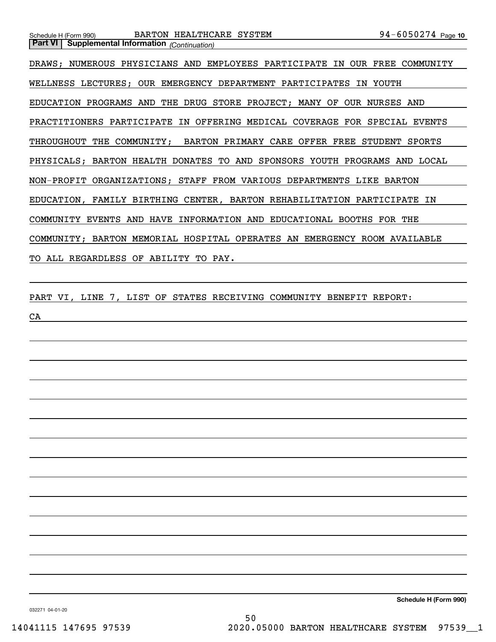DRAWS; NUMEROUS PHYSICIANS AND EMPLOYEES PARTICIPATE IN OUR FREE COMMUNITY WELLNESS LECTURES; OUR EMERGENCY DEPARTMENT PARTICIPATES IN YOUTH EDUCATION PROGRAMS AND THE DRUG STORE PROJECT; MANY OF OUR NURSES AND PRACTITIONERS PARTICIPATE IN OFFERING MEDICAL COVERAGE FOR SPECIAL EVENTS THROUGHOUT THE COMMUNITY; BARTON PRIMARY CARE OFFER FREE STUDENT SPORTS PHYSICALS; BARTON HEALTH DONATES TO AND SPONSORS YOUTH PROGRAMS AND LOCAL NON-PROFIT ORGANIZATIONS; STAFF FROM VARIOUS DEPARTMENTS LIKE BARTON EDUCATION, FAMILY BIRTHING CENTER, BARTON REHABILITATION PARTICIPATE IN COMMUNITY EVENTS AND HAVE INFORMATION AND EDUCATIONAL BOOTHS FOR THE COMMUNITY; BARTON MEMORIAL HOSPITAL OPERATES AN EMERGENCY ROOM AVAILABLE TO ALL REGARDLESS OF ABILITY TO PAY.

PART VI, LINE 7, LIST OF STATES RECEIVING COMMUNITY BENEFIT REPORT:

CA

**Part VI Supplemental Information** *(Continuation)*

**Schedule H (Form 990)**

032271 04-01-20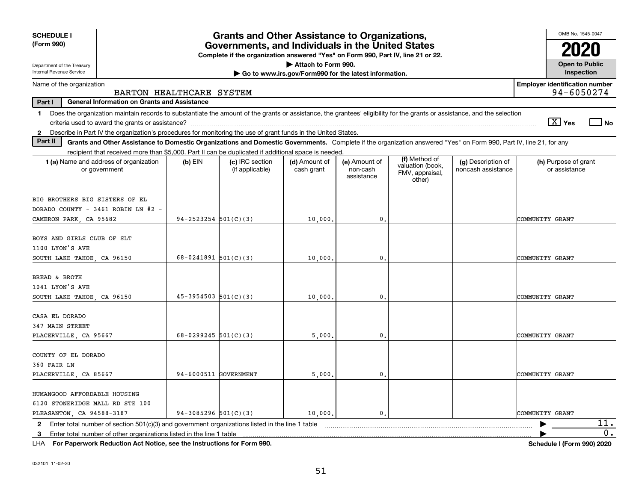| <b>SCHEDULE I</b><br>(Form 990)                                                                                                                                                         |                          | <b>Grants and Other Assistance to Organizations,</b><br>Governments, and Individuals in the United States |                                                       |                                         |                                                                |                                          | OMB No. 1545-0047                                     |
|-----------------------------------------------------------------------------------------------------------------------------------------------------------------------------------------|--------------------------|-----------------------------------------------------------------------------------------------------------|-------------------------------------------------------|-----------------------------------------|----------------------------------------------------------------|------------------------------------------|-------------------------------------------------------|
|                                                                                                                                                                                         |                          | Complete if the organization answered "Yes" on Form 990, Part IV, line 21 or 22.                          |                                                       |                                         |                                                                |                                          |                                                       |
| Department of the Treasury                                                                                                                                                              |                          |                                                                                                           | Attach to Form 990.                                   |                                         |                                                                |                                          | <b>Open to Public</b>                                 |
| <b>Internal Revenue Service</b>                                                                                                                                                         |                          |                                                                                                           | Go to www.irs.gov/Form990 for the latest information. |                                         |                                                                |                                          | Inspection                                            |
| Name of the organization<br>BARTON HEALTHCARE SYSTEM                                                                                                                                    |                          |                                                                                                           |                                                       |                                         |                                                                |                                          | <b>Employer identification number</b><br>94-6050274   |
| Part I<br><b>General Information on Grants and Assistance</b>                                                                                                                           |                          |                                                                                                           |                                                       |                                         |                                                                |                                          |                                                       |
| Does the organization maintain records to substantiate the amount of the grants or assistance, the grantees' eligibility for the grants or assistance, and the selection<br>$\mathbf 1$ |                          |                                                                                                           |                                                       |                                         |                                                                |                                          |                                                       |
|                                                                                                                                                                                         |                          |                                                                                                           |                                                       |                                         |                                                                |                                          | $\boxed{\text{X}}$ Yes<br>$\overline{\phantom{a}}$ No |
| 2 Describe in Part IV the organization's procedures for monitoring the use of grant funds in the United States.                                                                         |                          |                                                                                                           |                                                       |                                         |                                                                |                                          |                                                       |
| Part II<br>Grants and Other Assistance to Domestic Organizations and Domestic Governments. Complete if the organization answered "Yes" on Form 990, Part IV, line 21, for any           |                          |                                                                                                           |                                                       |                                         |                                                                |                                          |                                                       |
| recipient that received more than \$5,000. Part II can be duplicated if additional space is needed.                                                                                     |                          |                                                                                                           |                                                       |                                         |                                                                |                                          |                                                       |
| 1 (a) Name and address of organization<br>or government                                                                                                                                 | $(b)$ EIN                | (c) IRC section<br>(if applicable)                                                                        | (d) Amount of<br>cash grant                           | (e) Amount of<br>non-cash<br>assistance | (f) Method of<br>valuation (book,<br>FMV, appraisal,<br>other) | (g) Description of<br>noncash assistance | (h) Purpose of grant<br>or assistance                 |
| BIG BROTHERS BIG SISTERS OF EL<br>DORADO COUNTY - 3461 ROBIN LN #2 -<br>CAMERON PARK, CA 95682                                                                                          | $94 - 2523254$ 501(C)(3) |                                                                                                           | 10,000.                                               | 0.                                      |                                                                |                                          | COMMUNITY GRANT                                       |
|                                                                                                                                                                                         |                          |                                                                                                           |                                                       |                                         |                                                                |                                          |                                                       |
| BOYS AND GIRLS CLUB OF SLT                                                                                                                                                              |                          |                                                                                                           |                                                       |                                         |                                                                |                                          |                                                       |
| 1100 LYON'S AVE                                                                                                                                                                         |                          |                                                                                                           |                                                       |                                         |                                                                |                                          |                                                       |
| SOUTH LAKE TAHOE, CA 96150                                                                                                                                                              | 68-0241891 $501(C)(3)$   |                                                                                                           | 10,000,                                               | $\mathbf{0}$ .                          |                                                                |                                          | COMMUNITY GRANT                                       |
| BREAD & BROTH                                                                                                                                                                           |                          |                                                                                                           |                                                       |                                         |                                                                |                                          |                                                       |
| 1041 LYON'S AVE                                                                                                                                                                         |                          |                                                                                                           |                                                       |                                         |                                                                |                                          |                                                       |
| SOUTH LAKE TAHOE CA 96150                                                                                                                                                               | $45-3954503$ 501(C)(3)   |                                                                                                           | 10,000,                                               | $\mathbf{0}$ .                          |                                                                |                                          | COMMUNITY GRANT                                       |
| CASA EL DORADO<br>347 MAIN STREET                                                                                                                                                       |                          |                                                                                                           |                                                       |                                         |                                                                |                                          |                                                       |
| PLACERVILLE, CA 95667                                                                                                                                                                   | $68 - 0299245$ 501(C)(3) |                                                                                                           | 5,000                                                 | 0.                                      |                                                                |                                          | COMMUNITY GRANT                                       |
| COUNTY OF EL DORADO<br>360 FAIR LN<br>PLACERVILLE, CA 85667                                                                                                                             | 94-6000511 GOVERNMENT    |                                                                                                           | 5,000                                                 | 0.                                      |                                                                |                                          | COMMUNITY GRANT                                       |
|                                                                                                                                                                                         |                          |                                                                                                           |                                                       |                                         |                                                                |                                          |                                                       |
| HUMANGOOD AFFORDABLE HOUSING<br>6120 STONERIDGE MALL RD STE 100                                                                                                                         |                          |                                                                                                           |                                                       |                                         |                                                                |                                          |                                                       |
| PLEASANTON, CA 94588-3187                                                                                                                                                               | $94-3085296$ 501(C)(3)   |                                                                                                           | 10,000.                                               | $\mathbf{0}$ .                          |                                                                |                                          | COMMUNITY GRANT                                       |
| Enter total number of section 501(c)(3) and government organizations listed in the line 1 table<br>$\mathbf{2}$                                                                         |                          |                                                                                                           |                                                       |                                         |                                                                |                                          | 11.                                                   |
| Enter total number of other organizations listed in the line 1 table<br>3                                                                                                               |                          |                                                                                                           |                                                       |                                         |                                                                |                                          | 0.                                                    |

**For Paperwork Reduction Act Notice, see the Instructions for Form 990. Schedule I (Form 990) 2020** LHA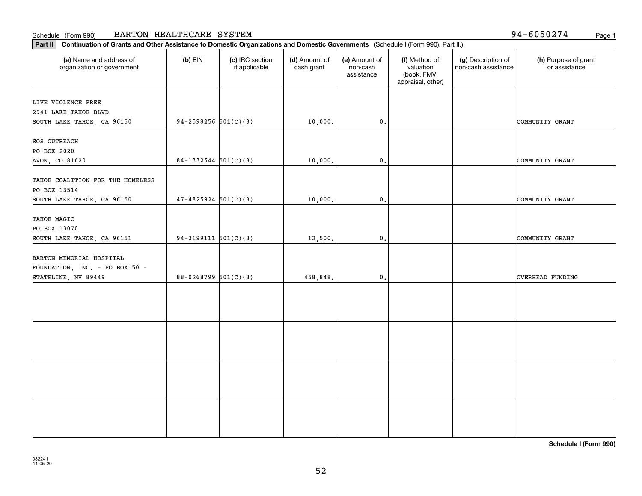### Schedule I (Form 990) Page 1 BARTON HEALTHCARE SYSTEM

94-6050274

| Part II   Continuation of Grants and Other Assistance to Domestic Organizations and Domestic Governments (Schedule I (Form 990), Part II.) |                          |                                  |                             |                                         |                                                                |                                           |                                       |
|--------------------------------------------------------------------------------------------------------------------------------------------|--------------------------|----------------------------------|-----------------------------|-----------------------------------------|----------------------------------------------------------------|-------------------------------------------|---------------------------------------|
| (a) Name and address of<br>organization or government                                                                                      | $(b)$ EIN                | (c) IRC section<br>if applicable | (d) Amount of<br>cash grant | (e) Amount of<br>non-cash<br>assistance | (f) Method of<br>valuation<br>(book, FMV,<br>appraisal, other) | (g) Description of<br>non-cash assistance | (h) Purpose of grant<br>or assistance |
| LIVE VIOLENCE FREE                                                                                                                         |                          |                                  |                             |                                         |                                                                |                                           |                                       |
| 2941 LAKE TAHOE BLVD                                                                                                                       |                          |                                  |                             |                                         |                                                                |                                           |                                       |
| SOUTH LAKE TAHOE, CA 96150                                                                                                                 | $94-2598256$ 501(C)(3)   |                                  | 10,000.                     | $\mathfrak{o}$ .                        |                                                                |                                           | COMMUNITY GRANT                       |
|                                                                                                                                            |                          |                                  |                             |                                         |                                                                |                                           |                                       |
| SOS OUTREACH                                                                                                                               |                          |                                  |                             |                                         |                                                                |                                           |                                       |
| PO BOX 2020                                                                                                                                |                          |                                  |                             |                                         |                                                                |                                           |                                       |
| AVON, CO 81620                                                                                                                             | $84-1332544$ 501(C)(3)   |                                  | 10,000.                     | 0.                                      |                                                                |                                           | COMMUNITY GRANT                       |
|                                                                                                                                            |                          |                                  |                             |                                         |                                                                |                                           |                                       |
| TAHOE COALITION FOR THE HOMELESS                                                                                                           |                          |                                  |                             |                                         |                                                                |                                           |                                       |
| PO BOX 13514                                                                                                                               |                          |                                  |                             |                                         |                                                                |                                           |                                       |
| SOUTH LAKE TAHOE, CA 96150                                                                                                                 | $47 - 4825924$ 501(C)(3) |                                  | 10,000.                     | $\mathbf{0}$ .                          |                                                                |                                           | COMMUNITY GRANT                       |
|                                                                                                                                            |                          |                                  |                             |                                         |                                                                |                                           |                                       |
| TAHOE MAGIC                                                                                                                                |                          |                                  |                             |                                         |                                                                |                                           |                                       |
| PO BOX 13070                                                                                                                               |                          |                                  |                             |                                         |                                                                |                                           |                                       |
| SOUTH LAKE TAHOE, CA 96151                                                                                                                 | $94-3199111$ $501(C)(3)$ |                                  | 12,500.                     | $\mathbf 0$ .                           |                                                                |                                           | COMMUNITY GRANT                       |
|                                                                                                                                            |                          |                                  |                             |                                         |                                                                |                                           |                                       |
| BARTON MEMORIAL HOSPITAL                                                                                                                   |                          |                                  |                             |                                         |                                                                |                                           |                                       |
| FOUNDATION, INC. - PO BOX 50 -                                                                                                             |                          |                                  |                             |                                         |                                                                |                                           |                                       |
| STATELINE, NV 89449                                                                                                                        | $88-0268799$ 501(C)(3)   |                                  | 458,848.                    | 0.                                      |                                                                |                                           | OVERHEAD FUNDING                      |
|                                                                                                                                            |                          |                                  |                             |                                         |                                                                |                                           |                                       |
|                                                                                                                                            |                          |                                  |                             |                                         |                                                                |                                           |                                       |
|                                                                                                                                            |                          |                                  |                             |                                         |                                                                |                                           |                                       |
|                                                                                                                                            |                          |                                  |                             |                                         |                                                                |                                           |                                       |
|                                                                                                                                            |                          |                                  |                             |                                         |                                                                |                                           |                                       |
|                                                                                                                                            |                          |                                  |                             |                                         |                                                                |                                           |                                       |
|                                                                                                                                            |                          |                                  |                             |                                         |                                                                |                                           |                                       |
|                                                                                                                                            |                          |                                  |                             |                                         |                                                                |                                           |                                       |
|                                                                                                                                            |                          |                                  |                             |                                         |                                                                |                                           |                                       |
|                                                                                                                                            |                          |                                  |                             |                                         |                                                                |                                           |                                       |
|                                                                                                                                            |                          |                                  |                             |                                         |                                                                |                                           |                                       |
|                                                                                                                                            |                          |                                  |                             |                                         |                                                                |                                           |                                       |
|                                                                                                                                            |                          |                                  |                             |                                         |                                                                |                                           |                                       |
|                                                                                                                                            |                          |                                  |                             |                                         |                                                                |                                           |                                       |
|                                                                                                                                            |                          |                                  |                             |                                         |                                                                |                                           |                                       |
|                                                                                                                                            |                          |                                  |                             |                                         |                                                                |                                           |                                       |
|                                                                                                                                            |                          |                                  |                             |                                         |                                                                |                                           |                                       |

**Schedule I (Form 990)**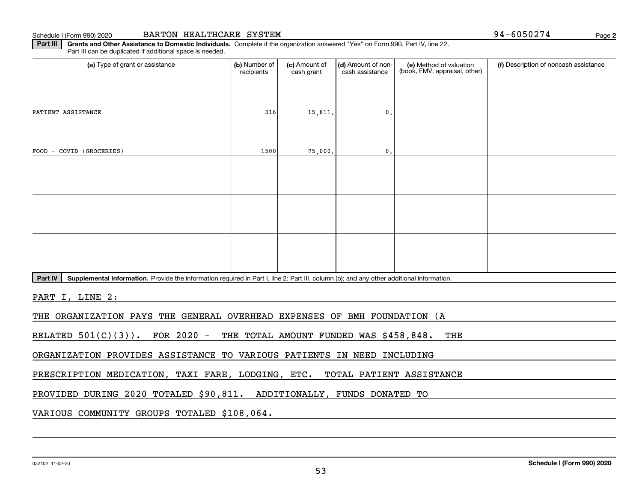Schedule I (Form 990) 2020

|  | BARTON HEALTHCARE SYSTEM |  |
|--|--------------------------|--|
|--|--------------------------|--|

**2**94-6050274

**Part III** | Grants and Other Assistance to Domestic Individuals. Complete if the organization answered "Yes" on Form 990, Part IV, line 22. Part III can be duplicated if additional space is needed.

| (a) Type of grant or assistance                                                                                                                      | (b) Number of<br>recipients | (c) Amount of<br>cash grant | (d) Amount of non-<br>cash assistance  | (e) Method of valuation<br>(book, FMV, appraisal, other) | (f) Description of noncash assistance |
|------------------------------------------------------------------------------------------------------------------------------------------------------|-----------------------------|-----------------------------|----------------------------------------|----------------------------------------------------------|---------------------------------------|
|                                                                                                                                                      |                             |                             |                                        |                                                          |                                       |
| PATIENT ASSISTANCE                                                                                                                                   | 316                         | 15,811.                     | $\mathfrak{o}$ .                       |                                                          |                                       |
|                                                                                                                                                      |                             |                             |                                        |                                                          |                                       |
| FOOD - COVID (GROCERIES)                                                                                                                             | 1500                        | 75,000.                     | $\mathfrak{o}$ .                       |                                                          |                                       |
|                                                                                                                                                      |                             |                             |                                        |                                                          |                                       |
|                                                                                                                                                      |                             |                             |                                        |                                                          |                                       |
|                                                                                                                                                      |                             |                             |                                        |                                                          |                                       |
|                                                                                                                                                      |                             |                             |                                        |                                                          |                                       |
|                                                                                                                                                      |                             |                             |                                        |                                                          |                                       |
|                                                                                                                                                      |                             |                             |                                        |                                                          |                                       |
| Supplemental Information. Provide the information required in Part I, line 2; Part III, column (b); and any other additional information.<br>Part IV |                             |                             |                                        |                                                          |                                       |
| PART I, LINE 2:                                                                                                                                      |                             |                             |                                        |                                                          |                                       |
| THE ORGANIZATION PAYS THE GENERAL OVERHEAD EXPENSES OF BMH FOUNDATION (A                                                                             |                             |                             |                                        |                                                          |                                       |
| FOR $2020 -$<br>RELATED $501(C)(3)$ .                                                                                                                |                             |                             | THE TOTAL AMOUNT FUNDED WAS \$458,848. | THE                                                      |                                       |

ORGANIZATION PROVIDES ASSISTANCE TO VARIOUS PATIENTS IN NEED INCLUDING

PRESCRIPTION MEDICATION, TAXI FARE, LODGING, ETC. TOTAL PATIENT ASSISTANCE

PROVIDED DURING 2020 TOTALED \$90,811. ADDITIONALLY, FUNDS DONATED TO

VARIOUS COMMUNITY GROUPS TOTALED \$108,064.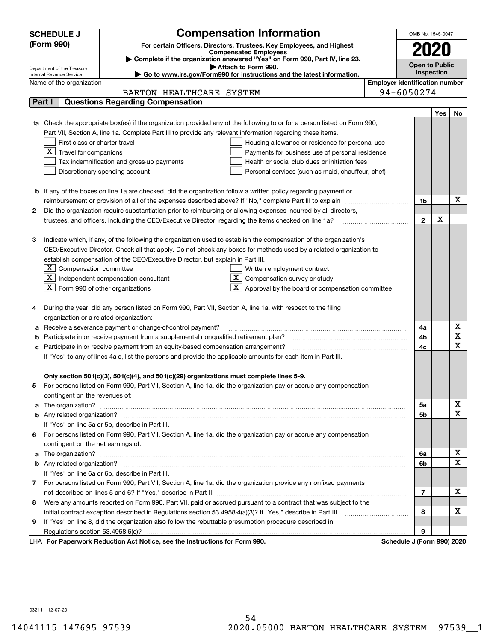|    | <b>Compensation Information</b><br><b>SCHEDULE J</b>                                                                                                                                                                                 |                                       | OMB No. 1545-0047          |            |                         |
|----|--------------------------------------------------------------------------------------------------------------------------------------------------------------------------------------------------------------------------------------|---------------------------------------|----------------------------|------------|-------------------------|
|    | (Form 990)<br>For certain Officers, Directors, Trustees, Key Employees, and Highest                                                                                                                                                  |                                       | 2020                       |            |                         |
|    | <b>Compensated Employees</b><br>Complete if the organization answered "Yes" on Form 990, Part IV, line 23.                                                                                                                           |                                       |                            |            |                         |
|    | Attach to Form 990.<br>Department of the Treasury                                                                                                                                                                                    |                                       | <b>Open to Public</b>      |            |                         |
|    | Go to www.irs.gov/Form990 for instructions and the latest information.<br>Internal Revenue Service                                                                                                                                   |                                       |                            | Inspection |                         |
|    | Name of the organization                                                                                                                                                                                                             | <b>Employer identification number</b> |                            |            |                         |
|    | BARTON HEALTHCARE SYSTEM                                                                                                                                                                                                             |                                       | 94-6050274                 |            |                         |
|    | <b>Questions Regarding Compensation</b><br>Part I                                                                                                                                                                                    |                                       |                            |            |                         |
|    |                                                                                                                                                                                                                                      |                                       |                            | Yes        | No                      |
|    | 1a Check the appropriate box(es) if the organization provided any of the following to or for a person listed on Form 990,                                                                                                            |                                       |                            |            |                         |
|    | Part VII, Section A, line 1a. Complete Part III to provide any relevant information regarding these items.                                                                                                                           |                                       |                            |            |                         |
|    | First-class or charter travel<br>Housing allowance or residence for personal use                                                                                                                                                     |                                       |                            |            |                         |
|    | $\overline{X}$ Travel for companions<br>Payments for business use of personal residence                                                                                                                                              |                                       |                            |            |                         |
|    | Tax indemnification and gross-up payments<br>Health or social club dues or initiation fees                                                                                                                                           |                                       |                            |            |                         |
|    | Discretionary spending account<br>Personal services (such as maid, chauffeur, chef)                                                                                                                                                  |                                       |                            |            |                         |
|    |                                                                                                                                                                                                                                      |                                       |                            |            |                         |
|    | <b>b</b> If any of the boxes on line 1a are checked, did the organization follow a written policy regarding payment or                                                                                                               |                                       |                            |            |                         |
|    | reimbursement or provision of all of the expenses described above? If "No," complete Part III to explain                                                                                                                             |                                       | 1b                         |            | х                       |
| 2  | Did the organization require substantiation prior to reimbursing or allowing expenses incurred by all directors,                                                                                                                     |                                       |                            |            |                         |
|    | trustees, and officers, including the CEO/Executive Director, regarding the items checked on line 1a?                                                                                                                                |                                       | $\mathbf{2}$               | х          |                         |
|    |                                                                                                                                                                                                                                      |                                       |                            |            |                         |
| з  | Indicate which, if any, of the following the organization used to establish the compensation of the organization's                                                                                                                   |                                       |                            |            |                         |
|    | CEO/Executive Director. Check all that apply. Do not check any boxes for methods used by a related organization to                                                                                                                   |                                       |                            |            |                         |
|    | establish compensation of the CEO/Executive Director, but explain in Part III.                                                                                                                                                       |                                       |                            |            |                         |
|    | $\lfloor \texttt{X} \rfloor$ Compensation committee<br>Written employment contract                                                                                                                                                   |                                       |                            |            |                         |
|    | $\boxed{\text{X}}$ Independent compensation consultant<br>$X$ Compensation survey or study                                                                                                                                           |                                       |                            |            |                         |
|    | $ \mathbf{X} $ Form 990 of other organizations<br>$\mathbf{X}$ Approval by the board or compensation committee                                                                                                                       |                                       |                            |            |                         |
|    |                                                                                                                                                                                                                                      |                                       |                            |            |                         |
|    | During the year, did any person listed on Form 990, Part VII, Section A, line 1a, with respect to the filing                                                                                                                         |                                       |                            |            |                         |
|    | organization or a related organization:                                                                                                                                                                                              |                                       |                            |            |                         |
| а  | Receive a severance payment or change-of-control payment?                                                                                                                                                                            |                                       | 4a                         |            | х                       |
|    | Participate in or receive payment from a supplemental nonqualified retirement plan?                                                                                                                                                  |                                       | 4b                         |            | $\overline{\texttt{x}}$ |
| с  | Participate in or receive payment from an equity-based compensation arrangement?                                                                                                                                                     |                                       | 4c                         |            | $\overline{\text{x}}$   |
|    | If "Yes" to any of lines 4a-c, list the persons and provide the applicable amounts for each item in Part III.                                                                                                                        |                                       |                            |            |                         |
|    |                                                                                                                                                                                                                                      |                                       |                            |            |                         |
|    | Only section 501(c)(3), 501(c)(4), and 501(c)(29) organizations must complete lines 5-9.                                                                                                                                             |                                       |                            |            |                         |
|    | For persons listed on Form 990, Part VII, Section A, line 1a, did the organization pay or accrue any compensation                                                                                                                    |                                       |                            |            |                         |
|    | contingent on the revenues of:                                                                                                                                                                                                       |                                       |                            |            |                         |
|    | a The organization? <b>Entitled Strategies and Strategies and Strategies and Strategies and Strategies and Strategies and Strategies and Strategies and Strategies and Strategies and Strategies and Strategies and Strategies a</b> |                                       | 5а                         |            | x                       |
|    |                                                                                                                                                                                                                                      |                                       | <b>5b</b>                  |            | $\overline{\text{x}}$   |
|    | If "Yes" on line 5a or 5b, describe in Part III.                                                                                                                                                                                     |                                       |                            |            |                         |
| 6. | For persons listed on Form 990, Part VII, Section A, line 1a, did the organization pay or accrue any compensation                                                                                                                    |                                       |                            |            |                         |
|    | contingent on the net earnings of:                                                                                                                                                                                                   |                                       |                            |            |                         |
|    | a The organization? <b>Entitled Strategies and Strategies and Strategies and Strategies and Strategies and Strategies and Strategies and Strategies and Strategies and Strategies and Strategies and Strategies and Strategies a</b> |                                       | 6а                         |            | x                       |
|    |                                                                                                                                                                                                                                      |                                       | 6b                         |            | $\overline{\text{x}}$   |
|    | If "Yes" on line 6a or 6b, describe in Part III.                                                                                                                                                                                     |                                       |                            |            |                         |
|    | 7 For persons listed on Form 990, Part VII, Section A, line 1a, did the organization provide any nonfixed payments                                                                                                                   |                                       |                            |            |                         |
|    |                                                                                                                                                                                                                                      |                                       | 7                          |            | х                       |
| 8  | Were any amounts reported on Form 990, Part VII, paid or accrued pursuant to a contract that was subject to the                                                                                                                      |                                       |                            |            |                         |
|    | initial contract exception described in Regulations section 53.4958-4(a)(3)? If "Yes," describe in Part III                                                                                                                          |                                       | 8                          |            | x                       |
| 9  | If "Yes" on line 8, did the organization also follow the rebuttable presumption procedure described in                                                                                                                               |                                       |                            |            |                         |
|    | Regulations section 53.4958-6(c)?                                                                                                                                                                                                    |                                       | 9                          |            |                         |
|    | LHA For Paperwork Reduction Act Notice, see the Instructions for Form 990.                                                                                                                                                           |                                       | Schedule J (Form 990) 2020 |            |                         |

032111 12-07-20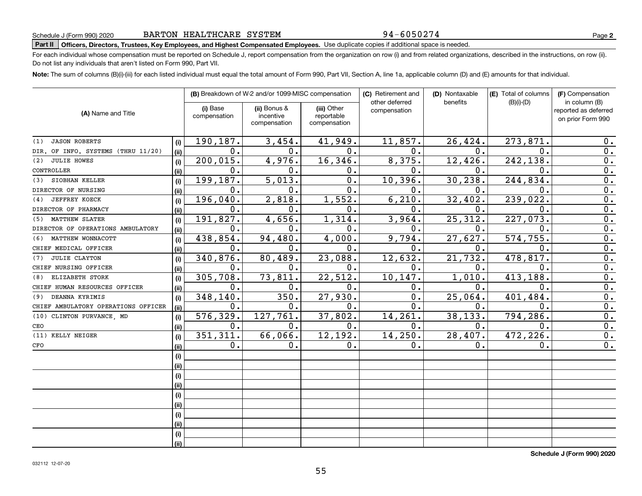### 94-6050274

**2**

# **Part II Officers, Directors, Trustees, Key Employees, and Highest Compensated Employees.**  Schedule J (Form 990) 2020 Page Use duplicate copies if additional space is needed.

For each individual whose compensation must be reported on Schedule J, report compensation from the organization on row (i) and from related organizations, described in the instructions, on row (ii). Do not list any individuals that aren't listed on Form 990, Part VII.

**Note:**  The sum of columns (B)(i)-(iii) for each listed individual must equal the total amount of Form 990, Part VII, Section A, line 1a, applicable column (D) and (E) amounts for that individual.

|                                     |      |                          | (B) Breakdown of W-2 and/or 1099-MISC compensation |                           | (C) Retirement and             | (D) Nontaxable | (E) Total of columns | (F) Compensation                                           |
|-------------------------------------|------|--------------------------|----------------------------------------------------|---------------------------|--------------------------------|----------------|----------------------|------------------------------------------------------------|
| (A) Name and Title                  |      | (i) Base<br>compensation | (ii) Bonus &<br>incentive                          | (iii) Other<br>reportable | other deferred<br>compensation | benefits       | $(B)(i)-(D)$         | in column (B)<br>reported as deferred<br>on prior Form 990 |
|                                     |      |                          | compensation                                       | compensation              |                                |                |                      |                                                            |
| <b>JASON ROBERTS</b><br>(1)         | (i)  | 190,187.                 | 3,454.                                             | 41,949.                   | 11,857.                        | 26,424.        | 273,871              | 0.                                                         |
| DIR. OF INFO. SYSTEMS (THRU 11/20)  | (ii) | $0$ .                    | 0.                                                 | 0.                        | $\mathbf{0}$ .                 | 0.             | $\Omega$ .           | $\overline{0}$ .                                           |
| <b>JULIE HOWES</b><br>(2)           | (i)  | 200,015.                 | 4,976.                                             | 16,346.                   | 8,375.                         | 12,426.        | 242,138.             | $\overline{0}$ .                                           |
| CONTROLLER                          | (ii) | 0.                       | 0.                                                 | 0.                        | 0.                             | $\mathbf 0$ .  | $\mathbf{0}$ .       | 0.                                                         |
| SIOBHAN KELLER<br>(3)               | (i)  | 199,187.                 | 5,013.                                             | $\overline{0}$ .          | 10,396.                        | 30, 238.       | 244, 834.            | $\overline{0}$ .                                           |
| DIRECTOR OF NURSING                 | (ii) | 0.                       | 0.                                                 | 0.                        | $\mathbf 0$ .                  | $\mathbf 0$ .  | $\mathbf 0$ .        | $\overline{0}$ .                                           |
| <b>JEFFREY KOECK</b><br>(4)         | (i)  | 196,040.                 | 2,818.                                             | 1,552.                    | 6, 210.                        | 32,402.        | 239,022.             | $\overline{0}$ .                                           |
| DIRECTOR OF PHARMACY                | (ii) | 0.                       | 0.                                                 | 0.                        | $\mathbf 0$ .                  | 0.             | $\mathbf 0$ .        | $\overline{0}$ .                                           |
| <b>MATTHEW SLATER</b><br>(5)        | (i)  | 191,827.                 | 4,656.                                             | 1,314.                    | 3,964.                         | 25, 312.       | 227,073.             | $\overline{0}$ .                                           |
| DIRECTOR OF OPERATIONS AMBULATORY   | (ii) | 0.                       | 0.                                                 | 0.                        | 0.                             | 0.             | $\mathbf 0$          | $\overline{0}$ .                                           |
| MATTHEW WONNACOTT<br>(6)            | (i)  | 438,854.                 | 94,480.                                            | 4,000.                    | 9,794.                         | 27,627.        | 574, 755.            | $\overline{0}$ .                                           |
| CHIEF MEDICAL OFFICER               | (ii) | 0.                       | 0.                                                 | 0.                        | 0.                             | 0.             | $\mathbf 0$          | $\overline{0}$ .                                           |
| JULIE CLAYTON<br>(7)                | (i)  | 340,876.                 | 80,489.                                            | 23,088.                   | 12,632.                        | 21,732.        | 478,817.             | $\overline{0}$ .                                           |
| CHIEF NURSING OFFICER               | (ii) | 0.                       | 0.                                                 | 0.                        | $\mathbf 0$ .                  | 0.             | $\mathbf 0$ .        | 0.                                                         |
| ELIZABETH STORK<br>(8)              | (i)  | 305,708.                 | 73,811                                             | 22,512.                   | 10, 147.                       | 1,010.         | 413,188              | $\overline{0}$ .                                           |
| CHIEF HUMAN RESOURCES OFFICER       | (ii) | 0.                       | $\mathbf 0$ .                                      | 0.                        | $\mathbf 0$ .                  | 0.             | $\mathbf 0$ .        | $\mathbf 0$ .                                              |
| DEANNA KYRIMIS<br>(9)               | (i)  | 348,140.                 | 350.                                               | 27,930.                   | 0.                             | 25,064.        | 401,484              | 0.                                                         |
| CHIEF AMBULATORY OPERATIONS OFFICER | (ii) | 0.                       | О.                                                 | 0.                        | 0.                             | 0.             | $\mathbf 0$ .        | 0.                                                         |
| CLINTON PURVANCE, MD<br>(10)        | (i)  | 576, 329.                | 127,761.                                           | 37,802.                   | 14,261.                        | 38,133.        | 794, 286.            | $\overline{0}$ .                                           |
| CEO                                 | (ii) | 0.                       | 0.                                                 | 0.                        | 0.                             | 0.             | 0.                   | $\overline{0}$ .                                           |
| KELLY NEIGER<br>(11)                | (i)  | 351,311.                 | 66,066.                                            | 12,192.                   | 14,250.                        | 28,407.        | 472, 226.            | $\mathbf 0$ .                                              |
| CFO                                 | (ii) | 0.                       | 0.                                                 | 0.                        | 0.                             | 0.             | $\mathbf 0$ .        | 0.                                                         |
|                                     | (i)  |                          |                                                    |                           |                                |                |                      |                                                            |
|                                     | (ii) |                          |                                                    |                           |                                |                |                      |                                                            |
|                                     | (i)  |                          |                                                    |                           |                                |                |                      |                                                            |
|                                     | (ii) |                          |                                                    |                           |                                |                |                      |                                                            |
|                                     | (i)  |                          |                                                    |                           |                                |                |                      |                                                            |
|                                     | (ii) |                          |                                                    |                           |                                |                |                      |                                                            |
|                                     | (i)  |                          |                                                    |                           |                                |                |                      |                                                            |
|                                     | (ii) |                          |                                                    |                           |                                |                |                      |                                                            |
|                                     | (i)  |                          |                                                    |                           |                                |                |                      |                                                            |
|                                     | (ii) |                          |                                                    |                           |                                |                |                      |                                                            |

**Schedule J (Form 990) 2020**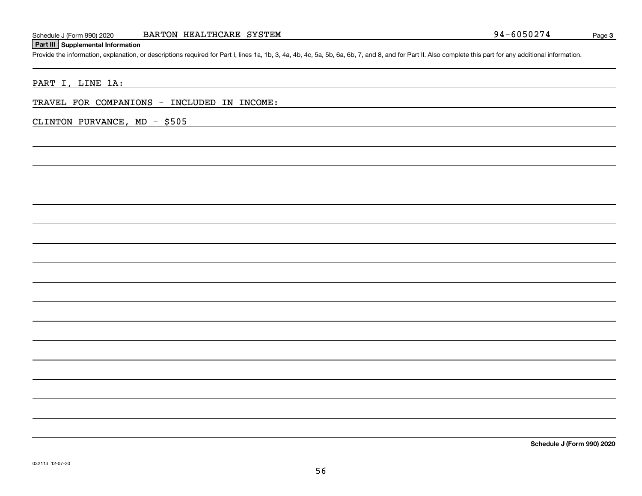### **Part III Supplemental Information**

Schedule J (Form 990) 2020 BARTON HEALTHCARE SYSTEM 990 2020 BARTON HEALTHCARE SYSTEM 991-6050274<br>Part III Supplemental Information<br>Provide the information, explanation, or descriptions required for Part I, lines 1a, 1b, 3

PART I, LINE 1A:

TRAVEL FOR COMPANIONS - INCLUDED IN INCOME:

CLINTON PURVANCE, MD - \$505

**Schedule J (Form 990) 2020**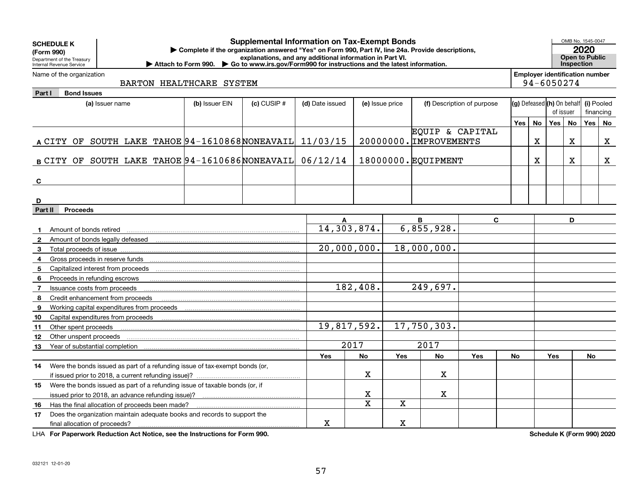| <b>SCHEDULE K</b><br>(Form 990)<br>Department of the Treasury<br>Internal Revenue Service | <b>Supplemental Information on Tax-Exempt Bonds</b><br>Complete if the organization answered "Yes" on Form 990, Part IV, line 24a. Provide descriptions,<br>explanations, and any additional information in Part VI.<br>▶ Attach to Form 990. ▶ Go to www.irs.gov/Form990 for instructions and the latest information.<br><b>Inspection</b> |                 |                 |                 |            |                        |                            |     |             |                                         |           |                         | OMB No. 1545-0047<br><b>Open to Public</b> |
|-------------------------------------------------------------------------------------------|---------------------------------------------------------------------------------------------------------------------------------------------------------------------------------------------------------------------------------------------------------------------------------------------------------------------------------------------|-----------------|-----------------|-----------------|------------|------------------------|----------------------------|-----|-------------|-----------------------------------------|-----------|-------------------------|--------------------------------------------|
| Name of the organization                                                                  |                                                                                                                                                                                                                                                                                                                                             |                 |                 |                 |            |                        |                            |     |             | <b>Employer identification number</b>   |           |                         |                                            |
| BARTON HEALTHCARE SYSTEM                                                                  |                                                                                                                                                                                                                                                                                                                                             |                 |                 |                 |            |                        |                            |     |             | 94-6050274                              |           |                         |                                            |
| <b>Bond Issues</b><br>Part I                                                              |                                                                                                                                                                                                                                                                                                                                             |                 |                 |                 |            |                        |                            |     |             |                                         |           |                         |                                            |
| (a) Issuer name                                                                           | (b) Issuer EIN                                                                                                                                                                                                                                                                                                                              | $(c)$ CUSIP $#$ | (d) Date issued | (e) Issue price |            |                        | (f) Description of purpose |     |             | (g) Defeased (h) On behalf<br>of issuer |           | (i) Pooled<br>financing |                                            |
|                                                                                           |                                                                                                                                                                                                                                                                                                                                             |                 |                 |                 |            |                        |                            |     |             |                                         |           |                         |                                            |
|                                                                                           |                                                                                                                                                                                                                                                                                                                                             |                 |                 |                 |            | EQUIP & CAPITAL        |                            | Yes | <b>No</b>   | Yes                                     | <b>No</b> | Yes                     | No                                         |
| A CITY OF SOUTH LAKE TAHOE $94-1610868$ NONEAVAIL 11/03/15                                |                                                                                                                                                                                                                                                                                                                                             |                 |                 |                 |            | 20000000. IMPROVEMENTS |                            |     | $\mathbf X$ |                                         | X         |                         | X                                          |
|                                                                                           |                                                                                                                                                                                                                                                                                                                                             |                 |                 |                 |            |                        |                            |     |             |                                         |           |                         |                                            |
| B CITY OF SOUTH LAKE TAHOE 94-1610686 NONEAVAIL                                           |                                                                                                                                                                                                                                                                                                                                             |                 | 06/12/14        |                 |            | 18000000. EQUIPMENT    |                            |     | X           |                                         | x         |                         | x                                          |
|                                                                                           |                                                                                                                                                                                                                                                                                                                                             |                 |                 |                 |            |                        |                            |     |             |                                         |           |                         |                                            |
|                                                                                           |                                                                                                                                                                                                                                                                                                                                             |                 |                 |                 |            |                        |                            |     |             |                                         |           |                         |                                            |
| C                                                                                         |                                                                                                                                                                                                                                                                                                                                             |                 |                 |                 |            |                        |                            |     |             |                                         |           |                         |                                            |
| D                                                                                         |                                                                                                                                                                                                                                                                                                                                             |                 |                 |                 |            |                        |                            |     |             |                                         |           |                         |                                            |
| Part II<br><b>Proceeds</b>                                                                |                                                                                                                                                                                                                                                                                                                                             |                 |                 |                 |            |                        |                            |     |             |                                         |           |                         |                                            |
|                                                                                           |                                                                                                                                                                                                                                                                                                                                             |                 |                 |                 |            | В                      | C                          |     |             |                                         | D         |                         |                                            |
| Amount of bonds retired                                                                   |                                                                                                                                                                                                                                                                                                                                             |                 | 14,303,874.     |                 |            | 6,855,928.             |                            |     |             |                                         |           |                         |                                            |
| -2                                                                                        |                                                                                                                                                                                                                                                                                                                                             |                 |                 |                 |            |                        |                            |     |             |                                         |           |                         |                                            |
| 3                                                                                         |                                                                                                                                                                                                                                                                                                                                             |                 | 20,000,000.     |                 |            | 18,000,000.            |                            |     |             |                                         |           |                         |                                            |
| Gross proceeds in reserve funds<br>4                                                      |                                                                                                                                                                                                                                                                                                                                             |                 |                 |                 |            |                        |                            |     |             |                                         |           |                         |                                            |
| Capitalized interest from proceeds<br>5                                                   |                                                                                                                                                                                                                                                                                                                                             |                 |                 |                 |            |                        |                            |     |             |                                         |           |                         |                                            |
| 6<br>Proceeds in refunding escrows                                                        |                                                                                                                                                                                                                                                                                                                                             |                 |                 |                 |            |                        |                            |     |             |                                         |           |                         |                                            |
| Issuance costs from proceeds<br>$\overline{7}$                                            |                                                                                                                                                                                                                                                                                                                                             |                 |                 | 182,408.        |            | 249,697.               |                            |     |             |                                         |           |                         |                                            |
| 8<br>Credit enhancement from proceeds                                                     |                                                                                                                                                                                                                                                                                                                                             |                 |                 |                 |            |                        |                            |     |             |                                         |           |                         |                                            |
| Working capital expenditures from proceeds<br>9                                           |                                                                                                                                                                                                                                                                                                                                             |                 |                 |                 |            |                        |                            |     |             |                                         |           |                         |                                            |
| Capital expenditures from proceeds<br>10                                                  |                                                                                                                                                                                                                                                                                                                                             |                 |                 |                 |            |                        |                            |     |             |                                         |           |                         |                                            |
| 11<br>Other spent proceeds                                                                |                                                                                                                                                                                                                                                                                                                                             |                 | 19,817,592.     |                 |            | 17,750,303.            |                            |     |             |                                         |           |                         |                                            |
| Other unspent proceeds<br>12                                                              |                                                                                                                                                                                                                                                                                                                                             |                 |                 |                 |            |                        |                            |     |             |                                         |           |                         |                                            |
| Year of substantial completion<br>13                                                      |                                                                                                                                                                                                                                                                                                                                             |                 |                 | 2017            |            | 2017                   |                            |     |             |                                         |           |                         |                                            |
|                                                                                           |                                                                                                                                                                                                                                                                                                                                             |                 | Yes             | <b>No</b>       | <b>Yes</b> | <b>No</b>              | Yes                        | No  |             | <b>Yes</b>                              |           | No                      |                                            |
| Were the bonds issued as part of a refunding issue of tax-exempt bonds (or,<br>14         |                                                                                                                                                                                                                                                                                                                                             |                 |                 |                 |            |                        |                            |     |             |                                         |           |                         |                                            |
|                                                                                           |                                                                                                                                                                                                                                                                                                                                             |                 |                 | x               |            | х                      |                            |     |             |                                         |           |                         |                                            |
| Were the bonds issued as part of a refunding issue of taxable bonds (or, if<br>15         |                                                                                                                                                                                                                                                                                                                                             |                 |                 |                 |            |                        |                            |     |             |                                         |           |                         |                                            |
|                                                                                           |                                                                                                                                                                                                                                                                                                                                             |                 |                 | х               |            | X                      |                            |     |             |                                         |           |                         |                                            |
| Has the final allocation of proceeds been made?<br>16                                     |                                                                                                                                                                                                                                                                                                                                             |                 |                 | X               | X          |                        |                            |     |             |                                         |           |                         |                                            |
| Does the organization maintain adequate books and records to support the<br>17            |                                                                                                                                                                                                                                                                                                                                             |                 |                 |                 |            |                        |                            |     |             |                                         |           |                         |                                            |
| final allocation of proceeds?                                                             | $\mathbf X$                                                                                                                                                                                                                                                                                                                                 |                 | $\mathbf X$     |                 |            |                        |                            |     |             |                                         |           |                         |                                            |

**For Paperwork Reduction Act Notice, see the Instructions for Form 990. Schedule K (Form 990) 2020** LHA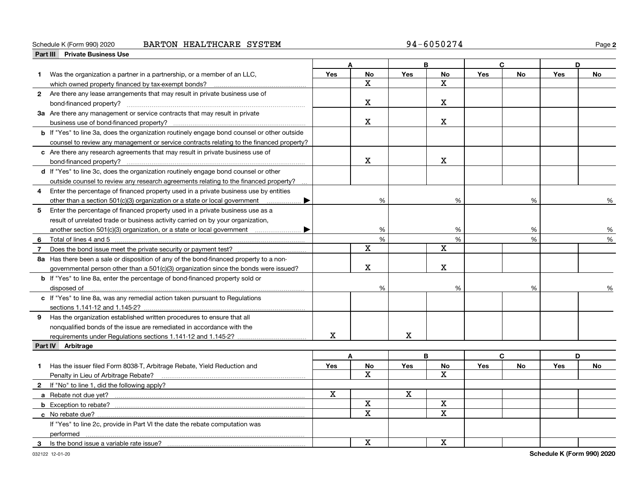### Schedule K (Form 990) 2020 **BARTON HEALTHCARE SYSTEM** 94-6050274 Page

| Part III | <b>Private Business Use</b>                                                                 |     |             |            |             |            |        |            |           |
|----------|---------------------------------------------------------------------------------------------|-----|-------------|------------|-------------|------------|--------|------------|-----------|
|          |                                                                                             |     | A           |            | B           |            | C.     | D          |           |
|          | Was the organization a partner in a partnership, or a member of an LLC,                     | Yes | <b>No</b>   | <b>Yes</b> | No          | Yes        | No     | <b>Yes</b> | <b>No</b> |
|          | which owned property financed by tax-exempt bonds?                                          |     | $\mathbf X$ |            | $\mathbf X$ |            |        |            |           |
|          | 2 Are there any lease arrangements that may result in private business use of               |     |             |            |             |            |        |            |           |
|          |                                                                                             |     | $\mathbf X$ |            | Χ           |            |        |            |           |
|          | 3a Are there any management or service contracts that may result in private                 |     |             |            |             |            |        |            |           |
|          |                                                                                             |     | $\mathbf X$ |            | X           |            |        |            |           |
|          | b If "Yes" to line 3a, does the organization routinely engage bond counsel or other outside |     |             |            |             |            |        |            |           |
|          | counsel to review any management or service contracts relating to the financed property?    |     |             |            |             |            |        |            |           |
|          | c Are there any research agreements that may result in private business use of              |     |             |            |             |            |        |            |           |
|          |                                                                                             |     | $\mathbf X$ |            | X           |            |        |            |           |
|          | d If "Yes" to line 3c, does the organization routinely engage bond counsel or other         |     |             |            |             |            |        |            |           |
|          | outside counsel to review any research agreements relating to the financed property?        |     |             |            |             |            |        |            |           |
|          | Enter the percentage of financed property used in a private business use by entities        |     |             |            |             |            |        |            |           |
|          | other than a section 501(c)(3) organization or a state or local government<br>▶             |     | %           |            | %           |            | %      |            | %         |
|          | 5 Enter the percentage of financed property used in a private business use as a             |     |             |            |             |            |        |            |           |
|          | result of unrelated trade or business activity carried on by your organization,             |     |             |            |             |            |        |            |           |
|          |                                                                                             |     |             |            |             |            |        |            |           |
|          |                                                                                             |     | %<br>%      |            | %<br>%      |            | %<br>% |            | %<br>$\%$ |
| 6        | Total of lines 4 and 5                                                                      |     | $\mathbf x$ |            | X           |            |        |            |           |
| 7        |                                                                                             |     |             |            |             |            |        |            |           |
|          | 8a Has there been a sale or disposition of any of the bond-financed property to a non-      |     | $\mathbf X$ |            | X           |            |        |            |           |
|          | governmental person other than a $501(c)(3)$ organization since the bonds were issued?      |     |             |            |             |            |        |            |           |
|          | <b>b</b> If "Yes" to line 8a, enter the percentage of bond-financed property sold or        |     |             |            |             |            |        |            |           |
|          |                                                                                             |     | %           |            | %           |            | %      |            |           |
|          | c If "Yes" to line 8a, was any remedial action taken pursuant to Regulations                |     |             |            |             |            |        |            |           |
|          | sections 1.141-12 and 1.145-2?                                                              |     |             |            |             |            |        |            |           |
|          | <b>9</b> Has the organization established written procedures to ensure that all             |     |             |            |             |            |        |            |           |
|          | nonqualified bonds of the issue are remediated in accordance with the                       |     |             |            |             |            |        |            |           |
|          |                                                                                             | X   |             | X          |             |            |        |            |           |
|          | Part IV Arbitrage                                                                           |     |             |            |             |            |        |            |           |
|          |                                                                                             |     | A           |            | B           |            | C      |            | D         |
| 1.       | Has the issuer filed Form 8038-T, Arbitrage Rebate, Yield Reduction and                     | Yes | No          | <b>Yes</b> | No          | <b>Yes</b> | No     | <b>Yes</b> | No        |
|          | Penalty in Lieu of Arbitrage Rebate?                                                        |     | x           |            | $\mathbf x$ |            |        |            |           |
|          | 2 If "No" to line 1, did the following apply?                                               |     |             |            |             |            |        |            |           |
|          |                                                                                             | X   |             | x          |             |            |        |            |           |
|          |                                                                                             |     | X           |            | X           |            |        |            |           |
|          |                                                                                             |     | x           |            | X           |            |        |            |           |
|          | If "Yes" to line 2c, provide in Part VI the date the rebate computation was                 |     |             |            |             |            |        |            |           |
|          | performed                                                                                   |     |             |            |             |            |        |            |           |
|          | 3 Is the bond issue a variable rate issue?                                                  |     | $\mathbf x$ |            | $\mathbf X$ |            |        |            |           |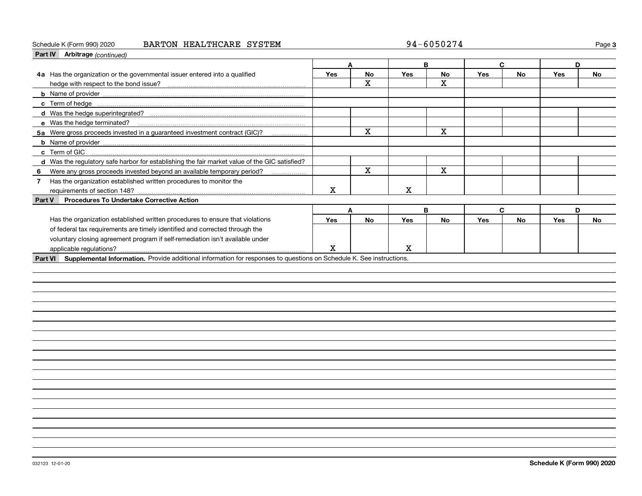### Schedule K (Form 990) 2020 **BARTON HEALTHCARE SYSTEM** 94-6050274 Page

| Part IV Arbitrage (continued)                                                                                                |             |             |     |             |            |           |            |           |  |
|------------------------------------------------------------------------------------------------------------------------------|-------------|-------------|-----|-------------|------------|-----------|------------|-----------|--|
|                                                                                                                              |             | A           |     | B           |            | C         | D          |           |  |
| 4a Has the organization or the governmental issuer entered into a qualified                                                  | <b>Yes</b>  | No          | Yes | No          | <b>Yes</b> | <b>No</b> | Yes        | No        |  |
| hedge with respect to the bond issue?                                                                                        |             | x           |     | X           |            |           |            |           |  |
|                                                                                                                              |             |             |     |             |            |           |            |           |  |
|                                                                                                                              |             |             |     |             |            |           |            |           |  |
|                                                                                                                              |             |             |     |             |            |           |            |           |  |
| e Was the hedge terminated?                                                                                                  |             |             |     |             |            |           |            |           |  |
| 5a Were gross proceeds invested in a guaranteed investment contract (GIC)?<br>.                                              |             | $\mathbf X$ |     | $\mathbf x$ |            |           |            |           |  |
|                                                                                                                              |             |             |     |             |            |           |            |           |  |
| c Term of GIC                                                                                                                |             |             |     |             |            |           |            |           |  |
| d Was the regulatory safe harbor for establishing the fair market value of the GIC satisfied?                                |             |             |     |             |            |           |            |           |  |
| Were any gross proceeds invested beyond an available temporary period?<br>6                                                  |             | $\mathbf X$ |     | $\mathbf X$ |            |           |            |           |  |
| Has the organization established written procedures to monitor the<br>$\mathbf{7}$                                           |             |             |     |             |            |           |            |           |  |
| requirements of section 148?                                                                                                 | $\mathbf X$ |             | x   |             |            |           |            |           |  |
| <b>Procedures To Undertake Corrective Action</b><br>Part V                                                                   |             |             |     |             |            |           |            |           |  |
|                                                                                                                              |             | A           |     | B           |            | C         | D          |           |  |
| Has the organization established written procedures to ensure that violations                                                | Yes         | <b>No</b>   | Yes | <b>No</b>   | Yes        | <b>No</b> | <b>Yes</b> | <b>No</b> |  |
| of federal tax requirements are timely identified and corrected through the                                                  |             |             |     |             |            |           |            |           |  |
| voluntary closing agreement program if self-remediation isn't available under                                                |             |             |     |             |            |           |            |           |  |
|                                                                                                                              | X           |             | X   |             |            |           |            |           |  |
| Part VI Supplemental Information. Provide additional information for responses to questions on Schedule K. See instructions. |             |             |     |             |            |           |            |           |  |
|                                                                                                                              |             |             |     |             |            |           |            |           |  |
|                                                                                                                              |             |             |     |             |            |           |            |           |  |
|                                                                                                                              |             |             |     |             |            |           |            |           |  |
|                                                                                                                              |             |             |     |             |            |           |            |           |  |
|                                                                                                                              |             |             |     |             |            |           |            |           |  |
|                                                                                                                              |             |             |     |             |            |           |            |           |  |
|                                                                                                                              |             |             |     |             |            |           |            |           |  |
|                                                                                                                              |             |             |     |             |            |           |            |           |  |
|                                                                                                                              |             |             |     |             |            |           |            |           |  |
|                                                                                                                              |             |             |     |             |            |           |            |           |  |
|                                                                                                                              |             |             |     |             |            |           |            |           |  |
|                                                                                                                              |             |             |     |             |            |           |            |           |  |
|                                                                                                                              |             |             |     |             |            |           |            |           |  |
|                                                                                                                              |             |             |     |             |            |           |            |           |  |
|                                                                                                                              |             |             |     |             |            |           |            |           |  |
|                                                                                                                              |             |             |     |             |            |           |            |           |  |
|                                                                                                                              |             |             |     |             |            |           |            |           |  |
|                                                                                                                              |             |             |     |             |            |           |            |           |  |
|                                                                                                                              |             |             |     |             |            |           |            |           |  |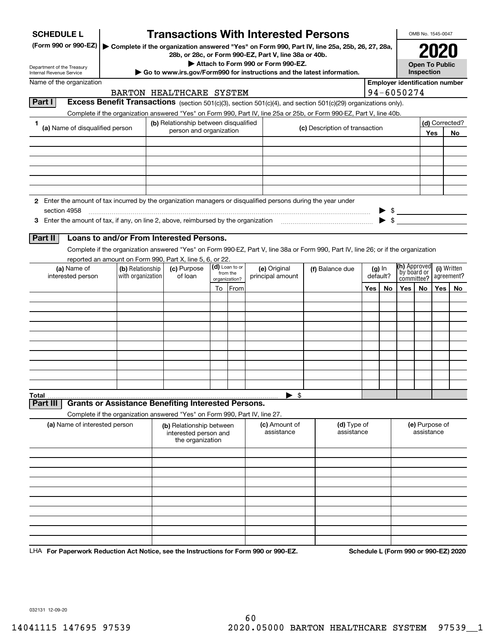| <b>SCHEDULE L</b>                                                                                             |                                                                                                                                    | <b>Transactions With Interested Persons</b> |    |                            |                                                                                             |                                         |                                                                                               |     |                              |                                       |            | OMB No. 1545-0047         |                |
|---------------------------------------------------------------------------------------------------------------|------------------------------------------------------------------------------------------------------------------------------------|---------------------------------------------|----|----------------------------|---------------------------------------------------------------------------------------------|-----------------------------------------|-----------------------------------------------------------------------------------------------|-----|------------------------------|---------------------------------------|------------|---------------------------|----------------|
| (Form 990 or 990-EZ)                                                                                          |                                                                                                                                    |                                             |    |                            |                                                                                             |                                         | Complete if the organization answered "Yes" on Form 990, Part IV, line 25a, 25b, 26, 27, 28a, |     |                              |                                       |            |                           |                |
|                                                                                                               |                                                                                                                                    |                                             |    |                            | 28b, or 28c, or Form 990-EZ, Part V, line 38a or 40b.<br>Attach to Form 990 or Form 990-EZ. |                                         |                                                                                               |     |                              |                                       |            | <b>Open To Public</b>     |                |
| Department of the Treasury<br>Internal Revenue Service                                                        |                                                                                                                                    |                                             |    |                            |                                                                                             |                                         | Go to www.irs.gov/Form990 for instructions and the latest information.                        |     |                              |                                       | Inspection |                           |                |
| Name of the organization                                                                                      |                                                                                                                                    |                                             |    |                            |                                                                                             |                                         |                                                                                               |     |                              | <b>Employer identification number</b> |            |                           |                |
|                                                                                                               |                                                                                                                                    | BARTON HEALTHCARE SYSTEM                    |    |                            |                                                                                             |                                         |                                                                                               |     |                              | 94-6050274                            |            |                           |                |
| Part I                                                                                                        | Excess Benefit Transactions (section 501(c)(3), section 501(c)(4), and section 501(c)(29) organizations only).                     |                                             |    |                            |                                                                                             |                                         |                                                                                               |     |                              |                                       |            |                           |                |
| 1                                                                                                             | Complete if the organization answered "Yes" on Form 990, Part IV, line 25a or 25b, or Form 990-EZ, Part V, line 40b.               | (b) Relationship between disqualified       |    |                            |                                                                                             |                                         |                                                                                               |     |                              |                                       |            |                           | (d) Corrected? |
| (a) Name of disqualified person                                                                               |                                                                                                                                    | person and organization                     |    |                            |                                                                                             |                                         | (c) Description of transaction                                                                |     |                              |                                       |            | Yes                       | No             |
|                                                                                                               |                                                                                                                                    |                                             |    |                            |                                                                                             |                                         |                                                                                               |     |                              |                                       |            |                           |                |
|                                                                                                               |                                                                                                                                    |                                             |    |                            |                                                                                             |                                         |                                                                                               |     |                              |                                       |            |                           |                |
|                                                                                                               |                                                                                                                                    |                                             |    |                            |                                                                                             |                                         |                                                                                               |     |                              |                                       |            |                           |                |
|                                                                                                               |                                                                                                                                    |                                             |    |                            |                                                                                             |                                         |                                                                                               |     |                              |                                       |            |                           |                |
|                                                                                                               |                                                                                                                                    |                                             |    |                            |                                                                                             |                                         |                                                                                               |     |                              |                                       |            |                           |                |
| 2 Enter the amount of tax incurred by the organization managers or disqualified persons during the year under |                                                                                                                                    |                                             |    |                            |                                                                                             |                                         |                                                                                               |     |                              |                                       |            |                           |                |
| section 4958                                                                                                  |                                                                                                                                    |                                             |    |                            |                                                                                             |                                         |                                                                                               |     |                              | $\frac{1}{\sqrt{2}}$                  |            |                           |                |
| 3 Enter the amount of tax, if any, on line 2, above, reimbursed by the organization                           |                                                                                                                                    |                                             |    |                            |                                                                                             |                                         |                                                                                               |     |                              |                                       |            |                           |                |
| Part II                                                                                                       | Loans to and/or From Interested Persons.                                                                                           |                                             |    |                            |                                                                                             |                                         |                                                                                               |     |                              |                                       |            |                           |                |
|                                                                                                               | Complete if the organization answered "Yes" on Form 990-EZ, Part V, line 38a or Form 990, Part IV, line 26; or if the organization |                                             |    |                            |                                                                                             |                                         |                                                                                               |     |                              |                                       |            |                           |                |
|                                                                                                               | reported an amount on Form 990, Part X, line 5, 6, or 22.                                                                          |                                             |    |                            |                                                                                             |                                         |                                                                                               |     |                              |                                       |            |                           |                |
| (a) Name of<br>interested person                                                                              | (b) Relationship<br>with organization                                                                                              | (c) Purpose<br>of loan                      |    | (d) Loan to or<br>from the | (e) Original<br>principal amount                                                            | (f) Balance due<br>$(g)$ In<br>default? |                                                                                               |     | (h) Approved<br>`by board or |                                       |            | (i) Written<br>agreement? |                |
|                                                                                                               |                                                                                                                                    |                                             |    | organization?              |                                                                                             |                                         |                                                                                               |     |                              | committee?                            |            |                           |                |
|                                                                                                               |                                                                                                                                    |                                             | To | From                       |                                                                                             |                                         |                                                                                               | Yes | No                           | Yes                                   | No.        | Yes                       | No             |
|                                                                                                               |                                                                                                                                    |                                             |    |                            |                                                                                             |                                         |                                                                                               |     |                              |                                       |            |                           |                |
|                                                                                                               |                                                                                                                                    |                                             |    |                            |                                                                                             |                                         |                                                                                               |     |                              |                                       |            |                           |                |
|                                                                                                               |                                                                                                                                    |                                             |    |                            |                                                                                             |                                         |                                                                                               |     |                              |                                       |            |                           |                |
|                                                                                                               |                                                                                                                                    |                                             |    |                            |                                                                                             |                                         |                                                                                               |     |                              |                                       |            |                           |                |
|                                                                                                               |                                                                                                                                    |                                             |    |                            |                                                                                             |                                         |                                                                                               |     |                              |                                       |            |                           |                |
|                                                                                                               |                                                                                                                                    |                                             |    |                            |                                                                                             |                                         |                                                                                               |     |                              |                                       |            |                           |                |
|                                                                                                               |                                                                                                                                    |                                             |    |                            |                                                                                             |                                         |                                                                                               |     |                              |                                       |            |                           |                |
|                                                                                                               |                                                                                                                                    |                                             |    |                            |                                                                                             |                                         |                                                                                               |     |                              |                                       |            |                           |                |
| Total<br>Part III                                                                                             | <b>Grants or Assistance Benefiting Interested Persons.</b>                                                                         |                                             |    |                            | $\blacktriangleright$ \$                                                                    |                                         |                                                                                               |     |                              |                                       |            |                           |                |
|                                                                                                               | Complete if the organization answered "Yes" on Form 990, Part IV, line 27.                                                         |                                             |    |                            |                                                                                             |                                         |                                                                                               |     |                              |                                       |            |                           |                |
| (a) Name of interested person                                                                                 |                                                                                                                                    | (b) Relationship between                    |    |                            | (c) Amount of                                                                               |                                         | (d) Type of                                                                                   |     |                              |                                       |            | (e) Purpose of            |                |
|                                                                                                               |                                                                                                                                    | interested person and<br>the organization   |    |                            | assistance                                                                                  |                                         | assistance                                                                                    |     |                              |                                       | assistance |                           |                |
|                                                                                                               |                                                                                                                                    |                                             |    |                            |                                                                                             |                                         |                                                                                               |     |                              |                                       |            |                           |                |
|                                                                                                               |                                                                                                                                    |                                             |    |                            |                                                                                             |                                         |                                                                                               |     |                              |                                       |            |                           |                |
|                                                                                                               |                                                                                                                                    |                                             |    |                            |                                                                                             |                                         |                                                                                               |     |                              |                                       |            |                           |                |
|                                                                                                               |                                                                                                                                    |                                             |    |                            |                                                                                             |                                         |                                                                                               |     |                              |                                       |            |                           |                |
|                                                                                                               |                                                                                                                                    |                                             |    |                            |                                                                                             |                                         |                                                                                               |     |                              |                                       |            |                           |                |
|                                                                                                               |                                                                                                                                    |                                             |    |                            |                                                                                             |                                         |                                                                                               |     |                              |                                       |            |                           |                |
|                                                                                                               |                                                                                                                                    |                                             |    |                            |                                                                                             |                                         |                                                                                               |     |                              |                                       |            |                           |                |
|                                                                                                               |                                                                                                                                    |                                             |    |                            |                                                                                             |                                         |                                                                                               |     |                              |                                       |            |                           |                |
|                                                                                                               |                                                                                                                                    |                                             |    |                            |                                                                                             |                                         |                                                                                               |     |                              |                                       |            |                           |                |

LHA For Paperwork Reduction Act Notice, see the Instructions for Form 990 or 990-EZ. Schedule L (Form 990 or 990-EZ) 2020

032131 12-09-20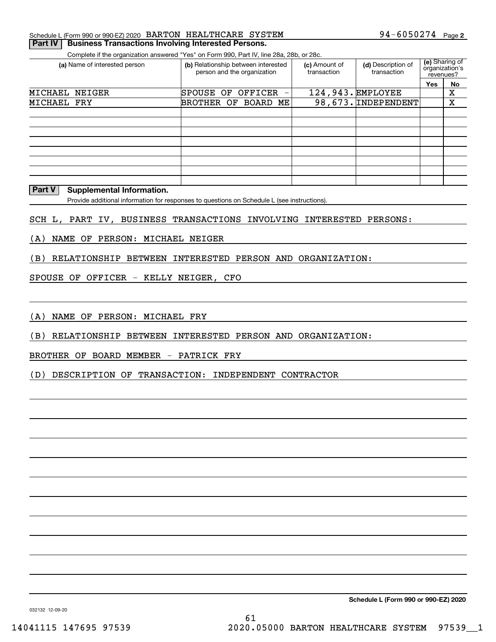| 94-6050274 Page 2<br>Schedule L (Form 990 or 990-EZ) 2020 BARTON HEALTHCARE SYSTEM |  |
|------------------------------------------------------------------------------------|--|
|------------------------------------------------------------------------------------|--|

Complete if the organization answered "Yes" on Form 990, Part IV, line 28a, 28b, or 28c. **Part IV Business Transactions Involving Interested Persons.** 

| OUTINICIO II LIIC ORGANIZATION ANGHOL TOO DITTONIN JOO, FAIL IV, IIIIC EUA, EUD, OF EUC. |                                                                    |                              |                                   |                                               |    |
|------------------------------------------------------------------------------------------|--------------------------------------------------------------------|------------------------------|-----------------------------------|-----------------------------------------------|----|
| (a) Name of interested person                                                            | (b) Relationship between interested<br>person and the organization | (c) Amount of<br>transaction | (d) Description of<br>transaction | (e) Sharing of<br>organization's<br>revenues? |    |
|                                                                                          |                                                                    |                              |                                   | Yes                                           | No |
| MICHAEL NEIGER                                                                           | SPOUSE OF<br>OFFICER<br>-                                          |                              | $124,943.$ EMPLOYEE               |                                               | х  |
| MICHAEL FRY                                                                              | BROTHER OF BOARD ME                                                |                              | $98,673.$ INDEPENDENT             |                                               | Χ  |
|                                                                                          |                                                                    |                              |                                   |                                               |    |
|                                                                                          |                                                                    |                              |                                   |                                               |    |
|                                                                                          |                                                                    |                              |                                   |                                               |    |
|                                                                                          |                                                                    |                              |                                   |                                               |    |
|                                                                                          |                                                                    |                              |                                   |                                               |    |
|                                                                                          |                                                                    |                              |                                   |                                               |    |
|                                                                                          |                                                                    |                              |                                   |                                               |    |
|                                                                                          |                                                                    |                              |                                   |                                               |    |

**Part V** Supplemental Information.

Provide additional information for responses to questions on Schedule L (see instructions).

SCH L, PART IV, BUSINESS TRANSACTIONS INVOLVING INTERESTED PERSONS:

(A) NAME OF PERSON: MICHAEL NEIGER

(B) RELATIONSHIP BETWEEN INTERESTED PERSON AND ORGANIZATION:

SPOUSE OF OFFICER - KELLY NEIGER, CFO

(A) NAME OF PERSON: MICHAEL FRY

(B) RELATIONSHIP BETWEEN INTERESTED PERSON AND ORGANIZATION:

BROTHER OF BOARD MEMBER - PATRICK FRY

(D) DESCRIPTION OF TRANSACTION: INDEPENDENT CONTRACTOR

**Schedule L (Form 990 or 990-EZ) 2020**

032132 12-09-20

61 14041115 147695 97539 2020.05000 BARTON HEALTHCARE SYSTEM 97539\_\_1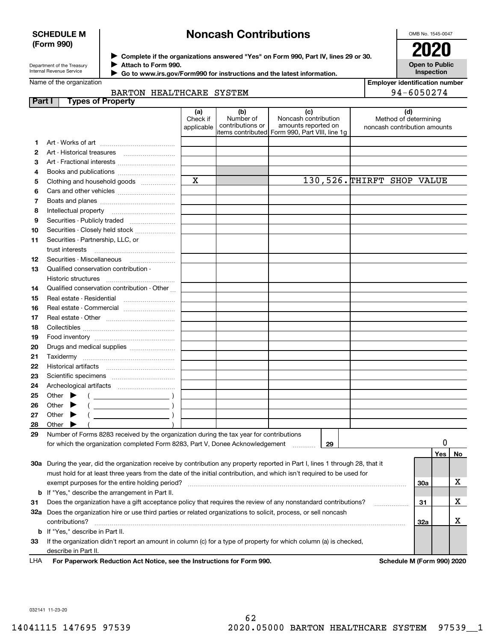### **SCHEDULE M (Form 990)**

## **Noncash Contributions**

OMB No. 1545-0047

**Open to Public**

| Department of the Treasury |
|----------------------------|
| Internal Revenue Service   |

**Complete if the organizations answered "Yes" on Form 990, Part IV, lines 29 or 30.** <sup>J</sup>**2020 Attach to Form 990.** J

 **Go to www.irs.gov/Form990 for instructions and the latest information.** J

| Name of the organization |  |  |  |
|--------------------------|--|--|--|
|--------------------------|--|--|--|

| rmation. | <b>Inspection</b>                     |
|----------|---------------------------------------|
|          | <b>Employer identification number</b> |

|        | BARTON HEALTHCARE SYSTEM                                                                                                       |                               |                                      |                                                                                                      | 94-6050274                                                   |     |     |    |
|--------|--------------------------------------------------------------------------------------------------------------------------------|-------------------------------|--------------------------------------|------------------------------------------------------------------------------------------------------|--------------------------------------------------------------|-----|-----|----|
| Part I | <b>Types of Property</b>                                                                                                       |                               |                                      |                                                                                                      |                                                              |     |     |    |
|        |                                                                                                                                | (a)<br>Check if<br>applicable | (b)<br>Number of<br>contributions or | (c)<br>Noncash contribution<br>amounts reported on<br>items contributed Form 990, Part VIII, line 1g | (d)<br>Method of determining<br>noncash contribution amounts |     |     |    |
| 1.     |                                                                                                                                |                               |                                      |                                                                                                      |                                                              |     |     |    |
| 2      |                                                                                                                                |                               |                                      |                                                                                                      |                                                              |     |     |    |
| З      | Art - Fractional interests                                                                                                     |                               |                                      |                                                                                                      |                                                              |     |     |    |
| 4      |                                                                                                                                |                               |                                      |                                                                                                      |                                                              |     |     |    |
| 5      | Clothing and household goods                                                                                                   | $\mathbf X$                   |                                      | 130,526. THIRFT SHOP VALUE                                                                           |                                                              |     |     |    |
| 6      |                                                                                                                                |                               |                                      |                                                                                                      |                                                              |     |     |    |
| 7      |                                                                                                                                |                               |                                      |                                                                                                      |                                                              |     |     |    |
| 8      |                                                                                                                                |                               |                                      |                                                                                                      |                                                              |     |     |    |
| 9      | Securities - Publicly traded                                                                                                   |                               |                                      |                                                                                                      |                                                              |     |     |    |
| 10     | Securities - Closely held stock                                                                                                |                               |                                      |                                                                                                      |                                                              |     |     |    |
| 11     | Securities - Partnership, LLC, or                                                                                              |                               |                                      |                                                                                                      |                                                              |     |     |    |
|        | trust interests                                                                                                                |                               |                                      |                                                                                                      |                                                              |     |     |    |
| 12     |                                                                                                                                |                               |                                      |                                                                                                      |                                                              |     |     |    |
| 13     | Qualified conservation contribution -                                                                                          |                               |                                      |                                                                                                      |                                                              |     |     |    |
|        | Historic structures                                                                                                            |                               |                                      |                                                                                                      |                                                              |     |     |    |
| 14     | Qualified conservation contribution - Other                                                                                    |                               |                                      |                                                                                                      |                                                              |     |     |    |
| 15     | Real estate - Residential                                                                                                      |                               |                                      |                                                                                                      |                                                              |     |     |    |
| 16     | Real estate - Commercial                                                                                                       |                               |                                      |                                                                                                      |                                                              |     |     |    |
| 17     |                                                                                                                                |                               |                                      |                                                                                                      |                                                              |     |     |    |
| 18     |                                                                                                                                |                               |                                      |                                                                                                      |                                                              |     |     |    |
| 19     |                                                                                                                                |                               |                                      |                                                                                                      |                                                              |     |     |    |
| 20     | Drugs and medical supplies                                                                                                     |                               |                                      |                                                                                                      |                                                              |     |     |    |
| 21     |                                                                                                                                |                               |                                      |                                                                                                      |                                                              |     |     |    |
| 22     |                                                                                                                                |                               |                                      |                                                                                                      |                                                              |     |     |    |
| 23     |                                                                                                                                |                               |                                      |                                                                                                      |                                                              |     |     |    |
| 24     |                                                                                                                                |                               |                                      |                                                                                                      |                                                              |     |     |    |
| 25     | Other $\blacktriangleright$<br>$\left(\begin{array}{ccc}\n&\n&\n\end{array}\right)$                                            |                               |                                      |                                                                                                      |                                                              |     |     |    |
| 26     | Other<br>▸                                                                                                                     |                               |                                      |                                                                                                      |                                                              |     |     |    |
| 27     | Other<br>▸                                                                                                                     |                               |                                      |                                                                                                      |                                                              |     |     |    |
| 28     | Other $\blacktriangleright$                                                                                                    |                               |                                      |                                                                                                      |                                                              |     |     |    |
| 29     | Number of Forms 8283 received by the organization during the tax year for contributions                                        |                               |                                      |                                                                                                      |                                                              |     |     |    |
|        | for which the organization completed Form 8283, Part V, Donee Acknowledgement                                                  |                               |                                      | 29                                                                                                   |                                                              |     | 0   |    |
|        |                                                                                                                                |                               |                                      |                                                                                                      |                                                              |     | Yes | No |
|        | 30a During the year, did the organization receive by contribution any property reported in Part I, lines 1 through 28, that it |                               |                                      |                                                                                                      |                                                              |     |     |    |
|        | must hold for at least three years from the date of the initial contribution, and which isn't required to be used for          |                               |                                      |                                                                                                      |                                                              |     |     |    |
|        | exempt purposes for the entire holding period?                                                                                 |                               |                                      |                                                                                                      |                                                              | 30a |     | X  |
| b      | If "Yes," describe the arrangement in Part II.                                                                                 |                               |                                      |                                                                                                      |                                                              |     |     |    |
| 31     | Does the organization have a gift acceptance policy that requires the review of any nonstandard contributions?                 |                               |                                      |                                                                                                      |                                                              | 31  |     | х  |
|        | 32a Does the organization hire or use third parties or related organizations to solicit, process, or sell noncash              |                               |                                      |                                                                                                      | .                                                            |     |     |    |
|        | contributions?                                                                                                                 |                               |                                      |                                                                                                      |                                                              | 32a |     | X  |
|        | <b>b</b> If "Yes," describe in Part II.                                                                                        |                               |                                      |                                                                                                      |                                                              |     |     |    |
| 33     | If the organization didn't report an amount in column (c) for a type of property for which column (a) is checked,              |                               |                                      |                                                                                                      |                                                              |     |     |    |
|        | describe in Part II.                                                                                                           |                               |                                      |                                                                                                      |                                                              |     |     |    |

For Paperwork Reduction Act Notice, see the Instructions for Form 990. **Schedule M (Form 990) 2020** LHA

032141 11-23-20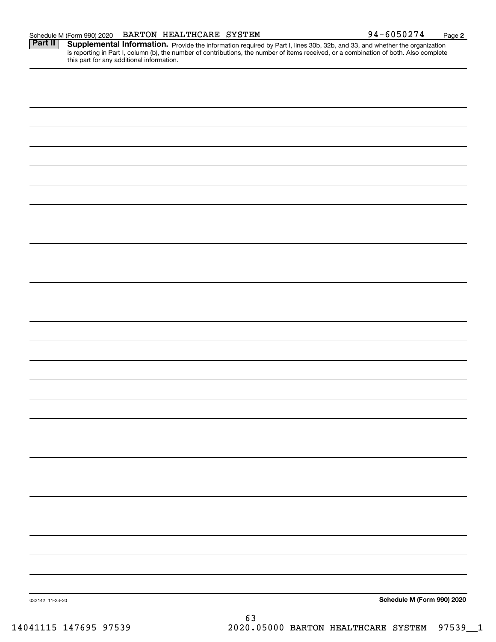| BARTON HEALTHCARE SYSTEM<br>Schedule M (Form 990) 2020 | $94 - 6050274$ | Page |  |
|--------------------------------------------------------|----------------|------|--|
|--------------------------------------------------------|----------------|------|--|

Part II | Supplemental Information. Provide the information required by Part I, lines 30b, 32b, and 33, and whether the organization is reporting in Part I, column (b), the number of contributions, the number of items received, or a combination of both. Also complete this part for any additional information.

032142 11-23-20 **Schedule M (Form 990) 2020**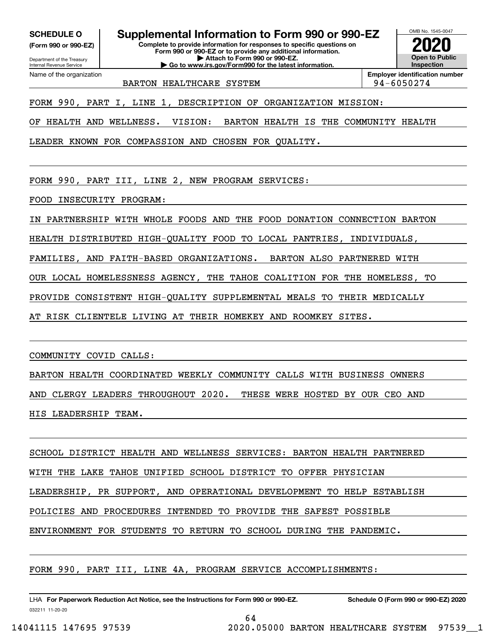**(Form 990 or 990-EZ)**

Department of the Treasury Internal Revenue Service Name of the organization

**SCHEDULE O Supplemental Information to Form 990 or 990-EZ**

**Complete to provide information for responses to specific questions on Form 990 or 990-EZ or to provide any additional information. | Attach to Form 990 or 990-EZ.**

**| Go to www.irs.gov/Form990 for the latest information.**



BARTON HEALTHCARE SYSTEM **194-6050274** 

FORM 990, PART I, LINE 1, DESCRIPTION OF ORGANIZATION MISSION:

OF HEALTH AND WELLNESS. VISION: BARTON HEALTH IS THE COMMUNITY HEALTH

LEADER KNOWN FOR COMPASSION AND CHOSEN FOR QUALITY.

FORM 990, PART III, LINE 2, NEW PROGRAM SERVICES:

FOOD INSECURITY PROGRAM:

IN PARTNERSHIP WITH WHOLE FOODS AND THE FOOD DONATION CONNECTION BARTON

HEALTH DISTRIBUTED HIGH-QUALITY FOOD TO LOCAL PANTRIES, INDIVIDUALS,

FAMILIES, AND FAITH-BASED ORGANIZATIONS. BARTON ALSO PARTNERED WITH

OUR LOCAL HOMELESSNESS AGENCY, THE TAHOE COALITION FOR THE HOMELESS, TO

PROVIDE CONSISTENT HIGH-QUALITY SUPPLEMENTAL MEALS TO THEIR MEDICALLY

AT RISK CLIENTELE LIVING AT THEIR HOMEKEY AND ROOMKEY SITES.

COMMUNITY COVID CALLS:

BARTON HEALTH COORDINATED WEEKLY COMMUNITY CALLS WITH BUSINESS OWNERS

AND CLERGY LEADERS THROUGHOUT 2020. THESE WERE HOSTED BY OUR CEO AND

HIS LEADERSHIP TEAM.

SCHOOL DISTRICT HEALTH AND WELLNESS SERVICES: BARTON HEALTH PARTNERED

WITH THE LAKE TAHOE UNIFIED SCHOOL DISTRICT TO OFFER PHYSICIAN

LEADERSHIP, PR SUPPORT, AND OPERATIONAL DEVELOPMENT TO HELP ESTABLISH

64

POLICIES AND PROCEDURES INTENDED TO PROVIDE THE SAFEST POSSIBLE

ENVIRONMENT FOR STUDENTS TO RETURN TO SCHOOL DURING THE PANDEMIC.

FORM 990, PART III, LINE 4A, PROGRAM SERVICE ACCOMPLISHMENTS:

032211 11-20-20 LHA For Paperwork Reduction Act Notice, see the Instructions for Form 990 or 990-EZ. Schedule O (Form 990 or 990-EZ) 2020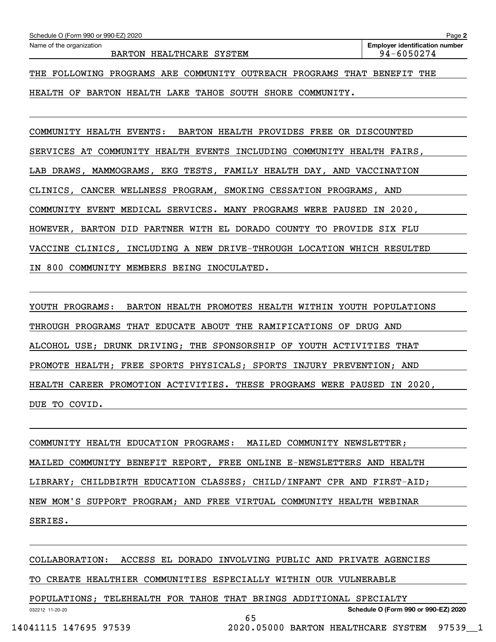HEALTH OF BARTON HEALTH LAKE TAHOE SOUTH SHORE COMMUNITY.

COMMUNITY HEALTH EVENTS: BARTON HEALTH PROVIDES FREE OR DISCOUNTED SERVICES AT COMMUNITY HEALTH EVENTS INCLUDING COMMUNITY HEALTH FAIRS, LAB DRAWS, MAMMOGRAMS, EKG TESTS, FAMILY HEALTH DAY, AND VACCINATION CLINICS, CANCER WELLNESS PROGRAM, SMOKING CESSATION PROGRAMS, AND COMMUNITY EVENT MEDICAL SERVICES. MANY PROGRAMS WERE PAUSED IN 2020, HOWEVER, BARTON DID PARTNER WITH EL DORADO COUNTY TO PROVIDE SIX FLU VACCINE CLINICS, INCLUDING A NEW DRIVE-THROUGH LOCATION WHICH RESULTED IN 800 COMMUNITY MEMBERS BEING INOCULATED.

YOUTH PROGRAMS: BARTON HEALTH PROMOTES HEALTH WITHIN YOUTH POPULATIONS THROUGH PROGRAMS THAT EDUCATE ABOUT THE RAMIFICATIONS OF DRUG AND ALCOHOL USE; DRUNK DRIVING; THE SPONSORSHIP OF YOUTH ACTIVITIES THAT PROMOTE HEALTH; FREE SPORTS PHYSICALS; SPORTS INJURY PREVENTION; AND HEALTH CAREER PROMOTION ACTIVITIES. THESE PROGRAMS WERE PAUSED IN 2020, DUE TO COVID.

COMMUNITY HEALTH EDUCATION PROGRAMS: MAILED COMMUNITY NEWSLETTER; MAILED COMMUNITY BENEFIT REPORT, FREE ONLINE E-NEWSLETTERS AND HEALTH LIBRARY; CHILDBIRTH EDUCATION CLASSES; CHILD/INFANT CPR AND FIRST-AID; NEW MOM'S SUPPORT PROGRAM; AND FREE VIRTUAL COMMUNITY HEALTH WEBINAR SERIES.

COLLABORATION: ACCESS EL DORADO INVOLVING PUBLIC AND PRIVATE AGENCIES

65

TO CREATE HEALTHIER COMMUNITIES ESPECIALLY WITHIN OUR VULNERABLE

POPULATIONS; TELEHEALTH FOR TAHOE THAT BRINGS ADDITIONAL SPECIALTY

032212 11-20-20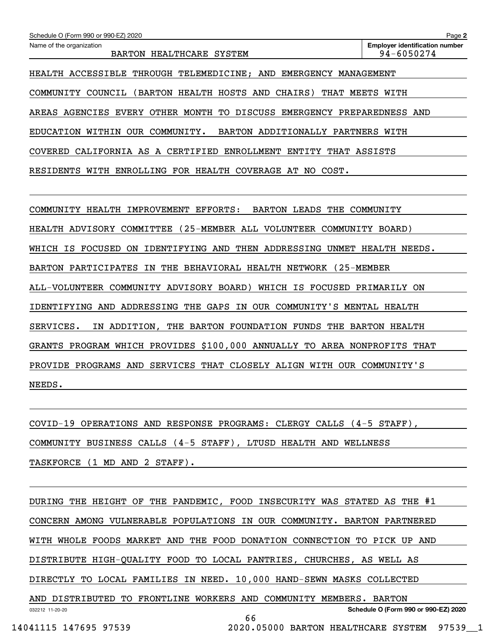| Schedule O (Form 990 or 990-EZ) 2020                                     | Page 2                                              |  |  |  |  |
|--------------------------------------------------------------------------|-----------------------------------------------------|--|--|--|--|
| Name of the organization<br>BARTON HEALTHCARE SYSTEM                     | <b>Employer identification number</b><br>94-6050274 |  |  |  |  |
|                                                                          |                                                     |  |  |  |  |
| HEALTH ACCESSIBLE THROUGH TELEMEDICINE; AND EMERGENCY MANAGEMENT         |                                                     |  |  |  |  |
| (BARTON HEALTH HOSTS AND CHAIRS)<br>COMMUNITY COUNCIL                    | THAT MEETS WITH                                     |  |  |  |  |
| AREAS AGENCIES EVERY OTHER MONTH TO DISCUSS EMERGENCY PREPAREDNESS AND   |                                                     |  |  |  |  |
| EDUCATION WITHIN OUR COMMUNITY.<br>BARTON ADDITIONALLY PARTNERS WITH     |                                                     |  |  |  |  |
| COVERED CALIFORNIA AS A CERTIFIED ENROLLMENT ENTITY THAT ASSISTS         |                                                     |  |  |  |  |
| RESIDENTS WITH ENROLLING FOR HEALTH COVERAGE AT NO COST.                 |                                                     |  |  |  |  |
|                                                                          |                                                     |  |  |  |  |
| BARTON LEADS THE COMMUNITY<br>COMMUNITY HEALTH IMPROVEMENT EFFORTS:      |                                                     |  |  |  |  |
| HEALTH ADVISORY COMMITTEE (25-MEMBER ALL VOLUNTEER COMMUNITY BOARD)      |                                                     |  |  |  |  |
| WHICH IS FOCUSED ON IDENTIFYING AND THEN ADDRESSING UNMET HEALTH NEEDS.  |                                                     |  |  |  |  |
| BARTON PARTICIPATES IN THE BEHAVIORAL HEALTH NETWORK (25-MEMBER          |                                                     |  |  |  |  |
| ALL-VOLUNTEER COMMUNITY ADVISORY BOARD) WHICH IS FOCUSED PRIMARILY ON    |                                                     |  |  |  |  |
| IDENTIFYING AND ADDRESSING THE GAPS IN OUR COMMUNITY'S MENTAL HEALTH     |                                                     |  |  |  |  |
| IN ADDITION, THE BARTON FOUNDATION FUNDS THE BARTON HEALTH<br>SERVICES.  |                                                     |  |  |  |  |
| GRANTS PROGRAM WHICH PROVIDES \$100,000 ANNUALLY TO AREA NONPROFITS THAT |                                                     |  |  |  |  |
| PROVIDE PROGRAMS AND SERVICES THAT CLOSELY ALIGN WITH OUR COMMUNITY'S    |                                                     |  |  |  |  |

COVID-19 OPERATIONS AND RESPONSE PROGRAMS: CLERGY CALLS (4-5 STAFF), COMMUNITY BUSINESS CALLS (4-5 STAFF), LTUSD HEALTH AND WELLNESS TASKFORCE (1 MD AND 2 STAFF).

032212 11-20-20 **Schedule O (Form 990 or 990-EZ) 2020** DURING THE HEIGHT OF THE PANDEMIC, FOOD INSECURITY WAS STATED AS THE #1 CONCERN AMONG VULNERABLE POPULATIONS IN OUR COMMUNITY. BARTON PARTNERED WITH WHOLE FOODS MARKET AND THE FOOD DONATION CONNECTION TO PICK UP AND DISTRIBUTE HIGH-QUALITY FOOD TO LOCAL PANTRIES, CHURCHES, AS WELL AS DIRECTLY TO LOCAL FAMILIES IN NEED. 10,000 HAND-SEWN MASKS COLLECTED AND DISTRIBUTED TO FRONTLINE WORKERS AND COMMUNITY MEMBERS. BARTON 66

NEEDS.

14041115 147695 97539 2020.05000 BARTON HEALTHCARE SYSTEM 97539\_\_1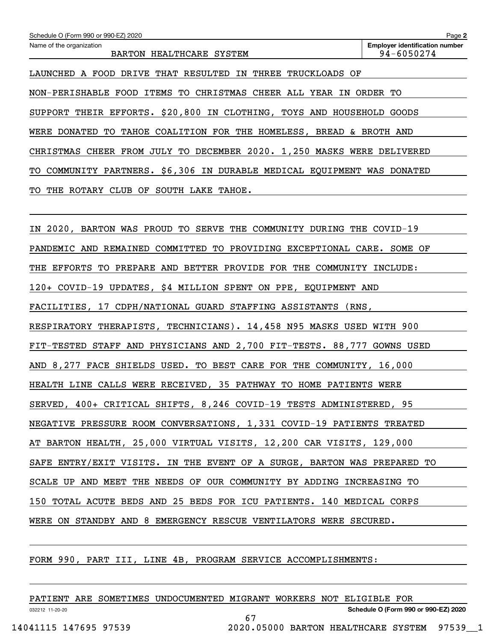| Schedule O (Form 990 or 990-EZ) 2020<br>Name of the organization<br>BARTON HEALTHCARE SYSTEM | Page 2<br><b>Employer identification number</b><br>94-6050274 |
|----------------------------------------------------------------------------------------------|---------------------------------------------------------------|
| LAUNCHED A FOOD DRIVE THAT RESULTED IN THREE TRUCKLOADS OF                                   |                                                               |
| NON-PERISHABLE FOOD ITEMS TO CHRISTMAS CHEER ALL YEAR IN ORDER TO                            |                                                               |
| SUPPORT THEIR EFFORTS. \$20,800 IN CLOTHING, TOYS AND HOUSEHOLD GOODS                        |                                                               |
| WERE DONATED TO TAHOE COALITION FOR THE HOMELESS, BREAD & BROTH AND                          |                                                               |
| CHRISTMAS CHEER FROM JULY TO DECEMBER 2020. 1,250 MASKS WERE DELIVERED                       |                                                               |
| COMMUNITY PARTNERS. \$6,306 IN DURABLE MEDICAL EQUIPMENT WAS DONATED<br>TOI                  |                                                               |
| THE ROTARY CLUB OF SOUTH LAKE TAHOE.<br>TO.                                                  |                                                               |
|                                                                                              |                                                               |
| IN 2020, BARTON WAS PROUD TO SERVE THE COMMUNITY DURING THE COVID-19                         |                                                               |
| PANDEMIC AND REMAINED COMMITTED<br>TO PROVIDING EXCEPTIONAL CARE. SOME OF                    |                                                               |
| THE EFFORTS TO PREPARE AND BETTER PROVIDE FOR THE COMMUNITY INCLUDE:                         |                                                               |
| 120+ COVID-19 UPDATES, \$4 MILLION SPENT ON PPE, EQUIPMENT AND                               |                                                               |
| FACILITIES, 17 CDPH/NATIONAL GUARD STAFFING ASSISTANTS (RNS,                                 |                                                               |
| RESPIRATORY THERAPISTS, TECHNICIANS). 14,458 N95 MASKS USED WITH 900                         |                                                               |
| FIT-TESTED STAFF AND PHYSICIANS AND 2,700 FIT-TESTS. 88,777 GOWNS USED                       |                                                               |
| AND 8,277 FACE SHIELDS USED. TO BEST CARE FOR THE COMMUNITY, 16,000                          |                                                               |
| HEALTH LINE CALLS WERE RECEIVED, 35 PATHWAY TO HOME PATIENTS WERE                            |                                                               |
| SERVED, 400+ CRITICAL SHIFTS, 8,246 COVID-19 TESTS ADMINISTERED, 95                          |                                                               |
| NEGATIVE PRESSURE ROOM CONVERSATIONS, 1,331 COVID-19 PATIENTS TREATED                        |                                                               |
| AT BARTON HEALTH, 25,000 VIRTUAL VISITS, 12,200 CAR VISITS, 129,000                          |                                                               |
| SAFE ENTRY/EXIT VISITS. IN THE EVENT OF A SURGE, BARTON WAS PREPARED TO                      |                                                               |
| SCALE UP AND MEET THE NEEDS OF OUR COMMUNITY BY ADDING INCREASING TO                         |                                                               |
| 150 TOTAL ACUTE BEDS AND 25 BEDS FOR ICU PATIENTS. 140 MEDICAL CORPS                         |                                                               |
| WERE ON STANDBY AND 8 EMERGENCY RESCUE VENTILATORS WERE SECURED.                             |                                                               |

FORM 990, PART III, LINE 4B, PROGRAM SERVICE ACCOMPLISHMENTS:

| PATIENT         |  | ARE SOMETIMES UNDOCUMENTED MIGRANT WORKERS NOT ELIGIBLE FOR |  |  |                                      |  |
|-----------------|--|-------------------------------------------------------------|--|--|--------------------------------------|--|
| 032212 11-20-20 |  |                                                             |  |  | Schedule O (Form 990 or 990-EZ) 2020 |  |
|                 |  |                                                             |  |  |                                      |  |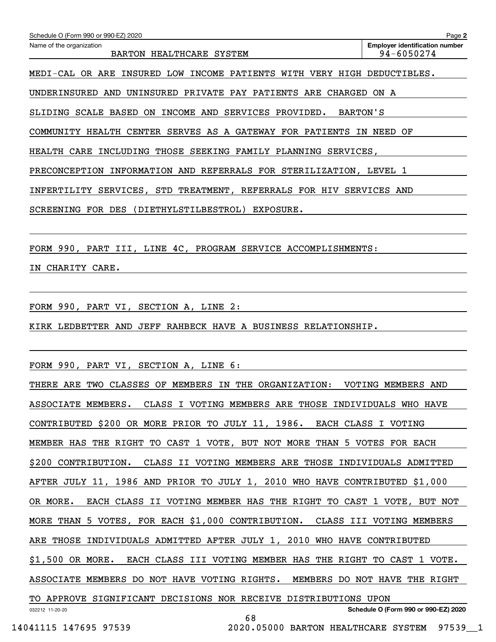| Schedule O (Form 990 or 990-EZ) 2020                                          | Page 2                                              |
|-------------------------------------------------------------------------------|-----------------------------------------------------|
| Name of the organization<br>BARTON HEALTHCARE SYSTEM                          | <b>Employer identification number</b><br>94-6050274 |
| MEDI-CAL OR ARE INSURED LOW INCOME PATIENTS WITH VERY HIGH DEDUCTIBLES.       |                                                     |
| UNDERINSURED AND UNINSURED PRIVATE PAY PATIENTS ARE CHARGED ON A              |                                                     |
| SLIDING SCALE BASED ON INCOME AND SERVICES PROVIDED. BARTON'S                 |                                                     |
| COMMUNITY HEALTH CENTER SERVES AS A GATEWAY FOR PATIENTS IN NEED OF           |                                                     |
| HEALTH CARE INCLUDING THOSE SEEKING FAMILY PLANNING SERVICES,                 |                                                     |
| PRECONCEPTION INFORMATION AND REFERRALS FOR STERILIZATION, LEVEL 1            |                                                     |
| INFERTILITY SERVICES, STD TREATMENT, REFERRALS FOR HIV SERVICES AND           |                                                     |
| SCREENING FOR DES (DIETHYLSTILBESTROL) EXPOSURE.                              |                                                     |
|                                                                               |                                                     |
| FORM 990, PART III, LINE 4C, PROGRAM SERVICE ACCOMPLISHMENTS:                 |                                                     |
| IN CHARITY CARE.                                                              |                                                     |
|                                                                               |                                                     |
| FORM 990, PART VI, SECTION A, LINE 2:                                         |                                                     |
| KIRK LEDBETTER AND JEFF RAHBECK HAVE A BUSINESS RELATIONSHIP.                 |                                                     |
|                                                                               |                                                     |
| FORM 990, PART VI, SECTION A, LINE 6:                                         |                                                     |
| THERE ARE TWO CLASSES OF MEMBERS IN THE ORGANIZATION: VOTING MEMBERS AND      |                                                     |
| ASSOCIATE MEMBERS. CLASS I VOTING MEMBERS ARE THOSE INDIVIDUALS WHO HAVE      |                                                     |
| CONTRIBUTED \$200 OR MORE PRIOR TO JULY 11, 1986. EACH CLASS I VOTING         |                                                     |
| MEMBER HAS THE RIGHT TO CAST 1 VOTE, BUT NOT MORE THAN 5 VOTES FOR EACH       |                                                     |
| \$200 CONTRIBUTION. CLASS II VOTING MEMBERS ARE THOSE INDIVIDUALS ADMITTED    |                                                     |
| AFTER JULY 11, 1986 AND PRIOR TO JULY 1, 2010 WHO HAVE CONTRIBUTED \$1,000    |                                                     |
| EACH CLASS II VOTING MEMBER HAS THE RIGHT TO CAST 1 VOTE, BUT NOT<br>OR MORE. |                                                     |
| MORE THAN 5 VOTES, FOR EACH \$1,000 CONTRIBUTION. CLASS III VOTING MEMBERS    |                                                     |
| ARE THOSE INDIVIDUALS ADMITTED AFTER JULY 1, 2010 WHO HAVE CONTRIBUTED        |                                                     |
| \$1,500 OR MORE. EACH CLASS III VOTING MEMBER HAS THE RIGHT TO CAST 1 VOTE.   |                                                     |
|                                                                               |                                                     |

ASSOCIATE MEMBERS DO NOT HAVE VOTING RIGHTS. MEMBERS DO NOT HAVE THE RIGHT

68

TO APPROVE SIGNIFICANT DECISIONS NOR RECEIVE DISTRIBUTIONS UPON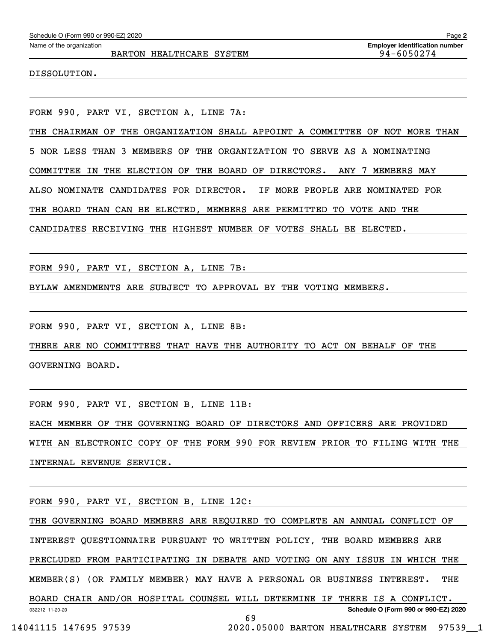|  | Schedule O (Form 990 or 990-EZ) 2020 |  |
|--|--------------------------------------|--|
|  |                                      |  |

BARTON HEALTHCARE SYSTEM **194-6050274** 

DISSOLUTION.

FORM 990, PART VI, SECTION A, LINE 7A:

THE CHAIRMAN OF THE ORGANIZATION SHALL APPOINT A COMMITTEE OF NOT MORE THAN

5 NOR LESS THAN 3 MEMBERS OF THE ORGANIZATION TO SERVE AS A NOMINATING

COMMITTEE IN THE ELECTION OF THE BOARD OF DIRECTORS. ANY 7 MEMBERS MAY

ALSO NOMINATE CANDIDATES FOR DIRECTOR. IF MORE PEOPLE ARE NOMINATED FOR

THE BOARD THAN CAN BE ELECTED, MEMBERS ARE PERMITTED TO VOTE AND THE

CANDIDATES RECEIVING THE HIGHEST NUMBER OF VOTES SHALL BE ELECTED.

FORM 990, PART VI, SECTION A, LINE 7B:

BYLAW AMENDMENTS ARE SUBJECT TO APPROVAL BY THE VOTING MEMBERS.

FORM 990, PART VI, SECTION A, LINE 8B:

THERE ARE NO COMMITTEES THAT HAVE THE AUTHORITY TO ACT ON BEHALF OF THE GOVERNING BOARD.

FORM 990, PART VI, SECTION B, LINE 11B:

EACH MEMBER OF THE GOVERNING BOARD OF DIRECTORS AND OFFICERS ARE PROVIDED WITH AN ELECTRONIC COPY OF THE FORM 990 FOR REVIEW PRIOR TO FILING WITH THE INTERNAL REVENUE SERVICE.

FORM 990, PART VI, SECTION B, LINE 12C:

032212 11-20-20 **Schedule O (Form 990 or 990-EZ) 2020** THE GOVERNING BOARD MEMBERS ARE REQUIRED TO COMPLETE AN ANNUAL CONFLICT OF INTEREST QUESTIONNAIRE PURSUANT TO WRITTEN POLICY, THE BOARD MEMBERS ARE PRECLUDED FROM PARTICIPATING IN DEBATE AND VOTING ON ANY ISSUE IN WHICH THE MEMBER(S) (OR FAMILY MEMBER) MAY HAVE A PERSONAL OR BUSINESS INTEREST. THE BOARD CHAIR AND/OR HOSPITAL COUNSEL WILL DETERMINE IF THERE IS A CONFLICT. 69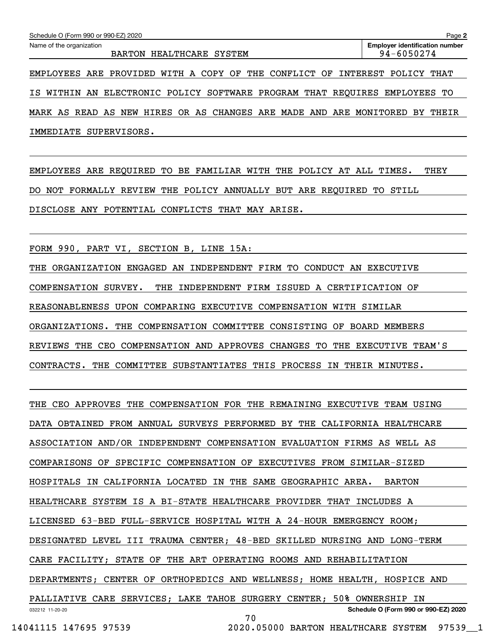| Schedule O (Form 990 or 990-EZ) 2020<br>Page 2                             |  |                          |  |  |  |  |  |  |                                                     |  |
|----------------------------------------------------------------------------|--|--------------------------|--|--|--|--|--|--|-----------------------------------------------------|--|
| Name of the organization                                                   |  | BARTON HEALTHCARE SYSTEM |  |  |  |  |  |  | <b>Employer identification number</b><br>94-6050274 |  |
| EMPLOYEES ARE PROVIDED WITH A COPY OF THE CONFLICT OF INTEREST POLICY THAT |  |                          |  |  |  |  |  |  |                                                     |  |

IS WITHIN AN ELECTRONIC POLICY SOFTWARE PROGRAM THAT REQUIRES EMPLOYEES TO MARK AS READ AS NEW HIRES OR AS CHANGES ARE MADE AND ARE MONITORED BY THEIR IMMEDIATE SUPERVISORS.

EMPLOYEES ARE REQUIRED TO BE FAMILIAR WITH THE POLICY AT ALL TIMES. THEY DO NOT FORMALLY REVIEW THE POLICY ANNUALLY BUT ARE REQUIRED TO STILL DISCLOSE ANY POTENTIAL CONFLICTS THAT MAY ARISE.

FORM 990, PART VI, SECTION B, LINE 15A:

THE ORGANIZATION ENGAGED AN INDEPENDENT FIRM TO CONDUCT AN EXECUTIVE COMPENSATION SURVEY. THE INDEPENDENT FIRM ISSUED A CERTIFICATION OF REASONABLENESS UPON COMPARING EXECUTIVE COMPENSATION WITH SIMILAR ORGANIZATIONS. THE COMPENSATION COMMITTEE CONSISTING OF BOARD MEMBERS REVIEWS THE CEO COMPENSATION AND APPROVES CHANGES TO THE EXECUTIVE TEAM'S CONTRACTS. THE COMMITTEE SUBSTANTIATES THIS PROCESS IN THEIR MINUTES.

032212 11-20-20 **Schedule O (Form 990 or 990-EZ) 2020** THE CEO APPROVES THE COMPENSATION FOR THE REMAINING EXECUTIVE TEAM USING DATA OBTAINED FROM ANNUAL SURVEYS PERFORMED BY THE CALIFORNIA HEALTHCARE ASSOCIATION AND/OR INDEPENDENT COMPENSATION EVALUATION FIRMS AS WELL AS COMPARISONS OF SPECIFIC COMPENSATION OF EXECUTIVES FROM SIMILAR-SIZED HOSPITALS IN CALIFORNIA LOCATED IN THE SAME GEOGRAPHIC AREA. BARTON HEALTHCARE SYSTEM IS A BI-STATE HEALTHCARE PROVIDER THAT INCLUDES A LICENSED 63-BED FULL-SERVICE HOSPITAL WITH A 24-HOUR EMERGENCY ROOM; DESIGNATED LEVEL III TRAUMA CENTER; 48-BED SKILLED NURSING AND LONG-TERM CARE FACILITY; STATE OF THE ART OPERATING ROOMS AND REHABILITATION DEPARTMENTS; CENTER OF ORTHOPEDICS AND WELLNESS; HOME HEALTH, HOSPICE AND PALLIATIVE CARE SERVICES; LAKE TAHOE SURGERY CENTER; 50% OWNERSHIP IN 70

14041115 147695 97539 2020.05000 BARTON HEALTHCARE SYSTEM 97539\_\_1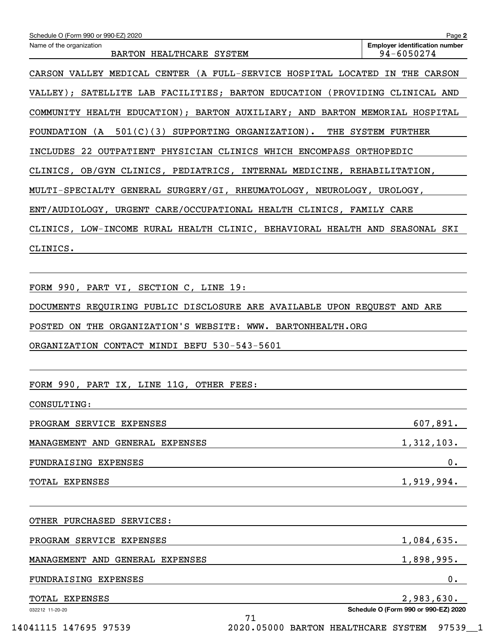| Schedule O (Form 990 or 990-EZ) 2020                                                                             | Page 2                                              |
|------------------------------------------------------------------------------------------------------------------|-----------------------------------------------------|
| Name of the organization<br>BARTON HEALTHCARE SYSTEM                                                             | <b>Employer identification number</b><br>94-6050274 |
| CARSON VALLEY MEDICAL CENTER (A FULL-SERVICE HOSPITAL LOCATED IN THE CARSON                                      |                                                     |
| VALLEY); SATELLITE LAB FACILITIES; BARTON EDUCATION (PROVIDING CLINICAL AND                                      |                                                     |
| COMMUNITY HEALTH EDUCATION); BARTON AUXILIARY; AND BARTON MEMORIAL HOSPITAL                                      |                                                     |
| FOUNDATION (A 501(C)(3) SUPPORTING ORGANIZATION). THE SYSTEM FURTHER                                             |                                                     |
| INCLUDES 22 OUTPATIENT PHYSICIAN CLINICS WHICH ENCOMPASS ORTHOPEDIC                                              |                                                     |
| CLINICS, OB/GYN CLINICS, PEDIATRICS, INTERNAL MEDICINE, REHABILITATION,                                          |                                                     |
| MULTI-SPECIALTY GENERAL SURGERY/GI, RHEUMATOLOGY, NEUROLOGY, UROLOGY,                                            |                                                     |
| ENT/AUDIOLOGY, URGENT CARE/OCCUPATIONAL HEALTH CLINICS, FAMILY CARE                                              |                                                     |
| CLINICS, LOW-INCOME RURAL HEALTH CLINIC, BEHAVIORAL HEALTH AND SEASONAL SKI                                      |                                                     |
| CLINICS.                                                                                                         |                                                     |
|                                                                                                                  |                                                     |
| FORM 990, PART VI, SECTION C, LINE 19:                                                                           |                                                     |
| DOCUMENTS REQUIRING PUBLIC DISCLOSURE ARE AVAILABLE UPON REQUEST AND ARE                                         |                                                     |
| POSTED ON THE ORGANIZATION'S WEBSITE: WWW. BARTONHEALTH.ORG                                                      |                                                     |
|                                                                                                                  |                                                     |
| ORGANIZATION CONTACT MINDI BEFU 530-543-5601                                                                     |                                                     |
|                                                                                                                  |                                                     |
| FORM 990, PART IX, LINE 11G, OTHER FEES:                                                                         |                                                     |
| CONSULTING:                                                                                                      | 607,891.                                            |
| PROGRAM SERVICE EXPENSES                                                                                         |                                                     |
|                                                                                                                  |                                                     |
|                                                                                                                  | 1,312,103.                                          |
| MANAGEMENT AND GENERAL EXPENSES<br>FUNDRAISING EXPENSES                                                          | $0$ .                                               |
| TOTAL EXPENSES                                                                                                   | 1,919,994.                                          |
|                                                                                                                  |                                                     |
|                                                                                                                  |                                                     |
|                                                                                                                  | 1,084,635.                                          |
|                                                                                                                  | 1,898,995.                                          |
| OTHER PURCHASED SERVICES:<br>PROGRAM SERVICE EXPENSES<br>MANAGEMENT AND GENERAL EXPENSES<br>FUNDRAISING EXPENSES | 0.                                                  |
| TOTAL EXPENSES<br>032212 11-20-20                                                                                | 2,983,630.<br>Schedule O (Form 990 or 990-EZ) 2020  |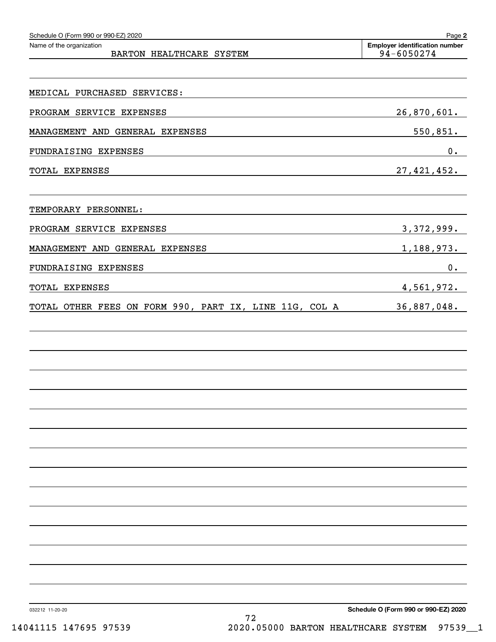| Schedule O (Form 990 or 990-EZ) 2020                   | Page 2                                              |
|--------------------------------------------------------|-----------------------------------------------------|
| Name of the organization<br>BARTON HEALTHCARE SYSTEM   | <b>Employer identification number</b><br>94-6050274 |
|                                                        |                                                     |
| MEDICAL PURCHASED SERVICES:                            |                                                     |
| PROGRAM SERVICE EXPENSES                               | 26,870,601.                                         |
| MANAGEMENT AND GENERAL EXPENSES                        | 550,851.                                            |
| FUNDRAISING EXPENSES                                   | 0.                                                  |
| TOTAL EXPENSES                                         | 27, 421, 452.                                       |
|                                                        |                                                     |
| TEMPORARY PERSONNEL:                                   |                                                     |
| PROGRAM SERVICE EXPENSES                               | 3, 372, 999.                                        |
| MANAGEMENT AND GENERAL EXPENSES                        | 1,188,973.                                          |
| FUNDRAISING EXPENSES                                   | 0.                                                  |
| TOTAL EXPENSES                                         | 4,561,972.                                          |
| TOTAL OTHER FEES ON FORM 990, PART IX, LINE 11G, COL A | 36,887,048.                                         |
|                                                        |                                                     |
|                                                        |                                                     |
|                                                        |                                                     |
|                                                        |                                                     |
|                                                        |                                                     |
|                                                        |                                                     |
|                                                        |                                                     |
|                                                        |                                                     |
|                                                        |                                                     |
|                                                        |                                                     |
|                                                        |                                                     |
|                                                        |                                                     |
|                                                        |                                                     |
|                                                        |                                                     |
|                                                        |                                                     |

72

032212 11-20-20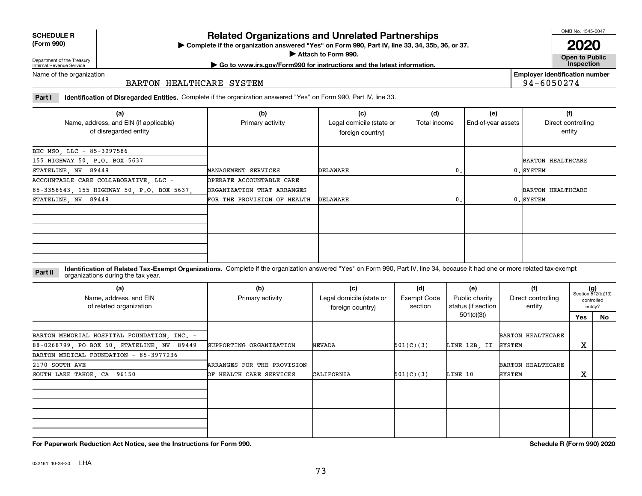| <b>SCHEDULE R</b> |  |
|-------------------|--|
| $(T - 0.00)$      |  |

**(Form 990)**

## **Related Organizations and Unrelated Partnerships**

**Complete if the organization answered "Yes" on Form 990, Part IV, line 33, 34, 35b, 36, or 37.** |

**Attach to Form 990.**  |

OMB No. 1545-0047

**Open to Public 2020**

**Employer identification number**

94-6050274

Department of the Treasury Internal Revenue Service

# **| Go to www.irs.gov/Form990 for instructions and the latest information. Inspection**

Name of the organization

### BARTON HEALTHCARE SYSTEM

**Part I Identification of Disregarded Entities.**  Complete if the organization answered "Yes" on Form 990, Part IV, line 33.

| (a)<br>Name, address, and EIN (if applicable)<br>of disregarded entity | (b)<br>Primary activity     | (c)<br>Legal domicile (state or<br>foreign country) | (d)<br>Total income | (e)<br>End-of-year assets | (f)<br>Direct controlling<br>entity |
|------------------------------------------------------------------------|-----------------------------|-----------------------------------------------------|---------------------|---------------------------|-------------------------------------|
| BHC MSO, LLC - 85-3297586                                              |                             |                                                     |                     |                           |                                     |
| 155 HIGHWAY 50, P.O. BOX 5637                                          |                             |                                                     |                     |                           | <b>BARTON HEALTHCARE</b>            |
| STATELINE, NV 89449                                                    | MANAGEMENT SERVICES         | DELAWARE                                            | 0.                  |                           | 0. SYSTEM                           |
| ACCOUNTABLE CARE COLLABORATIVE, LLC -                                  | OPERATE ACCOUNTABLE CARE    |                                                     |                     |                           |                                     |
| 85-3358643, 155 HIGHWAY 50, P.O. BOX 5637,                             | ORGANIZATION THAT ARRANGES  |                                                     |                     |                           | <b>BARTON HEALTHCARE</b>            |
| STATELINE, NV 89449                                                    | FOR THE PROVISION OF HEALTH | DELAWARE                                            | 0.                  |                           | 0. SYSTEM                           |
|                                                                        |                             |                                                     |                     |                           |                                     |
|                                                                        |                             |                                                     |                     |                           |                                     |

#### **Identification of Related Tax-Exempt Organizations.** Complete if the organization answered "Yes" on Form 990, Part IV, line 34, because it had one or more related tax-exempt **Part II** organizations during the tax year.

| (a)<br>Name, address, and EIN<br>of related organization | (b)<br>Primary activity    | (c)<br>Legal domicile (state or<br>foreign country) | (d)<br><b>Exempt Code</b><br>section | (e)<br>Public charity<br>status (if section | (f)<br>Direct controlling<br>entity |     | $(g)$<br>Section 512(b)(13)<br>controlled<br>entity? |
|----------------------------------------------------------|----------------------------|-----------------------------------------------------|--------------------------------------|---------------------------------------------|-------------------------------------|-----|------------------------------------------------------|
|                                                          |                            |                                                     |                                      | 501(c)(3))                                  |                                     | Yes | No                                                   |
| BARTON MEMORIAL HOSPITAL FOUNDATION, INC. -              |                            |                                                     |                                      |                                             | <b>BARTON HEALTHCARE</b>            |     |                                                      |
| 88-0268799, PO BOX 50, STATELINE, NV 89449               | SUPPORTING ORGANIZATION    | <b>NEVADA</b>                                       | 501(C)(3)                            | LINE 12B, II                                | SYSTEM                              | х   |                                                      |
| BARTON MEDICAL FOUNDATION - 85-3977236                   |                            |                                                     |                                      |                                             |                                     |     |                                                      |
| 2170 SOUTH AVE                                           | ARRANGES FOR THE PROVISION |                                                     |                                      |                                             | <b>BARTON HEALTHCARE</b>            |     |                                                      |
| SOUTH LAKE TAHOE, CA 96150                               | OF HEALTH CARE SERVICES    | CALIFORNIA                                          | 501(C)(3)                            | LINE 10                                     | SYSTEM                              | X   |                                                      |
|                                                          |                            |                                                     |                                      |                                             |                                     |     |                                                      |
|                                                          |                            |                                                     |                                      |                                             |                                     |     |                                                      |

**For Paperwork Reduction Act Notice, see the Instructions for Form 990. Schedule R (Form 990) 2020**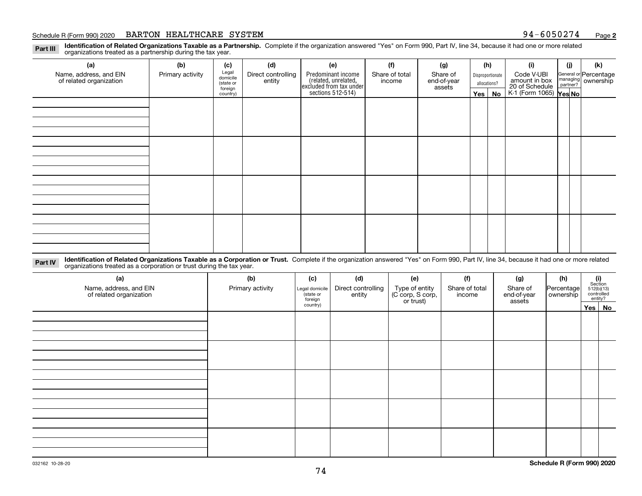#### Schedule R (Form 990) 2020 **BARTON HEALTHCARE SYSTEM** 9 4-6 0 5 0 2 7 4 <sub>Page</sub>

**Identification of Related Organizations Taxable as a Partnership.** Complete if the organization answered "Yes" on Form 990, Part IV, line 34, because it had one or more related **Part III** organizations treated as a partnership during the tax year.

| (a)                                               | (b)              | (c)                  | (d)                          | (e)                                                                  | (f)    | (g)            |              | (h)           | (i)                                                       | (j) | (k)              |            |  |                                                           |
|---------------------------------------------------|------------------|----------------------|------------------------------|----------------------------------------------------------------------|--------|----------------|--------------|---------------|-----------------------------------------------------------|-----|------------------|------------|--|-----------------------------------------------------------|
| Name, address, and EIN<br>of related organization | Primary activity | Legal<br>domicile    | Direct controlling<br>entity | Predominant income                                                   |        | Share of total |              |               | Share of<br>end-of-year                                   |     | Disproportionate | Code V-UBI |  | General or Percentage<br>managing<br>partner?<br>partner? |
|                                                   |                  | (state or<br>foreign |                              | (related, unrelated,<br>excluded from tax under<br>sections 512-514) | income | assets         | allocations? |               |                                                           |     |                  |            |  |                                                           |
|                                                   |                  | country)             |                              |                                                                      |        |                |              | $Yes \mid No$ | amount in box<br>20 of Schedule<br>K-1 (Form 1065) Yes No |     |                  |            |  |                                                           |
|                                                   |                  |                      |                              |                                                                      |        |                |              |               |                                                           |     |                  |            |  |                                                           |
|                                                   |                  |                      |                              |                                                                      |        |                |              |               |                                                           |     |                  |            |  |                                                           |
|                                                   |                  |                      |                              |                                                                      |        |                |              |               |                                                           |     |                  |            |  |                                                           |
|                                                   |                  |                      |                              |                                                                      |        |                |              |               |                                                           |     |                  |            |  |                                                           |
|                                                   |                  |                      |                              |                                                                      |        |                |              |               |                                                           |     |                  |            |  |                                                           |
|                                                   |                  |                      |                              |                                                                      |        |                |              |               |                                                           |     |                  |            |  |                                                           |
|                                                   |                  |                      |                              |                                                                      |        |                |              |               |                                                           |     |                  |            |  |                                                           |
|                                                   |                  |                      |                              |                                                                      |        |                |              |               |                                                           |     |                  |            |  |                                                           |
|                                                   |                  |                      |                              |                                                                      |        |                |              |               |                                                           |     |                  |            |  |                                                           |
|                                                   |                  |                      |                              |                                                                      |        |                |              |               |                                                           |     |                  |            |  |                                                           |
|                                                   |                  |                      |                              |                                                                      |        |                |              |               |                                                           |     |                  |            |  |                                                           |
|                                                   |                  |                      |                              |                                                                      |        |                |              |               |                                                           |     |                  |            |  |                                                           |
|                                                   |                  |                      |                              |                                                                      |        |                |              |               |                                                           |     |                  |            |  |                                                           |
|                                                   |                  |                      |                              |                                                                      |        |                |              |               |                                                           |     |                  |            |  |                                                           |
|                                                   |                  |                      |                              |                                                                      |        |                |              |               |                                                           |     |                  |            |  |                                                           |
|                                                   |                  |                      |                              |                                                                      |        |                |              |               |                                                           |     |                  |            |  |                                                           |
|                                                   |                  |                      |                              |                                                                      |        |                |              |               |                                                           |     |                  |            |  |                                                           |

**Identification of Related Organizations Taxable as a Corporation or Trust.** Complete if the organization answered "Yes" on Form 990, Part IV, line 34, because it had one or more related **Part IV** organizations treated as a corporation or trust during the tax year.

| (a)<br>Name, address, and EIN<br>of related organization | (b)<br>Primary activity | (c)<br>Legal domicile<br>(state or<br>foreign | (d)<br>Direct controlling<br>entity | (e)<br>Type of entity<br>(C corp, S corp,<br>or trust) | (f)<br>Share of total<br>income | (g)<br>Share of<br>end-of-year<br>assets | (h)<br>Percentage<br>ownership | $\begin{array}{c} \textbf{(i)}\\ \text{Section}\\ 512 \text{(b)} \text{(13)}\\ \text{controlled}\\ \text{entity?} \end{array}$ |
|----------------------------------------------------------|-------------------------|-----------------------------------------------|-------------------------------------|--------------------------------------------------------|---------------------------------|------------------------------------------|--------------------------------|--------------------------------------------------------------------------------------------------------------------------------|
|                                                          |                         | country)                                      |                                     |                                                        |                                 |                                          |                                | Yes No                                                                                                                         |
|                                                          |                         |                                               |                                     |                                                        |                                 |                                          |                                |                                                                                                                                |
|                                                          |                         |                                               |                                     |                                                        |                                 |                                          |                                |                                                                                                                                |
|                                                          |                         |                                               |                                     |                                                        |                                 |                                          |                                |                                                                                                                                |
|                                                          |                         |                                               |                                     |                                                        |                                 |                                          |                                |                                                                                                                                |
|                                                          |                         |                                               |                                     |                                                        |                                 |                                          |                                |                                                                                                                                |
|                                                          |                         |                                               |                                     |                                                        |                                 |                                          |                                |                                                                                                                                |
|                                                          |                         |                                               |                                     |                                                        |                                 |                                          |                                |                                                                                                                                |
|                                                          |                         |                                               |                                     |                                                        |                                 |                                          |                                |                                                                                                                                |
|                                                          |                         |                                               |                                     |                                                        |                                 |                                          |                                |                                                                                                                                |
|                                                          |                         |                                               |                                     |                                                        |                                 |                                          |                                |                                                                                                                                |
|                                                          |                         |                                               |                                     |                                                        |                                 |                                          |                                |                                                                                                                                |
|                                                          |                         |                                               |                                     |                                                        |                                 |                                          |                                |                                                                                                                                |
|                                                          |                         |                                               |                                     |                                                        |                                 |                                          |                                |                                                                                                                                |
|                                                          |                         |                                               |                                     |                                                        |                                 |                                          |                                |                                                                                                                                |
|                                                          |                         |                                               |                                     |                                                        |                                 |                                          |                                |                                                                                                                                |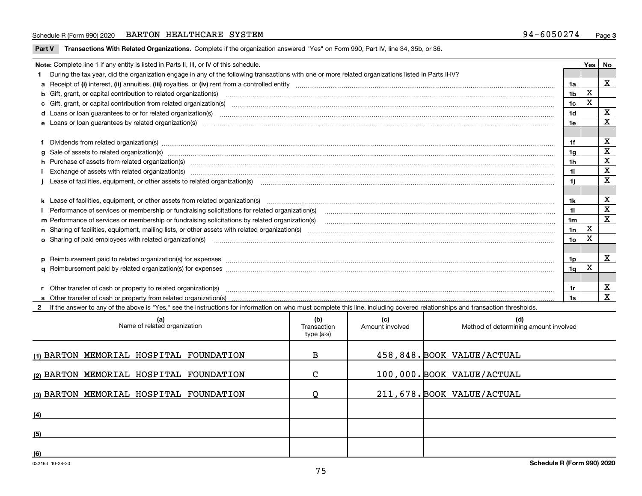#### Schedule R (Form 990) 2020 **BARTON HEALTHCARE SYSTEM** 9 4-6 0 5 0 2 7 4 <sub>Page</sub>

**Part V** T**ransactions With Related Organizations.** Complete if the organization answered "Yes" on Form 990, Part IV, line 34, 35b, or 36.

| Note: Complete line 1 if any entity is listed in Parts II, III, or IV of this schedule.                                                                                                                                                                                                              |                 | Yes | No          |
|------------------------------------------------------------------------------------------------------------------------------------------------------------------------------------------------------------------------------------------------------------------------------------------------------|-----------------|-----|-------------|
| During the tax year, did the organization engage in any of the following transactions with one or more related organizations listed in Parts II-IV?                                                                                                                                                  |                 |     |             |
|                                                                                                                                                                                                                                                                                                      | 1a              |     | X           |
| b Gift, grant, or capital contribution to related organization(s) matching material content and contribution to related organization(s) matching material contribution to related organization(s) matching material material c                                                                       | 1 <sub>b</sub>  | X   |             |
| c Gift, grant, or capital contribution from related organization(s) www.communities.com/www.communities.com/www.communities.com/www.communities.com/www.communities.com/www.communities.com/www.communities.com/www.communitie                                                                       | 1c              | X   |             |
|                                                                                                                                                                                                                                                                                                      | 1 <sub>d</sub>  |     | $\mathbf X$ |
|                                                                                                                                                                                                                                                                                                      | 1e              |     | X           |
| Dividends from related organization(s) www.communically.communically.communically and all properties are constrained as a constrained organization of the constraint of the construction of the constraint of the constraint o                                                                       | 1f              |     | х           |
| g Sale of assets to related organization(s) www.communicallycommunicallycommunicallycommunicallycommunicallycommunicallycommunicallycommunicallycommunicallycommunicallycommunicallycommunicallycommunicallycommunicallycommun                                                                       | 1a              |     | X           |
| h Purchase of assets from related organization(s) manufactured and content to content and content and content and content and content and content and content and content and content and content and content and content and                                                                        | 1 <sub>h</sub>  |     | $\mathbf X$ |
| Exchange of assets with related organization(s) www.communically.communically.communically and a set and a set set or communically and a set or communication of the set of the set of the set of the set of the set of the se                                                                       | 1i              |     | $\mathbf X$ |
| Lease of facilities, equipment, or other assets to related organization(s) manufactured content to the set of facilities, equipment, or other assets to related organization(s) manufactured content to the set of the set of                                                                        | 1i.             |     | X           |
| k Lease of facilities, equipment, or other assets from related organization(s) manufaction content and content to the assets from related organization(s) manufaction content and content and content and content and content                                                                        | 1k              |     | х           |
| Performance of services or membership or fundraising solicitations for related organization(s) manufaction manufactured content and the services or membership or fundraising solicitations for related organization(s) manufa                                                                       | 11              |     | $\mathbf X$ |
| m Performance of services or membership or fundraising solicitations by related organization(s)                                                                                                                                                                                                      | 1m              |     | $\mathbf x$ |
|                                                                                                                                                                                                                                                                                                      | 1n              | X   |             |
| <b>o</b> Sharing of paid employees with related organization(s)                                                                                                                                                                                                                                      | 10 <sub>o</sub> | X   |             |
|                                                                                                                                                                                                                                                                                                      |                 |     |             |
| p Reimbursement paid to related organization(s) for expenses [11111] [12] reasonal content of the separation (s) for expenses [11111] [12] reasonal content content of the separation (s) for expenses [1111] [12] reasonal co                                                                       | 1p.             |     | X           |
|                                                                                                                                                                                                                                                                                                      | 1q              | х   |             |
|                                                                                                                                                                                                                                                                                                      |                 |     |             |
| r Other transfer of cash or property to related organization(s)<br>r Other transfer of cash or property to related organization(s) www.community.com/www.community.com/www.communi<br>S Other transfer of cash or property from related organization(s) www.community.community.community.community. | 1r              |     | X           |
|                                                                                                                                                                                                                                                                                                      | 1s              |     | $\mathbf X$ |
| 2 If the answer to any of the above is "Yes." see the instructions for information on who must complete this line, including covered relationships and transaction thresholds.                                                                                                                       |                 |     |             |

| (a)<br>Name of related organization     | (b)<br>Transaction<br>type (a-s) | (c)<br>Amount involved | (d)<br>Method of determining amount involved |
|-----------------------------------------|----------------------------------|------------------------|----------------------------------------------|
| (1) BARTON MEMORIAL HOSPITAL FOUNDATION | в                                |                        | 458,848. BOOK VALUE/ACTUAL                   |
| (2) BARTON MEMORIAL HOSPITAL FOUNDATION | $\mathsf{C}$                     |                        | 100,000. BOOK VALUE/ACTUAL                   |
| (3) BARTON MEMORIAL HOSPITAL FOUNDATION |                                  |                        | 211, 678. BOOK VALUE/ACTUAL                  |
| (4)                                     |                                  |                        |                                              |
| (5)                                     |                                  |                        |                                              |
| (6)                                     |                                  |                        |                                              |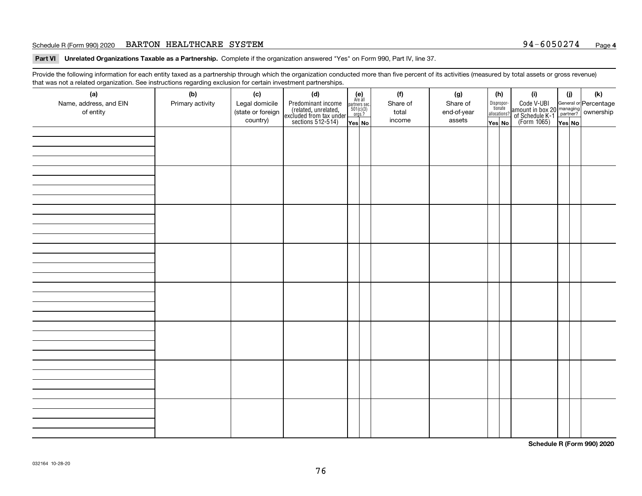#### Schedule R (Form 990) 2020 **BARTON HEALTHCARE SYSTEM** 9 4-6 0 5 0 2 7 4 <sub>Page</sub>

**Part VI Unrelated Organizations Taxable as a Partnership. Complete if the organization answered "Yes" on Form 990, Part IV, line 37.** 

Provide the following information for each entity taxed as a partnership through which the organization conducted more than five percent of its activities (measured by total assets or gross revenue) that was not a related organization. See instructions regarding exclusion for certain investment partnerships.

| ັ                      | ັ<br>ັ           |                   |                                                                                            |                                                                                              |  |          |             |                                  |                                                                                                  |        |     |  |  |  |  |  |  |  |  |  |  |
|------------------------|------------------|-------------------|--------------------------------------------------------------------------------------------|----------------------------------------------------------------------------------------------|--|----------|-------------|----------------------------------|--------------------------------------------------------------------------------------------------|--------|-----|--|--|--|--|--|--|--|--|--|--|
| (a)                    | (b)              | (c)               | (d)                                                                                        | $(e)$<br>Are all                                                                             |  | (f)      | (g)         | (h)                              | (i)                                                                                              | (i)    | (k) |  |  |  |  |  |  |  |  |  |  |
| Name, address, and EIN | Primary activity | Legal domicile    | Predominant income<br>(related, unrelated,<br>excluded from tax under<br>sections 512-514) |                                                                                              |  | Share of | Share of    | Disproportionate<br>allocations? | Code V-UBI<br>amount in box 20 managing<br>of Schedule K-1<br>(Form 1065)<br>$\overline{Yes}$ No |        |     |  |  |  |  |  |  |  |  |  |  |
| of entity              |                  | (state or foreign |                                                                                            | $\begin{array}{c}\n\text{partners} & \text{sec.} \\ 501(c)(3) & \text{orgs.?} \n\end{array}$ |  | total    | end-of-year |                                  |                                                                                                  |        |     |  |  |  |  |  |  |  |  |  |  |
|                        |                  | country)          |                                                                                            |                                                                                              |  | income   | assets      |                                  |                                                                                                  |        |     |  |  |  |  |  |  |  |  |  |  |
|                        |                  |                   |                                                                                            | Yes No                                                                                       |  |          |             | Yes No                           |                                                                                                  | Yes No |     |  |  |  |  |  |  |  |  |  |  |
|                        |                  |                   |                                                                                            |                                                                                              |  |          |             |                                  |                                                                                                  |        |     |  |  |  |  |  |  |  |  |  |  |
|                        |                  |                   |                                                                                            |                                                                                              |  |          |             |                                  |                                                                                                  |        |     |  |  |  |  |  |  |  |  |  |  |
|                        |                  |                   |                                                                                            |                                                                                              |  |          |             |                                  |                                                                                                  |        |     |  |  |  |  |  |  |  |  |  |  |
|                        |                  |                   |                                                                                            |                                                                                              |  |          |             |                                  |                                                                                                  |        |     |  |  |  |  |  |  |  |  |  |  |
|                        |                  |                   |                                                                                            |                                                                                              |  |          |             |                                  |                                                                                                  |        |     |  |  |  |  |  |  |  |  |  |  |
|                        |                  |                   |                                                                                            |                                                                                              |  |          |             |                                  |                                                                                                  |        |     |  |  |  |  |  |  |  |  |  |  |
|                        |                  |                   |                                                                                            |                                                                                              |  |          |             |                                  |                                                                                                  |        |     |  |  |  |  |  |  |  |  |  |  |
|                        |                  |                   |                                                                                            |                                                                                              |  |          |             |                                  |                                                                                                  |        |     |  |  |  |  |  |  |  |  |  |  |
|                        |                  |                   |                                                                                            |                                                                                              |  |          |             |                                  |                                                                                                  |        |     |  |  |  |  |  |  |  |  |  |  |
|                        |                  |                   |                                                                                            |                                                                                              |  |          |             |                                  |                                                                                                  |        |     |  |  |  |  |  |  |  |  |  |  |
|                        |                  |                   |                                                                                            |                                                                                              |  |          |             |                                  |                                                                                                  |        |     |  |  |  |  |  |  |  |  |  |  |
|                        |                  |                   |                                                                                            |                                                                                              |  |          |             |                                  |                                                                                                  |        |     |  |  |  |  |  |  |  |  |  |  |
|                        |                  |                   |                                                                                            |                                                                                              |  |          |             |                                  |                                                                                                  |        |     |  |  |  |  |  |  |  |  |  |  |
|                        |                  |                   |                                                                                            |                                                                                              |  |          |             |                                  |                                                                                                  |        |     |  |  |  |  |  |  |  |  |  |  |
|                        |                  |                   |                                                                                            |                                                                                              |  |          |             |                                  |                                                                                                  |        |     |  |  |  |  |  |  |  |  |  |  |
|                        |                  |                   |                                                                                            |                                                                                              |  |          |             |                                  |                                                                                                  |        |     |  |  |  |  |  |  |  |  |  |  |
|                        |                  |                   |                                                                                            |                                                                                              |  |          |             |                                  |                                                                                                  |        |     |  |  |  |  |  |  |  |  |  |  |
|                        |                  |                   |                                                                                            |                                                                                              |  |          |             |                                  |                                                                                                  |        |     |  |  |  |  |  |  |  |  |  |  |
|                        |                  |                   |                                                                                            |                                                                                              |  |          |             |                                  |                                                                                                  |        |     |  |  |  |  |  |  |  |  |  |  |
|                        |                  |                   |                                                                                            |                                                                                              |  |          |             |                                  |                                                                                                  |        |     |  |  |  |  |  |  |  |  |  |  |
|                        |                  |                   |                                                                                            |                                                                                              |  |          |             |                                  |                                                                                                  |        |     |  |  |  |  |  |  |  |  |  |  |
|                        |                  |                   |                                                                                            |                                                                                              |  |          |             |                                  |                                                                                                  |        |     |  |  |  |  |  |  |  |  |  |  |
|                        |                  |                   |                                                                                            |                                                                                              |  |          |             |                                  |                                                                                                  |        |     |  |  |  |  |  |  |  |  |  |  |
|                        |                  |                   |                                                                                            |                                                                                              |  |          |             |                                  |                                                                                                  |        |     |  |  |  |  |  |  |  |  |  |  |
|                        |                  |                   |                                                                                            |                                                                                              |  |          |             |                                  |                                                                                                  |        |     |  |  |  |  |  |  |  |  |  |  |
|                        |                  |                   |                                                                                            |                                                                                              |  |          |             |                                  |                                                                                                  |        |     |  |  |  |  |  |  |  |  |  |  |
|                        |                  |                   |                                                                                            |                                                                                              |  |          |             |                                  |                                                                                                  |        |     |  |  |  |  |  |  |  |  |  |  |
|                        |                  |                   |                                                                                            |                                                                                              |  |          |             |                                  |                                                                                                  |        |     |  |  |  |  |  |  |  |  |  |  |
|                        |                  |                   |                                                                                            |                                                                                              |  |          |             |                                  |                                                                                                  |        |     |  |  |  |  |  |  |  |  |  |  |
|                        |                  |                   |                                                                                            |                                                                                              |  |          |             |                                  |                                                                                                  |        |     |  |  |  |  |  |  |  |  |  |  |
|                        |                  |                   |                                                                                            |                                                                                              |  |          |             |                                  |                                                                                                  |        |     |  |  |  |  |  |  |  |  |  |  |
|                        |                  |                   |                                                                                            |                                                                                              |  |          |             |                                  |                                                                                                  |        |     |  |  |  |  |  |  |  |  |  |  |
|                        |                  |                   |                                                                                            |                                                                                              |  |          |             |                                  |                                                                                                  |        |     |  |  |  |  |  |  |  |  |  |  |
|                        |                  |                   |                                                                                            |                                                                                              |  |          |             |                                  |                                                                                                  |        |     |  |  |  |  |  |  |  |  |  |  |
|                        |                  |                   |                                                                                            |                                                                                              |  |          |             |                                  |                                                                                                  |        |     |  |  |  |  |  |  |  |  |  |  |
|                        |                  |                   |                                                                                            |                                                                                              |  |          |             |                                  |                                                                                                  |        |     |  |  |  |  |  |  |  |  |  |  |
|                        |                  |                   |                                                                                            |                                                                                              |  |          |             |                                  |                                                                                                  |        |     |  |  |  |  |  |  |  |  |  |  |
|                        |                  |                   |                                                                                            |                                                                                              |  |          |             |                                  |                                                                                                  |        |     |  |  |  |  |  |  |  |  |  |  |
|                        |                  |                   |                                                                                            |                                                                                              |  |          |             |                                  |                                                                                                  |        |     |  |  |  |  |  |  |  |  |  |  |
|                        |                  |                   |                                                                                            |                                                                                              |  |          |             |                                  |                                                                                                  |        |     |  |  |  |  |  |  |  |  |  |  |
|                        |                  |                   |                                                                                            |                                                                                              |  |          |             |                                  |                                                                                                  |        |     |  |  |  |  |  |  |  |  |  |  |
|                        |                  |                   |                                                                                            |                                                                                              |  |          |             |                                  |                                                                                                  |        |     |  |  |  |  |  |  |  |  |  |  |
|                        |                  |                   |                                                                                            |                                                                                              |  |          |             |                                  |                                                                                                  |        |     |  |  |  |  |  |  |  |  |  |  |

**Schedule R (Form 990) 2020**